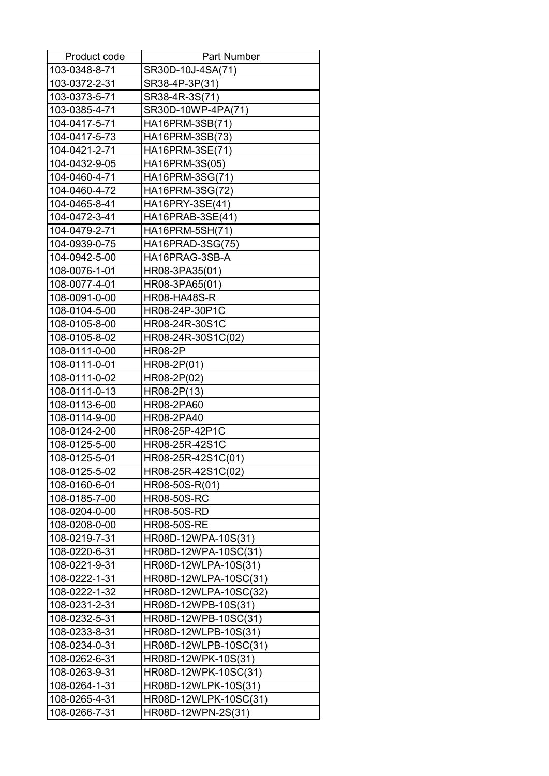| Product code  | <b>Part Number</b>    |
|---------------|-----------------------|
| 103-0348-8-71 | SR30D-10J-4SA(71)     |
| 103-0372-2-31 | SR38-4P-3P(31)        |
| 103-0373-5-71 | SR38-4R-3S(71)        |
| 103-0385-4-71 | SR30D-10WP-4PA(71)    |
| 104-0417-5-71 | HA16PRM-3SB(71)       |
| 104-0417-5-73 | HA16PRM-3SB(73)       |
| 104-0421-2-71 | HA16PRM-3SE(71)       |
| 104-0432-9-05 | HA16PRM-3S(05)        |
| 104-0460-4-71 | HA16PRM-3SG(71)       |
| 104-0460-4-72 | HA16PRM-3SG(72)       |
| 104-0465-8-41 | HA16PRY-3SE(41)       |
| 104-0472-3-41 | HA16PRAB-3SE(41)      |
| 104-0479-2-71 | HA16PRM-5SH(71)       |
| 104-0939-0-75 | HA16PRAD-3SG(75)      |
| 104-0942-5-00 | HA16PRAG-3SB-A        |
| 108-0076-1-01 | HR08-3PA35(01)        |
| 108-0077-4-01 | HR08-3PA65(01)        |
| 108-0091-0-00 | <b>HR08-HA48S-R</b>   |
| 108-0104-5-00 | HR08-24P-30P1C        |
| 108-0105-8-00 | HR08-24R-30S1C        |
| 108-0105-8-02 | HR08-24R-30S1C(02)    |
| 108-0111-0-00 | <b>HR08-2P</b>        |
| 108-0111-0-01 | HR08-2P(01)           |
| 108-0111-0-02 | HR08-2P(02)           |
| 108-0111-0-13 | HR08-2P(13)           |
| 108-0113-6-00 | HR08-2PA60            |
| 108-0114-9-00 | HR08-2PA40            |
| 108-0124-2-00 | HR08-25P-42P1C        |
| 108-0125-5-00 | HR08-25R-42S1C        |
| 108-0125-5-01 | HR08-25R-42S1C(01)    |
| 108-0125-5-02 | HR08-25R-42S1C(02)    |
| 108-0160-6-01 | HR08-50S-R(01)        |
| 108-0185-7-00 | <b>HR08-50S-RC</b>    |
| 108-0204-0-00 | <b>HR08-50S-RD</b>    |
| 108-0208-0-00 | <b>HR08-50S-RE</b>    |
| 108-0219-7-31 | HR08D-12WPA-10S(31)   |
| 108-0220-6-31 | HR08D-12WPA-10SC(31)  |
| 108-0221-9-31 | HR08D-12WLPA-10S(31)  |
| 108-0222-1-31 | HR08D-12WLPA-10SC(31) |
| 108-0222-1-32 | HR08D-12WLPA-10SC(32) |
| 108-0231-2-31 | HR08D-12WPB-10S(31)   |
| 108-0232-5-31 | HR08D-12WPB-10SC(31)  |
| 108-0233-8-31 | HR08D-12WLPB-10S(31)  |
| 108-0234-0-31 | HR08D-12WLPB-10SC(31) |
| 108-0262-6-31 | HR08D-12WPK-10S(31)   |
| 108-0263-9-31 | HR08D-12WPK-10SC(31)  |
| 108-0264-1-31 | HR08D-12WLPK-10S(31)  |
| 108-0265-4-31 | HR08D-12WLPK-10SC(31) |
| 108-0266-7-31 | HR08D-12WPN-2S(31)    |
|               |                       |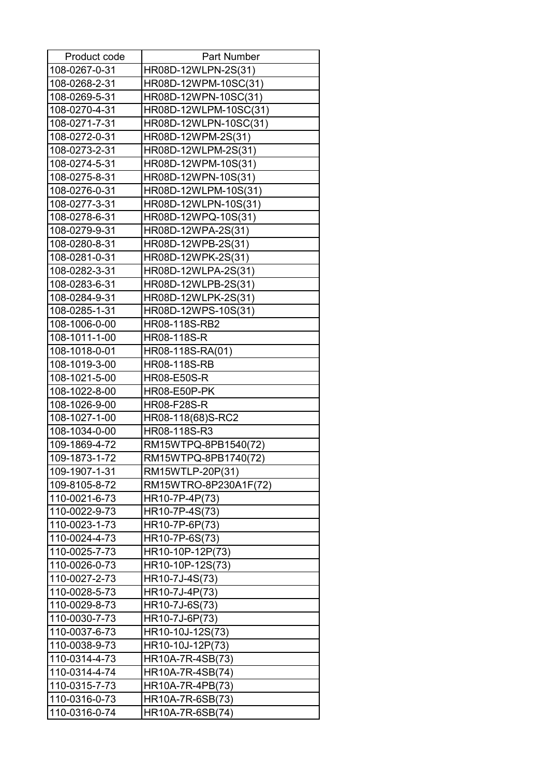| Product code  | Part Number           |
|---------------|-----------------------|
| 108-0267-0-31 | HR08D-12WLPN-2S(31)   |
| 108-0268-2-31 | HR08D-12WPM-10SC(31)  |
| 108-0269-5-31 | HR08D-12WPN-10SC(31)  |
| 108-0270-4-31 | HR08D-12WLPM-10SC(31) |
| 108-0271-7-31 | HR08D-12WLPN-10SC(31) |
| 108-0272-0-31 | HR08D-12WPM-2S(31)    |
| 108-0273-2-31 | HR08D-12WLPM-2S(31)   |
| 108-0274-5-31 | HR08D-12WPM-10S(31)   |
| 108-0275-8-31 | HR08D-12WPN-10S(31)   |
| 108-0276-0-31 | HR08D-12WLPM-10S(31)  |
| 108-0277-3-31 | HR08D-12WLPN-10S(31)  |
| 108-0278-6-31 | HR08D-12WPQ-10S(31)   |
| 108-0279-9-31 | HR08D-12WPA-2S(31)    |
| 108-0280-8-31 | HR08D-12WPB-2S(31)    |
| 108-0281-0-31 | HR08D-12WPK-2S(31)    |
| 108-0282-3-31 | HR08D-12WLPA-2S(31)   |
| 108-0283-6-31 | HR08D-12WLPB-2S(31)   |
| 108-0284-9-31 | HR08D-12WLPK-2S(31)   |
| 108-0285-1-31 | HR08D-12WPS-10S(31)   |
| 108-1006-0-00 | HR08-118S-RB2         |
| 108-1011-1-00 | HR08-118S-R           |
| 108-1018-0-01 | HR08-118S-RA(01)      |
| 108-1019-3-00 | <b>HR08-118S-RB</b>   |
| 108-1021-5-00 | <b>HR08-E50S-R</b>    |
| 108-1022-8-00 | <b>HR08-E50P-PK</b>   |
| 108-1026-9-00 | HR08-F28S-R           |
| 108-1027-1-00 | HR08-118(68)S-RC2     |
| 108-1034-0-00 | HR08-118S-R3          |
| 109-1869-4-72 | RM15WTPQ-8PB1540(72)  |
| 109-1873-1-72 | RM15WTPQ-8PB1740(72)  |
| 109-1907-1-31 | RM15WTLP-20P(31)      |
| 109-8105-8-72 | RM15WTRO-8P230A1F(72) |
| 110-0021-6-73 | HR10-7P-4P(73)        |
| 110-0022-9-73 | HR10-7P-4S(73)        |
| 110-0023-1-73 | HR10-7P-6P(73)        |
| 110-0024-4-73 | HR10-7P-6S(73)        |
| 110-0025-7-73 | HR10-10P-12P(73)      |
| 110-0026-0-73 | HR10-10P-12S(73)      |
| 110-0027-2-73 | HR10-7J-4S(73)        |
| 110-0028-5-73 | HR10-7J-4P(73)        |
| 110-0029-8-73 | HR10-7J-6S(73)        |
| 110-0030-7-73 | HR10-7J-6P(73)        |
| 110-0037-6-73 | HR10-10J-12S(73)      |
| 110-0038-9-73 | HR10-10J-12P(73)      |
| 110-0314-4-73 | HR10A-7R-4SB(73)      |
| 110-0314-4-74 | HR10A-7R-4SB(74)      |
| 110-0315-7-73 | HR10A-7R-4PB(73)      |
| 110-0316-0-73 | HR10A-7R-6SB(73)      |
| 110-0316-0-74 | HR10A-7R-6SB(74)      |
|               |                       |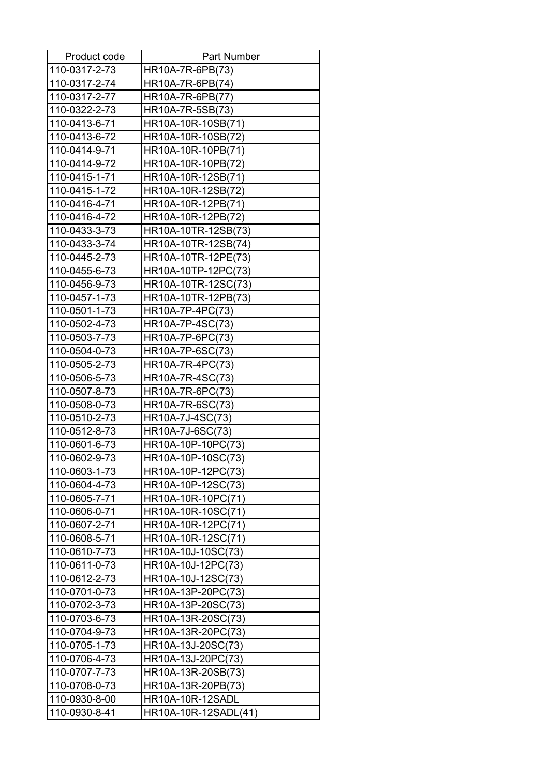| Product code  | <b>Part Number</b>      |
|---------------|-------------------------|
| 110-0317-2-73 | HR10A-7R-6PB(73)        |
| 110-0317-2-74 | HR10A-7R-6PB(74)        |
| 110-0317-2-77 | HR10A-7R-6PB(77)        |
| 110-0322-2-73 | HR10A-7R-5SB(73)        |
| 110-0413-6-71 | HR10A-10R-10SB(71)      |
| 110-0413-6-72 | HR10A-10R-10SB(72)      |
| 110-0414-9-71 | HR10A-10R-10PB(71)      |
| 110-0414-9-72 | HR10A-10R-10PB(72)      |
| 110-0415-1-71 | HR10A-10R-12SB(71)      |
| 110-0415-1-72 | HR10A-10R-12SB(72)      |
| 110-0416-4-71 | HR10A-10R-12PB(71)      |
| 110-0416-4-72 | HR10A-10R-12PB(72)      |
| 110-0433-3-73 | HR10A-10TR-12SB(73)     |
| 110-0433-3-74 | HR10A-10TR-12SB(74)     |
| 110-0445-2-73 | HR10A-10TR-12PE(73)     |
| 110-0455-6-73 | HR10A-10TP-12PC(73)     |
| 110-0456-9-73 | HR10A-10TR-12SC(73)     |
| 110-0457-1-73 | HR10A-10TR-12PB(73)     |
| 110-0501-1-73 | HR10A-7P-4PC(73)        |
| 110-0502-4-73 | HR10A-7P-4SC(73)        |
| 110-0503-7-73 | HR10A-7P-6PC(73)        |
| 110-0504-0-73 | HR10A-7P-6SC(73)        |
| 110-0505-2-73 | HR10A-7R-4PC(73)        |
| 110-0506-5-73 | HR10A-7R-4SC(73)        |
| 110-0507-8-73 | HR10A-7R-6PC(73)        |
| 110-0508-0-73 | HR10A-7R-6SC(73)        |
| 110-0510-2-73 | HR10A-7J-4SC(73)        |
| 110-0512-8-73 | HR10A-7J-6SC(73)        |
| 110-0601-6-73 | HR10A-10P-10PC(73)      |
| 110-0602-9-73 | HR10A-10P-10SC(73)      |
| 110-0603-1-73 | HR10A-10P-12PC(73)      |
| 110-0604-4-73 | HR10A-10P-12SC(73)      |
| 110-0605-7-71 | HR10A-10R-10PC(71)      |
| 110-0606-0-71 | HR10A-10R-10SC(71)      |
| 110-0607-2-71 | HR10A-10R-12PC(71)      |
| 110-0608-5-71 | HR10A-10R-12SC(71)      |
| 110-0610-7-73 | HR10A-10J-10SC(73)      |
| 110-0611-0-73 | HR10A-10J-12PC(73)      |
| 110-0612-2-73 | HR10A-10J-12SC(73)      |
| 110-0701-0-73 | HR10A-13P-20PC(73)      |
| 110-0702-3-73 | HR10A-13P-20SC(73)      |
| 110-0703-6-73 | HR10A-13R-20SC(73)      |
| 110-0704-9-73 | HR10A-13R-20PC(73)      |
| 110-0705-1-73 | HR10A-13J-20SC(73)      |
| 110-0706-4-73 | HR10A-13J-20PC(73)      |
| 110-0707-7-73 | HR10A-13R-20SB(73)      |
| 110-0708-0-73 | HR10A-13R-20PB(73)      |
| 110-0930-8-00 | <b>HR10A-10R-12SADL</b> |
| 110-0930-8-41 | HR10A-10R-12SADL(41)    |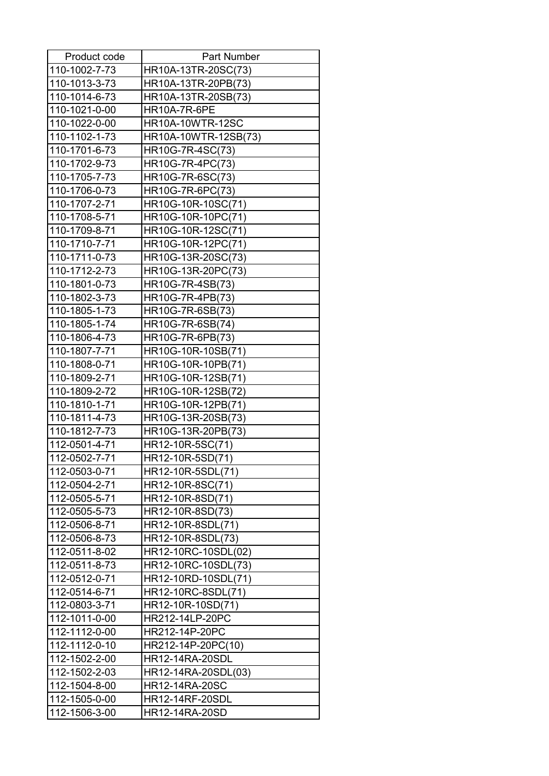| Product code  | <b>Part Number</b>      |
|---------------|-------------------------|
| 110-1002-7-73 | HR10A-13TR-20SC(73)     |
| 110-1013-3-73 | HR10A-13TR-20PB(73)     |
| 110-1014-6-73 | HR10A-13TR-20SB(73)     |
| 110-1021-0-00 | <b>HR10A-7R-6PE</b>     |
| 110-1022-0-00 | <b>HR10A-10WTR-12SC</b> |
| 110-1102-1-73 | HR10A-10WTR-12SB(73)    |
| 110-1701-6-73 | HR10G-7R-4SC(73)        |
| 110-1702-9-73 | HR10G-7R-4PC(73)        |
| 110-1705-7-73 | HR10G-7R-6SC(73)        |
| 110-1706-0-73 | HR10G-7R-6PC(73)        |
| 110-1707-2-71 | HR10G-10R-10SC(71)      |
| 110-1708-5-71 | HR10G-10R-10PC(71)      |
| 110-1709-8-71 | HR10G-10R-12SC(71)      |
| 110-1710-7-71 | HR10G-10R-12PC(71)      |
| 110-1711-0-73 | HR10G-13R-20SC(73)      |
| 110-1712-2-73 | HR10G-13R-20PC(73)      |
| 110-1801-0-73 | HR10G-7R-4SB(73)        |
| 110-1802-3-73 | HR10G-7R-4PB(73)        |
| 110-1805-1-73 | HR10G-7R-6SB(73)        |
| 110-1805-1-74 | HR10G-7R-6SB(74)        |
| 110-1806-4-73 | HR10G-7R-6PB(73)        |
| 110-1807-7-71 | HR10G-10R-10SB(71)      |
| 110-1808-0-71 | HR10G-10R-10PB(71)      |
| 110-1809-2-71 | HR10G-10R-12SB(71)      |
| 110-1809-2-72 | HR10G-10R-12SB(72)      |
| 110-1810-1-71 | HR10G-10R-12PB(71)      |
| 110-1811-4-73 | HR10G-13R-20SB(73)      |
| 110-1812-7-73 | HR10G-13R-20PB(73)      |
| 112-0501-4-71 | HR12-10R-5SC(71)        |
| 112-0502-7-71 | HR12-10R-5SD(71)        |
| 112-0503-0-71 | HR12-10R-5SDL(71)       |
| 112-0504-2-71 | HR12-10R-8SC(71)        |
| 112-0505-5-71 | HR12-10R-8SD(71)        |
| 112-0505-5-73 | HR12-10R-8SD(73)        |
| 112-0506-8-71 | HR12-10R-8SDL(71)       |
| 112-0506-8-73 | HR12-10R-8SDL(73)       |
| 112-0511-8-02 | HR12-10RC-10SDL(02)     |
| 112-0511-8-73 | HR12-10RC-10SDL(73)     |
| 112-0512-0-71 | HR12-10RD-10SDL(71)     |
| 112-0514-6-71 | HR12-10RC-8SDL(71)      |
| 112-0803-3-71 | HR12-10R-10SD(71)       |
| 112-1011-0-00 | HR212-14LP-20PC         |
| 112-1112-0-00 | HR212-14P-20PC          |
| 112-1112-0-10 | HR212-14P-20PC(10)      |
| 112-1502-2-00 | <b>HR12-14RA-20SDL</b>  |
| 112-1502-2-03 | HR12-14RA-20SDL(03)     |
| 112-1504-8-00 | <b>HR12-14RA-20SC</b>   |
| 112-1505-0-00 | <b>HR12-14RF-20SDL</b>  |
| 112-1506-3-00 | HR12-14RA-20SD          |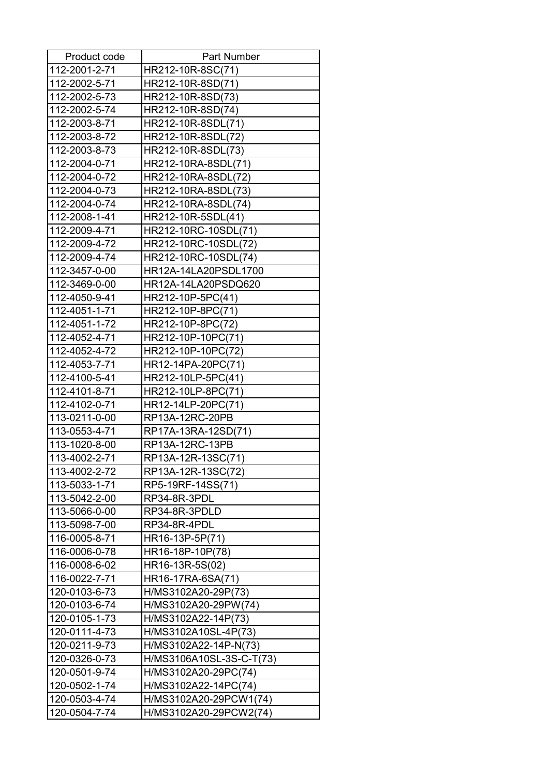| Product code  | <b>Part Number</b>       |
|---------------|--------------------------|
| 112-2001-2-71 | HR212-10R-8SC(71)        |
| 112-2002-5-71 | HR212-10R-8SD(71)        |
| 112-2002-5-73 | HR212-10R-8SD(73)        |
| 112-2002-5-74 | HR212-10R-8SD(74)        |
| 112-2003-8-71 | HR212-10R-8SDL(71)       |
| 112-2003-8-72 | HR212-10R-8SDL(72)       |
| 112-2003-8-73 | HR212-10R-8SDL(73)       |
| 112-2004-0-71 | HR212-10RA-8SDL(71)      |
| 112-2004-0-72 | HR212-10RA-8SDL(72)      |
| 112-2004-0-73 | HR212-10RA-8SDL(73)      |
| 112-2004-0-74 | HR212-10RA-8SDL(74)      |
| 112-2008-1-41 | HR212-10R-5SDL(41)       |
| 112-2009-4-71 | HR212-10RC-10SDL(71)     |
| 112-2009-4-72 | HR212-10RC-10SDL(72)     |
| 112-2009-4-74 | HR212-10RC-10SDL(74)     |
| 112-3457-0-00 | HR12A-14LA20PSDL1700     |
| 112-3469-0-00 | HR12A-14LA20PSDQ620      |
| 112-4050-9-41 | HR212-10P-5PC(41)        |
| 112-4051-1-71 | HR212-10P-8PC(71)        |
| 112-4051-1-72 | HR212-10P-8PC(72)        |
| 112-4052-4-71 | HR212-10P-10PC(71)       |
| 112-4052-4-72 | HR212-10P-10PC(72)       |
| 112-4053-7-71 | HR12-14PA-20PC(71)       |
| 112-4100-5-41 | HR212-10LP-5PC(41)       |
| 112-4101-8-71 | HR212-10LP-8PC(71)       |
| 112-4102-0-71 | HR12-14LP-20PC(71)       |
| 113-0211-0-00 | RP13A-12RC-20PB          |
| 113-0553-4-71 | RP17A-13RA-12SD(71)      |
| 113-1020-8-00 | RP13A-12RC-13PB          |
| 113-4002-2-71 | RP13A-12R-13SC(71)       |
| 113-4002-2-72 | RP13A-12R-13SC(72)       |
| 113-5033-1-71 | RP5-19RF-14SS(71)        |
| 113-5042-2-00 | RP34-8R-3PDL             |
| 113-5066-0-00 | RP34-8R-3PDLD            |
| 113-5098-7-00 | RP34-8R-4PDL             |
| 116-0005-8-71 | HR16-13P-5P(71)          |
| 116-0006-0-78 | HR16-18P-10P(78)         |
| 116-0008-6-02 | HR16-13R-5S(02)          |
| 116-0022-7-71 | HR16-17RA-6SA(71)        |
| 120-0103-6-73 | H/MS3102A20-29P(73)      |
| 120-0103-6-74 | H/MS3102A20-29PW(74)     |
| 120-0105-1-73 | H/MS3102A22-14P(73)      |
| 120-0111-4-73 | H/MS3102A10SL-4P(73)     |
| 120-0211-9-73 | H/MS3102A22-14P-N(73)    |
| 120-0326-0-73 | H/MS3106A10SL-3S-C-T(73) |
| 120-0501-9-74 | H/MS3102A20-29PC(74)     |
| 120-0502-1-74 | H/MS3102A22-14PC(74)     |
| 120-0503-4-74 | H/MS3102A20-29PCW1(74)   |
| 120-0504-7-74 | H/MS3102A20-29PCW2(74)   |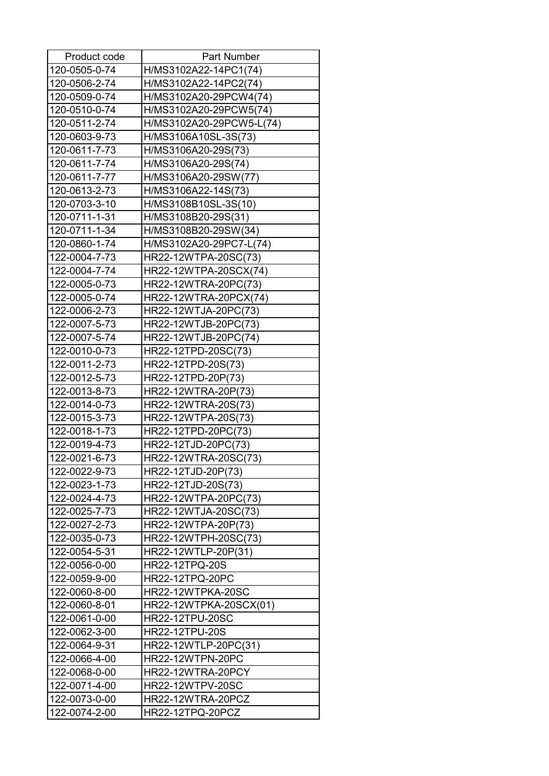| Product code  | <b>Part Number</b>       |
|---------------|--------------------------|
| 120-0505-0-74 | H/MS3102A22-14PC1(74)    |
| 120-0506-2-74 | H/MS3102A22-14PC2(74)    |
| 120-0509-0-74 | H/MS3102A20-29PCW4(74)   |
| 120-0510-0-74 | H/MS3102A20-29PCW5(74)   |
| 120-0511-2-74 | H/MS3102A20-29PCW5-L(74) |
| 120-0603-9-73 | H/MS3106A10SL-3S(73)     |
| 120-0611-7-73 | H/MS3106A20-29S(73)      |
| 120-0611-7-74 | H/MS3106A20-29S(74)      |
| 120-0611-7-77 | H/MS3106A20-29SW(77)     |
| 120-0613-2-73 | H/MS3106A22-14S(73)      |
| 120-0703-3-10 | H/MS3108B10SL-3S(10)     |
| 120-0711-1-31 | H/MS3108B20-29S(31)      |
| 120-0711-1-34 | H/MS3108B20-29SW(34)     |
| 120-0860-1-74 | H/MS3102A20-29PC7-L(74)  |
| 122-0004-7-73 | HR22-12WTPA-20SC(73)     |
| 122-0004-7-74 | HR22-12WTPA-20SCX(74)    |
| 122-0005-0-73 | HR22-12WTRA-20PC(73)     |
| 122-0005-0-74 | HR22-12WTRA-20PCX(74)    |
| 122-0006-2-73 | HR22-12WTJA-20PC(73)     |
| 122-0007-5-73 | HR22-12WTJB-20PC(73)     |
| 122-0007-5-74 | HR22-12WTJB-20PC(74)     |
| 122-0010-0-73 | HR22-12TPD-20SC(73)      |
| 122-0011-2-73 | HR22-12TPD-20S(73)       |
| 122-0012-5-73 | HR22-12TPD-20P(73)       |
| 122-0013-8-73 | HR22-12WTRA-20P(73)      |
| 122-0014-0-73 | HR22-12WTRA-20S(73)      |
| 122-0015-3-73 | HR22-12WTPA-20S(73)      |
| 122-0018-1-73 | HR22-12TPD-20PC(73)      |
| 122-0019-4-73 | HR22-12TJD-20PC(73)      |
| 122-0021-6-73 | HR22-12WTRA-20SC(73)     |
| 122-0022-9-73 | HR22-12TJD-20P(73)       |
| 122-0023-1-73 | HR22-12TJD-20S(73)       |
| 122-0024-4-73 | HR22-12WTPA-20PC(73)     |
| 122-0025-7-73 | HR22-12WTJA-20SC(73)     |
| 122-0027-2-73 | HR22-12WTPA-20P(73)      |
| 122-0035-0-73 | HR22-12WTPH-20SC(73)     |
| 122-0054-5-31 | HR22-12WTLP-20P(31)      |
| 122-0056-0-00 | HR22-12TPQ-20S           |
| 122-0059-9-00 | HR22-12TPQ-20PC          |
| 122-0060-8-00 | HR22-12WTPKA-20SC        |
| 122-0060-8-01 | HR22-12WTPKA-20SCX(01)   |
| 122-0061-0-00 | <b>HR22-12TPU-20SC</b>   |
| 122-0062-3-00 | <b>HR22-12TPU-20S</b>    |
| 122-0064-9-31 | HR22-12WTLP-20PC(31)     |
| 122-0066-4-00 | HR22-12WTPN-20PC         |
| 122-0068-0-00 | HR22-12WTRA-20PCY        |
|               |                          |
| 122-0071-4-00 | <b>HR22-12WTPV-20SC</b>  |
| 122-0073-0-00 | HR22-12WTRA-20PCZ        |
| 122-0074-2-00 | HR22-12TPQ-20PCZ         |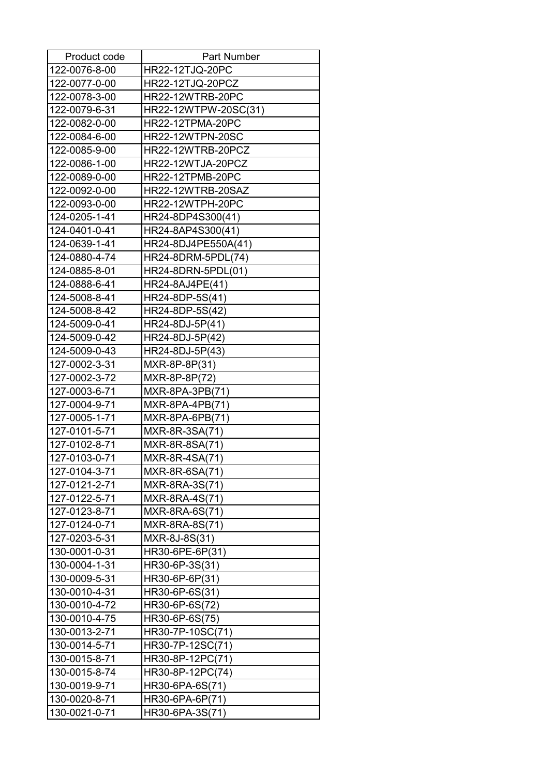| Product code  | <b>Part Number</b>      |
|---------------|-------------------------|
| 122-0076-8-00 | HR22-12TJQ-20PC         |
| 122-0077-0-00 | <b>HR22-12TJQ-20PCZ</b> |
| 122-0078-3-00 | <b>HR22-12WTRB-20PC</b> |
| 122-0079-6-31 | HR22-12WTPW-20SC(31)    |
| 122-0082-0-00 | HR22-12TPMA-20PC        |
| 122-0084-6-00 | <b>HR22-12WTPN-20SC</b> |
| 122-0085-9-00 | HR22-12WTRB-20PCZ       |
| 122-0086-1-00 | HR22-12WTJA-20PCZ       |
| 122-0089-0-00 | <b>HR22-12TPMB-20PC</b> |
| 122-0092-0-00 | HR22-12WTRB-20SAZ       |
| 122-0093-0-00 | <b>HR22-12WTPH-20PC</b> |
| 124-0205-1-41 | HR24-8DP4S300(41)       |
| 124-0401-0-41 | HR24-8AP4S300(41)       |
| 124-0639-1-41 | HR24-8DJ4PE550A(41)     |
| 124-0880-4-74 | HR24-8DRM-5PDL(74)      |
| 124-0885-8-01 | HR24-8DRN-5PDL(01)      |
| 124-0888-6-41 | HR24-8AJ4PE(41)         |
| 124-5008-8-41 | HR24-8DP-5S(41)         |
| 124-5008-8-42 | HR24-8DP-5S(42)         |
| 124-5009-0-41 | HR24-8DJ-5P(41)         |
| 124-5009-0-42 | HR24-8DJ-5P(42)         |
| 124-5009-0-43 | HR24-8DJ-5P(43)         |
| 127-0002-3-31 | MXR-8P-8P(31)           |
| 127-0002-3-72 | MXR-8P-8P(72)           |
| 127-0003-6-71 | MXR-8PA-3PB(71)         |
| 127-0004-9-71 | $MXR-8PA-4PB(71)$       |
| 127-0005-1-71 | MXR-8PA-6PB(71)         |
| 127-0101-5-71 | MXR-8R-3SA(71)          |
| 127-0102-8-71 | MXR-8R-8SA(71)          |
| 127-0103-0-71 | MXR-8R-4SA(71)          |
| 127-0104-3-71 | MXR-8R-6SA(71)          |
| 127-0121-2-71 | MXR-8RA-3S(71)          |
| 127-0122-5-71 | MXR-8RA-4S(71)          |
| 127-0123-8-71 | MXR-8RA-6S(71)          |
| 127-0124-0-71 | MXR-8RA-8S(71)          |
| 127-0203-5-31 | MXR-8J-8S(31)           |
| 130-0001-0-31 | HR30-6PE-6P(31)         |
| 130-0004-1-31 | HR30-6P-3S(31)          |
| 130-0009-5-31 | HR30-6P-6P(31)          |
| 130-0010-4-31 | HR30-6P-6S(31)          |
| 130-0010-4-72 | HR30-6P-6S(72)          |
| 130-0010-4-75 | HR30-6P-6S(75)          |
| 130-0013-2-71 | HR30-7P-10SC(71)        |
| 130-0014-5-71 | HR30-7P-12SC(71)        |
| 130-0015-8-71 | HR30-8P-12PC(71)        |
| 130-0015-8-74 | HR30-8P-12PC(74)        |
| 130-0019-9-71 | HR30-6PA-6S(71)         |
| 130-0020-8-71 | HR30-6PA-6P(71)         |
| 130-0021-0-71 | HR30-6PA-3S(71)         |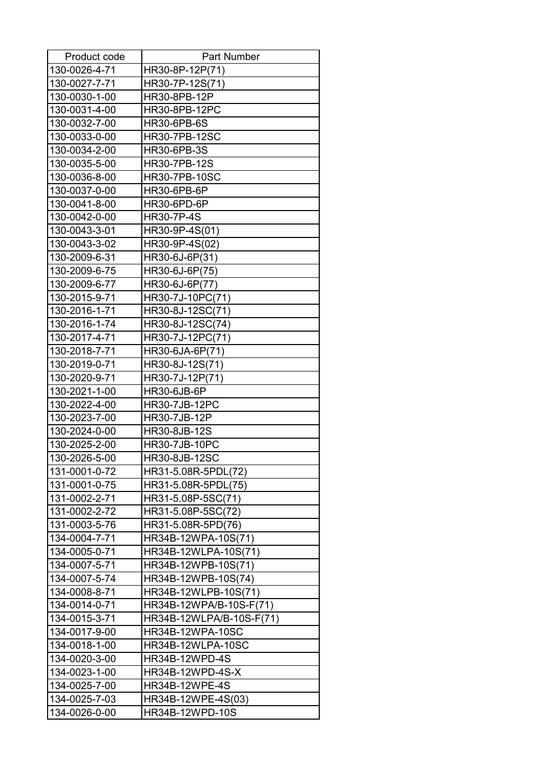| Product code  | <b>Part Number</b>       |
|---------------|--------------------------|
| 130-0026-4-71 | HR30-8P-12P(71)          |
| 130-0027-7-71 | HR30-7P-12S(71)          |
| 130-0030-1-00 | HR30-8PB-12P             |
| 130-0031-4-00 | <b>HR30-8PB-12PC</b>     |
| 130-0032-7-00 | <b>HR30-6PB-6S</b>       |
| 130-0033-0-00 | <b>HR30-7PB-12SC</b>     |
| 130-0034-2-00 | <b>HR30-6PB-3S</b>       |
| 130-0035-5-00 | <b>HR30-7PB-12S</b>      |
| 130-0036-8-00 | <b>HR30-7PB-10SC</b>     |
| 130-0037-0-00 | <b>HR30-6PB-6P</b>       |
| 130-0041-8-00 | <b>HR30-6PD-6P</b>       |
| 130-0042-0-00 | <b>HR30-7P-4S</b>        |
| 130-0043-3-01 | HR30-9P-4S(01)           |
| 130-0043-3-02 | HR30-9P-4S(02)           |
| 130-2009-6-31 | HR30-6J-6P(31)           |
| 130-2009-6-75 | HR30-6J-6P(75)           |
| 130-2009-6-77 | HR30-6J-6P(77)           |
| 130-2015-9-71 | HR30-7J-10PC(71)         |
| 130-2016-1-71 | HR30-8J-12SC(71)         |
| 130-2016-1-74 | HR30-8J-12SC(74)         |
| 130-2017-4-71 | HR30-7J-12PC(71)         |
| 130-2018-7-71 | HR30-6JA-6P(71)          |
| 130-2019-0-71 | HR30-8J-12S(71)          |
| 130-2020-9-71 | HR30-7J-12P(71)          |
| 130-2021-1-00 | <b>HR30-6JB-6P</b>       |
| 130-2022-4-00 | <b>HR30-7JB-12PC</b>     |
| 130-2023-7-00 | HR30-7JB-12P             |
| 130-2024-0-00 | HR30-8JB-12S             |
| 130-2025-2-00 | <b>HR30-7JB-10PC</b>     |
| 130-2026-5-00 | <b>HR30-8JB-12SC</b>     |
| 131-0001-0-72 | HR31-5.08R-5PDL(72)      |
| 131-0001-0-75 | HR31-5.08R-5PDL(75)      |
| 131-0002-2-71 | HR31-5.08P-5SC(71)       |
| 131-0002-2-72 | HR31-5.08P-5SC(72)       |
| 131-0003-5-76 | HR31-5.08R-5PD(76)       |
| 134-0004-7-71 | HR34B-12WPA-10S(71)      |
| 134-0005-0-71 | HR34B-12WLPA-10S(71)     |
| 134-0007-5-71 | HR34B-12WPB-10S(71)      |
| 134-0007-5-74 | HR34B-12WPB-10S(74)      |
| 134-0008-8-71 | HR34B-12WLPB-10S(71)     |
| 134-0014-0-71 | HR34B-12WPA/B-10S-F(71)  |
| 134-0015-3-71 | HR34B-12WLPA/B-10S-F(71) |
| 134-0017-9-00 | <b>HR34B-12WPA-10SC</b>  |
| 134-0018-1-00 | HR34B-12WLPA-10SC        |
| 134-0020-3-00 | HR34B-12WPD-4S           |
| 134-0023-1-00 | HR34B-12WPD-4S-X         |
| 134-0025-7-00 | <b>HR34B-12WPE-4S</b>    |
| 134-0025-7-03 | HR34B-12WPE-4S(03)       |
| 134-0026-0-00 | HR34B-12WPD-10S          |
|               |                          |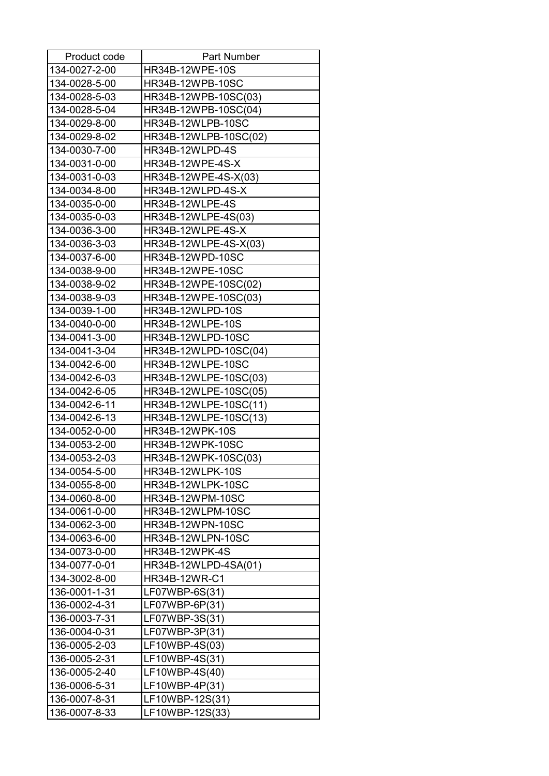| Product code  | <b>Part Number</b>       |
|---------------|--------------------------|
| 134-0027-2-00 | HR34B-12WPE-10S          |
| 134-0028-5-00 | <b>HR34B-12WPB-10SC</b>  |
| 134-0028-5-03 | HR34B-12WPB-10SC(03)     |
| 134-0028-5-04 | HR34B-12WPB-10SC(04)     |
| 134-0029-8-00 | HR34B-12WLPB-10SC        |
| 134-0029-8-02 | HR34B-12WLPB-10SC(02)    |
| 134-0030-7-00 | HR34B-12WLPD-4S          |
| 134-0031-0-00 | HR34B-12WPE-4S-X         |
| 134-0031-0-03 | HR34B-12WPE-4S-X(03)     |
| 134-0034-8-00 | HR34B-12WLPD-4S-X        |
| 134-0035-0-00 | HR34B-12WLPE-4S          |
| 134-0035-0-03 | HR34B-12WLPE-4S(03)      |
| 134-0036-3-00 | HR34B-12WLPE-4S-X        |
| 134-0036-3-03 | HR34B-12WLPE-4S-X(03)    |
| 134-0037-6-00 | HR34B-12WPD-10SC         |
| 134-0038-9-00 | <b>HR34B-12WPE-10SC</b>  |
| 134-0038-9-02 | HR34B-12WPE-10SC(02)     |
| 134-0038-9-03 | HR34B-12WPE-10SC(03)     |
| 134-0039-1-00 | <b>HR34B-12WLPD-10S</b>  |
| 134-0040-0-00 | HR34B-12WLPE-10S         |
| 134-0041-3-00 | <b>HR34B-12WLPD-10SC</b> |
| 134-0041-3-04 | HR34B-12WLPD-10SC(04)    |
| 134-0042-6-00 | HR34B-12WLPE-10SC        |
| 134-0042-6-03 | HR34B-12WLPE-10SC(03)    |
| 134-0042-6-05 | HR34B-12WLPE-10SC(05)    |
| 134-0042-6-11 | HR34B-12WLPE-10SC(11)    |
| 134-0042-6-13 | HR34B-12WLPE-10SC(13)    |
| 134-0052-0-00 | <b>HR34B-12WPK-10S</b>   |
| 134-0053-2-00 | <b>HR34B-12WPK-10SC</b>  |
| 134-0053-2-03 | HR34B-12WPK-10SC(03)     |
| 134-0054-5-00 | <b>HR34B-12WLPK-10S</b>  |
| 134-0055-8-00 | <b>HR34B-12WLPK-10SC</b> |
| 134-0060-8-00 | <b>HR34B-12WPM-10SC</b>  |
| 134-0061-0-00 | HR34B-12WLPM-10SC        |
| 134-0062-3-00 | <b>HR34B-12WPN-10SC</b>  |
| 134-0063-6-00 | HR34B-12WLPN-10SC        |
| 134-0073-0-00 | <b>HR34B-12WPK-4S</b>    |
| 134-0077-0-01 | HR34B-12WLPD-4SA(01)     |
| 134-3002-8-00 | HR34B-12WR-C1            |
| 136-0001-1-31 | LF07WBP-6S(31)           |
| 136-0002-4-31 | LF07WBP-6P(31)           |
| 136-0003-7-31 | LF07WBP-3S(31)           |
| 136-0004-0-31 | LF07WBP-3P(31)           |
| 136-0005-2-03 | LF10WBP-4S(03)           |
| 136-0005-2-31 | LF10WBP-4S(31)           |
| 136-0005-2-40 | LF10WBP-4S(40)           |
| 136-0006-5-31 | LF10WBP-4P(31)           |
| 136-0007-8-31 | LF10WBP-12S(31)          |
| 136-0007-8-33 | LF10WBP-12S(33)          |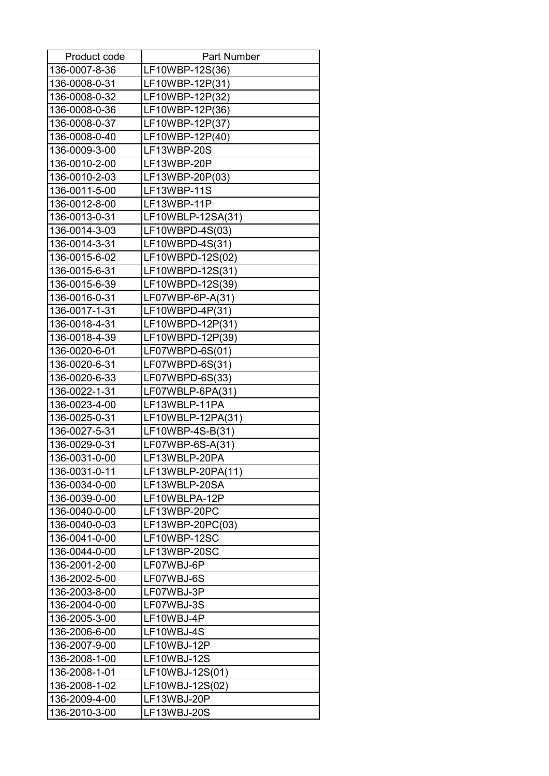| Product code  | <b>Part Number</b> |
|---------------|--------------------|
| 136-0007-8-36 | LF10WBP-12S(36)    |
| 136-0008-0-31 | LF10WBP-12P(31)    |
| 136-0008-0-32 | LF10WBP-12P(32)    |
| 136-0008-0-36 | LF10WBP-12P(36)    |
| 136-0008-0-37 | LF10WBP-12P(37)    |
| 136-0008-0-40 | LF10WBP-12P(40)    |
| 136-0009-3-00 | LF13WBP-20S        |
| 136-0010-2-00 | LF13WBP-20P        |
| 136-0010-2-03 | LF13WBP-20P(03)    |
| 136-0011-5-00 | LF13WBP-11S        |
| 136-0012-8-00 | LF13WBP-11P        |
| 136-0013-0-31 | LF10WBLP-12SA(31)  |
| 136-0014-3-03 | LF10WBPD-4S(03)    |
| 136-0014-3-31 | LF10WBPD-4S(31)    |
| 136-0015-6-02 | LF10WBPD-12S(02)   |
| 136-0015-6-31 | LF10WBPD-12S(31)   |
| 136-0015-6-39 | LF10WBPD-12S(39)   |
| 136-0016-0-31 | LF07WBP-6P-A(31)   |
| 136-0017-1-31 | $LF10WBPD-4P(31)$  |
| 136-0018-4-31 | LF10WBPD-12P(31)   |
| 136-0018-4-39 | LF10WBPD-12P(39)   |
| 136-0020-6-01 | LF07WBPD-6S(01)    |
| 136-0020-6-31 | LF07WBPD-6S(31)    |
| 136-0020-6-33 | LF07WBPD-6S(33)    |
| 136-0022-1-31 | LF07WBLP-6PA(31)   |
| 136-0023-4-00 | LF13WBLP-11PA      |
| 136-0025-0-31 | LF10WBLP-12PA(31)  |
| 136-0027-5-31 | LF10WBP-4S-B(31)   |
| 136-0029-0-31 | LF07WBP-6S-A(31)   |
| 136-0031-0-00 | LF13WBLP-20PA      |
| 136-0031-0-11 | LF13WBLP-20PA(11)  |
| 136-0034-0-00 | LF13WBLP-20SA      |
| 136-0039-0-00 | LF10WBLPA-12P      |
| 136-0040-0-00 | LF13WBP-20PC       |
| 136-0040-0-03 | LF13WBP-20PC(03)   |
| 136-0041-0-00 | LF10WBP-12SC       |
| 136-0044-0-00 | LF13WBP-20SC       |
| 136-2001-2-00 | LF07WBJ-6P         |
| 136-2002-5-00 | LF07WBJ-6S         |
| 136-2003-8-00 | LF07WBJ-3P         |
| 136-2004-0-00 | LF07WBJ-3S         |
| 136-2005-3-00 | LF10WBJ-4P         |
| 136-2006-6-00 | LF10WBJ-4S         |
| 136-2007-9-00 | LF10WBJ-12P        |
| 136-2008-1-00 | LF10WBJ-12S        |
| 136-2008-1-01 | LF10WBJ-12S(01)    |
| 136-2008-1-02 | LF10WBJ-12S(02)    |
| 136-2009-4-00 | LF13WBJ-20P        |
| 136-2010-3-00 | LF13WBJ-20S        |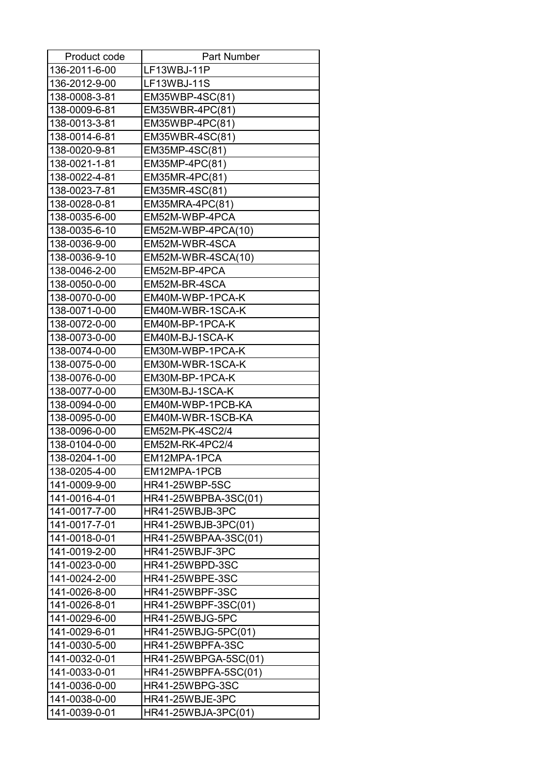| Product code  | <b>Part Number</b>     |
|---------------|------------------------|
| 136-2011-6-00 | LF13WBJ-11P            |
| 136-2012-9-00 | LF13WBJ-11S            |
| 138-0008-3-81 | EM35WBP-4SC(81)        |
| 138-0009-6-81 | EM35WBR-4PC(81)        |
| 138-0013-3-81 | EM35WBP-4PC(81)        |
| 138-0014-6-81 | EM35WBR-4SC(81)        |
| 138-0020-9-81 | EM35MP-4SC(81)         |
| 138-0021-1-81 | EM35MP-4PC(81)         |
| 138-0022-4-81 | EM35MR-4PC(81)         |
| 138-0023-7-81 | EM35MR-4SC(81)         |
| 138-0028-0-81 | EM35MRA-4PC(81)        |
| 138-0035-6-00 | EM52M-WBP-4PCA         |
| 138-0035-6-10 | EM52M-WBP-4PCA(10)     |
| 138-0036-9-00 | EM52M-WBR-4SCA         |
| 138-0036-9-10 | EM52M-WBR-4SCA(10)     |
| 138-0046-2-00 | EM52M-BP-4PCA          |
| 138-0050-0-00 | EM52M-BR-4SCA          |
| 138-0070-0-00 | EM40M-WBP-1PCA-K       |
| 138-0071-0-00 | EM40M-WBR-1SCA-K       |
| 138-0072-0-00 | EM40M-BP-1PCA-K        |
| 138-0073-0-00 | EM40M-BJ-1SCA-K        |
| 138-0074-0-00 | EM30M-WBP-1PCA-K       |
| 138-0075-0-00 | EM30M-WBR-1SCA-K       |
| 138-0076-0-00 | EM30M-BP-1PCA-K        |
| 138-0077-0-00 | EM30M-BJ-1SCA-K        |
| 138-0094-0-00 | EM40M-WBP-1PCB-KA      |
| 138-0095-0-00 | EM40M-WBR-1SCB-KA      |
| 138-0096-0-00 | EM52M-PK-4SC2/4        |
| 138-0104-0-00 | EM52M-RK-4PC2/4        |
| 138-0204-1-00 | EM12MPA-1PCA           |
| 138-0205-4-00 | EM12MPA-1PCB           |
| 141-0009-9-00 | <b>HR41-25WBP-5SC</b>  |
| 141-0016-4-01 | HR41-25WBPBA-3SC(01)   |
| 141-0017-7-00 | HR41-25WBJB-3PC        |
| 141-0017-7-01 | HR41-25WBJB-3PC(01)    |
| 141-0018-0-01 | HR41-25WBPAA-3SC(01)   |
| 141-0019-2-00 | HR41-25WBJF-3PC        |
| 141-0023-0-00 | HR41-25WBPD-3SC        |
| 141-0024-2-00 | <b>HR41-25WBPE-3SC</b> |
| 141-0026-8-00 | <b>HR41-25WBPF-3SC</b> |
| 141-0026-8-01 | HR41-25WBPF-3SC(01)    |
| 141-0029-6-00 | HR41-25WBJG-5PC        |
| 141-0029-6-01 | HR41-25WBJG-5PC(01)    |
| 141-0030-5-00 | HR41-25WBPFA-3SC       |
| 141-0032-0-01 | HR41-25WBPGA-5SC(01)   |
| 141-0033-0-01 | HR41-25WBPFA-5SC(01)   |
| 141-0036-0-00 | HR41-25WBPG-3SC        |
| 141-0038-0-00 | HR41-25WBJE-3PC        |
| 141-0039-0-01 | HR41-25WBJA-3PC(01)    |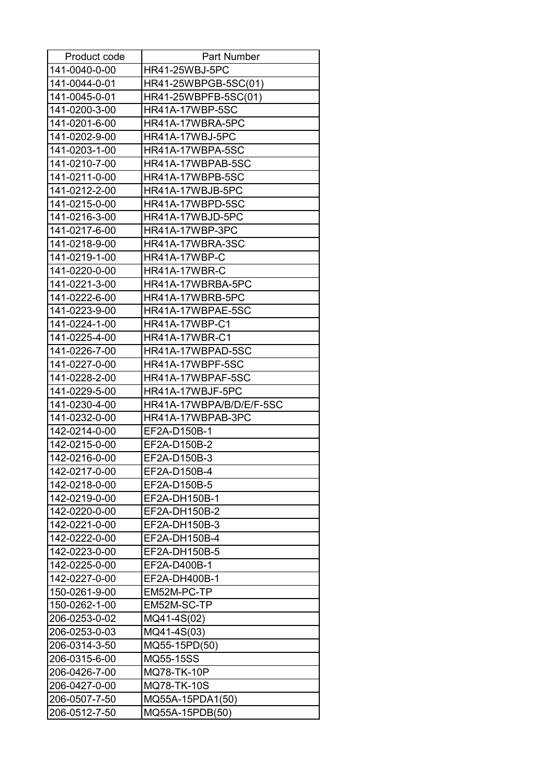| Product code  | <b>Part Number</b>       |
|---------------|--------------------------|
| 141-0040-0-00 | <b>HR41-25WBJ-5PC</b>    |
| 141-0044-0-01 | HR41-25WBPGB-5SC(01)     |
| 141-0045-0-01 | HR41-25WBPFB-5SC(01)     |
| 141-0200-3-00 | <b>HR41A-17WBP-5SC</b>   |
| 141-0201-6-00 | HR41A-17WBRA-5PC         |
| 141-0202-9-00 | HR41A-17WBJ-5PC          |
| 141-0203-1-00 | HR41A-17WBPA-5SC         |
| 141-0210-7-00 | HR41A-17WBPAB-5SC        |
| 141-0211-0-00 | HR41A-17WBPB-5SC         |
| 141-0212-2-00 | HR41A-17WBJB-5PC         |
| 141-0215-0-00 | HR41A-17WBPD-5SC         |
| 141-0216-3-00 | HR41A-17WBJD-5PC         |
| 141-0217-6-00 | HR41A-17WBP-3PC          |
| 141-0218-9-00 | HR41A-17WBRA-3SC         |
| 141-0219-1-00 | HR41A-17WBP-C            |
| 141-0220-0-00 | HR41A-17WBR-C            |
| 141-0221-3-00 | HR41A-17WBRBA-5PC        |
| 141-0222-6-00 | HR41A-17WBRB-5PC         |
| 141-0223-9-00 | HR41A-17WBPAE-5SC        |
| 141-0224-1-00 | HR41A-17WBP-C1           |
| 141-0225-4-00 | <b>HR41A-17WBR-C1</b>    |
| 141-0226-7-00 | HR41A-17WBPAD-5SC        |
| 141-0227-0-00 | HR41A-17WBPF-5SC         |
| 141-0228-2-00 | HR41A-17WBPAF-5SC        |
| 141-0229-5-00 | HR41A-17WBJF-5PC         |
| 141-0230-4-00 | HR41A-17WBPA/B/D/E/F-5SC |
| 141-0232-0-00 | HR41A-17WBPAB-3PC        |
| 142-0214-0-00 | EF2A-D150B-1             |
| 142-0215-0-00 | EF2A-D150B-2             |
| 142-0216-0-00 | EF2A-D150B-3             |
| 142-0217-0-00 | EF2A-D150B-4             |
| 142-0218-0-00 | EF2A-D150B-5             |
| 142-0219-0-00 | EF2A-DH150B-1            |
| 142-0220-0-00 | EF2A-DH150B-2            |
| 142-0221-0-00 | EF2A-DH150B-3            |
| 142-0222-0-00 | EF2A-DH150B-4            |
| 142-0223-0-00 | EF2A-DH150B-5            |
| 142-0225-0-00 | EF2A-D400B-1             |
| 142-0227-0-00 | EF2A-DH400B-1            |
| 150-0261-9-00 | EM52M-PC-TP              |
| 150-0262-1-00 | EM52M-SC-TP              |
| 206-0253-0-02 | MQ41-4S(02)              |
| 206-0253-0-03 | MQ41-4S(03)              |
| 206-0314-3-50 | MQ55-15PD(50)            |
| 206-0315-6-00 | MQ55-15SS                |
| 206-0426-7-00 | MQ78-TK-10P              |
| 206-0427-0-00 | MQ78-TK-10S              |
| 206-0507-7-50 | MQ55A-15PDA1(50)         |
| 206-0512-7-50 | MQ55A-15PDB(50)          |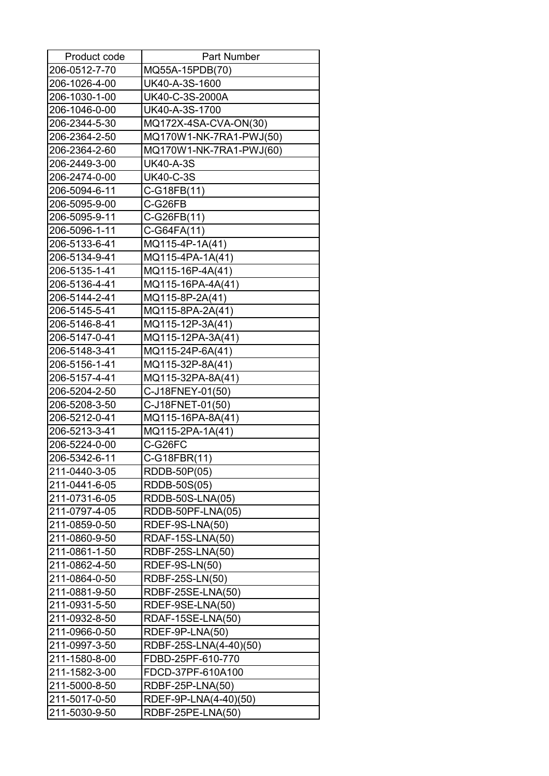| Product code  | <b>Part Number</b>      |
|---------------|-------------------------|
| 206-0512-7-70 | MQ55A-15PDB(70)         |
| 206-1026-4-00 | UK40-A-3S-1600          |
| 206-1030-1-00 | UK40-C-3S-2000A         |
| 206-1046-0-00 | UK40-A-3S-1700          |
| 206-2344-5-30 | MQ172X-4SA-CVA-ON(30)   |
| 206-2364-2-50 | MQ170W1-NK-7RA1-PWJ(50) |
| 206-2364-2-60 | MQ170W1-NK-7RA1-PWJ(60) |
| 206-2449-3-00 | <b>UK40-A-3S</b>        |
| 206-2474-0-00 | <b>UK40-C-3S</b>        |
| 206-5094-6-11 | C-G18FB(11)             |
| 206-5095-9-00 | C-G26FB                 |
| 206-5095-9-11 | C-G26FB(11)             |
| 206-5096-1-11 | C-G64FA(11)             |
| 206-5133-6-41 | MQ115-4P-1A(41)         |
| 206-5134-9-41 | MQ115-4PA-1A(41)        |
| 206-5135-1-41 | MQ115-16P-4A(41)        |
| 206-5136-4-41 | MQ115-16PA-4A(41)       |
| 206-5144-2-41 | MQ115-8P-2A(41)         |
| 206-5145-5-41 | MQ115-8PA-2A(41)        |
| 206-5146-8-41 | MQ115-12P-3A(41)        |
| 206-5147-0-41 | MQ115-12PA-3A(41)       |
| 206-5148-3-41 | MQ115-24P-6A(41)        |
| 206-5156-1-41 | MQ115-32P-8A(41)        |
| 206-5157-4-41 | MQ115-32PA-8A(41)       |
| 206-5204-2-50 | C-J18FNEY-01(50)        |
| 206-5208-3-50 | C-J18FNET-01(50)        |
| 206-5212-0-41 | MQ115-16PA-8A(41)       |
| 206-5213-3-41 | MQ115-2PA-1A(41)        |
| 206-5224-0-00 | C-G26FC                 |
| 206-5342-6-11 | C-G18FBR(11)            |
| 211-0440-3-05 | RDDB-50P(05)            |
| 211-0441-6-05 | RDDB-50S(05)            |
| 211-0731-6-05 | RDDB-50S-LNA(05)        |
| 211-0797-4-05 | RDDB-50PF-LNA(05)       |
| 211-0859-0-50 | RDEF-9S-LNA(50)         |
| 211-0860-9-50 | RDAF-15S-LNA(50)        |
| 211-0861-1-50 | RDBF-25S-LNA(50)        |
| 211-0862-4-50 | RDEF-9S-LN(50)          |
| 211-0864-0-50 | RDBF-25S-LN(50)         |
| 211-0881-9-50 | RDBF-25SE-LNA(50)       |
| 211-0931-5-50 | RDEF-9SE-LNA(50)        |
| 211-0932-8-50 | RDAF-15SE-LNA(50)       |
| 211-0966-0-50 | RDEF-9P-LNA(50)         |
| 211-0997-3-50 | RDBF-25S-LNA(4-40)(50)  |
| 211-1580-8-00 | FDBD-25PF-610-770       |
| 211-1582-3-00 | FDCD-37PF-610A100       |
| 211-5000-8-50 | RDBF-25P-LNA(50)        |
| 211-5017-0-50 | RDEF-9P-LNA(4-40)(50)   |
| 211-5030-9-50 | RDBF-25PE-LNA(50)       |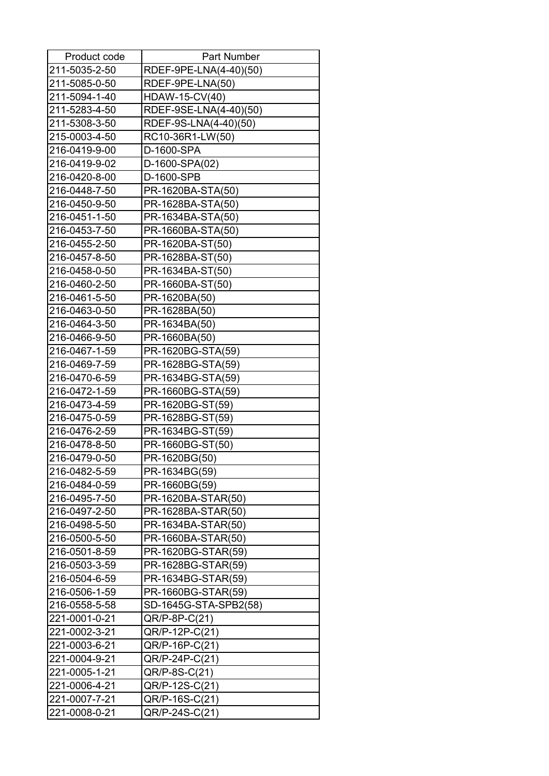| Product code  | <b>Part Number</b>     |
|---------------|------------------------|
| 211-5035-2-50 | RDEF-9PE-LNA(4-40)(50) |
| 211-5085-0-50 | RDEF-9PE-LNA(50)       |
| 211-5094-1-40 | HDAW-15-CV(40)         |
| 211-5283-4-50 | RDEF-9SE-LNA(4-40)(50) |
| 211-5308-3-50 | RDEF-9S-LNA(4-40)(50)  |
| 215-0003-4-50 | RC10-36R1-LW(50)       |
| 216-0419-9-00 | D-1600-SPA             |
| 216-0419-9-02 | D-1600-SPA(02)         |
| 216-0420-8-00 | D-1600-SPB             |
| 216-0448-7-50 | PR-1620BA-STA(50)      |
| 216-0450-9-50 | PR-1628BA-STA(50)      |
| 216-0451-1-50 | PR-1634BA-STA(50)      |
| 216-0453-7-50 | PR-1660BA-STA(50)      |
| 216-0455-2-50 | PR-1620BA-ST(50)       |
| 216-0457-8-50 | PR-1628BA-ST(50)       |
| 216-0458-0-50 | PR-1634BA-ST(50)       |
| 216-0460-2-50 | PR-1660BA-ST(50)       |
| 216-0461-5-50 | PR-1620BA(50)          |
| 216-0463-0-50 | PR-1628BA(50)          |
| 216-0464-3-50 | PR-1634BA(50)          |
| 216-0466-9-50 | PR-1660BA(50)          |
| 216-0467-1-59 | PR-1620BG-STA(59)      |
| 216-0469-7-59 | PR-1628BG-STA(59)      |
| 216-0470-6-59 | PR-1634BG-STA(59)      |
| 216-0472-1-59 | PR-1660BG-STA(59)      |
| 216-0473-4-59 | PR-1620BG-ST(59)       |
| 216-0475-0-59 | PR-1628BG-ST(59)       |
| 216-0476-2-59 | PR-1634BG-ST(59)       |
| 216-0478-8-50 | PR-1660BG-ST(50)       |
| 216-0479-0-50 | PR-1620BG(50)          |
| 216-0482-5-59 | PR-1634BG(59)          |
| 216-0484-0-59 | PR-1660BG(59)          |
| 216-0495-7-50 | PR-1620BA-STAR(50)     |
| 216-0497-2-50 | PR-1628BA-STAR(50)     |
| 216-0498-5-50 | PR-1634BA-STAR(50)     |
| 216-0500-5-50 | PR-1660BA-STAR(50)     |
| 216-0501-8-59 | PR-1620BG-STAR(59)     |
| 216-0503-3-59 | PR-1628BG-STAR(59)     |
| 216-0504-6-59 | PR-1634BG-STAR(59)     |
| 216-0506-1-59 | PR-1660BG-STAR(59)     |
| 216-0558-5-58 | SD-1645G-STA-SPB2(58)  |
| 221-0001-0-21 | $QR/P$ -8P- $C(21)$    |
| 221-0002-3-21 | QR/P-12P-C(21)         |
| 221-0003-6-21 | QR/P-16P-C(21)         |
| 221-0004-9-21 | QR/P-24P-C(21)         |
| 221-0005-1-21 | QR/P-8S-C(21)          |
| 221-0006-4-21 | QR/P-12S-C(21)         |
| 221-0007-7-21 | QR/P-16S-C(21)         |
| 221-0008-0-21 | QR/P-24S-C(21)         |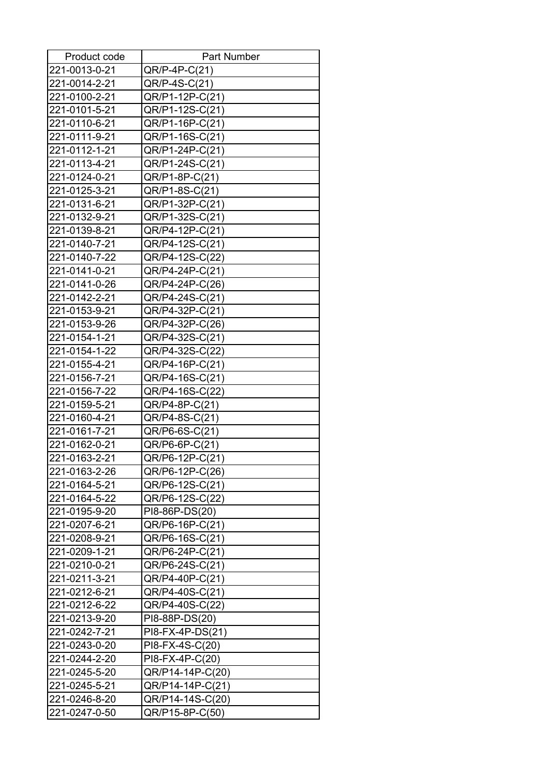| Product code  | <b>Part Number</b> |
|---------------|--------------------|
| 221-0013-0-21 | QR/P-4P-C(21)      |
| 221-0014-2-21 | QR/P-4S-C(21)      |
| 221-0100-2-21 | QR/P1-12P-C(21)    |
| 221-0101-5-21 | QR/P1-12S-C(21)    |
| 221-0110-6-21 | QR/P1-16P-C(21)    |
| 221-0111-9-21 | QR/P1-16S-C(21)    |
| 221-0112-1-21 | QR/P1-24P-C(21)    |
| 221-0113-4-21 | QR/P1-24S-C(21)    |
| 221-0124-0-21 | QR/P1-8P-C(21)     |
| 221-0125-3-21 | QR/P1-8S-C(21)     |
| 221-0131-6-21 | QR/P1-32P-C(21)    |
| 221-0132-9-21 | QR/P1-32S-C(21)    |
| 221-0139-8-21 | QR/P4-12P-C(21)    |
| 221-0140-7-21 | QR/P4-12S-C(21)    |
| 221-0140-7-22 | QR/P4-12S-C(22)    |
| 221-0141-0-21 | QR/P4-24P-C(21)    |
| 221-0141-0-26 | QR/P4-24P-C(26)    |
| 221-0142-2-21 | QR/P4-24S-C(21)    |
| 221-0153-9-21 | QR/P4-32P-C(21)    |
| 221-0153-9-26 | QR/P4-32P-C(26)    |
| 221-0154-1-21 | QR/P4-32S-C(21)    |
| 221-0154-1-22 | QR/P4-32S-C(22)    |
| 221-0155-4-21 | QR/P4-16P-C(21)    |
| 221-0156-7-21 | QR/P4-16S-C(21)    |
| 221-0156-7-22 | QR/P4-16S-C(22)    |
| 221-0159-5-21 | QR/P4-8P-C(21)     |
| 221-0160-4-21 | QR/P4-8S-C(21)     |
| 221-0161-7-21 | QR/P6-6S-C(21)     |
| 221-0162-0-21 | QR/P6-6P-C(21)     |
| 221-0163-2-21 | QR/P6-12P-C(21)    |
| 221-0163-2-26 | QR/P6-12P-C(26)    |
| 221-0164-5-21 | QR/P6-12S-C(21)    |
| 221-0164-5-22 | QR/P6-12S-C(22)    |
| 221-0195-9-20 | PI8-86P-DS(20)     |
| 221-0207-6-21 | QR/P6-16P-C(21)    |
| 221-0208-9-21 | QR/P6-16S-C(21)    |
| 221-0209-1-21 | QR/P6-24P-C(21)    |
| 221-0210-0-21 | QR/P6-24S-C(21)    |
| 221-0211-3-21 | QR/P4-40P-C(21)    |
| 221-0212-6-21 | QR/P4-40S-C(21)    |
| 221-0212-6-22 | QR/P4-40S-C(22)    |
| 221-0213-9-20 | PI8-88P-DS(20)     |
| 221-0242-7-21 | PI8-FX-4P-DS(21)   |
| 221-0243-0-20 | PI8-FX-4S-C(20)    |
| 221-0244-2-20 | PI8-FX-4P-C(20)    |
| 221-0245-5-20 | QR/P14-14P-C(20)   |
| 221-0245-5-21 | QR/P14-14P-C(21)   |
| 221-0246-8-20 | QR/P14-14S-C(20)   |
| 221-0247-0-50 | QR/P15-8P-C(50)    |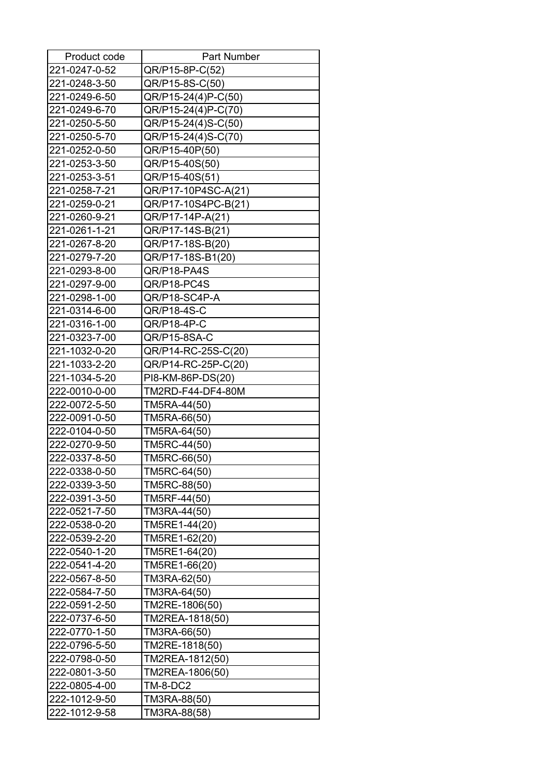| Product code  | Part Number         |
|---------------|---------------------|
| 221-0247-0-52 | QR/P15-8P-C(52)     |
| 221-0248-3-50 | QR/P15-8S-C(50)     |
| 221-0249-6-50 | QR/P15-24(4)P-C(50) |
| 221-0249-6-70 | QR/P15-24(4)P-C(70) |
| 221-0250-5-50 | QR/P15-24(4)S-C(50) |
| 221-0250-5-70 | QR/P15-24(4)S-C(70) |
| 221-0252-0-50 | QR/P15-40P(50)      |
| 221-0253-3-50 | QR/P15-40S(50)      |
| 221-0253-3-51 | QR/P15-40S(51)      |
| 221-0258-7-21 | QR/P17-10P4SC-A(21) |
| 221-0259-0-21 | QR/P17-10S4PC-B(21) |
| 221-0260-9-21 | QR/P17-14P-A(21)    |
| 221-0261-1-21 | QR/P17-14S-B(21)    |
| 221-0267-8-20 | QR/P17-18S-B(20)    |
| 221-0279-7-20 | QR/P17-18S-B1(20)   |
| 221-0293-8-00 | QR/P18-PA4S         |
| 221-0297-9-00 | QR/P18-PC4S         |
| 221-0298-1-00 | QR/P18-SC4P-A       |
| 221-0314-6-00 | QR/P18-4S-C         |
| 221-0316-1-00 | QR/P18-4P-C         |
| 221-0323-7-00 | QR/P15-8SA-C        |
| 221-1032-0-20 | QR/P14-RC-25S-C(20) |
| 221-1033-2-20 | QR/P14-RC-25P-C(20) |
| 221-1034-5-20 | PI8-KM-86P-DS(20)   |
| 222-0010-0-00 | TM2RD-F44-DF4-80M   |
| 222-0072-5-50 | TM5RA-44(50)        |
| 222-0091-0-50 | TM5RA-66(50)        |
| 222-0104-0-50 | TM5RA-64(50)        |
| 222-0270-9-50 | TM5RC-44(50)        |
| 222-0337-8-50 | TM5RC-66(50)        |
| 222-0338-0-50 | TM5RC-64(50)        |
| 222-0339-3-50 | TM5RC-88(50)        |
| 222-0391-3-50 | TM5RF-44(50)        |
| 222-0521-7-50 | TM3RA-44(50)        |
| 222-0538-0-20 | TM5RE1-44(20)       |
| 222-0539-2-20 | TM5RE1-62(20)       |
| 222-0540-1-20 | TM5RE1-64(20)       |
| 222-0541-4-20 | TM5RE1-66(20)       |
| 222-0567-8-50 | TM3RA-62(50)        |
| 222-0584-7-50 | TM3RA-64(50)        |
| 222-0591-2-50 | TM2RE-1806(50)      |
| 222-0737-6-50 | TM2REA-1818(50)     |
| 222-0770-1-50 | TM3RA-66(50)        |
| 222-0796-5-50 | TM2RE-1818(50)      |
| 222-0798-0-50 | TM2REA-1812(50)     |
| 222-0801-3-50 | TM2REA-1806(50)     |
| 222-0805-4-00 | TM-8-DC2            |
| 222-1012-9-50 | TM3RA-88(50)        |
| 222-1012-9-58 | TM3RA-88(58)        |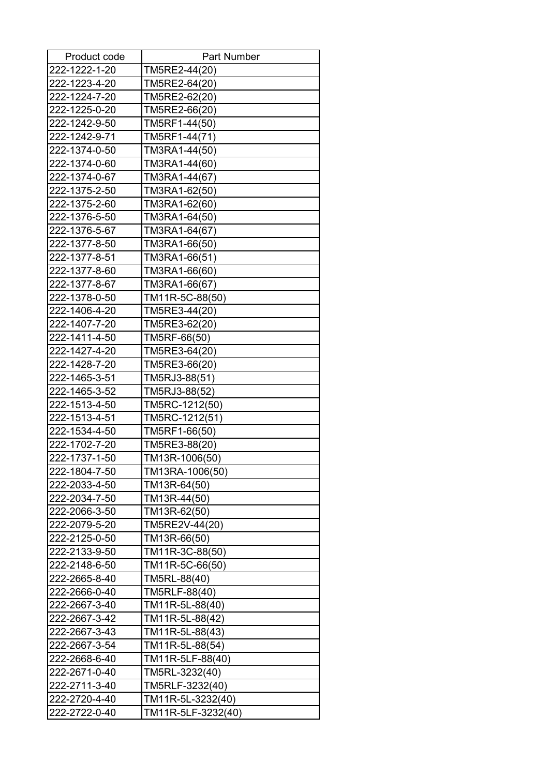| Product code  | Part Number        |
|---------------|--------------------|
| 222-1222-1-20 | TM5RE2-44(20)      |
| 222-1223-4-20 | TM5RE2-64(20)      |
| 222-1224-7-20 | TM5RE2-62(20)      |
| 222-1225-0-20 | TM5RE2-66(20)      |
| 222-1242-9-50 | TM5RF1-44(50)      |
| 222-1242-9-71 | TM5RF1-44(71)      |
| 222-1374-0-50 | TM3RA1-44(50)      |
| 222-1374-0-60 | TM3RA1-44(60)      |
| 222-1374-0-67 | TM3RA1-44(67)      |
| 222-1375-2-50 | TM3RA1-62(50)      |
| 222-1375-2-60 | TM3RA1-62(60)      |
| 222-1376-5-50 | TM3RA1-64(50)      |
| 222-1376-5-67 | TM3RA1-64(67)      |
| 222-1377-8-50 | TM3RA1-66(50)      |
| 222-1377-8-51 | TM3RA1-66(51)      |
| 222-1377-8-60 | TM3RA1-66(60)      |
| 222-1377-8-67 | TM3RA1-66(67)      |
| 222-1378-0-50 | TM11R-5C-88(50)    |
| 222-1406-4-20 | TM5RE3-44(20)      |
| 222-1407-7-20 | TM5RE3-62(20)      |
| 222-1411-4-50 | TM5RF-66(50)       |
| 222-1427-4-20 | TM5RE3-64(20)      |
| 222-1428-7-20 | TM5RE3-66(20)      |
| 222-1465-3-51 | TM5RJ3-88(51)      |
| 222-1465-3-52 | TM5RJ3-88(52)      |
| 222-1513-4-50 | TM5RC-1212(50)     |
| 222-1513-4-51 | TM5RC-1212(51)     |
| 222-1534-4-50 | TM5RF1-66(50)      |
| 222-1702-7-20 | TM5RE3-88(20)      |
| 222-1737-1-50 | TM13R-1006(50)     |
| 222-1804-7-50 | TM13RA-1006(50)    |
| 222-2033-4-50 | TM13R-64(50)       |
| 222-2034-7-50 | TM13R-44(50)       |
| 222-2066-3-50 | TM13R-62(50)       |
| 222-2079-5-20 | TM5RE2V-44(20)     |
| 222-2125-0-50 | TM13R-66(50)       |
| 222-2133-9-50 | TM11R-3C-88(50)    |
| 222-2148-6-50 | TM11R-5C-66(50)    |
| 222-2665-8-40 | TM5RL-88(40)       |
| 222-2666-0-40 | TM5RLF-88(40)      |
| 222-2667-3-40 | TM11R-5L-88(40)    |
| 222-2667-3-42 | TM11R-5L-88(42)    |
| 222-2667-3-43 | TM11R-5L-88(43)    |
| 222-2667-3-54 | TM11R-5L-88(54)    |
| 222-2668-6-40 | TM11R-5LF-88(40)   |
| 222-2671-0-40 | TM5RL-3232(40)     |
| 222-2711-3-40 | TM5RLF-3232(40)    |
| 222-2720-4-40 | TM11R-5L-3232(40)  |
| 222-2722-0-40 | TM11R-5LF-3232(40) |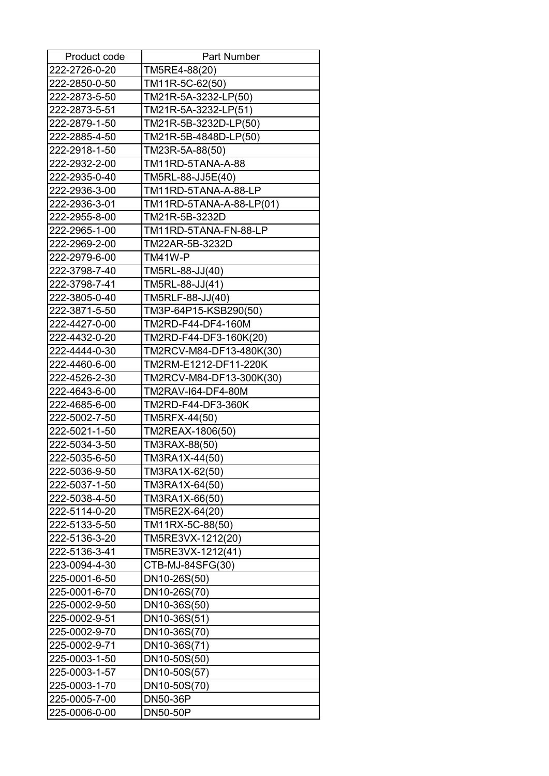| Product code  | <b>Part Number</b>       |
|---------------|--------------------------|
| 222-2726-0-20 | TM5RE4-88(20)            |
| 222-2850-0-50 | TM11R-5C-62(50)          |
| 222-2873-5-50 | TM21R-5A-3232-LP(50)     |
| 222-2873-5-51 | TM21R-5A-3232-LP(51)     |
| 222-2879-1-50 | TM21R-5B-3232D-LP(50)    |
| 222-2885-4-50 | TM21R-5B-4848D-LP(50)    |
| 222-2918-1-50 | TM23R-5A-88(50)          |
| 222-2932-2-00 | TM11RD-5TANA-A-88        |
| 222-2935-0-40 | TM5RL-88-JJ5E(40)        |
| 222-2936-3-00 | TM11RD-5TANA-A-88-LP     |
| 222-2936-3-01 | TM11RD-5TANA-A-88-LP(01) |
| 222-2955-8-00 | TM21R-5B-3232D           |
| 222-2965-1-00 | TM11RD-5TANA-FN-88-LP    |
| 222-2969-2-00 | TM22AR-5B-3232D          |
| 222-2979-6-00 | TM41W-P                  |
| 222-3798-7-40 | TM5RL-88-JJ(40)          |
| 222-3798-7-41 | TM5RL-88-JJ(41)          |
| 222-3805-0-40 | TM5RLF-88-JJ(40)         |
| 222-3871-5-50 | TM3P-64P15-KSB290(50)    |
| 222-4427-0-00 | TM2RD-F44-DF4-160M       |
| 222-4432-0-20 | TM2RD-F44-DF3-160K(20)   |
| 222-4444-0-30 | TM2RCV-M84-DF13-480K(30) |
| 222-4460-6-00 | TM2RM-E1212-DF11-220K    |
| 222-4526-2-30 | TM2RCV-M84-DF13-300K(30) |
| 222-4643-6-00 | TM2RAV-I64-DF4-80M       |
| 222-4685-6-00 | TM2RD-F44-DF3-360K       |
| 222-5002-7-50 | TM5RFX-44(50)            |
| 222-5021-1-50 | TM2REAX-1806(50)         |
| 222-5034-3-50 | TM3RAX-88(50)            |
| 222-5035-6-50 | TM3RA1X-44(50)           |
| 222-5036-9-50 | TM3RA1X-62(50)           |
| 222-5037-1-50 | TM3RA1X-64(50)           |
| 222-5038-4-50 | TM3RA1X-66(50)           |
| 222-5114-0-20 | TM5RE2X-64(20)           |
| 222-5133-5-50 | TM11RX-5C-88(50)         |
| 222-5136-3-20 | TM5RE3VX-1212(20)        |
| 222-5136-3-41 | TM5RE3VX-1212(41)        |
| 223-0094-4-30 | CTB-MJ-84SFG(30)         |
| 225-0001-6-50 | DN10-26S(50)             |
| 225-0001-6-70 | DN10-26S(70)             |
| 225-0002-9-50 | DN10-36S(50)             |
| 225-0002-9-51 | DN10-36S(51)             |
| 225-0002-9-70 | DN10-36S(70)             |
| 225-0002-9-71 | DN10-36S(71)             |
| 225-0003-1-50 | DN10-50S(50)             |
| 225-0003-1-57 | DN10-50S(57)             |
| 225-0003-1-70 | DN10-50S(70)             |
| 225-0005-7-00 | DN50-36P                 |
| 225-0006-0-00 | <b>DN50-50P</b>          |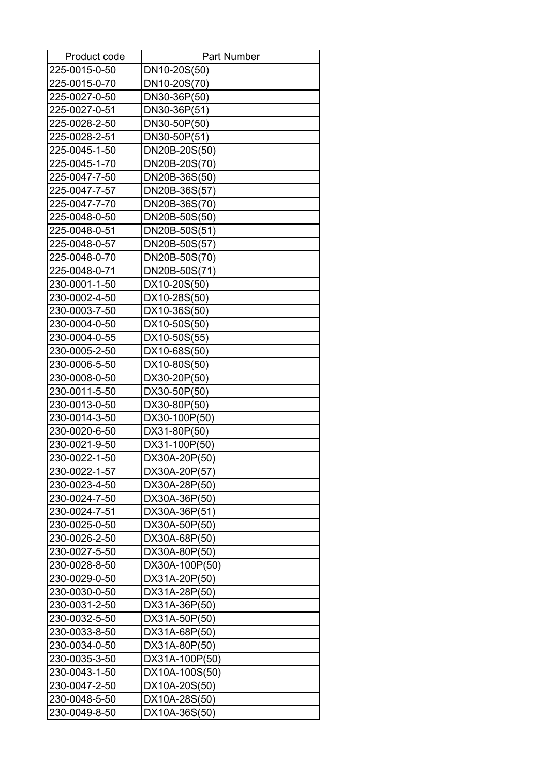| Product code  | <b>Part Number</b> |
|---------------|--------------------|
| 225-0015-0-50 | DN10-20S(50)       |
| 225-0015-0-70 | DN10-20S(70)       |
| 225-0027-0-50 | DN30-36P(50)       |
| 225-0027-0-51 | DN30-36P(51)       |
| 225-0028-2-50 | DN30-50P(50)       |
| 225-0028-2-51 | DN30-50P(51)       |
| 225-0045-1-50 | DN20B-20S(50)      |
| 225-0045-1-70 | DN20B-20S(70)      |
| 225-0047-7-50 | DN20B-36S(50)      |
| 225-0047-7-57 | DN20B-36S(57)      |
| 225-0047-7-70 | DN20B-36S(70)      |
| 225-0048-0-50 | DN20B-50S(50)      |
| 225-0048-0-51 | DN20B-50S(51)      |
| 225-0048-0-57 | DN20B-50S(57)      |
| 225-0048-0-70 | DN20B-50S(70)      |
| 225-0048-0-71 | DN20B-50S(71)      |
| 230-0001-1-50 | DX10-20S(50)       |
| 230-0002-4-50 | DX10-28S(50)       |
| 230-0003-7-50 | DX10-36S(50)       |
| 230-0004-0-50 | DX10-50S(50)       |
| 230-0004-0-55 | DX10-50S(55)       |
| 230-0005-2-50 | DX10-68S(50)       |
| 230-0006-5-50 | DX10-80S(50)       |
| 230-0008-0-50 | DX30-20P(50)       |
| 230-0011-5-50 | DX30-50P(50)       |
| 230-0013-0-50 | DX30-80P(50)       |
| 230-0014-3-50 | DX30-100P(50)      |
| 230-0020-6-50 | DX31-80P(50)       |
| 230-0021-9-50 | DX31-100P(50)      |
| 230-0022-1-50 | DX30A-20P(50)      |
| 230-0022-1-57 | DX30A-20P(57)      |
| 230-0023-4-50 | DX30A-28P(50)      |
| 230-0024-7-50 | DX30A-36P(50)      |
| 230-0024-7-51 | DX30A-36P(51)      |
| 230-0025-0-50 | DX30A-50P(50)      |
| 230-0026-2-50 | DX30A-68P(50)      |
| 230-0027-5-50 | DX30A-80P(50)      |
| 230-0028-8-50 | DX30A-100P(50)     |
| 230-0029-0-50 | DX31A-20P(50)      |
| 230-0030-0-50 | DX31A-28P(50)      |
| 230-0031-2-50 | DX31A-36P(50)      |
| 230-0032-5-50 | DX31A-50P(50)      |
| 230-0033-8-50 | DX31A-68P(50)      |
| 230-0034-0-50 | DX31A-80P(50)      |
| 230-0035-3-50 | DX31A-100P(50)     |
| 230-0043-1-50 | DX10A-100S(50)     |
| 230-0047-2-50 | DX10A-20S(50)      |
| 230-0048-5-50 | DX10A-28S(50)      |
| 230-0049-8-50 | DX10A-36S(50)      |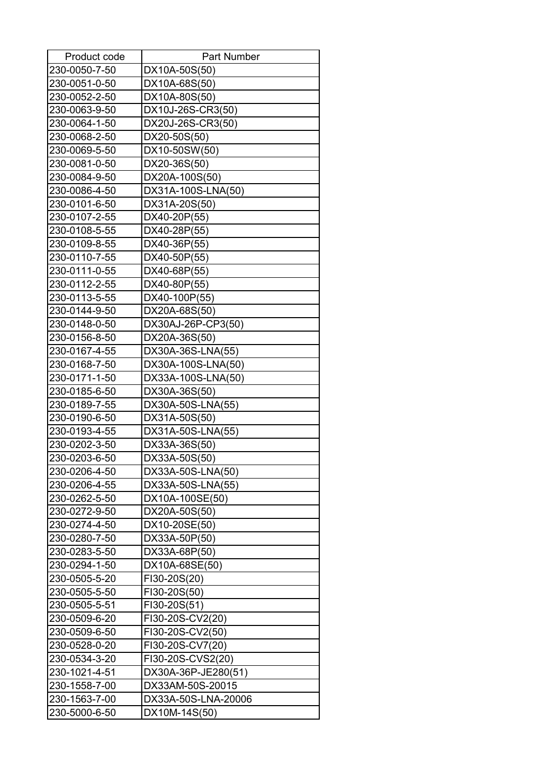| Product code  | <b>Part Number</b>  |
|---------------|---------------------|
| 230-0050-7-50 | DX10A-50S(50)       |
| 230-0051-0-50 | DX10A-68S(50)       |
| 230-0052-2-50 | DX10A-80S(50)       |
| 230-0063-9-50 | DX10J-26S-CR3(50)   |
| 230-0064-1-50 | DX20J-26S-CR3(50)   |
| 230-0068-2-50 | DX20-50S(50)        |
| 230-0069-5-50 | DX10-50SW(50)       |
| 230-0081-0-50 | DX20-36S(50)        |
| 230-0084-9-50 | DX20A-100S(50)      |
| 230-0086-4-50 | DX31A-100S-LNA(50)  |
| 230-0101-6-50 | DX31A-20S(50)       |
| 230-0107-2-55 | DX40-20P(55)        |
| 230-0108-5-55 | DX40-28P(55)        |
| 230-0109-8-55 | DX40-36P(55)        |
| 230-0110-7-55 | DX40-50P(55)        |
| 230-0111-0-55 | DX40-68P(55)        |
| 230-0112-2-55 | DX40-80P(55)        |
| 230-0113-5-55 | DX40-100P(55)       |
| 230-0144-9-50 | DX20A-68S(50)       |
| 230-0148-0-50 | DX30AJ-26P-CP3(50)  |
| 230-0156-8-50 | DX20A-36S(50)       |
| 230-0167-4-55 | DX30A-36S-LNA(55)   |
| 230-0168-7-50 | DX30A-100S-LNA(50)  |
| 230-0171-1-50 | DX33A-100S-LNA(50)  |
| 230-0185-6-50 | DX30A-36S(50)       |
| 230-0189-7-55 | DX30A-50S-LNA(55)   |
| 230-0190-6-50 | DX31A-50S(50)       |
| 230-0193-4-55 | DX31A-50S-LNA(55)   |
| 230-0202-3-50 | DX33A-36S(50)       |
| 230-0203-6-50 | DX33A-50S(50)       |
| 230-0206-4-50 | DX33A-50S-LNA(50)   |
| 230-0206-4-55 | DX33A-50S-LNA(55)   |
| 230-0262-5-50 | DX10A-100SE(50)     |
| 230-0272-9-50 | DX20A-50S(50)       |
| 230-0274-4-50 | DX10-20SE(50)       |
| 230-0280-7-50 | DX33A-50P(50)       |
| 230-0283-5-50 | DX33A-68P(50)       |
| 230-0294-1-50 | DX10A-68SE(50)      |
| 230-0505-5-20 | FI30-20S(20)        |
| 230-0505-5-50 | FI30-20S(50)        |
| 230-0505-5-51 | FI30-20S(51)        |
| 230-0509-6-20 | FI30-20S-CV2(20)    |
| 230-0509-6-50 | FI30-20S-CV2(50)    |
| 230-0528-0-20 | FI30-20S-CV7(20)    |
| 230-0534-3-20 | FI30-20S-CVS2(20)   |
| 230-1021-4-51 | DX30A-36P-JE280(51) |
| 230-1558-7-00 | DX33AM-50S-20015    |
| 230-1563-7-00 | DX33A-50S-LNA-20006 |
| 230-5000-6-50 | DX10M-14S(50)       |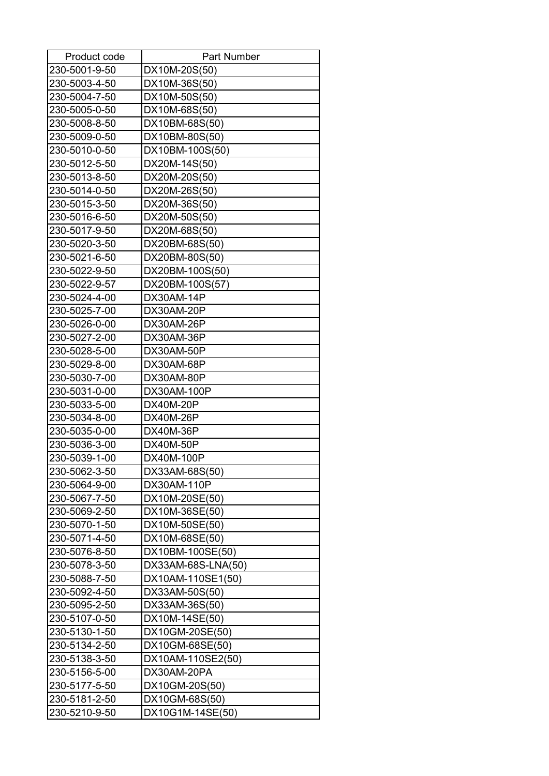| Product code  | <b>Part Number</b> |
|---------------|--------------------|
| 230-5001-9-50 | DX10M-20S(50)      |
| 230-5003-4-50 | DX10M-36S(50)      |
| 230-5004-7-50 | DX10M-50S(50)      |
| 230-5005-0-50 | DX10M-68S(50)      |
| 230-5008-8-50 | DX10BM-68S(50)     |
| 230-5009-0-50 | DX10BM-80S(50)     |
| 230-5010-0-50 | DX10BM-100S(50)    |
| 230-5012-5-50 | DX20M-14S(50)      |
| 230-5013-8-50 | DX20M-20S(50)      |
| 230-5014-0-50 | DX20M-26S(50)      |
| 230-5015-3-50 | DX20M-36S(50)      |
| 230-5016-6-50 | DX20M-50S(50)      |
| 230-5017-9-50 | DX20M-68S(50)      |
| 230-5020-3-50 | DX20BM-68S(50)     |
| 230-5021-6-50 | DX20BM-80S(50)     |
| 230-5022-9-50 | DX20BM-100S(50)    |
| 230-5022-9-57 | DX20BM-100S(57)    |
| 230-5024-4-00 | DX30AM-14P         |
| 230-5025-7-00 | DX30AM-20P         |
| 230-5026-0-00 | DX30AM-26P         |
| 230-5027-2-00 | DX30AM-36P         |
| 230-5028-5-00 | DX30AM-50P         |
| 230-5029-8-00 | DX30AM-68P         |
| 230-5030-7-00 | DX30AM-80P         |
| 230-5031-0-00 | DX30AM-100P        |
| 230-5033-5-00 | <b>DX40M-20P</b>   |
| 230-5034-8-00 | <b>DX40M-26P</b>   |
| 230-5035-0-00 | DX40M-36P          |
| 230-5036-3-00 | <b>DX40M-50P</b>   |
| 230-5039-1-00 | DX40M-100P         |
| 230-5062-3-50 | DX33AM-68S(50)     |
| 230-5064-9-00 | DX30AM-110P        |
| 230-5067-7-50 | DX10M-20SE(50)     |
| 230-5069-2-50 | DX10M-36SE(50)     |
| 230-5070-1-50 | DX10M-50SE(50)     |
| 230-5071-4-50 | DX10M-68SE(50)     |
| 230-5076-8-50 | DX10BM-100SE(50)   |
| 230-5078-3-50 | DX33AM-68S-LNA(50) |
| 230-5088-7-50 | DX10AM-110SE1(50)  |
| 230-5092-4-50 | DX33AM-50S(50)     |
| 230-5095-2-50 | DX33AM-36S(50)     |
| 230-5107-0-50 | DX10M-14SE(50)     |
| 230-5130-1-50 | DX10GM-20SE(50)    |
| 230-5134-2-50 | DX10GM-68SE(50)    |
| 230-5138-3-50 | DX10AM-110SE2(50)  |
| 230-5156-5-00 | DX30AM-20PA        |
| 230-5177-5-50 | DX10GM-20S(50)     |
| 230-5181-2-50 | DX10GM-68S(50)     |
| 230-5210-9-50 | DX10G1M-14SE(50)   |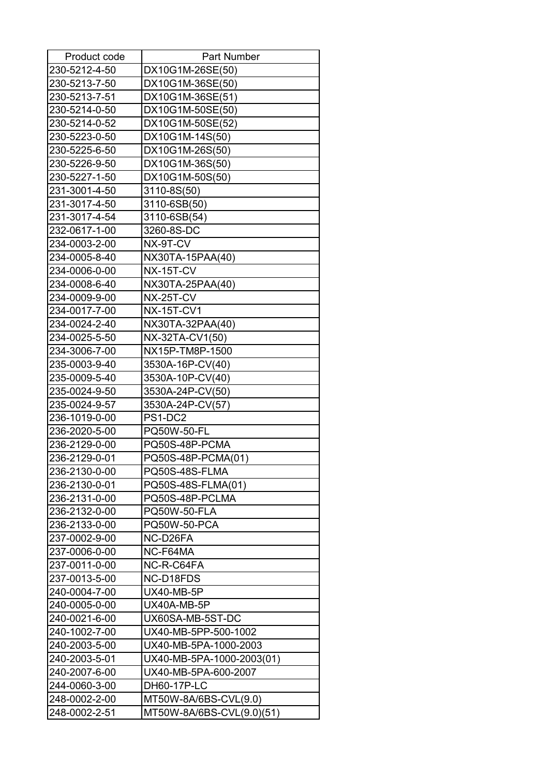| Product code  | <b>Part Number</b>        |
|---------------|---------------------------|
| 230-5212-4-50 | DX10G1M-26SE(50)          |
| 230-5213-7-50 | DX10G1M-36SE(50)          |
| 230-5213-7-51 | DX10G1M-36SE(51)          |
| 230-5214-0-50 | DX10G1M-50SE(50)          |
| 230-5214-0-52 | DX10G1M-50SE(52)          |
| 230-5223-0-50 | DX10G1M-14S(50)           |
| 230-5225-6-50 | DX10G1M-26S(50)           |
| 230-5226-9-50 | DX10G1M-36S(50)           |
| 230-5227-1-50 | DX10G1M-50S(50)           |
| 231-3001-4-50 | 3110-8S(50)               |
| 231-3017-4-50 | 3110-6SB(50)              |
| 231-3017-4-54 | 3110-6SB(54)              |
| 232-0617-1-00 | 3260-8S-DC                |
| 234-0003-2-00 | NX-9T-CV                  |
| 234-0005-8-40 | NX30TA-15PAA(40)          |
| 234-0006-0-00 | <b>NX-15T-CV</b>          |
| 234-0008-6-40 | NX30TA-25PAA(40)          |
| 234-0009-9-00 | NX-25T-CV                 |
| 234-0017-7-00 | <b>NX-15T-CV1</b>         |
| 234-0024-2-40 | NX30TA-32PAA(40)          |
| 234-0025-5-50 | NX-32TA-CV1(50)           |
| 234-3006-7-00 | NX15P-TM8P-1500           |
| 235-0003-9-40 | 3530A-16P-CV(40)          |
| 235-0009-5-40 | 3530A-10P-CV(40)          |
| 235-0024-9-50 | 3530A-24P-CV(50)          |
| 235-0024-9-57 | 3530A-24P-CV(57)          |
| 236-1019-0-00 | PS1-DC2                   |
| 236-2020-5-00 | PQ50W-50-FL               |
| 236-2129-0-00 | PQ50S-48P-PCMA            |
| 236-2129-0-01 | PQ50S-48P-PCMA(01)        |
| 236-2130-0-00 | PQ50S-48S-FLMA            |
| 236-2130-0-01 | PQ50S-48S-FLMA(01)        |
| 236-2131-0-00 | PQ50S-48P-PCLMA           |
| 236-2132-0-00 | <b>PQ50W-50-FLA</b>       |
| 236-2133-0-00 | <b>PQ50W-50-PCA</b>       |
| 237-0002-9-00 | NC-D26FA                  |
| 237-0006-0-00 | NC-F64MA                  |
| 237-0011-0-00 | NC-R-C64FA                |
| 237-0013-5-00 | NC-D18FDS                 |
| 240-0004-7-00 | <b>UX40-MB-5P</b>         |
| 240-0005-0-00 | UX40A-MB-5P               |
| 240-0021-6-00 | UX60SA-MB-5ST-DC          |
| 240-1002-7-00 | UX40-MB-5PP-500-1002      |
| 240-2003-5-00 | UX40-MB-5PA-1000-2003     |
| 240-2003-5-01 | UX40-MB-5PA-1000-2003(01) |
| 240-2007-6-00 | UX40-MB-5PA-600-2007      |
| 244-0060-3-00 | DH60-17P-LC               |
| 248-0002-2-00 | MT50W-8A/6BS-CVL(9.0)     |
| 248-0002-2-51 | MT50W-8A/6BS-CVL(9.0)(51) |
|               |                           |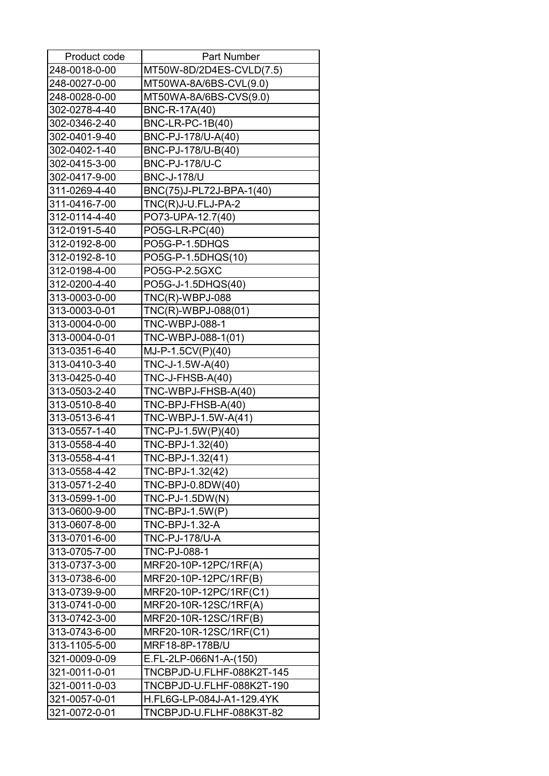| Product code  | Part Number               |
|---------------|---------------------------|
| 248-0018-0-00 | MT50W-8D/2D4ES-CVLD(7.5)  |
| 248-0027-0-00 | MT50WA-8A/6BS-CVL(9.0)    |
| 248-0028-0-00 | MT50WA-8A/6BS-CVS(9.0)    |
| 302-0278-4-40 | BNC-R-17A(40)             |
| 302-0346-2-40 | BNC-LR-PC-1B(40)          |
| 302-0401-9-40 | BNC-PJ-178/U-A(40)        |
| 302-0402-1-40 | BNC-PJ-178/U-B(40)        |
| 302-0415-3-00 | <b>BNC-PJ-178/U-C</b>     |
| 302-0417-9-00 | <b>BNC-J-178/U</b>        |
| 311-0269-4-40 | BNC(75)J-PL72J-BPA-1(40)  |
| 311-0416-7-00 | TNC(R)J-U.FLJ-PA-2        |
| 312-0114-4-40 | PO73-UPA-12.7(40)         |
| 312-0191-5-40 | PO5G-LR-PC(40)            |
| 312-0192-8-00 | PO5G-P-1.5DHQS            |
| 312-0192-8-10 | PO5G-P-1.5DHQS(10)        |
| 312-0198-4-00 | PO5G-P-2.5GXC             |
| 312-0200-4-40 | PO5G-J-1.5DHQS(40)        |
| 313-0003-0-00 | <b>TNC(R)-WBPJ-088</b>    |
| 313-0003-0-01 | TNC(R)-WBPJ-088(01)       |
| 313-0004-0-00 | <b>TNC-WBPJ-088-1</b>     |
| 313-0004-0-01 | TNC-WBPJ-088-1(01)        |
| 313-0351-6-40 | MJ-P-1.5CV(P)(40)         |
| 313-0410-3-40 | TNC-J-1.5W-A(40)          |
| 313-0425-0-40 | TNC-J-FHSB-A(40)          |
| 313-0503-2-40 | TNC-WBPJ-FHSB-A(40)       |
| 313-0510-8-40 | TNC-BPJ-FHSB-A(40)        |
| 313-0513-6-41 | TNC-WBPJ-1.5W-A(41)       |
| 313-0557-1-40 | TNC-PJ-1.5W(P)(40)        |
| 313-0558-4-40 | TNC-BPJ-1.32(40)          |
| 313-0558-4-41 | TNC-BPJ-1.32(41)          |
| 313-0558-4-42 | TNC-BPJ-1.32(42)          |
| 313-0571-2-40 | TNC-BPJ-0.8DW(40)         |
| 313-0599-1-00 | $TNC-PJ-1.5DW(N)$         |
| 313-0600-9-00 | TNC-BPJ-1.5W(P)           |
| 313-0607-8-00 | TNC-BPJ-1.32-A            |
| 313-0701-6-00 | <b>TNC-PJ-178/U-A</b>     |
| 313-0705-7-00 | <b>TNC-PJ-088-1</b>       |
| 313-0737-3-00 | MRF20-10P-12PC/1RF(A)     |
| 313-0738-6-00 | MRF20-10P-12PC/1RF(B)     |
| 313-0739-9-00 | MRF20-10P-12PC/1RF(C1)    |
| 313-0741-0-00 | MRF20-10R-12SC/1RF(A)     |
| 313-0742-3-00 | MRF20-10R-12SC/1RF(B)     |
| 313-0743-6-00 | MRF20-10R-12SC/1RF(C1)    |
| 313-1105-5-00 | MRF18-8P-178B/U           |
| 321-0009-0-09 | E.FL-2LP-066N1-A-(150)    |
| 321-0011-0-01 | TNCBPJD-U.FLHF-088K2T-145 |
| 321-0011-0-03 | TNCBPJD-U.FLHF-088K2T-190 |
| 321-0057-0-01 | H.FL6G-LP-084J-A1-129.4YK |
| 321-0072-0-01 | TNCBPJD-U.FLHF-088K3T-82  |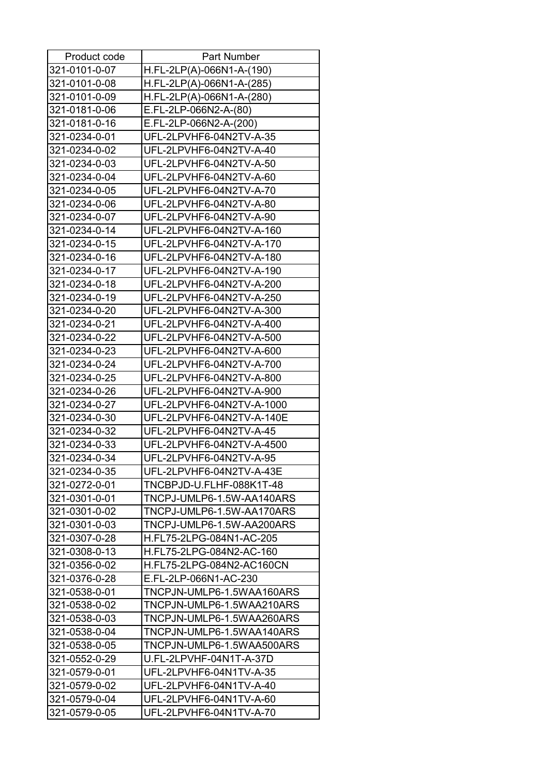| Product code  | <b>Part Number</b>        |
|---------------|---------------------------|
| 321-0101-0-07 | H.FL-2LP(A)-066N1-A-(190) |
| 321-0101-0-08 | H.FL-2LP(A)-066N1-A-(285) |
| 321-0101-0-09 | H.FL-2LP(A)-066N1-A-(280) |
| 321-0181-0-06 | E.FL-2LP-066N2-A-(80)     |
| 321-0181-0-16 | E.FL-2LP-066N2-A-(200)    |
| 321-0234-0-01 | UFL-2LPVHF6-04N2TV-A-35   |
| 321-0234-0-02 | UFL-2LPVHF6-04N2TV-A-40   |
| 321-0234-0-03 | UFL-2LPVHF6-04N2TV-A-50   |
| 321-0234-0-04 | UFL-2LPVHF6-04N2TV-A-60   |
| 321-0234-0-05 | UFL-2LPVHF6-04N2TV-A-70   |
| 321-0234-0-06 | UFL-2LPVHF6-04N2TV-A-80   |
| 321-0234-0-07 | UFL-2LPVHF6-04N2TV-A-90   |
| 321-0234-0-14 | UFL-2LPVHF6-04N2TV-A-160  |
| 321-0234-0-15 | UFL-2LPVHF6-04N2TV-A-170  |
| 321-0234-0-16 | UFL-2LPVHF6-04N2TV-A-180  |
| 321-0234-0-17 | UFL-2LPVHF6-04N2TV-A-190  |
| 321-0234-0-18 | UFL-2LPVHF6-04N2TV-A-200  |
| 321-0234-0-19 | UFL-2LPVHF6-04N2TV-A-250  |
| 321-0234-0-20 | UFL-2LPVHF6-04N2TV-A-300  |
| 321-0234-0-21 | UFL-2LPVHF6-04N2TV-A-400  |
| 321-0234-0-22 | UFL-2LPVHF6-04N2TV-A-500  |
| 321-0234-0-23 | UFL-2LPVHF6-04N2TV-A-600  |
| 321-0234-0-24 | UFL-2LPVHF6-04N2TV-A-700  |
| 321-0234-0-25 | UFL-2LPVHF6-04N2TV-A-800  |
| 321-0234-0-26 | UFL-2LPVHF6-04N2TV-A-900  |
| 321-0234-0-27 | UFL-2LPVHF6-04N2TV-A-1000 |
| 321-0234-0-30 | UFL-2LPVHF6-04N2TV-A-140E |
| 321-0234-0-32 | UFL-2LPVHF6-04N2TV-A-45   |
| 321-0234-0-33 | UFL-2LPVHF6-04N2TV-A-4500 |
| 321-0234-0-34 | UFL-2LPVHF6-04N2TV-A-95   |
| 321-0234-0-35 | UFL-2LPVHF6-04N2TV-A-43E  |
| 321-0272-0-01 | TNCBPJD-U.FLHF-088K1T-48  |
| 321-0301-0-01 | TNCPJ-UMLP6-1.5W-AA140ARS |
| 321-0301-0-02 | TNCPJ-UMLP6-1.5W-AA170ARS |
| 321-0301-0-03 | TNCPJ-UMLP6-1.5W-AA200ARS |
| 321-0307-0-28 | H.FL75-2LPG-084N1-AC-205  |
| 321-0308-0-13 | H.FL75-2LPG-084N2-AC-160  |
| 321-0356-0-02 | H.FL75-2LPG-084N2-AC160CN |
| 321-0376-0-28 | E.FL-2LP-066N1-AC-230     |
| 321-0538-0-01 | TNCPJN-UMLP6-1.5WAA160ARS |
| 321-0538-0-02 | TNCPJN-UMLP6-1.5WAA210ARS |
| 321-0538-0-03 | TNCPJN-UMLP6-1.5WAA260ARS |
| 321-0538-0-04 | TNCPJN-UMLP6-1.5WAA140ARS |
| 321-0538-0-05 | TNCPJN-UMLP6-1.5WAA500ARS |
| 321-0552-0-29 | U.FL-2LPVHF-04N1T-A-37D   |
| 321-0579-0-01 | UFL-2LPVHF6-04N1TV-A-35   |
| 321-0579-0-02 | UFL-2LPVHF6-04N1TV-A-40   |
| 321-0579-0-04 | UFL-2LPVHF6-04N1TV-A-60   |
| 321-0579-0-05 | UFL-2LPVHF6-04N1TV-A-70   |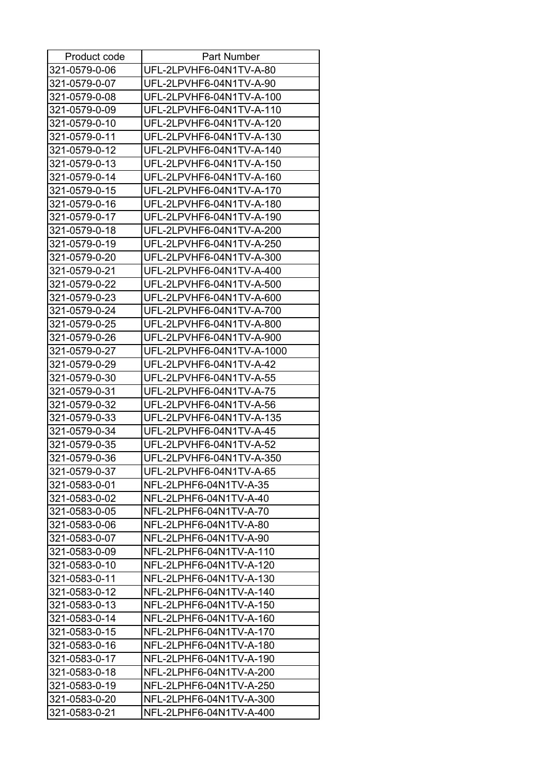| Product code  | <b>Part Number</b>        |
|---------------|---------------------------|
| 321-0579-0-06 | UFL-2LPVHF6-04N1TV-A-80   |
| 321-0579-0-07 | UFL-2LPVHF6-04N1TV-A-90   |
| 321-0579-0-08 | UFL-2LPVHF6-04N1TV-A-100  |
| 321-0579-0-09 | UFL-2LPVHF6-04N1TV-A-110  |
| 321-0579-0-10 | UFL-2LPVHF6-04N1TV-A-120  |
| 321-0579-0-11 | UFL-2LPVHF6-04N1TV-A-130  |
| 321-0579-0-12 | UFL-2LPVHF6-04N1TV-A-140  |
| 321-0579-0-13 | UFL-2LPVHF6-04N1TV-A-150  |
| 321-0579-0-14 | UFL-2LPVHF6-04N1TV-A-160  |
| 321-0579-0-15 | UFL-2LPVHF6-04N1TV-A-170  |
| 321-0579-0-16 | UFL-2LPVHF6-04N1TV-A-180  |
| 321-0579-0-17 | UFL-2LPVHF6-04N1TV-A-190  |
| 321-0579-0-18 | UFL-2LPVHF6-04N1TV-A-200  |
| 321-0579-0-19 | UFL-2LPVHF6-04N1TV-A-250  |
| 321-0579-0-20 | UFL-2LPVHF6-04N1TV-A-300  |
| 321-0579-0-21 | UFL-2LPVHF6-04N1TV-A-400  |
| 321-0579-0-22 | UFL-2LPVHF6-04N1TV-A-500  |
| 321-0579-0-23 | UFL-2LPVHF6-04N1TV-A-600  |
| 321-0579-0-24 | UFL-2LPVHF6-04N1TV-A-700  |
| 321-0579-0-25 | UFL-2LPVHF6-04N1TV-A-800  |
| 321-0579-0-26 | UFL-2LPVHF6-04N1TV-A-900  |
| 321-0579-0-27 | UFL-2LPVHF6-04N1TV-A-1000 |
| 321-0579-0-29 | UFL-2LPVHF6-04N1TV-A-42   |
| 321-0579-0-30 | UFL-2LPVHF6-04N1TV-A-55   |
| 321-0579-0-31 | UFL-2LPVHF6-04N1TV-A-75   |
| 321-0579-0-32 | UFL-2LPVHF6-04N1TV-A-56   |
| 321-0579-0-33 | UFL-2LPVHF6-04N1TV-A-135  |
| 321-0579-0-34 | UFL-2LPVHF6-04N1TV-A-45   |
| 321-0579-0-35 | UFL-2LPVHF6-04N1TV-A-52   |
| 321-0579-0-36 | UFL-2LPVHF6-04N1TV-A-350  |
| 321-0579-0-37 | UFL-2LPVHF6-04N1TV-A-65   |
| 321-0583-0-01 | NFL-2LPHF6-04N1TV-A-35    |
| 321-0583-0-02 | NFL-2LPHF6-04N1TV-A-40    |
| 321-0583-0-05 | NFL-2LPHF6-04N1TV-A-70    |
| 321-0583-0-06 | NFL-2LPHF6-04N1TV-A-80    |
| 321-0583-0-07 | NFL-2LPHF6-04N1TV-A-90    |
| 321-0583-0-09 | NFL-2LPHF6-04N1TV-A-110   |
| 321-0583-0-10 | NFL-2LPHF6-04N1TV-A-120   |
| 321-0583-0-11 | NFL-2LPHF6-04N1TV-A-130   |
|               |                           |
| 321-0583-0-12 | NFL-2LPHF6-04N1TV-A-140   |
| 321-0583-0-13 | NFL-2LPHF6-04N1TV-A-150   |
| 321-0583-0-14 | NFL-2LPHF6-04N1TV-A-160   |
| 321-0583-0-15 | NFL-2LPHF6-04N1TV-A-170   |
| 321-0583-0-16 | NFL-2LPHF6-04N1TV-A-180   |
| 321-0583-0-17 | NFL-2LPHF6-04N1TV-A-190   |
| 321-0583-0-18 | NFL-2LPHF6-04N1TV-A-200   |
| 321-0583-0-19 | NFL-2LPHF6-04N1TV-A-250   |
| 321-0583-0-20 | NFL-2LPHF6-04N1TV-A-300   |
| 321-0583-0-21 | NFL-2LPHF6-04N1TV-A-400   |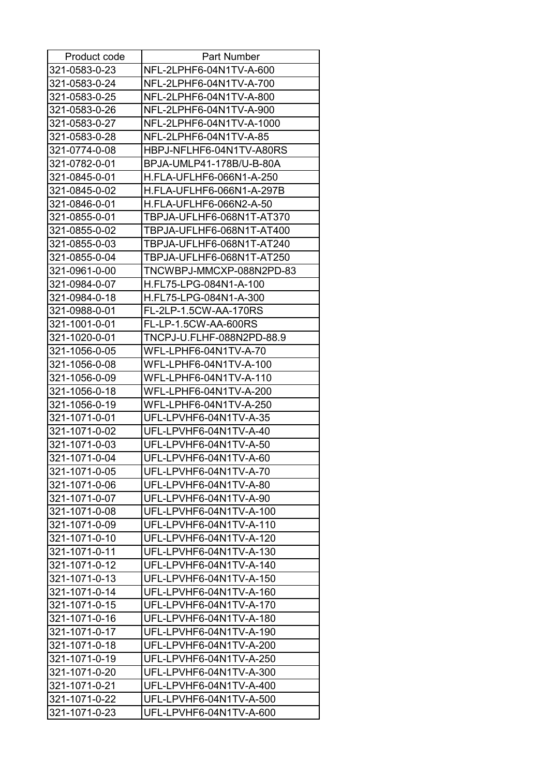| Product code  | <b>Part Number</b>        |
|---------------|---------------------------|
| 321-0583-0-23 | NFL-2LPHF6-04N1TV-A-600   |
| 321-0583-0-24 | NFL-2LPHF6-04N1TV-A-700   |
| 321-0583-0-25 | NFL-2LPHF6-04N1TV-A-800   |
| 321-0583-0-26 | NFL-2LPHF6-04N1TV-A-900   |
| 321-0583-0-27 | NFL-2LPHF6-04N1TV-A-1000  |
| 321-0583-0-28 | NFL-2LPHF6-04N1TV-A-85    |
| 321-0774-0-08 | HBPJ-NFLHF6-04N1TV-A80RS  |
| 321-0782-0-01 | BPJA-UMLP41-178B/U-B-80A  |
| 321-0845-0-01 | H.FLA-UFLHF6-066N1-A-250  |
| 321-0845-0-02 | H.FLA-UFLHF6-066N1-A-297B |
| 321-0846-0-01 | H.FLA-UFLHF6-066N2-A-50   |
| 321-0855-0-01 | TBPJA-UFLHF6-068N1T-AT370 |
| 321-0855-0-02 | TBPJA-UFLHF6-068N1T-AT400 |
| 321-0855-0-03 | TBPJA-UFLHF6-068N1T-AT240 |
| 321-0855-0-04 | TBPJA-UFLHF6-068N1T-AT250 |
| 321-0961-0-00 | TNCWBPJ-MMCXP-088N2PD-83  |
| 321-0984-0-07 | H.FL75-LPG-084N1-A-100    |
| 321-0984-0-18 | H.FL75-LPG-084N1-A-300    |
| 321-0988-0-01 | FL-2LP-1.5CW-AA-170RS     |
| 321-1001-0-01 | FL-LP-1.5CW-AA-600RS      |
| 321-1020-0-01 | TNCPJ-U.FLHF-088N2PD-88.9 |
| 321-1056-0-05 | WFL-LPHF6-04N1TV-A-70     |
| 321-1056-0-08 | WFL-LPHF6-04N1TV-A-100    |
| 321-1056-0-09 | WFL-LPHF6-04N1TV-A-110    |
| 321-1056-0-18 | WFL-LPHF6-04N1TV-A-200    |
| 321-1056-0-19 | WFL-LPHF6-04N1TV-A-250    |
| 321-1071-0-01 | UFL-LPVHF6-04N1TV-A-35    |
| 321-1071-0-02 | UFL-LPVHF6-04N1TV-A-40    |
| 321-1071-0-03 | UFL-LPVHF6-04N1TV-A-50    |
| 321-1071-0-04 | UFL-LPVHF6-04N1TV-A-60    |
| 321-1071-0-05 | UFL-LPVHF6-04N1TV-A-70    |
| 321-1071-0-06 | UFL-LPVHF6-04N1TV-A-80    |
| 321-1071-0-07 | UFL-LPVHF6-04N1TV-A-90    |
| 321-1071-0-08 | UFL-LPVHF6-04N1TV-A-100   |
| 321-1071-0-09 | UFL-LPVHF6-04N1TV-A-110   |
| 321-1071-0-10 | UFL-LPVHF6-04N1TV-A-120   |
| 321-1071-0-11 | UFL-LPVHF6-04N1TV-A-130   |
| 321-1071-0-12 | UFL-LPVHF6-04N1TV-A-140   |
| 321-1071-0-13 | UFL-LPVHF6-04N1TV-A-150   |
| 321-1071-0-14 | UFL-LPVHF6-04N1TV-A-160   |
| 321-1071-0-15 | UFL-LPVHF6-04N1TV-A-170   |
| 321-1071-0-16 | UFL-LPVHF6-04N1TV-A-180   |
| 321-1071-0-17 | UFL-LPVHF6-04N1TV-A-190   |
| 321-1071-0-18 | UFL-LPVHF6-04N1TV-A-200   |
| 321-1071-0-19 | UFL-LPVHF6-04N1TV-A-250   |
| 321-1071-0-20 | UFL-LPVHF6-04N1TV-A-300   |
| 321-1071-0-21 | UFL-LPVHF6-04N1TV-A-400   |
| 321-1071-0-22 | UFL-LPVHF6-04N1TV-A-500   |
| 321-1071-0-23 | UFL-LPVHF6-04N1TV-A-600   |
|               |                           |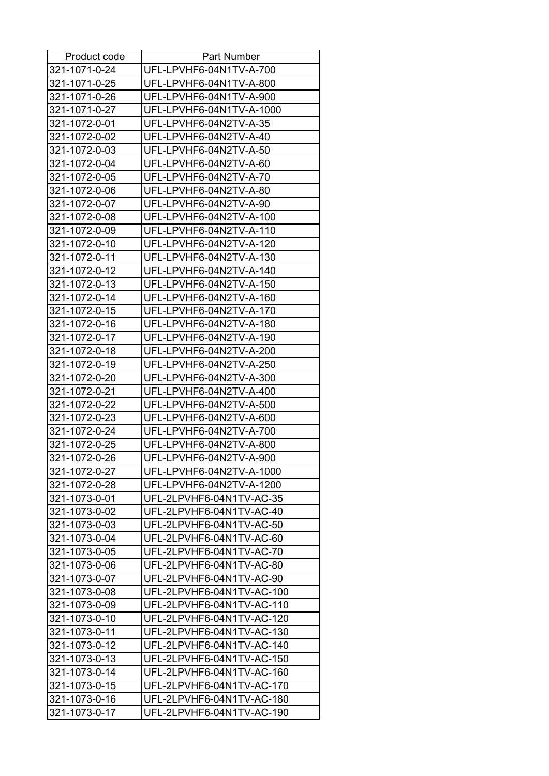| Product code                   | <b>Part Number</b>        |
|--------------------------------|---------------------------|
| 321-1071-0-24                  | UFL-LPVHF6-04N1TV-A-700   |
| 321-1071-0-25                  | UFL-LPVHF6-04N1TV-A-800   |
| 321-1071-0-26                  | UFL-LPVHF6-04N1TV-A-900   |
| 321-1071-0-27                  | UFL-LPVHF6-04N1TV-A-1000  |
| 321-1072-0-01                  | UFL-LPVHF6-04N2TV-A-35    |
| 321-1072-0-02                  | UFL-LPVHF6-04N2TV-A-40    |
| 321-1072-0-03                  | UFL-LPVHF6-04N2TV-A-50    |
| 321-1072-0-04                  | UFL-LPVHF6-04N2TV-A-60    |
| 321-1072-0-05                  | UFL-LPVHF6-04N2TV-A-70    |
| 321-1072-0-06                  | UFL-LPVHF6-04N2TV-A-80    |
| 321-1072-0-07                  | UFL-LPVHF6-04N2TV-A-90    |
| 321-1072-0-08                  | UFL-LPVHF6-04N2TV-A-100   |
| 321-1072-0-09                  | UFL-LPVHF6-04N2TV-A-110   |
| 321-1072-0-10                  | UFL-LPVHF6-04N2TV-A-120   |
| 321-1072-0-11                  | UFL-LPVHF6-04N2TV-A-130   |
| 321-1072-0-12                  | UFL-LPVHF6-04N2TV-A-140   |
| 321-1072-0-13                  | UFL-LPVHF6-04N2TV-A-150   |
| 321-1072-0-14                  | UFL-LPVHF6-04N2TV-A-160   |
| 321-1072-0-15                  | UFL-LPVHF6-04N2TV-A-170   |
| 321-1072-0-16                  | UFL-LPVHF6-04N2TV-A-180   |
| 321-1072-0-17                  | UFL-LPVHF6-04N2TV-A-190   |
| 321-1072-0-18                  | UFL-LPVHF6-04N2TV-A-200   |
| 321-1072-0-19                  | UFL-LPVHF6-04N2TV-A-250   |
| 321-1072-0-20                  | UFL-LPVHF6-04N2TV-A-300   |
| 321-1072-0-21                  | UFL-LPVHF6-04N2TV-A-400   |
|                                |                           |
| 321-1072-0-22<br>321-1072-0-23 | UFL-LPVHF6-04N2TV-A-500   |
|                                | UFL-LPVHF6-04N2TV-A-600   |
| 321-1072-0-24                  | UFL-LPVHF6-04N2TV-A-700   |
| 321-1072-0-25                  | UFL-LPVHF6-04N2TV-A-800   |
| 321-1072-0-26                  | UFL-LPVHF6-04N2TV-A-900   |
| 321-1072-0-27                  | UFL-LPVHF6-04N2TV-A-1000  |
| 321-1072-0-28                  | UFL-LPVHF6-04N2TV-A-1200  |
| 321-1073-0-01                  | UFL-2LPVHF6-04N1TV-AC-35  |
| 321-1073-0-02                  | UFL-2LPVHF6-04N1TV-AC-40  |
| 321-1073-0-03                  | UFL-2LPVHF6-04N1TV-AC-50  |
| 321-1073-0-04                  | UFL-2LPVHF6-04N1TV-AC-60  |
| 321-1073-0-05                  | UFL-2LPVHF6-04N1TV-AC-70  |
| 321-1073-0-06                  | UFL-2LPVHF6-04N1TV-AC-80  |
| 321-1073-0-07                  | UFL-2LPVHF6-04N1TV-AC-90  |
| 321-1073-0-08                  | UFL-2LPVHF6-04N1TV-AC-100 |
| 321-1073-0-09                  | UFL-2LPVHF6-04N1TV-AC-110 |
| 321-1073-0-10                  | UFL-2LPVHF6-04N1TV-AC-120 |
| 321-1073-0-11                  | UFL-2LPVHF6-04N1TV-AC-130 |
| 321-1073-0-12                  | UFL-2LPVHF6-04N1TV-AC-140 |
| 321-1073-0-13                  | UFL-2LPVHF6-04N1TV-AC-150 |
| 321-1073-0-14                  | UFL-2LPVHF6-04N1TV-AC-160 |
| 321-1073-0-15                  | UFL-2LPVHF6-04N1TV-AC-170 |
| 321-1073-0-16                  | UFL-2LPVHF6-04N1TV-AC-180 |
| 321-1073-0-17                  | UFL-2LPVHF6-04N1TV-AC-190 |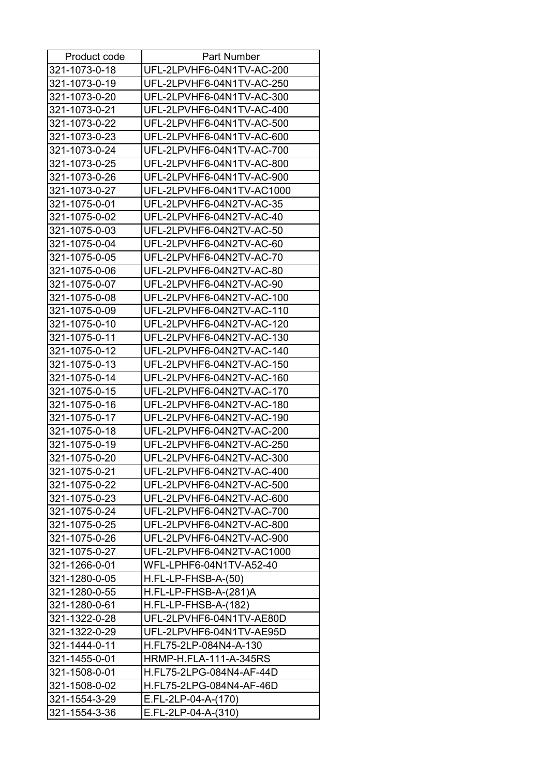| Product code  | <b>Part Number</b>            |
|---------------|-------------------------------|
| 321-1073-0-18 | UFL-2LPVHF6-04N1TV-AC-200     |
| 321-1073-0-19 | UFL-2LPVHF6-04N1TV-AC-250     |
| 321-1073-0-20 | UFL-2LPVHF6-04N1TV-AC-300     |
| 321-1073-0-21 | UFL-2LPVHF6-04N1TV-AC-400     |
| 321-1073-0-22 | UFL-2LPVHF6-04N1TV-AC-500     |
| 321-1073-0-23 | UFL-2LPVHF6-04N1TV-AC-600     |
| 321-1073-0-24 | UFL-2LPVHF6-04N1TV-AC-700     |
| 321-1073-0-25 | UFL-2LPVHF6-04N1TV-AC-800     |
| 321-1073-0-26 | UFL-2LPVHF6-04N1TV-AC-900     |
| 321-1073-0-27 | UFL-2LPVHF6-04N1TV-AC1000     |
| 321-1075-0-01 | UFL-2LPVHF6-04N2TV-AC-35      |
| 321-1075-0-02 | UFL-2LPVHF6-04N2TV-AC-40      |
| 321-1075-0-03 | UFL-2LPVHF6-04N2TV-AC-50      |
| 321-1075-0-04 | UFL-2LPVHF6-04N2TV-AC-60      |
| 321-1075-0-05 | UFL-2LPVHF6-04N2TV-AC-70      |
| 321-1075-0-06 | UFL-2LPVHF6-04N2TV-AC-80      |
| 321-1075-0-07 | UFL-2LPVHF6-04N2TV-AC-90      |
| 321-1075-0-08 | UFL-2LPVHF6-04N2TV-AC-100     |
| 321-1075-0-09 | UFL-2LPVHF6-04N2TV-AC-110     |
| 321-1075-0-10 | UFL-2LPVHF6-04N2TV-AC-120     |
| 321-1075-0-11 | UFL-2LPVHF6-04N2TV-AC-130     |
| 321-1075-0-12 | UFL-2LPVHF6-04N2TV-AC-140     |
| 321-1075-0-13 | UFL-2LPVHF6-04N2TV-AC-150     |
| 321-1075-0-14 | UFL-2LPVHF6-04N2TV-AC-160     |
| 321-1075-0-15 | UFL-2LPVHF6-04N2TV-AC-170     |
| 321-1075-0-16 | UFL-2LPVHF6-04N2TV-AC-180     |
| 321-1075-0-17 | UFL-2LPVHF6-04N2TV-AC-190     |
| 321-1075-0-18 | UFL-2LPVHF6-04N2TV-AC-200     |
| 321-1075-0-19 | UFL-2LPVHF6-04N2TV-AC-250     |
| 321-1075-0-20 | UFL-2LPVHF6-04N2TV-AC-300     |
| 321-1075-0-21 | UFL-2LPVHF6-04N2TV-AC-400     |
| 321-1075-0-22 | UFL-2LPVHF6-04N2TV-AC-500     |
| 321-1075-0-23 | UFL-2LPVHF6-04N2TV-AC-600     |
| 321-1075-0-24 | UFL-2LPVHF6-04N2TV-AC-700     |
| 321-1075-0-25 | UFL-2LPVHF6-04N2TV-AC-800     |
| 321-1075-0-26 | UFL-2LPVHF6-04N2TV-AC-900     |
| 321-1075-0-27 | UFL-2LPVHF6-04N2TV-AC1000     |
| 321-1266-0-01 | WFL-LPHF6-04N1TV-A52-40       |
| 321-1280-0-05 | H.FL-LP-FHSB-A-(50)           |
|               |                               |
| 321-1280-0-55 | H.FL-LP-FHSB-A-(281)A         |
| 321-1280-0-61 | $H.FL-LP-FHSB-A-(182)$        |
| 321-1322-0-28 | UFL-2LPVHF6-04N1TV-AE80D      |
| 321-1322-0-29 | UFL-2LPVHF6-04N1TV-AE95D      |
| 321-1444-0-11 | H.FL75-2LP-084N4-A-130        |
| 321-1455-0-01 | <b>HRMP-H.FLA-111-A-345RS</b> |
| 321-1508-0-01 | H.FL75-2LPG-084N4-AF-44D      |
| 321-1508-0-02 | H.FL75-2LPG-084N4-AF-46D      |
| 321-1554-3-29 | E.FL-2LP-04-A-(170)           |
| 321-1554-3-36 | E.FL-2LP-04-A-(310)           |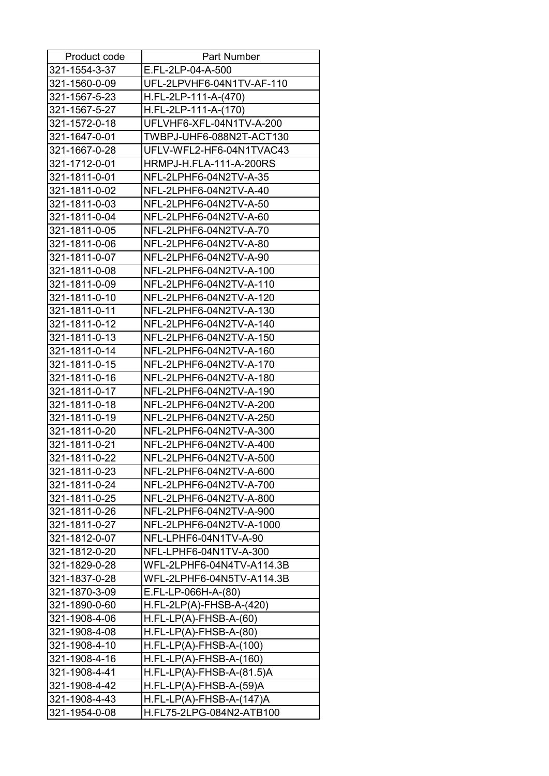| Product code  | Part Number                    |
|---------------|--------------------------------|
| 321-1554-3-37 | E.FL-2LP-04-A-500              |
| 321-1560-0-09 | UFL-2LPVHF6-04N1TV-AF-110      |
| 321-1567-5-23 | H.FL-2LP-111-A-(470)           |
| 321-1567-5-27 | H.FL-2LP-111-A-(170)           |
| 321-1572-0-18 | UFLVHF6-XFL-04N1TV-A-200       |
| 321-1647-0-01 | TWBPJ-UHF6-088N2T-ACT130       |
| 321-1667-0-28 | UFLV-WFL2-HF6-04N1TVAC43       |
| 321-1712-0-01 | <b>HRMPJ-H.FLA-111-A-200RS</b> |
| 321-1811-0-01 | NFL-2LPHF6-04N2TV-A-35         |
| 321-1811-0-02 | NFL-2LPHF6-04N2TV-A-40         |
| 321-1811-0-03 | NFL-2LPHF6-04N2TV-A-50         |
| 321-1811-0-04 | NFL-2LPHF6-04N2TV-A-60         |
| 321-1811-0-05 | NFL-2LPHF6-04N2TV-A-70         |
| 321-1811-0-06 | NFL-2LPHF6-04N2TV-A-80         |
| 321-1811-0-07 | NFL-2LPHF6-04N2TV-A-90         |
| 321-1811-0-08 | NFL-2LPHF6-04N2TV-A-100        |
| 321-1811-0-09 | NFL-2LPHF6-04N2TV-A-110        |
| 321-1811-0-10 | NFL-2LPHF6-04N2TV-A-120        |
| 321-1811-0-11 | NFL-2LPHF6-04N2TV-A-130        |
| 321-1811-0-12 | NFL-2LPHF6-04N2TV-A-140        |
| 321-1811-0-13 | NFL-2LPHF6-04N2TV-A-150        |
| 321-1811-0-14 | NFL-2LPHF6-04N2TV-A-160        |
| 321-1811-0-15 | NFL-2LPHF6-04N2TV-A-170        |
| 321-1811-0-16 | NFL-2LPHF6-04N2TV-A-180        |
| 321-1811-0-17 | NFL-2LPHF6-04N2TV-A-190        |
| 321-1811-0-18 | NFL-2LPHF6-04N2TV-A-200        |
| 321-1811-0-19 | NFL-2LPHF6-04N2TV-A-250        |
| 321-1811-0-20 | NFL-2LPHF6-04N2TV-A-300        |
| 321-1811-0-21 | NFL-2LPHF6-04N2TV-A-400        |
| 321-1811-0-22 | NFL-2LPHF6-04N2TV-A-500        |
| 321-1811-0-23 | NFL-2LPHF6-04N2TV-A-600        |
| 321-1811-0-24 | NFL-2LPHF6-04N2TV-A-700        |
| 321-1811-0-25 | NFL-2LPHF6-04N2TV-A-800        |
| 321-1811-0-26 | NFL-2LPHF6-04N2TV-A-900        |
| 321-1811-0-27 | NFL-2LPHF6-04N2TV-A-1000       |
| 321-1812-0-07 | NFL-LPHF6-04N1TV-A-90          |
| 321-1812-0-20 | NFL-LPHF6-04N1TV-A-300         |
| 321-1829-0-28 | WFL-2LPHF6-04N4TV-A114.3B      |
| 321-1837-0-28 | WFL-2LPHF6-04N5TV-A114.3B      |
| 321-1870-3-09 | E.FL-LP-066H-A-(80)            |
| 321-1890-0-60 | $H.FL-2LP(A)-FHSB-A-(420)$     |
| 321-1908-4-06 | $H.FL-LP(A)-FHSB-A-(60)$       |
| 321-1908-4-08 | $H.FL-LP(A)-FHSB-A-(80)$       |
| 321-1908-4-10 | $H.FL-LP(A)-FHSB-A-(100)$      |
| 321-1908-4-16 | $H.FL-LP(A)-FHSB-A-(160)$      |
| 321-1908-4-41 | $H.FL-LP(A)-FHSB-A-(81.5)A$    |
| 321-1908-4-42 | $H.FL-LP(A)-FHSB-A-(59)A$      |
| 321-1908-4-43 | $H.FL-LP(A)-FHSB-A-(147)A$     |
| 321-1954-0-08 | H.FL75-2LPG-084N2-ATB100       |
|               |                                |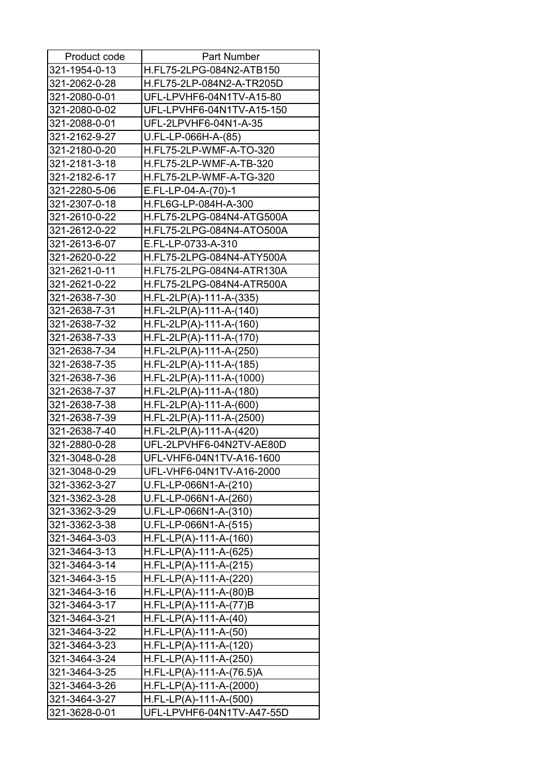| Product code  | <b>Part Number</b>         |
|---------------|----------------------------|
| 321-1954-0-13 | H.FL75-2LPG-084N2-ATB150   |
| 321-2062-0-28 | H.FL75-2LP-084N2-A-TR205D  |
| 321-2080-0-01 | UFL-LPVHF6-04N1TV-A15-80   |
| 321-2080-0-02 | UFL-LPVHF6-04N1TV-A15-150  |
| 321-2088-0-01 | UFL-2LPVHF6-04N1-A-35      |
| 321-2162-9-27 | U.FL-LP-066H-A-(85)        |
| 321-2180-0-20 | H.FL75-2LP-WMF-A-TO-320    |
| 321-2181-3-18 | H.FL75-2LP-WMF-A-TB-320    |
| 321-2182-6-17 | H.FL75-2LP-WMF-A-TG-320    |
| 321-2280-5-06 | E.FL-LP-04-A-(70)-1        |
| 321-2307-0-18 | H.FL6G-LP-084H-A-300       |
| 321-2610-0-22 | H.FL75-2LPG-084N4-ATG500A  |
| 321-2612-0-22 | H.FL75-2LPG-084N4-ATO500A  |
| 321-2613-6-07 | E.FL-LP-0733-A-310         |
| 321-2620-0-22 | H.FL75-2LPG-084N4-ATY500A  |
| 321-2621-0-11 | H.FL75-2LPG-084N4-ATR130A  |
| 321-2621-0-22 | H.FL75-2LPG-084N4-ATR500A  |
| 321-2638-7-30 | $H.FL-2LP(A)-111-A-(335)$  |
| 321-2638-7-31 | $H.FL-2LP(A)-111-A-(140)$  |
| 321-2638-7-32 | $H.FL-2LP(A)-111-A-(160)$  |
| 321-2638-7-33 | $H.FL-2LP(A)-111-A-(170)$  |
| 321-2638-7-34 | $H.FL-2LP(A)-111-A-(250)$  |
| 321-2638-7-35 | $H.FL-2LP(A)-111-A-(185)$  |
| 321-2638-7-36 | $H.FL-2LP(A)-111-A-(1000)$ |
| 321-2638-7-37 | H.FL-2LP(A)-111-A-(180)    |
| 321-2638-7-38 | $H.FL-2LP(A)-111-A-(600)$  |
| 321-2638-7-39 | H.FL-2LP(A)-111-A-(2500)   |
| 321-2638-7-40 | $H.FL-2LP(A)-111-A-(420)$  |
| 321-2880-0-28 | UFL-2LPVHF6-04N2TV-AE80D   |
| 321-3048-0-28 | UFL-VHF6-04N1TV-A16-1600   |
| 321-3048-0-29 | UFL-VHF6-04N1TV-A16-2000   |
| 321-3362-3-27 | U.FL-LP-066N1-A-(210)      |
| 321-3362-3-28 | U.FL-LP-066N1-A-(260)      |
| 321-3362-3-29 | U.FL-LP-066N1-A-(310)      |
| 321-3362-3-38 | U.FL-LP-066N1-A-(515)      |
| 321-3464-3-03 | $H.FL-LP(A)-111-A-(160)$   |
| 321-3464-3-13 | $H.FL-LP(A)-111-A-(625)$   |
| 321-3464-3-14 | $H.FL-LP(A)-111-A-(215)$   |
| 321-3464-3-15 | $H.FL-LP(A)-111-A-(220)$   |
| 321-3464-3-16 | $H.FL-LP(A)-111-A-(80)B$   |
| 321-3464-3-17 | $H.FL-LP(A)-111-A-(77)B$   |
| 321-3464-3-21 | $H.FL-LP(A)-111-A-(40)$    |
| 321-3464-3-22 | $H.FL-LP(A)-111-A-(50)$    |
| 321-3464-3-23 | $H.FL-LP(A)-111-A-(120)$   |
| 321-3464-3-24 | $H.FL-LP(A)-111-A-(250)$   |
| 321-3464-3-25 | $H.FL-LP(A)-111-A-(76.5)A$ |
| 321-3464-3-26 | $H.FL-LP(A)-111-A-(2000)$  |
| 321-3464-3-27 | $H.FL-LP(A)-111-A-(500)$   |
| 321-3628-0-01 | UFL-LPVHF6-04N1TV-A47-55D  |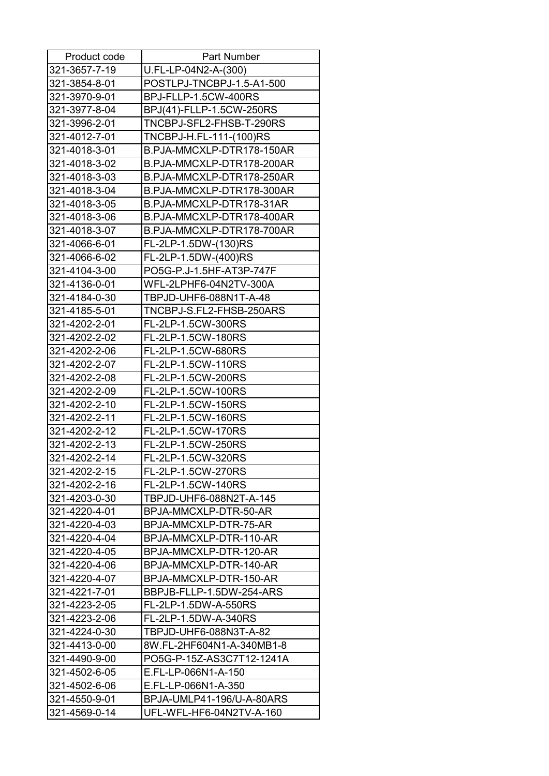| Product code  | <b>Part Number</b>        |
|---------------|---------------------------|
| 321-3657-7-19 | U.FL-LP-04N2-A-(300)      |
| 321-3854-8-01 | POSTLPJ-TNCBPJ-1.5-A1-500 |
| 321-3970-9-01 | BPJ-FLLP-1.5CW-400RS      |
| 321-3977-8-04 | BPJ(41)-FLLP-1.5CW-250RS  |
| 321-3996-2-01 | TNCBPJ-SFL2-FHSB-T-290RS  |
| 321-4012-7-01 | TNCBPJ-H.FL-111-(100)RS   |
| 321-4018-3-01 | B.PJA-MMCXLP-DTR178-150AR |
| 321-4018-3-02 | B.PJA-MMCXLP-DTR178-200AR |
| 321-4018-3-03 | B.PJA-MMCXLP-DTR178-250AR |
| 321-4018-3-04 | B.PJA-MMCXLP-DTR178-300AR |
| 321-4018-3-05 | B.PJA-MMCXLP-DTR178-31AR  |
| 321-4018-3-06 | B.PJA-MMCXLP-DTR178-400AR |
| 321-4018-3-07 | B.PJA-MMCXLP-DTR178-700AR |
| 321-4066-6-01 | FL-2LP-1.5DW-(130)RS      |
| 321-4066-6-02 | FL-2LP-1.5DW-(400)RS      |
| 321-4104-3-00 | PO5G-P.J-1.5HF-AT3P-747F  |
| 321-4136-0-01 | WFL-2LPHF6-04N2TV-300A    |
| 321-4184-0-30 | TBPJD-UHF6-088N1T-A-48    |
| 321-4185-5-01 | TNCBPJ-S.FL2-FHSB-250ARS  |
| 321-4202-2-01 | FL-2LP-1.5CW-300RS        |
| 321-4202-2-02 | FL-2LP-1.5CW-180RS        |
| 321-4202-2-06 | FL-2LP-1.5CW-680RS        |
| 321-4202-2-07 | FL-2LP-1.5CW-110RS        |
| 321-4202-2-08 | FL-2LP-1.5CW-200RS        |
| 321-4202-2-09 | FL-2LP-1.5CW-100RS        |
| 321-4202-2-10 | FL-2LP-1.5CW-150RS        |
| 321-4202-2-11 | FL-2LP-1.5CW-160RS        |
| 321-4202-2-12 | FL-2LP-1.5CW-170RS        |
| 321-4202-2-13 | FL-2LP-1.5CW-250RS        |
| 321-4202-2-14 | FL-2LP-1.5CW-320RS        |
| 321-4202-2-15 | FL-2LP-1.5CW-270RS        |
| 321-4202-2-16 | FL-2LP-1.5CW-140RS        |
| 321-4203-0-30 | TBPJD-UHF6-088N2T-A-145   |
| 321-4220-4-01 | BPJA-MMCXLP-DTR-50-AR     |
| 321-4220-4-03 | BPJA-MMCXLP-DTR-75-AR     |
| 321-4220-4-04 | BPJA-MMCXLP-DTR-110-AR    |
| 321-4220-4-05 | BPJA-MMCXLP-DTR-120-AR    |
| 321-4220-4-06 | BPJA-MMCXLP-DTR-140-AR    |
| 321-4220-4-07 | BPJA-MMCXLP-DTR-150-AR    |
| 321-4221-7-01 | BBPJB-FLLP-1.5DW-254-ARS  |
| 321-4223-2-05 | FL-2LP-1.5DW-A-550RS      |
| 321-4223-2-06 | FL-2LP-1.5DW-A-340RS      |
| 321-4224-0-30 | TBPJD-UHF6-088N3T-A-82    |
| 321-4413-0-00 | 8W.FL-2HF604N1-A-340MB1-8 |
| 321-4490-9-00 | PO5G-P-15Z-AS3C7T12-1241A |
| 321-4502-6-05 | E.FL-LP-066N1-A-150       |
| 321-4502-6-06 | E.FL-LP-066N1-A-350       |
| 321-4550-9-01 | BPJA-UMLP41-196/U-A-80ARS |
| 321-4569-0-14 | UFL-WFL-HF6-04N2TV-A-160  |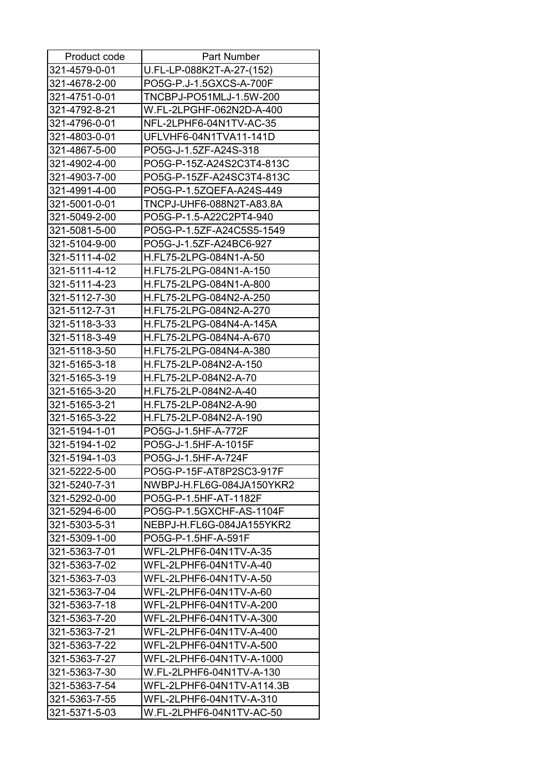| Product code  | Part Number               |
|---------------|---------------------------|
| 321-4579-0-01 | U.FL-LP-088K2T-A-27-(152) |
| 321-4678-2-00 | PO5G-P.J-1.5GXCS-A-700F   |
| 321-4751-0-01 | TNCBPJ-PO51MLJ-1.5W-200   |
| 321-4792-8-21 | W.FL-2LPGHF-062N2D-A-400  |
| 321-4796-0-01 | NFL-2LPHF6-04N1TV-AC-35   |
| 321-4803-0-01 | UFLVHF6-04N1TVA11-141D    |
| 321-4867-5-00 | PO5G-J-1.5ZF-A24S-318     |
| 321-4902-4-00 | PO5G-P-15Z-A24S2C3T4-813C |
| 321-4903-7-00 | PO5G-P-15ZF-A24SC3T4-813C |
| 321-4991-4-00 | PO5G-P-1.5ZQEFA-A24S-449  |
| 321-5001-0-01 | TNCPJ-UHF6-088N2T-A83.8A  |
| 321-5049-2-00 | PO5G-P-1.5-A22C2PT4-940   |
| 321-5081-5-00 | PO5G-P-1.5ZF-A24C5S5-1549 |
| 321-5104-9-00 | PO5G-J-1.5ZF-A24BC6-927   |
| 321-5111-4-02 | H.FL75-2LPG-084N1-A-50    |
| 321-5111-4-12 | H.FL75-2LPG-084N1-A-150   |
| 321-5111-4-23 | H.FL75-2LPG-084N1-A-800   |
| 321-5112-7-30 | H.FL75-2LPG-084N2-A-250   |
| 321-5112-7-31 | H.FL75-2LPG-084N2-A-270   |
| 321-5118-3-33 | H.FL75-2LPG-084N4-A-145A  |
| 321-5118-3-49 | H.FL75-2LPG-084N4-A-670   |
| 321-5118-3-50 | H.FL75-2LPG-084N4-A-380   |
| 321-5165-3-18 | H.FL75-2LP-084N2-A-150    |
| 321-5165-3-19 | H.FL75-2LP-084N2-A-70     |
| 321-5165-3-20 | H.FL75-2LP-084N2-A-40     |
| 321-5165-3-21 | H.FL75-2LP-084N2-A-90     |
| 321-5165-3-22 | H.FL75-2LP-084N2-A-190    |
| 321-5194-1-01 | PO5G-J-1.5HF-A-772F       |
| 321-5194-1-02 | PO5G-J-1.5HF-A-1015F      |
| 321-5194-1-03 | PO5G-J-1.5HF-A-724F       |
| 321-5222-5-00 | PO5G-P-15F-AT8P2SC3-917F  |
| 321-5240-7-31 | NWBPJ-H.FL6G-084JA150YKR2 |
| 321-5292-0-00 | PO5G-P-1.5HF-AT-1182F     |
| 321-5294-6-00 | PO5G-P-1.5GXCHF-AS-1104F  |
| 321-5303-5-31 | NEBPJ-H.FL6G-084JA155YKR2 |
| 321-5309-1-00 | PO5G-P-1.5HF-A-591F       |
| 321-5363-7-01 | WFL-2LPHF6-04N1TV-A-35    |
| 321-5363-7-02 | WFL-2LPHF6-04N1TV-A-40    |
| 321-5363-7-03 | WFL-2LPHF6-04N1TV-A-50    |
| 321-5363-7-04 | WFL-2LPHF6-04N1TV-A-60    |
| 321-5363-7-18 | WFL-2LPHF6-04N1TV-A-200   |
| 321-5363-7-20 | WFL-2LPHF6-04N1TV-A-300   |
| 321-5363-7-21 | WFL-2LPHF6-04N1TV-A-400   |
| 321-5363-7-22 | WFL-2LPHF6-04N1TV-A-500   |
| 321-5363-7-27 | WFL-2LPHF6-04N1TV-A-1000  |
| 321-5363-7-30 | W.FL-2LPHF6-04N1TV-A-130  |
| 321-5363-7-54 | WFL-2LPHF6-04N1TV-A114.3B |
| 321-5363-7-55 | WFL-2LPHF6-04N1TV-A-310   |
| 321-5371-5-03 | W.FL-2LPHF6-04N1TV-AC-50  |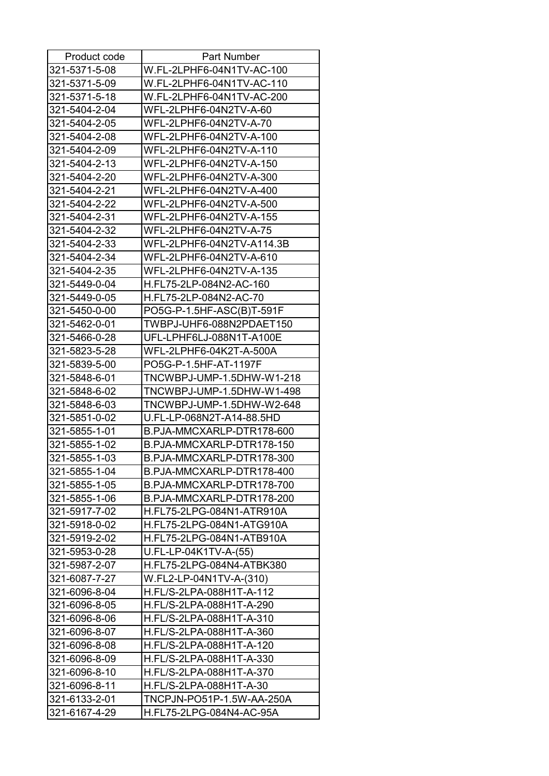| Product code  | <b>Part Number</b>        |
|---------------|---------------------------|
| 321-5371-5-08 | W.FL-2LPHF6-04N1TV-AC-100 |
| 321-5371-5-09 | W.FL-2LPHF6-04N1TV-AC-110 |
| 321-5371-5-18 | W.FL-2LPHF6-04N1TV-AC-200 |
| 321-5404-2-04 | WFL-2LPHF6-04N2TV-A-60    |
| 321-5404-2-05 | WFL-2LPHF6-04N2TV-A-70    |
| 321-5404-2-08 | WFL-2LPHF6-04N2TV-A-100   |
| 321-5404-2-09 | WFL-2LPHF6-04N2TV-A-110   |
| 321-5404-2-13 | WFL-2LPHF6-04N2TV-A-150   |
| 321-5404-2-20 | WFL-2LPHF6-04N2TV-A-300   |
| 321-5404-2-21 | WFL-2LPHF6-04N2TV-A-400   |
| 321-5404-2-22 | WFL-2LPHF6-04N2TV-A-500   |
| 321-5404-2-31 | WFL-2LPHF6-04N2TV-A-155   |
| 321-5404-2-32 | WFL-2LPHF6-04N2TV-A-75    |
| 321-5404-2-33 | WFL-2LPHF6-04N2TV-A114.3B |
| 321-5404-2-34 | WFL-2LPHF6-04N2TV-A-610   |
| 321-5404-2-35 | WFL-2LPHF6-04N2TV-A-135   |
| 321-5449-0-04 | H.FL75-2LP-084N2-AC-160   |
| 321-5449-0-05 | H.FL75-2LP-084N2-AC-70    |
| 321-5450-0-00 | PO5G-P-1.5HF-ASC(B)T-591F |
| 321-5462-0-01 | TWBPJ-UHF6-088N2PDAET150  |
| 321-5466-0-28 | UFL-LPHF6LJ-088N1T-A100E  |
| 321-5823-5-28 | WFL-2LPHF6-04K2T-A-500A   |
| 321-5839-5-00 | PO5G-P-1.5HF-AT-1197F     |
| 321-5848-6-01 | TNCWBPJ-UMP-1.5DHW-W1-218 |
| 321-5848-6-02 | TNCWBPJ-UMP-1.5DHW-W1-498 |
| 321-5848-6-03 | TNCWBPJ-UMP-1.5DHW-W2-648 |
| 321-5851-0-02 | U.FL-LP-068N2T-A14-88.5HD |
| 321-5855-1-01 | B.PJA-MMCXARLP-DTR178-600 |
| 321-5855-1-02 | B.PJA-MMCXARLP-DTR178-150 |
| 321-5855-1-03 | B.PJA-MMCXARLP-DTR178-300 |
| 321-5855-1-04 | B.PJA-MMCXARLP-DTR178-400 |
| 321-5855-1-05 | B.PJA-MMCXARLP-DTR178-700 |
| 321-5855-1-06 | B.PJA-MMCXARLP-DTR178-200 |
| 321-5917-7-02 | H.FL75-2LPG-084N1-ATR910A |
| 321-5918-0-02 | H.FL75-2LPG-084N1-ATG910A |
| 321-5919-2-02 | H.FL75-2LPG-084N1-ATB910A |
| 321-5953-0-28 | U.FL-LP-04K1TV-A-(55)     |
| 321-5987-2-07 | H.FL75-2LPG-084N4-ATBK380 |
| 321-6087-7-27 | W.FL2-LP-04N1TV-A-(310)   |
| 321-6096-8-04 | H.FL/S-2LPA-088H1T-A-112  |
| 321-6096-8-05 | H.FL/S-2LPA-088H1T-A-290  |
| 321-6096-8-06 | H.FL/S-2LPA-088H1T-A-310  |
| 321-6096-8-07 | H.FL/S-2LPA-088H1T-A-360  |
| 321-6096-8-08 | H.FL/S-2LPA-088H1T-A-120  |
| 321-6096-8-09 | H.FL/S-2LPA-088H1T-A-330  |
| 321-6096-8-10 | H.FL/S-2LPA-088H1T-A-370  |
| 321-6096-8-11 | H.FL/S-2LPA-088H1T-A-30   |
| 321-6133-2-01 | TNCPJN-PO51P-1.5W-AA-250A |
| 321-6167-4-29 | H.FL75-2LPG-084N4-AC-95A  |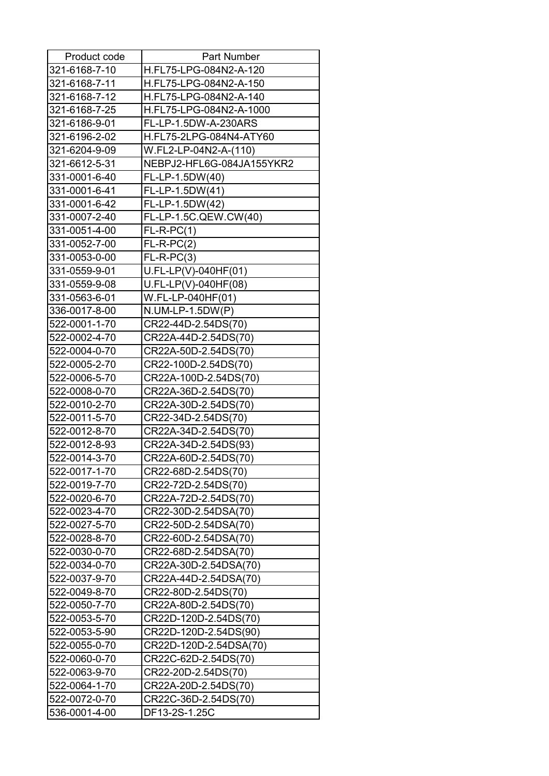| Product code  | <b>Part Number</b>        |
|---------------|---------------------------|
| 321-6168-7-10 | H.FL75-LPG-084N2-A-120    |
| 321-6168-7-11 | H.FL75-LPG-084N2-A-150    |
| 321-6168-7-12 | H.FL75-LPG-084N2-A-140    |
| 321-6168-7-25 | H.FL75-LPG-084N2-A-1000   |
| 321-6186-9-01 | FL-LP-1.5DW-A-230ARS      |
| 321-6196-2-02 | H.FL75-2LPG-084N4-ATY60   |
| 321-6204-9-09 | W.FL2-LP-04N2-A-(110)     |
| 321-6612-5-31 | NEBPJ2-HFL6G-084JA155YKR2 |
| 331-0001-6-40 | FL-LP-1.5DW(40)           |
| 331-0001-6-41 | FL-LP-1.5DW(41)           |
| 331-0001-6-42 | FL-LP-1.5DW(42)           |
| 331-0007-2-40 | FL-LP-1.5C.QEW.CW(40)     |
| 331-0051-4-00 | $FL-R-PC(1)$              |
| 331-0052-7-00 | $FL-R-PC(2)$              |
| 331-0053-0-00 | $FL-R-PC(3)$              |
| 331-0559-9-01 | $U.FL-LP(V)-040HF(01)$    |
| 331-0559-9-08 | U.FL-LP(V)-040HF(08)      |
| 331-0563-6-01 | W.FL-LP-040HF(01)         |
| 336-0017-8-00 | $N. U M - LP - 1.5 DW(P)$ |
| 522-0001-1-70 | CR22-44D-2.54DS(70)       |
| 522-0002-4-70 | CR22A-44D-2.54DS(70)      |
| 522-0004-0-70 | CR22A-50D-2.54DS(70)      |
| 522-0005-2-70 | CR22-100D-2.54DS(70)      |
| 522-0006-5-70 | CR22A-100D-2.54DS(70)     |
| 522-0008-0-70 | CR22A-36D-2.54DS(70)      |
| 522-0010-2-70 | CR22A-30D-2.54DS(70)      |
| 522-0011-5-70 | CR22-34D-2.54DS(70)       |
| 522-0012-8-70 | CR22A-34D-2.54DS(70)      |
| 522-0012-8-93 | CR22A-34D-2.54DS(93)      |
| 522-0014-3-70 | CR22A-60D-2.54DS(70)      |
| 522-0017-1-70 | CR22-68D-2.54DS(70)       |
| 522-0019-7-70 | CR22-72D-2.54DS(70)       |
| 522-0020-6-70 | CR22A-72D-2.54DS(70)      |
| 522-0023-4-70 | CR22-30D-2.54DSA(70)      |
| 522-0027-5-70 | CR22-50D-2.54DSA(70)      |
| 522-0028-8-70 | CR22-60D-2.54DSA(70)      |
| 522-0030-0-70 | CR22-68D-2.54DSA(70)      |
| 522-0034-0-70 | CR22A-30D-2.54DSA(70)     |
| 522-0037-9-70 | CR22A-44D-2.54DSA(70)     |
| 522-0049-8-70 | CR22-80D-2.54DS(70)       |
| 522-0050-7-70 | CR22A-80D-2.54DS(70)      |
| 522-0053-5-70 | CR22D-120D-2.54DS(70)     |
| 522-0053-5-90 | CR22D-120D-2.54DS(90)     |
| 522-0055-0-70 | CR22D-120D-2.54DSA(70)    |
| 522-0060-0-70 | CR22C-62D-2.54DS(70)      |
| 522-0063-9-70 | CR22-20D-2.54DS(70)       |
| 522-0064-1-70 | CR22A-20D-2.54DS(70)      |
| 522-0072-0-70 | CR22C-36D-2.54DS(70)      |
| 536-0001-4-00 | DF13-2S-1.25C             |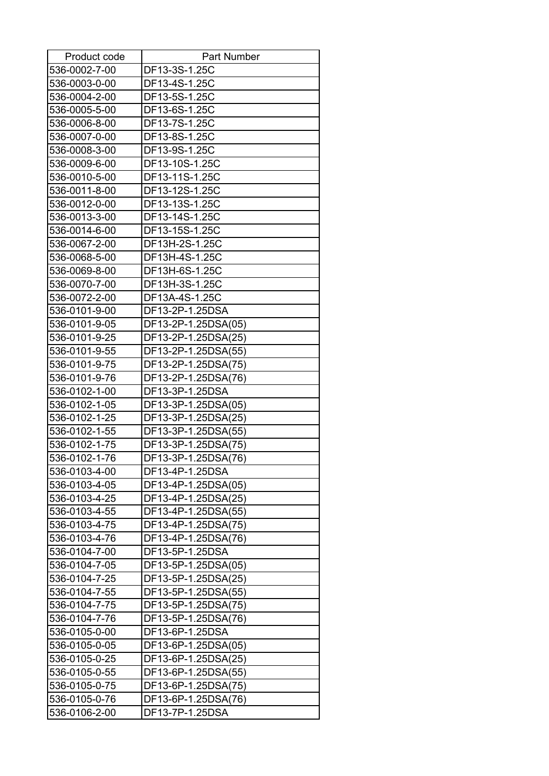| Product code  | <b>Part Number</b>  |
|---------------|---------------------|
| 536-0002-7-00 | DF13-3S-1.25C       |
| 536-0003-0-00 | DF13-4S-1.25C       |
| 536-0004-2-00 | DF13-5S-1.25C       |
| 536-0005-5-00 | DF13-6S-1.25C       |
| 536-0006-8-00 | DF13-7S-1.25C       |
| 536-0007-0-00 | DF13-8S-1.25C       |
| 536-0008-3-00 | DF13-9S-1.25C       |
| 536-0009-6-00 | DF13-10S-1.25C      |
| 536-0010-5-00 | DF13-11S-1.25C      |
| 536-0011-8-00 | DF13-12S-1.25C      |
| 536-0012-0-00 | DF13-13S-1.25C      |
| 536-0013-3-00 | DF13-14S-1.25C      |
| 536-0014-6-00 | DF13-15S-1.25C      |
| 536-0067-2-00 | DF13H-2S-1.25C      |
| 536-0068-5-00 | DF13H-4S-1.25C      |
| 536-0069-8-00 | DF13H-6S-1.25C      |
| 536-0070-7-00 | DF13H-3S-1.25C      |
| 536-0072-2-00 | DF13A-4S-1.25C      |
| 536-0101-9-00 | DF13-2P-1.25DSA     |
| 536-0101-9-05 | DF13-2P-1.25DSA(05) |
| 536-0101-9-25 | DF13-2P-1.25DSA(25) |
| 536-0101-9-55 | DF13-2P-1.25DSA(55) |
| 536-0101-9-75 | DF13-2P-1.25DSA(75) |
| 536-0101-9-76 | DF13-2P-1.25DSA(76) |
| 536-0102-1-00 | DF13-3P-1.25DSA     |
| 536-0102-1-05 | DF13-3P-1.25DSA(05) |
| 536-0102-1-25 | DF13-3P-1.25DSA(25) |
| 536-0102-1-55 | DF13-3P-1.25DSA(55) |
| 536-0102-1-75 | DF13-3P-1.25DSA(75) |
| 536-0102-1-76 | DF13-3P-1.25DSA(76) |
| 536-0103-4-00 | DF13-4P-1.25DSA     |
| 536-0103-4-05 | DF13-4P-1.25DSA(05) |
| 536-0103-4-25 | DF13-4P-1.25DSA(25) |
| 536-0103-4-55 | DF13-4P-1.25DSA(55) |
| 536-0103-4-75 | DF13-4P-1.25DSA(75) |
| 536-0103-4-76 | DF13-4P-1.25DSA(76) |
| 536-0104-7-00 | DF13-5P-1.25DSA     |
| 536-0104-7-05 | DF13-5P-1.25DSA(05) |
| 536-0104-7-25 | DF13-5P-1.25DSA(25) |
| 536-0104-7-55 | DF13-5P-1.25DSA(55) |
| 536-0104-7-75 | DF13-5P-1.25DSA(75) |
| 536-0104-7-76 | DF13-5P-1.25DSA(76) |
| 536-0105-0-00 | DF13-6P-1.25DSA     |
| 536-0105-0-05 | DF13-6P-1.25DSA(05) |
| 536-0105-0-25 | DF13-6P-1.25DSA(25) |
| 536-0105-0-55 | DF13-6P-1.25DSA(55) |
| 536-0105-0-75 | DF13-6P-1.25DSA(75) |
| 536-0105-0-76 | DF13-6P-1.25DSA(76) |
| 536-0106-2-00 | DF13-7P-1.25DSA     |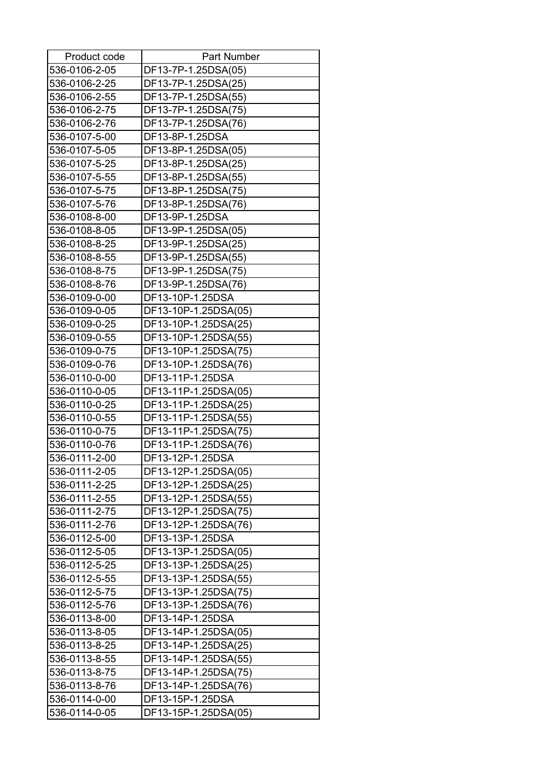| Product code  | <b>Part Number</b>   |
|---------------|----------------------|
| 536-0106-2-05 | DF13-7P-1.25DSA(05)  |
| 536-0106-2-25 | DF13-7P-1.25DSA(25)  |
| 536-0106-2-55 | DF13-7P-1.25DSA(55)  |
| 536-0106-2-75 | DF13-7P-1.25DSA(75)  |
| 536-0106-2-76 | DF13-7P-1.25DSA(76)  |
| 536-0107-5-00 | DF13-8P-1.25DSA      |
| 536-0107-5-05 | DF13-8P-1.25DSA(05)  |
| 536-0107-5-25 | DF13-8P-1.25DSA(25)  |
| 536-0107-5-55 | DF13-8P-1.25DSA(55)  |
| 536-0107-5-75 | DF13-8P-1.25DSA(75)  |
| 536-0107-5-76 | DF13-8P-1.25DSA(76)  |
| 536-0108-8-00 | DF13-9P-1.25DSA      |
| 536-0108-8-05 | DF13-9P-1.25DSA(05)  |
| 536-0108-8-25 | DF13-9P-1.25DSA(25)  |
| 536-0108-8-55 | DF13-9P-1.25DSA(55)  |
| 536-0108-8-75 | DF13-9P-1.25DSA(75)  |
| 536-0108-8-76 | DF13-9P-1.25DSA(76)  |
| 536-0109-0-00 | DF13-10P-1.25DSA     |
| 536-0109-0-05 | DF13-10P-1.25DSA(05) |
| 536-0109-0-25 | DF13-10P-1.25DSA(25) |
| 536-0109-0-55 | DF13-10P-1.25DSA(55) |
| 536-0109-0-75 | DF13-10P-1.25DSA(75) |
| 536-0109-0-76 | DF13-10P-1.25DSA(76) |
| 536-0110-0-00 | DF13-11P-1.25DSA     |
| 536-0110-0-05 | DF13-11P-1.25DSA(05) |
| 536-0110-0-25 | DF13-11P-1.25DSA(25) |
| 536-0110-0-55 | DF13-11P-1.25DSA(55) |
| 536-0110-0-75 | DF13-11P-1.25DSA(75) |
| 536-0110-0-76 | DF13-11P-1.25DSA(76) |
| 536-0111-2-00 | DF13-12P-1.25DSA     |
| 536-0111-2-05 | DF13-12P-1.25DSA(05) |
| 536-0111-2-25 | DF13-12P-1.25DSA(25) |
| 536-0111-2-55 | DF13-12P-1.25DSA(55) |
| 536-0111-2-75 | DF13-12P-1.25DSA(75) |
| 536-0111-2-76 | DF13-12P-1.25DSA(76) |
| 536-0112-5-00 | DF13-13P-1.25DSA     |
| 536-0112-5-05 | DF13-13P-1.25DSA(05) |
| 536-0112-5-25 | DF13-13P-1.25DSA(25) |
| 536-0112-5-55 | DF13-13P-1.25DSA(55) |
| 536-0112-5-75 | DF13-13P-1.25DSA(75) |
| 536-0112-5-76 | DF13-13P-1.25DSA(76) |
| 536-0113-8-00 | DF13-14P-1.25DSA     |
| 536-0113-8-05 | DF13-14P-1.25DSA(05) |
| 536-0113-8-25 | DF13-14P-1.25DSA(25) |
| 536-0113-8-55 | DF13-14P-1.25DSA(55) |
| 536-0113-8-75 | DF13-14P-1.25DSA(75) |
| 536-0113-8-76 | DF13-14P-1.25DSA(76) |
| 536-0114-0-00 | DF13-15P-1.25DSA     |
| 536-0114-0-05 | DF13-15P-1.25DSA(05) |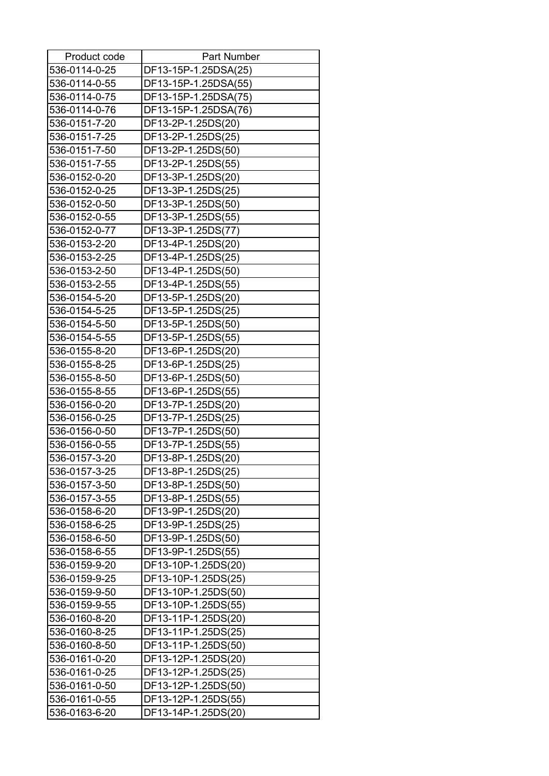| Product code  | <b>Part Number</b>   |
|---------------|----------------------|
| 536-0114-0-25 | DF13-15P-1.25DSA(25) |
| 536-0114-0-55 | DF13-15P-1.25DSA(55) |
| 536-0114-0-75 | DF13-15P-1.25DSA(75) |
| 536-0114-0-76 | DF13-15P-1.25DSA(76) |
| 536-0151-7-20 | DF13-2P-1.25DS(20)   |
| 536-0151-7-25 | DF13-2P-1.25DS(25)   |
| 536-0151-7-50 | DF13-2P-1.25DS(50)   |
| 536-0151-7-55 | DF13-2P-1.25DS(55)   |
| 536-0152-0-20 | DF13-3P-1.25DS(20)   |
| 536-0152-0-25 | DF13-3P-1.25DS(25)   |
| 536-0152-0-50 | DF13-3P-1.25DS(50)   |
| 536-0152-0-55 | DF13-3P-1.25DS(55)   |
| 536-0152-0-77 | DF13-3P-1.25DS(77)   |
| 536-0153-2-20 | DF13-4P-1.25DS(20)   |
| 536-0153-2-25 | DF13-4P-1.25DS(25)   |
| 536-0153-2-50 | DF13-4P-1.25DS(50)   |
| 536-0153-2-55 | DF13-4P-1.25DS(55)   |
| 536-0154-5-20 | DF13-5P-1.25DS(20)   |
| 536-0154-5-25 | DF13-5P-1.25DS(25)   |
| 536-0154-5-50 | DF13-5P-1.25DS(50)   |
| 536-0154-5-55 | DF13-5P-1.25DS(55)   |
| 536-0155-8-20 | DF13-6P-1.25DS(20)   |
| 536-0155-8-25 | DF13-6P-1.25DS(25)   |
| 536-0155-8-50 | DF13-6P-1.25DS(50)   |
| 536-0155-8-55 | DF13-6P-1.25DS(55)   |
| 536-0156-0-20 | DF13-7P-1.25DS(20)   |
| 536-0156-0-25 | DF13-7P-1.25DS(25)   |
| 536-0156-0-50 | DF13-7P-1.25DS(50)   |
| 536-0156-0-55 | DF13-7P-1.25DS(55)   |
| 536-0157-3-20 | DF13-8P-1.25DS(20)   |
| 536-0157-3-25 | DF13-8P-1.25DS(25)   |
| 536-0157-3-50 | DF13-8P-1.25DS(50)   |
| 536-0157-3-55 | DF13-8P-1.25DS(55)   |
| 536-0158-6-20 | DF13-9P-1.25DS(20)   |
| 536-0158-6-25 | DF13-9P-1.25DS(25)   |
| 536-0158-6-50 | DF13-9P-1.25DS(50)   |
| 536-0158-6-55 | DF13-9P-1.25DS(55)   |
| 536-0159-9-20 | DF13-10P-1.25DS(20)  |
| 536-0159-9-25 | DF13-10P-1.25DS(25)  |
| 536-0159-9-50 | DF13-10P-1.25DS(50)  |
| 536-0159-9-55 | DF13-10P-1.25DS(55)  |
| 536-0160-8-20 | DF13-11P-1.25DS(20)  |
| 536-0160-8-25 | DF13-11P-1.25DS(25)  |
| 536-0160-8-50 | DF13-11P-1.25DS(50)  |
| 536-0161-0-20 | DF13-12P-1.25DS(20)  |
| 536-0161-0-25 | DF13-12P-1.25DS(25)  |
| 536-0161-0-50 | DF13-12P-1.25DS(50)  |
| 536-0161-0-55 | DF13-12P-1.25DS(55)  |
| 536-0163-6-20 | DF13-14P-1.25DS(20)  |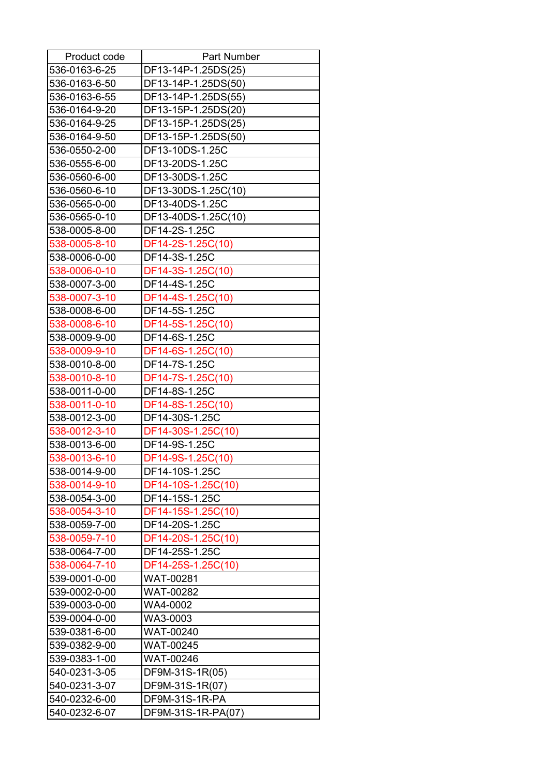| Product code  | <b>Part Number</b>  |
|---------------|---------------------|
| 536-0163-6-25 | DF13-14P-1.25DS(25) |
| 536-0163-6-50 | DF13-14P-1.25DS(50) |
| 536-0163-6-55 | DF13-14P-1.25DS(55) |
| 536-0164-9-20 | DF13-15P-1.25DS(20) |
| 536-0164-9-25 | DF13-15P-1.25DS(25) |
| 536-0164-9-50 | DF13-15P-1.25DS(50) |
| 536-0550-2-00 | DF13-10DS-1.25C     |
| 536-0555-6-00 | DF13-20DS-1.25C     |
| 536-0560-6-00 | DF13-30DS-1.25C     |
| 536-0560-6-10 | DF13-30DS-1.25C(10) |
| 536-0565-0-00 | DF13-40DS-1.25C     |
| 536-0565-0-10 | DF13-40DS-1.25C(10) |
| 538-0005-8-00 | DF14-2S-1.25C       |
| 538-0005-8-10 | DF14-2S-1.25C(10)   |
| 538-0006-0-00 | DF14-3S-1.25C       |
| 538-0006-0-10 | DF14-3S-1.25C(10)   |
| 538-0007-3-00 | DF14-4S-1.25C       |
| 538-0007-3-10 | DF14-4S-1.25C(10)   |
| 538-0008-6-00 | DF14-5S-1.25C       |
| 538-0008-6-10 | DF14-5S-1.25C(10)   |
| 538-0009-9-00 | DF14-6S-1.25C       |
| 538-0009-9-10 | DF14-6S-1.25C(10)   |
| 538-0010-8-00 | DF14-7S-1.25C       |
| 538-0010-8-10 | DF14-7S-1.25C(10)   |
| 538-0011-0-00 | DF14-8S-1.25C       |
| 538-0011-0-10 | DF14-8S-1.25C(10)   |
| 538-0012-3-00 | DF14-30S-1.25C      |
| 538-0012-3-10 | DF14-30S-1.25C(10)  |
| 538-0013-6-00 | DF14-9S-1.25C       |
| 538-0013-6-10 | DF14-9S-1.25C(10)   |
| 538-0014-9-00 | DF14-10S-1.25C      |
| 538-0014-9-10 | DF14-10S-1.25C(10)  |
| 538-0054-3-00 | DF14-15S-1.25C      |
| 538-0054-3-10 | DF14-15S-1.25C(10)  |
| 538-0059-7-00 | DF14-20S-1.25C      |
| 538-0059-7-10 | DF14-20S-1.25C(10)  |
| 538-0064-7-00 | DF14-25S-1.25C      |
| 538-0064-7-10 | DF14-25S-1.25C(10)  |
| 539-0001-0-00 | WAT-00281           |
| 539-0002-0-00 | WAT-00282           |
| 539-0003-0-00 | WA4-0002            |
| 539-0004-0-00 | WA3-0003            |
| 539-0381-6-00 | WAT-00240           |
| 539-0382-9-00 | WAT-00245           |
| 539-0383-1-00 | WAT-00246           |
| 540-0231-3-05 | DF9M-31S-1R(05)     |
| 540-0231-3-07 | DF9M-31S-1R(07)     |
| 540-0232-6-00 | DF9M-31S-1R-PA      |
| 540-0232-6-07 | DF9M-31S-1R-PA(07)  |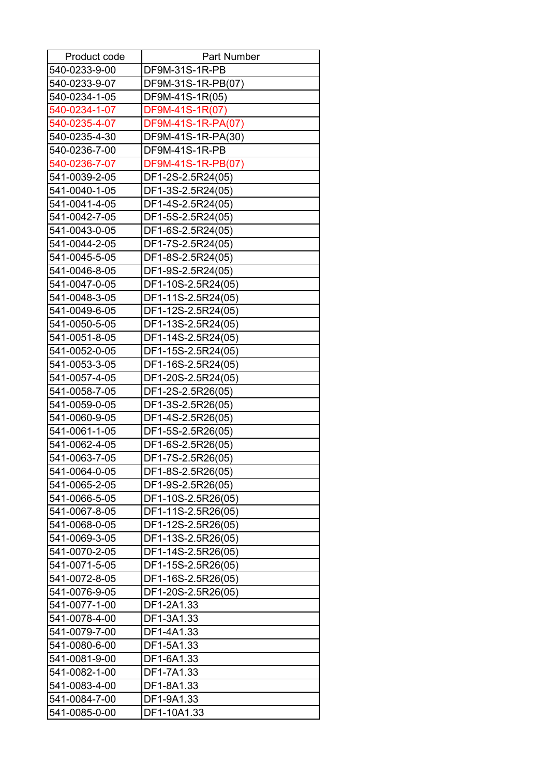| Product code  | <b>Part Number</b> |
|---------------|--------------------|
| 540-0233-9-00 | DF9M-31S-1R-PB     |
| 540-0233-9-07 | DF9M-31S-1R-PB(07) |
| 540-0234-1-05 | DF9M-41S-1R(05)    |
| 540-0234-1-07 | DF9M-41S-1R(07)    |
| 540-0235-4-07 | DF9M-41S-1R-PA(07) |
| 540-0235-4-30 | DF9M-41S-1R-PA(30) |
| 540-0236-7-00 | DF9M-41S-1R-PB     |
| 540-0236-7-07 | DF9M-41S-1R-PB(07) |
| 541-0039-2-05 | DF1-2S-2.5R24(05)  |
| 541-0040-1-05 | DF1-3S-2.5R24(05)  |
| 541-0041-4-05 | DF1-4S-2.5R24(05)  |
| 541-0042-7-05 | DF1-5S-2.5R24(05)  |
| 541-0043-0-05 | DF1-6S-2.5R24(05)  |
| 541-0044-2-05 | DF1-7S-2.5R24(05)  |
| 541-0045-5-05 | DF1-8S-2.5R24(05)  |
| 541-0046-8-05 | DF1-9S-2.5R24(05)  |
| 541-0047-0-05 | DF1-10S-2.5R24(05) |
| 541-0048-3-05 | DF1-11S-2.5R24(05) |
| 541-0049-6-05 | DF1-12S-2.5R24(05) |
| 541-0050-5-05 | DF1-13S-2.5R24(05) |
| 541-0051-8-05 | DF1-14S-2.5R24(05) |
| 541-0052-0-05 | DF1-15S-2.5R24(05) |
| 541-0053-3-05 | DF1-16S-2.5R24(05) |
| 541-0057-4-05 | DF1-20S-2.5R24(05) |
| 541-0058-7-05 | DF1-2S-2.5R26(05)  |
| 541-0059-0-05 | DF1-3S-2.5R26(05)  |
| 541-0060-9-05 | DF1-4S-2.5R26(05)  |
| 541-0061-1-05 | DF1-5S-2.5R26(05)  |
| 541-0062-4-05 | DF1-6S-2.5R26(05)  |
| 541-0063-7-05 | DF1-7S-2.5R26(05)  |
| 541-0064-0-05 | DF1-8S-2.5R26(05)  |
| 541-0065-2-05 | DF1-9S-2.5R26(05)  |
| 541-0066-5-05 | DF1-10S-2.5R26(05) |
| 541-0067-8-05 | DF1-11S-2.5R26(05) |
| 541-0068-0-05 | DF1-12S-2.5R26(05) |
| 541-0069-3-05 | DF1-13S-2.5R26(05) |
| 541-0070-2-05 | DF1-14S-2.5R26(05) |
| 541-0071-5-05 | DF1-15S-2.5R26(05) |
| 541-0072-8-05 | DF1-16S-2.5R26(05) |
| 541-0076-9-05 | DF1-20S-2.5R26(05) |
| 541-0077-1-00 | DF1-2A1.33         |
| 541-0078-4-00 | DF1-3A1.33         |
| 541-0079-7-00 | DF1-4A1.33         |
| 541-0080-6-00 | DF1-5A1.33         |
| 541-0081-9-00 | DF1-6A1.33         |
| 541-0082-1-00 | DF1-7A1.33         |
| 541-0083-4-00 | DF1-8A1.33         |
| 541-0084-7-00 | DF1-9A1.33         |
| 541-0085-0-00 | DF1-10A1.33        |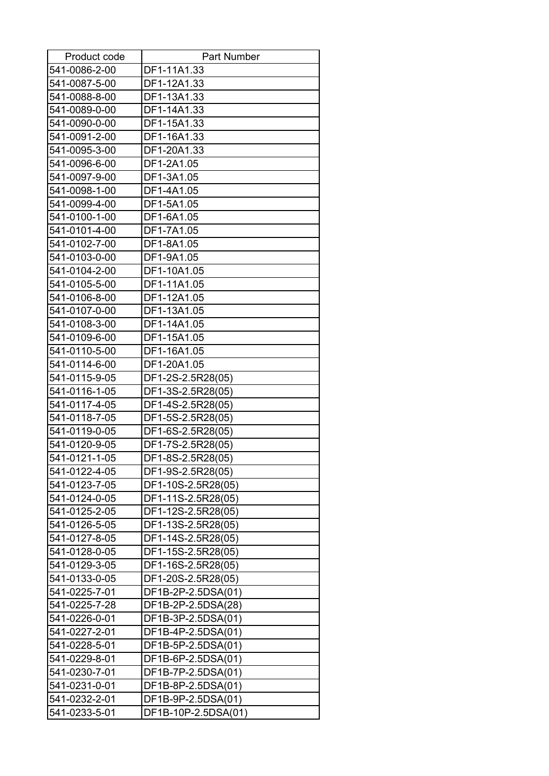| Product code  | <b>Part Number</b>  |
|---------------|---------------------|
| 541-0086-2-00 | DF1-11A1.33         |
| 541-0087-5-00 | DF1-12A1.33         |
| 541-0088-8-00 | DF1-13A1.33         |
| 541-0089-0-00 | DF1-14A1.33         |
| 541-0090-0-00 | DF1-15A1.33         |
| 541-0091-2-00 | DF1-16A1.33         |
| 541-0095-3-00 | DF1-20A1.33         |
| 541-0096-6-00 | DF1-2A1.05          |
| 541-0097-9-00 | DF1-3A1.05          |
| 541-0098-1-00 | DF1-4A1.05          |
| 541-0099-4-00 | DF1-5A1.05          |
| 541-0100-1-00 | DF1-6A1.05          |
| 541-0101-4-00 | DF1-7A1.05          |
| 541-0102-7-00 | DF1-8A1.05          |
| 541-0103-0-00 | DF1-9A1.05          |
| 541-0104-2-00 | DF1-10A1.05         |
| 541-0105-5-00 | DF1-11A1.05         |
| 541-0106-8-00 | DF1-12A1.05         |
| 541-0107-0-00 | DF1-13A1.05         |
| 541-0108-3-00 | DF1-14A1.05         |
| 541-0109-6-00 | DF1-15A1.05         |
| 541-0110-5-00 | DF1-16A1.05         |
| 541-0114-6-00 | DF1-20A1.05         |
| 541-0115-9-05 | DF1-2S-2.5R28(05)   |
| 541-0116-1-05 | DF1-3S-2.5R28(05)   |
| 541-0117-4-05 | DF1-4S-2.5R28(05)   |
| 541-0118-7-05 | DF1-5S-2.5R28(05)   |
| 541-0119-0-05 | DF1-6S-2.5R28(05)   |
| 541-0120-9-05 | DF1-7S-2.5R28(05)   |
| 541-0121-1-05 | DF1-8S-2.5R28(05)   |
| 541-0122-4-05 | DF1-9S-2.5R28(05)   |
| 541-0123-7-05 | DF1-10S-2.5R28(05)  |
| 541-0124-0-05 | DF1-11S-2.5R28(05)  |
| 541-0125-2-05 | DF1-12S-2.5R28(05)  |
| 541-0126-5-05 | DF1-13S-2.5R28(05)  |
| 541-0127-8-05 | DF1-14S-2.5R28(05)  |
| 541-0128-0-05 | DF1-15S-2.5R28(05)  |
| 541-0129-3-05 | DF1-16S-2.5R28(05)  |
| 541-0133-0-05 | DF1-20S-2.5R28(05)  |
| 541-0225-7-01 | DF1B-2P-2.5DSA(01)  |
| 541-0225-7-28 | DF1B-2P-2.5DSA(28)  |
| 541-0226-0-01 | DF1B-3P-2.5DSA(01)  |
| 541-0227-2-01 | DF1B-4P-2.5DSA(01)  |
| 541-0228-5-01 | DF1B-5P-2.5DSA(01)  |
| 541-0229-8-01 | DF1B-6P-2.5DSA(01)  |
| 541-0230-7-01 | DF1B-7P-2.5DSA(01)  |
| 541-0231-0-01 | DF1B-8P-2.5DSA(01)  |
| 541-0232-2-01 | DF1B-9P-2.5DSA(01)  |
| 541-0233-5-01 | DF1B-10P-2.5DSA(01) |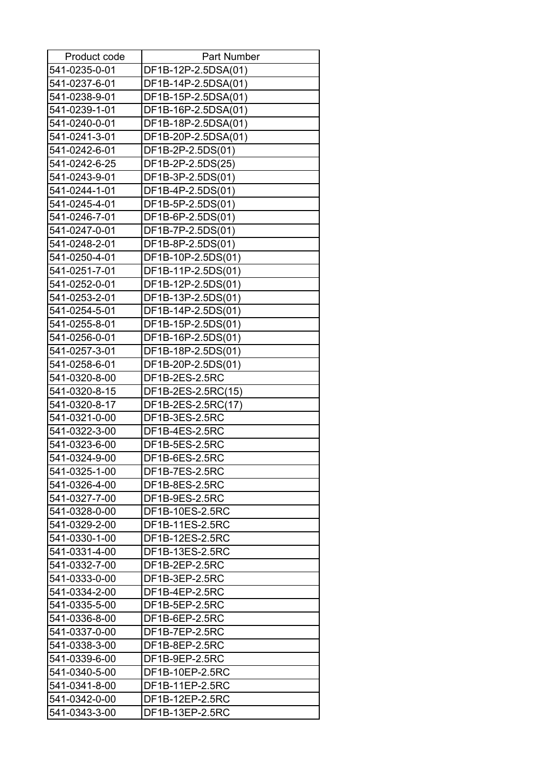| Product code  | <b>Part Number</b>  |
|---------------|---------------------|
| 541-0235-0-01 | DF1B-12P-2.5DSA(01) |
| 541-0237-6-01 | DF1B-14P-2.5DSA(01) |
| 541-0238-9-01 | DF1B-15P-2.5DSA(01) |
| 541-0239-1-01 | DF1B-16P-2.5DSA(01) |
| 541-0240-0-01 | DF1B-18P-2.5DSA(01) |
| 541-0241-3-01 | DF1B-20P-2.5DSA(01) |
| 541-0242-6-01 | DF1B-2P-2.5DS(01)   |
| 541-0242-6-25 | DF1B-2P-2.5DS(25)   |
| 541-0243-9-01 | DF1B-3P-2.5DS(01)   |
| 541-0244-1-01 | DF1B-4P-2.5DS(01)   |
| 541-0245-4-01 | DF1B-5P-2.5DS(01)   |
| 541-0246-7-01 | DF1B-6P-2.5DS(01)   |
| 541-0247-0-01 | DF1B-7P-2.5DS(01)   |
| 541-0248-2-01 | DF1B-8P-2.5DS(01)   |
| 541-0250-4-01 | DF1B-10P-2.5DS(01)  |
| 541-0251-7-01 | DF1B-11P-2.5DS(01)  |
| 541-0252-0-01 | DF1B-12P-2.5DS(01)  |
| 541-0253-2-01 | DF1B-13P-2.5DS(01)  |
| 541-0254-5-01 | DF1B-14P-2.5DS(01)  |
| 541-0255-8-01 | DF1B-15P-2.5DS(01)  |
| 541-0256-0-01 | DF1B-16P-2.5DS(01)  |
| 541-0257-3-01 | DF1B-18P-2.5DS(01)  |
| 541-0258-6-01 | DF1B-20P-2.5DS(01)  |
| 541-0320-8-00 | DF1B-2ES-2.5RC      |
| 541-0320-8-15 | DF1B-2ES-2.5RC(15)  |
| 541-0320-8-17 | DF1B-2ES-2.5RC(17)  |
| 541-0321-0-00 | DF1B-3ES-2.5RC      |
| 541-0322-3-00 | DF1B-4ES-2.5RC      |
| 541-0323-6-00 | DF1B-5ES-2.5RC      |
| 541-0324-9-00 | DF1B-6ES-2.5RC      |
| 541-0325-1-00 | DF1B-7ES-2.5RC      |
| 541-0326-4-00 | DF1B-8ES-2.5RC      |
| 541-0327-7-00 | DF1B-9ES-2.5RC      |
| 541-0328-0-00 | DF1B-10ES-2.5RC     |
| 541-0329-2-00 | DF1B-11ES-2.5RC     |
| 541-0330-1-00 | DF1B-12ES-2.5RC     |
| 541-0331-4-00 | DF1B-13ES-2.5RC     |
| 541-0332-7-00 | DF1B-2EP-2.5RC      |
| 541-0333-0-00 | DF1B-3EP-2.5RC      |
| 541-0334-2-00 | DF1B-4EP-2.5RC      |
| 541-0335-5-00 | DF1B-5EP-2.5RC      |
| 541-0336-8-00 | DF1B-6EP-2.5RC      |
| 541-0337-0-00 | DF1B-7EP-2.5RC      |
| 541-0338-3-00 | DF1B-8EP-2.5RC      |
| 541-0339-6-00 | DF1B-9EP-2.5RC      |
| 541-0340-5-00 | DF1B-10EP-2.5RC     |
| 541-0341-8-00 | DF1B-11EP-2.5RC     |
| 541-0342-0-00 | DF1B-12EP-2.5RC     |
| 541-0343-3-00 | DF1B-13EP-2.5RC     |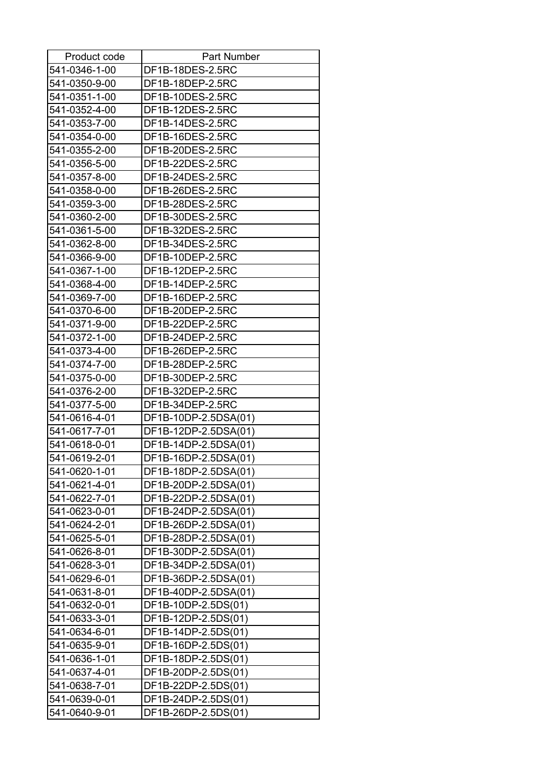| Product code  | <b>Part Number</b>   |
|---------------|----------------------|
| 541-0346-1-00 | DF1B-18DES-2.5RC     |
| 541-0350-9-00 | DF1B-18DEP-2.5RC     |
| 541-0351-1-00 | DF1B-10DES-2.5RC     |
| 541-0352-4-00 | DF1B-12DES-2.5RC     |
| 541-0353-7-00 | DF1B-14DES-2.5RC     |
| 541-0354-0-00 | DF1B-16DES-2.5RC     |
| 541-0355-2-00 | DF1B-20DES-2.5RC     |
| 541-0356-5-00 | DF1B-22DES-2.5RC     |
| 541-0357-8-00 | DF1B-24DES-2.5RC     |
| 541-0358-0-00 | DF1B-26DES-2.5RC     |
| 541-0359-3-00 | DF1B-28DES-2.5RC     |
| 541-0360-2-00 | DF1B-30DES-2.5RC     |
| 541-0361-5-00 | DF1B-32DES-2.5RC     |
| 541-0362-8-00 | DF1B-34DES-2.5RC     |
| 541-0366-9-00 | DF1B-10DEP-2.5RC     |
| 541-0367-1-00 | DF1B-12DEP-2.5RC     |
| 541-0368-4-00 | DF1B-14DEP-2.5RC     |
| 541-0369-7-00 | DF1B-16DEP-2.5RC     |
| 541-0370-6-00 | DF1B-20DEP-2.5RC     |
| 541-0371-9-00 | DF1B-22DEP-2.5RC     |
| 541-0372-1-00 | DF1B-24DEP-2.5RC     |
| 541-0373-4-00 | DF1B-26DEP-2.5RC     |
| 541-0374-7-00 | DF1B-28DEP-2.5RC     |
| 541-0375-0-00 | DF1B-30DEP-2.5RC     |
| 541-0376-2-00 | DF1B-32DEP-2.5RC     |
| 541-0377-5-00 | DF1B-34DEP-2.5RC     |
| 541-0616-4-01 | DF1B-10DP-2.5DSA(01) |
| 541-0617-7-01 | DF1B-12DP-2.5DSA(01) |
| 541-0618-0-01 | DF1B-14DP-2.5DSA(01) |
| 541-0619-2-01 | DF1B-16DP-2.5DSA(01) |
| 541-0620-1-01 | DF1B-18DP-2.5DSA(01) |
| 541-0621-4-01 | DF1B-20DP-2.5DSA(01) |
| 541-0622-7-01 | DF1B-22DP-2.5DSA(01) |
| 541-0623-0-01 | DF1B-24DP-2.5DSA(01) |
| 541-0624-2-01 | DF1B-26DP-2.5DSA(01) |
| 541-0625-5-01 | DF1B-28DP-2.5DSA(01) |
| 541-0626-8-01 | DF1B-30DP-2.5DSA(01) |
| 541-0628-3-01 | DF1B-34DP-2.5DSA(01) |
| 541-0629-6-01 | DF1B-36DP-2.5DSA(01) |
| 541-0631-8-01 | DF1B-40DP-2.5DSA(01) |
| 541-0632-0-01 | DF1B-10DP-2.5DS(01)  |
| 541-0633-3-01 | DF1B-12DP-2.5DS(01)  |
| 541-0634-6-01 | DF1B-14DP-2.5DS(01)  |
| 541-0635-9-01 | DF1B-16DP-2.5DS(01)  |
| 541-0636-1-01 | DF1B-18DP-2.5DS(01)  |
| 541-0637-4-01 | DF1B-20DP-2.5DS(01)  |
| 541-0638-7-01 | DF1B-22DP-2.5DS(01)  |
| 541-0639-0-01 | DF1B-24DP-2.5DS(01)  |
| 541-0640-9-01 | DF1B-26DP-2.5DS(01)  |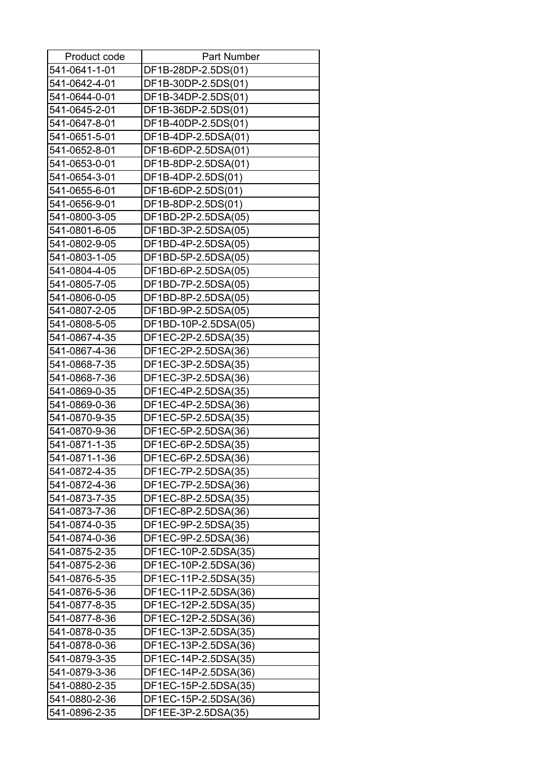| Product code                   | <b>Part Number</b>   |
|--------------------------------|----------------------|
| 541-0641-1-01                  | DF1B-28DP-2.5DS(01)  |
| 541-0642-4-01                  | DF1B-30DP-2.5DS(01)  |
| 541-0644-0-01                  | DF1B-34DP-2.5DS(01)  |
| 541-0645-2-01                  | DF1B-36DP-2.5DS(01)  |
| 541-0647-8-01                  | DF1B-40DP-2.5DS(01)  |
| 541-0651-5-01                  | DF1B-4DP-2.5DSA(01)  |
| 541-0652-8-01                  | DF1B-6DP-2.5DSA(01)  |
| 541-0653-0-01                  | DF1B-8DP-2.5DSA(01)  |
| 541-0654-3-01                  | DF1B-4DP-2.5DS(01)   |
| 541-0655-6-01                  | DF1B-6DP-2.5DS(01)   |
| 541-0656-9-01                  | DF1B-8DP-2.5DS(01)   |
| 541-0800-3-05                  | DF1BD-2P-2.5DSA(05)  |
| 541-0801-6-05                  | DF1BD-3P-2.5DSA(05)  |
| 541-0802-9-05                  | DF1BD-4P-2.5DSA(05)  |
| 541-0803-1-05                  | DF1BD-5P-2.5DSA(05)  |
| 541-0804-4-05                  | DF1BD-6P-2.5DSA(05)  |
| 541-0805-7-05                  | DF1BD-7P-2.5DSA(05)  |
| 541-0806-0-05                  | DF1BD-8P-2.5DSA(05)  |
| 541-0807-2-05                  | DF1BD-9P-2.5DSA(05)  |
| 541-0808-5-05                  | DF1BD-10P-2.5DSA(05) |
| 541-0867-4-35                  | DF1EC-2P-2.5DSA(35)  |
| 541-0867-4-36                  | DF1EC-2P-2.5DSA(36)  |
| 541-0868-7-35                  | DF1EC-3P-2.5DSA(35)  |
| 541-0868-7-36                  | DF1EC-3P-2.5DSA(36)  |
| 541-0869-0-35                  | DF1EC-4P-2.5DSA(35)  |
| 541-0869-0-36                  | DF1EC-4P-2.5DSA(36)  |
| 541-0870-9-35                  | DF1EC-5P-2.5DSA(35)  |
| 541-0870-9-36                  | DF1EC-5P-2.5DSA(36)  |
| 541-0871-1-35                  | DF1EC-6P-2.5DSA(35)  |
| 541-0871-1-36                  | DF1EC-6P-2.5DSA(36)  |
| 541-0872-4-35                  |                      |
| 541-0872-4-36                  | DF1EC-7P-2.5DSA(35)  |
|                                | DF1EC-7P-2.5DSA(36)  |
| 541-0873-7-35<br>541-0873-7-36 | DF1EC-8P-2.5DSA(35)  |
|                                | DF1EC-8P-2.5DSA(36)  |
| 541-0874-0-35                  | DF1EC-9P-2.5DSA(35)  |
| 541-0874-0-36                  | DF1EC-9P-2.5DSA(36)  |
| 541-0875-2-35                  | DF1EC-10P-2.5DSA(35) |
| 541-0875-2-36                  | DF1EC-10P-2.5DSA(36) |
| 541-0876-5-35                  | DF1EC-11P-2.5DSA(35) |
| 541-0876-5-36                  | DF1EC-11P-2.5DSA(36) |
| 541-0877-8-35                  | DF1EC-12P-2.5DSA(35) |
| 541-0877-8-36                  | DF1EC-12P-2.5DSA(36) |
| 541-0878-0-35                  | DF1EC-13P-2.5DSA(35) |
| 541-0878-0-36                  | DF1EC-13P-2.5DSA(36) |
| 541-0879-3-35                  | DF1EC-14P-2.5DSA(35) |
| 541-0879-3-36                  | DF1EC-14P-2.5DSA(36) |
| 541-0880-2-35                  | DF1EC-15P-2.5DSA(35) |
| 541-0880-2-36                  | DF1EC-15P-2.5DSA(36) |
| 541-0896-2-35                  | DF1EE-3P-2.5DSA(35)  |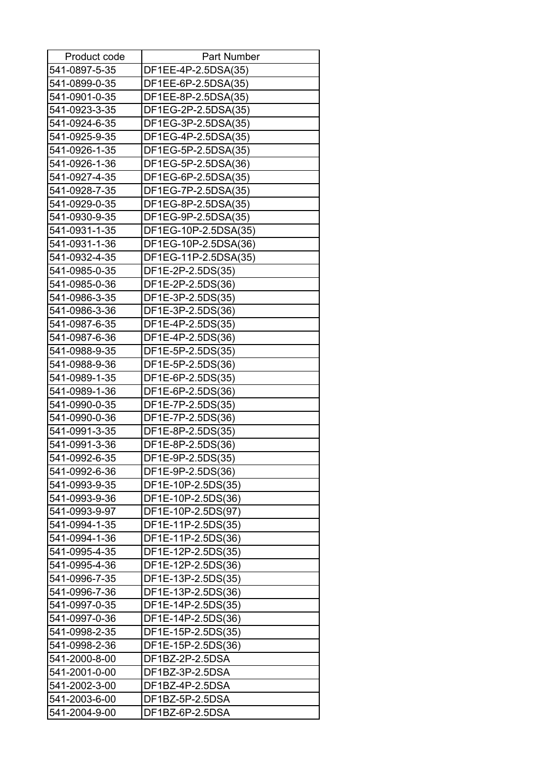| Product code  | <b>Part Number</b>   |
|---------------|----------------------|
| 541-0897-5-35 | DF1EE-4P-2.5DSA(35)  |
| 541-0899-0-35 | DF1EE-6P-2.5DSA(35)  |
| 541-0901-0-35 | DF1EE-8P-2.5DSA(35)  |
| 541-0923-3-35 | DF1EG-2P-2.5DSA(35)  |
| 541-0924-6-35 | DF1EG-3P-2.5DSA(35)  |
| 541-0925-9-35 | DF1EG-4P-2.5DSA(35)  |
| 541-0926-1-35 | DF1EG-5P-2.5DSA(35)  |
| 541-0926-1-36 | DF1EG-5P-2.5DSA(36)  |
| 541-0927-4-35 | DF1EG-6P-2.5DSA(35)  |
| 541-0928-7-35 | DF1EG-7P-2.5DSA(35)  |
| 541-0929-0-35 | DF1EG-8P-2.5DSA(35)  |
| 541-0930-9-35 | DF1EG-9P-2.5DSA(35)  |
| 541-0931-1-35 | DF1EG-10P-2.5DSA(35) |
| 541-0931-1-36 | DF1EG-10P-2.5DSA(36) |
| 541-0932-4-35 | DF1EG-11P-2.5DSA(35) |
| 541-0985-0-35 | DF1E-2P-2.5DS(35)    |
| 541-0985-0-36 | DF1E-2P-2.5DS(36)    |
| 541-0986-3-35 | DF1E-3P-2.5DS(35)    |
| 541-0986-3-36 | DF1E-3P-2.5DS(36)    |
| 541-0987-6-35 | DF1E-4P-2.5DS(35)    |
| 541-0987-6-36 | DF1E-4P-2.5DS(36)    |
| 541-0988-9-35 | DF1E-5P-2.5DS(35)    |
| 541-0988-9-36 | DF1E-5P-2.5DS(36)    |
| 541-0989-1-35 |                      |
|               | DF1E-6P-2.5DS(35)    |
| 541-0989-1-36 | DF1E-6P-2.5DS(36)    |
| 541-0990-0-35 | DF1E-7P-2.5DS(35)    |
| 541-0990-0-36 | DF1E-7P-2.5DS(36)    |
| 541-0991-3-35 | DF1E-8P-2.5DS(35)    |
| 541-0991-3-36 | DF1E-8P-2.5DS(36)    |
| 541-0992-6-35 | DF1E-9P-2.5DS(35)    |
| 541-0992-6-36 | DF1E-9P-2.5DS(36)    |
| 541-0993-9-35 | DF1E-10P-2.5DS(35)   |
| 541-0993-9-36 | DF1E-10P-2.5DS(36)   |
| 541-0993-9-97 | DF1E-10P-2.5DS(97)   |
| 541-0994-1-35 | DF1E-11P-2.5DS(35)   |
| 541-0994-1-36 | DF1E-11P-2.5DS(36)   |
| 541-0995-4-35 | DF1E-12P-2.5DS(35)   |
| 541-0995-4-36 | DF1E-12P-2.5DS(36)   |
| 541-0996-7-35 | DF1E-13P-2.5DS(35)   |
| 541-0996-7-36 | DF1E-13P-2.5DS(36)   |
| 541-0997-0-35 | DF1E-14P-2.5DS(35)   |
| 541-0997-0-36 | DF1E-14P-2.5DS(36)   |
| 541-0998-2-35 | DF1E-15P-2.5DS(35)   |
| 541-0998-2-36 | DF1E-15P-2.5DS(36)   |
| 541-2000-8-00 | DF1BZ-2P-2.5DSA      |
| 541-2001-0-00 | DF1BZ-3P-2.5DSA      |
| 541-2002-3-00 | DF1BZ-4P-2.5DSA      |
| 541-2003-6-00 | DF1BZ-5P-2.5DSA      |
| 541-2004-9-00 | DF1BZ-6P-2.5DSA      |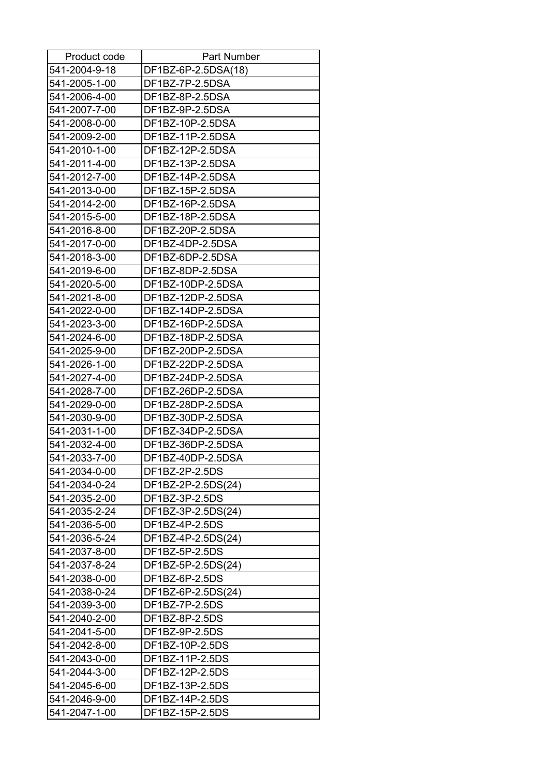| Product code  | Part Number                          |
|---------------|--------------------------------------|
| 541-2004-9-18 | DF1BZ-6P-2.5DSA(18)                  |
| 541-2005-1-00 | DF1BZ-7P-2.5DSA                      |
| 541-2006-4-00 | DF1BZ-8P-2.5DSA                      |
| 541-2007-7-00 | DF1BZ-9P-2.5DSA                      |
| 541-2008-0-00 | DF1BZ-10P-2.5DSA                     |
| 541-2009-2-00 | DF1BZ-11P-2.5DSA                     |
| 541-2010-1-00 | DF1BZ-12P-2.5DSA                     |
| 541-2011-4-00 | DF1BZ-13P-2.5DSA                     |
| 541-2012-7-00 | DF1BZ-14P-2.5DSA                     |
| 541-2013-0-00 | DF1BZ-15P-2.5DSA                     |
| 541-2014-2-00 | DF1BZ-16P-2.5DSA                     |
| 541-2015-5-00 | DF1BZ-18P-2.5DSA                     |
| 541-2016-8-00 | DF1BZ-20P-2.5DSA                     |
| 541-2017-0-00 | DF1BZ-4DP-2.5DSA                     |
| 541-2018-3-00 | DF1BZ-6DP-2.5DSA                     |
| 541-2019-6-00 | DF1BZ-8DP-2.5DSA                     |
| 541-2020-5-00 | DF1BZ-10DP-2.5DSA                    |
| 541-2021-8-00 | DF1BZ-12DP-2.5DSA                    |
| 541-2022-0-00 | DF1BZ-14DP-2.5DSA                    |
| 541-2023-3-00 | DF1BZ-16DP-2.5DSA                    |
| 541-2024-6-00 | DF1BZ-18DP-2.5DSA                    |
| 541-2025-9-00 | DF1BZ-20DP-2.5DSA                    |
| 541-2026-1-00 | DF1BZ-22DP-2.5DSA                    |
| 541-2027-4-00 | DF1BZ-24DP-2.5DSA                    |
| 541-2028-7-00 | DF1BZ-26DP-2.5DSA                    |
| 541-2029-0-00 | DF1BZ-28DP-2.5DSA                    |
| 541-2030-9-00 | DF1BZ-30DP-2.5DSA                    |
| 541-2031-1-00 | DF1BZ-34DP-2.5DSA                    |
| 541-2032-4-00 | DF1BZ-36DP-2.5DSA                    |
| 541-2033-7-00 | DF1BZ-40DP-2.5DSA                    |
| 541-2034-0-00 | DF1BZ-2P-2.5DS                       |
| 541-2034-0-24 | DF1BZ-2P-2.5DS(24)                   |
| 541-2035-2-00 | DF1BZ-3P-2.5DS                       |
| 541-2035-2-24 | DF1BZ-3P-2.5DS(24)                   |
| 541-2036-5-00 | DF1BZ-4P-2.5DS                       |
| 541-2036-5-24 |                                      |
| 541-2037-8-00 | DF1BZ-4P-2.5DS(24)<br>DF1BZ-5P-2.5DS |
|               |                                      |
| 541-2037-8-24 | DF1BZ-5P-2.5DS(24)                   |
| 541-2038-0-00 | DF1BZ-6P-2.5DS                       |
| 541-2038-0-24 | DF1BZ-6P-2.5DS(24)                   |
| 541-2039-3-00 | DF1BZ-7P-2.5DS                       |
| 541-2040-2-00 | DF1BZ-8P-2.5DS                       |
| 541-2041-5-00 | DF1BZ-9P-2.5DS                       |
| 541-2042-8-00 | DF1BZ-10P-2.5DS                      |
| 541-2043-0-00 | DF1BZ-11P-2.5DS                      |
| 541-2044-3-00 | DF1BZ-12P-2.5DS                      |
| 541-2045-6-00 | DF1BZ-13P-2.5DS                      |
| 541-2046-9-00 | DF1BZ-14P-2.5DS                      |
| 541-2047-1-00 | DF1BZ-15P-2.5DS                      |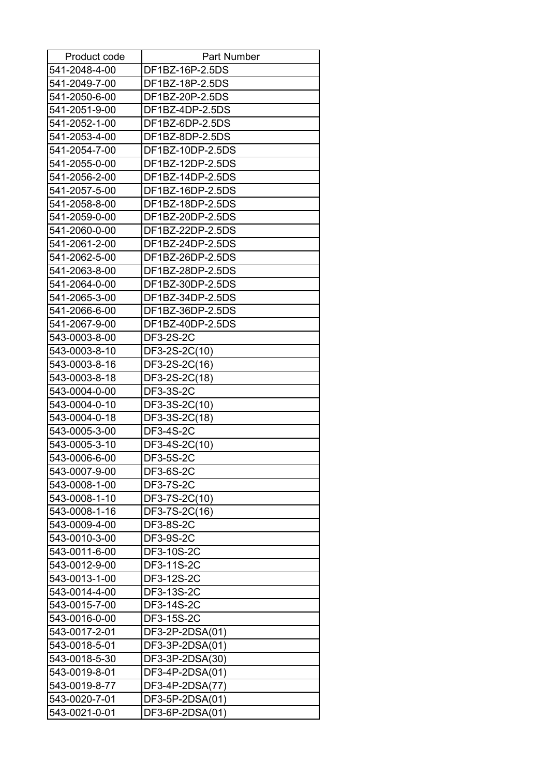| Product code  | <b>Part Number</b> |
|---------------|--------------------|
| 541-2048-4-00 | DF1BZ-16P-2.5DS    |
| 541-2049-7-00 | DF1BZ-18P-2.5DS    |
| 541-2050-6-00 | DF1BZ-20P-2.5DS    |
| 541-2051-9-00 | DF1BZ-4DP-2.5DS    |
| 541-2052-1-00 | DF1BZ-6DP-2.5DS    |
| 541-2053-4-00 | DF1BZ-8DP-2.5DS    |
| 541-2054-7-00 | DF1BZ-10DP-2.5DS   |
| 541-2055-0-00 | DF1BZ-12DP-2.5DS   |
| 541-2056-2-00 | DF1BZ-14DP-2.5DS   |
| 541-2057-5-00 | DF1BZ-16DP-2.5DS   |
| 541-2058-8-00 | DF1BZ-18DP-2.5DS   |
| 541-2059-0-00 | DF1BZ-20DP-2.5DS   |
| 541-2060-0-00 | DF1BZ-22DP-2.5DS   |
| 541-2061-2-00 | DF1BZ-24DP-2.5DS   |
| 541-2062-5-00 | DF1BZ-26DP-2.5DS   |
| 541-2063-8-00 | DF1BZ-28DP-2.5DS   |
| 541-2064-0-00 | DF1BZ-30DP-2.5DS   |
| 541-2065-3-00 | DF1BZ-34DP-2.5DS   |
| 541-2066-6-00 | DF1BZ-36DP-2.5DS   |
| 541-2067-9-00 | DF1BZ-40DP-2.5DS   |
| 543-0003-8-00 | DF3-2S-2C          |
| 543-0003-8-10 | DF3-2S-2C(10)      |
| 543-0003-8-16 | DF3-2S-2C(16)      |
| 543-0003-8-18 | DF3-2S-2C(18)      |
| 543-0004-0-00 | DF3-3S-2C          |
| 543-0004-0-10 | DF3-3S-2C(10)      |
| 543-0004-0-18 | DF3-3S-2C(18)      |
| 543-0005-3-00 | DF3-4S-2C          |
| 543-0005-3-10 | DF3-4S-2C(10)      |
| 543-0006-6-00 | <b>DF3-5S-2C</b>   |
| 543-0007-9-00 | DF3-6S-2C          |
| 543-0008-1-00 | <b>DF3-7S-2C</b>   |
| 543-0008-1-10 | DF3-7S-2C(10)      |
| 543-0008-1-16 | DF3-7S-2C(16)      |
| 543-0009-4-00 | <b>DF3-8S-2C</b>   |
| 543-0010-3-00 | DF3-9S-2C          |
| 543-0011-6-00 | DF3-10S-2C         |
| 543-0012-9-00 | DF3-11S-2C         |
| 543-0013-1-00 | DF3-12S-2C         |
| 543-0014-4-00 | DF3-13S-2C         |
| 543-0015-7-00 | DF3-14S-2C         |
| 543-0016-0-00 | DF3-15S-2C         |
| 543-0017-2-01 | DF3-2P-2DSA(01)    |
| 543-0018-5-01 | DF3-3P-2DSA(01)    |
| 543-0018-5-30 | DF3-3P-2DSA(30)    |
| 543-0019-8-01 | DF3-4P-2DSA(01)    |
| 543-0019-8-77 | DF3-4P-2DSA(77)    |
| 543-0020-7-01 | DF3-5P-2DSA(01)    |
| 543-0021-0-01 | DF3-6P-2DSA(01)    |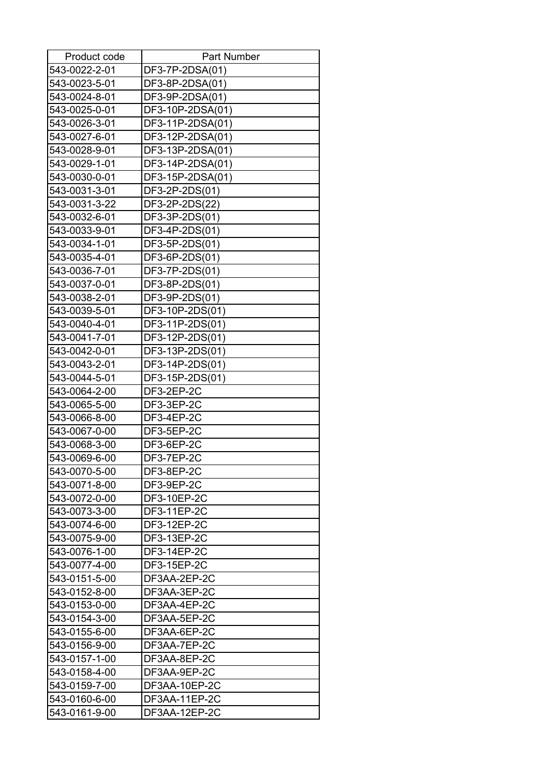| Product code  | <b>Part Number</b> |
|---------------|--------------------|
| 543-0022-2-01 | DF3-7P-2DSA(01)    |
| 543-0023-5-01 | DF3-8P-2DSA(01)    |
| 543-0024-8-01 | DF3-9P-2DSA(01)    |
| 543-0025-0-01 | DF3-10P-2DSA(01)   |
| 543-0026-3-01 | DF3-11P-2DSA(01)   |
| 543-0027-6-01 | DF3-12P-2DSA(01)   |
| 543-0028-9-01 | DF3-13P-2DSA(01)   |
| 543-0029-1-01 | DF3-14P-2DSA(01)   |
| 543-0030-0-01 | DF3-15P-2DSA(01)   |
| 543-0031-3-01 | DF3-2P-2DS(01)     |
| 543-0031-3-22 | DF3-2P-2DS(22)     |
| 543-0032-6-01 | DF3-3P-2DS(01)     |
| 543-0033-9-01 | DF3-4P-2DS(01)     |
| 543-0034-1-01 | DF3-5P-2DS(01)     |
| 543-0035-4-01 | DF3-6P-2DS(01)     |
| 543-0036-7-01 | DF3-7P-2DS(01)     |
| 543-0037-0-01 | DF3-8P-2DS(01)     |
| 543-0038-2-01 | DF3-9P-2DS(01)     |
| 543-0039-5-01 | DF3-10P-2DS(01)    |
| 543-0040-4-01 | DF3-11P-2DS(01)    |
| 543-0041-7-01 | DF3-12P-2DS(01)    |
| 543-0042-0-01 | DF3-13P-2DS(01)    |
| 543-0043-2-01 | DF3-14P-2DS(01)    |
| 543-0044-5-01 | DF3-15P-2DS(01)    |
| 543-0064-2-00 | DF3-2EP-2C         |
| 543-0065-5-00 | DF3-3EP-2C         |
| 543-0066-8-00 | DF3-4EP-2C         |
| 543-0067-0-00 | DF3-5EP-2C         |
| 543-0068-3-00 | DF3-6EP-2C         |
| 543-0069-6-00 | DF3-7EP-2C         |
| 543-0070-5-00 | DF3-8EP-2C         |
| 543-0071-8-00 | DF3-9EP-2C         |
| 543-0072-0-00 | DF3-10EP-2C        |
| 543-0073-3-00 | DF3-11EP-2C        |
| 543-0074-6-00 | DF3-12EP-2C        |
| 543-0075-9-00 | DF3-13EP-2C        |
| 543-0076-1-00 | DF3-14EP-2C        |
| 543-0077-4-00 | DF3-15EP-2C        |
| 543-0151-5-00 | DF3AA-2EP-2C       |
| 543-0152-8-00 | DF3AA-3EP-2C       |
| 543-0153-0-00 | DF3AA-4EP-2C       |
| 543-0154-3-00 | DF3AA-5EP-2C       |
| 543-0155-6-00 | DF3AA-6EP-2C       |
| 543-0156-9-00 | DF3AA-7EP-2C       |
| 543-0157-1-00 | DF3AA-8EP-2C       |
| 543-0158-4-00 | DF3AA-9EP-2C       |
| 543-0159-7-00 | DF3AA-10EP-2C      |
| 543-0160-6-00 | DF3AA-11EP-2C      |
| 543-0161-9-00 | DF3AA-12EP-2C      |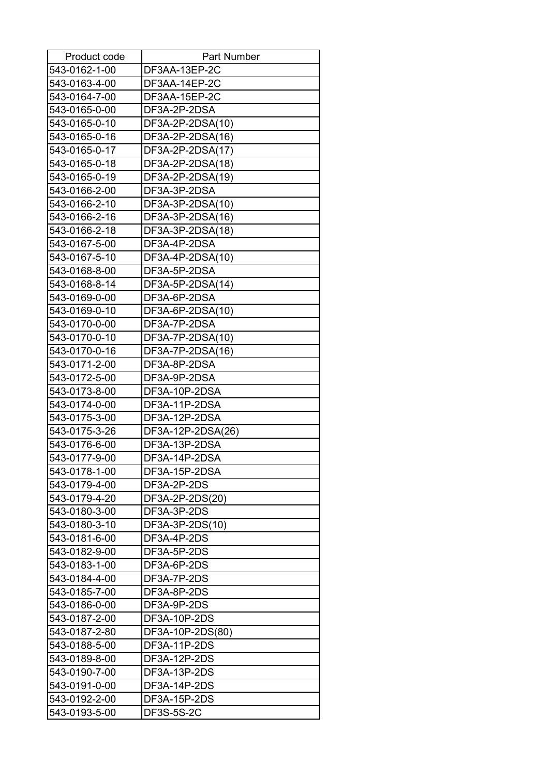| Product code  | <b>Part Number</b> |
|---------------|--------------------|
| 543-0162-1-00 | DF3AA-13EP-2C      |
| 543-0163-4-00 | DF3AA-14EP-2C      |
| 543-0164-7-00 | DF3AA-15EP-2C      |
| 543-0165-0-00 | DF3A-2P-2DSA       |
| 543-0165-0-10 | DF3A-2P-2DSA(10)   |
| 543-0165-0-16 | DF3A-2P-2DSA(16)   |
| 543-0165-0-17 | DF3A-2P-2DSA(17)   |
| 543-0165-0-18 | DF3A-2P-2DSA(18)   |
| 543-0165-0-19 | DF3A-2P-2DSA(19)   |
| 543-0166-2-00 | DF3A-3P-2DSA       |
| 543-0166-2-10 | DF3A-3P-2DSA(10)   |
| 543-0166-2-16 | DF3A-3P-2DSA(16)   |
| 543-0166-2-18 | DF3A-3P-2DSA(18)   |
| 543-0167-5-00 | DF3A-4P-2DSA       |
| 543-0167-5-10 | DF3A-4P-2DSA(10)   |
| 543-0168-8-00 | DF3A-5P-2DSA       |
| 543-0168-8-14 | DF3A-5P-2DSA(14)   |
| 543-0169-0-00 | DF3A-6P-2DSA       |
| 543-0169-0-10 | DF3A-6P-2DSA(10)   |
| 543-0170-0-00 | DF3A-7P-2DSA       |
| 543-0170-0-10 | DF3A-7P-2DSA(10)   |
| 543-0170-0-16 | DF3A-7P-2DSA(16)   |
| 543-0171-2-00 | DF3A-8P-2DSA       |
| 543-0172-5-00 | DF3A-9P-2DSA       |
| 543-0173-8-00 | DF3A-10P-2DSA      |
| 543-0174-0-00 | DF3A-11P-2DSA      |
| 543-0175-3-00 | DF3A-12P-2DSA      |
| 543-0175-3-26 | DF3A-12P-2DSA(26)  |
| 543-0176-6-00 | DF3A-13P-2DSA      |
| 543-0177-9-00 | DF3A-14P-2DSA      |
| 543-0178-1-00 | DF3A-15P-2DSA      |
| 543-0179-4-00 | DF3A-2P-2DS        |
| 543-0179-4-20 | DF3A-2P-2DS(20)    |
| 543-0180-3-00 | DF3A-3P-2DS        |
| 543-0180-3-10 | DF3A-3P-2DS(10)    |
| 543-0181-6-00 | DF3A-4P-2DS        |
| 543-0182-9-00 | DF3A-5P-2DS        |
| 543-0183-1-00 | DF3A-6P-2DS        |
| 543-0184-4-00 | DF3A-7P-2DS        |
| 543-0185-7-00 | DF3A-8P-2DS        |
| 543-0186-0-00 | DF3A-9P-2DS        |
| 543-0187-2-00 | DF3A-10P-2DS       |
| 543-0187-2-80 | DF3A-10P-2DS(80)   |
| 543-0188-5-00 | DF3A-11P-2DS       |
| 543-0189-8-00 | DF3A-12P-2DS       |
| 543-0190-7-00 | DF3A-13P-2DS       |
| 543-0191-0-00 | DF3A-14P-2DS       |
| 543-0192-2-00 | DF3A-15P-2DS       |
| 543-0193-5-00 | <b>DF3S-5S-2C</b>  |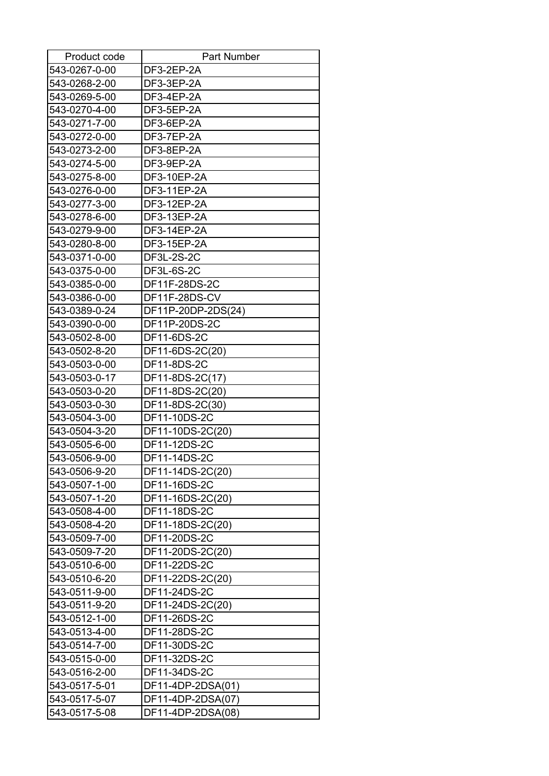| Product code  | Part Number        |
|---------------|--------------------|
| 543-0267-0-00 | DF3-2EP-2A         |
| 543-0268-2-00 | DF3-3EP-2A         |
| 543-0269-5-00 | DF3-4EP-2A         |
| 543-0270-4-00 | DF3-5EP-2A         |
| 543-0271-7-00 | DF3-6EP-2A         |
| 543-0272-0-00 | DF3-7EP-2A         |
| 543-0273-2-00 | DF3-8EP-2A         |
| 543-0274-5-00 | DF3-9EP-2A         |
| 543-0275-8-00 | DF3-10EP-2A        |
| 543-0276-0-00 | DF3-11EP-2A        |
| 543-0277-3-00 | DF3-12EP-2A        |
| 543-0278-6-00 | DF3-13EP-2A        |
| 543-0279-9-00 | DF3-14EP-2A        |
| 543-0280-8-00 | DF3-15EP-2A        |
| 543-0371-0-00 | <b>DF3L-2S-2C</b>  |
| 543-0375-0-00 | <b>DF3L-6S-2C</b>  |
| 543-0385-0-00 | DF11F-28DS-2C      |
| 543-0386-0-00 | DF11F-28DS-CV      |
| 543-0389-0-24 | DF11P-20DP-2DS(24) |
| 543-0390-0-00 | DF11P-20DS-2C      |
| 543-0502-8-00 | DF11-6DS-2C        |
| 543-0502-8-20 | DF11-6DS-2C(20)    |
| 543-0503-0-00 | DF11-8DS-2C        |
| 543-0503-0-17 | DF11-8DS-2C(17)    |
| 543-0503-0-20 | DF11-8DS-2C(20)    |
| 543-0503-0-30 | DF11-8DS-2C(30)    |
| 543-0504-3-00 | DF11-10DS-2C       |
| 543-0504-3-20 | DF11-10DS-2C(20)   |
| 543-0505-6-00 | DF11-12DS-2C       |
| 543-0506-9-00 | DF11-14DS-2C       |
| 543-0506-9-20 | DF11-14DS-2C(20)   |
| 543-0507-1-00 | DF11-16DS-2C       |
| 543-0507-1-20 | DF11-16DS-2C(20)   |
| 543-0508-4-00 | DF11-18DS-2C       |
| 543-0508-4-20 | DF11-18DS-2C(20)   |
| 543-0509-7-00 | DF11-20DS-2C       |
| 543-0509-7-20 | DF11-20DS-2C(20)   |
| 543-0510-6-00 | DF11-22DS-2C       |
| 543-0510-6-20 | DF11-22DS-2C(20)   |
| 543-0511-9-00 | DF11-24DS-2C       |
| 543-0511-9-20 | DF11-24DS-2C(20)   |
| 543-0512-1-00 | DF11-26DS-2C       |
| 543-0513-4-00 | DF11-28DS-2C       |
| 543-0514-7-00 | DF11-30DS-2C       |
| 543-0515-0-00 | DF11-32DS-2C       |
| 543-0516-2-00 | DF11-34DS-2C       |
| 543-0517-5-01 | DF11-4DP-2DSA(01)  |
| 543-0517-5-07 | DF11-4DP-2DSA(07)  |
| 543-0517-5-08 | DF11-4DP-2DSA(08)  |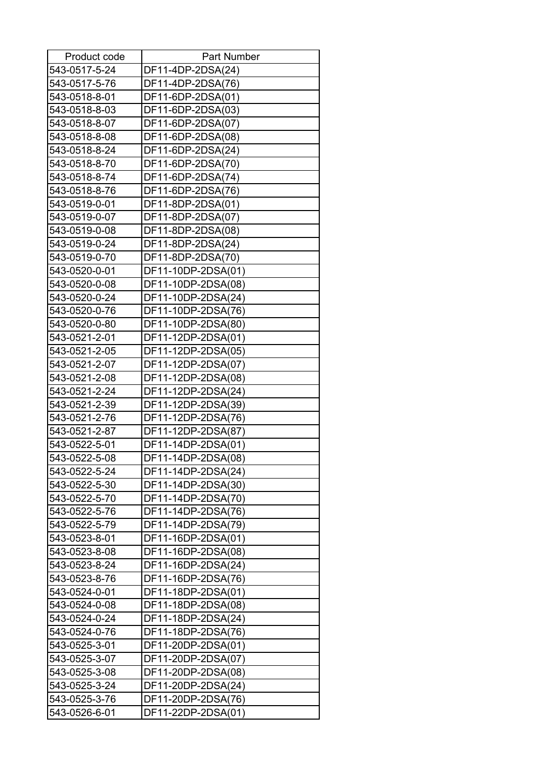| Product code  | <b>Part Number</b> |
|---------------|--------------------|
| 543-0517-5-24 | DF11-4DP-2DSA(24)  |
| 543-0517-5-76 | DF11-4DP-2DSA(76)  |
| 543-0518-8-01 | DF11-6DP-2DSA(01)  |
| 543-0518-8-03 | DF11-6DP-2DSA(03)  |
| 543-0518-8-07 | DF11-6DP-2DSA(07)  |
| 543-0518-8-08 | DF11-6DP-2DSA(08)  |
| 543-0518-8-24 | DF11-6DP-2DSA(24)  |
| 543-0518-8-70 | DF11-6DP-2DSA(70)  |
| 543-0518-8-74 | DF11-6DP-2DSA(74)  |
| 543-0518-8-76 | DF11-6DP-2DSA(76)  |
| 543-0519-0-01 | DF11-8DP-2DSA(01)  |
| 543-0519-0-07 | DF11-8DP-2DSA(07)  |
| 543-0519-0-08 | DF11-8DP-2DSA(08)  |
| 543-0519-0-24 | DF11-8DP-2DSA(24)  |
| 543-0519-0-70 | DF11-8DP-2DSA(70)  |
| 543-0520-0-01 | DF11-10DP-2DSA(01) |
| 543-0520-0-08 | DF11-10DP-2DSA(08) |
| 543-0520-0-24 | DF11-10DP-2DSA(24) |
| 543-0520-0-76 | DF11-10DP-2DSA(76) |
| 543-0520-0-80 | DF11-10DP-2DSA(80) |
| 543-0521-2-01 | DF11-12DP-2DSA(01) |
| 543-0521-2-05 | DF11-12DP-2DSA(05) |
| 543-0521-2-07 | DF11-12DP-2DSA(07) |
| 543-0521-2-08 | DF11-12DP-2DSA(08) |
| 543-0521-2-24 | DF11-12DP-2DSA(24) |
| 543-0521-2-39 | DF11-12DP-2DSA(39) |
| 543-0521-2-76 | DF11-12DP-2DSA(76) |
| 543-0521-2-87 | DF11-12DP-2DSA(87) |
| 543-0522-5-01 | DF11-14DP-2DSA(01) |
| 543-0522-5-08 | DF11-14DP-2DSA(08) |
| 543-0522-5-24 | DF11-14DP-2DSA(24) |
| 543-0522-5-30 | DF11-14DP-2DSA(30) |
| 543-0522-5-70 | DF11-14DP-2DSA(70) |
| 543-0522-5-76 | DF11-14DP-2DSA(76) |
| 543-0522-5-79 | DF11-14DP-2DSA(79) |
| 543-0523-8-01 | DF11-16DP-2DSA(01) |
| 543-0523-8-08 | DF11-16DP-2DSA(08) |
| 543-0523-8-24 | DF11-16DP-2DSA(24) |
| 543-0523-8-76 | DF11-16DP-2DSA(76) |
| 543-0524-0-01 | DF11-18DP-2DSA(01) |
| 543-0524-0-08 | DF11-18DP-2DSA(08) |
| 543-0524-0-24 | DF11-18DP-2DSA(24) |
| 543-0524-0-76 | DF11-18DP-2DSA(76) |
| 543-0525-3-01 | DF11-20DP-2DSA(01) |
| 543-0525-3-07 | DF11-20DP-2DSA(07) |
| 543-0525-3-08 | DF11-20DP-2DSA(08) |
| 543-0525-3-24 | DF11-20DP-2DSA(24) |
| 543-0525-3-76 | DF11-20DP-2DSA(76) |
| 543-0526-6-01 | DF11-22DP-2DSA(01) |
|               |                    |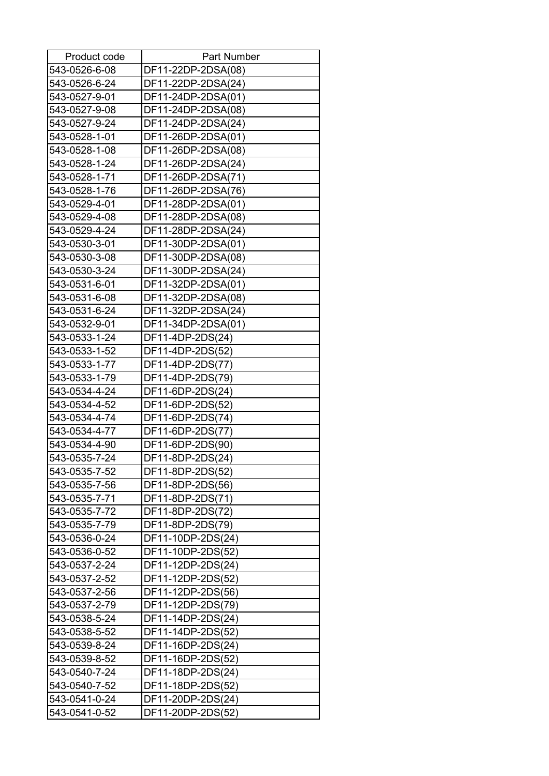| Product code  | <b>Part Number</b> |
|---------------|--------------------|
| 543-0526-6-08 | DF11-22DP-2DSA(08) |
| 543-0526-6-24 | DF11-22DP-2DSA(24) |
| 543-0527-9-01 | DF11-24DP-2DSA(01) |
| 543-0527-9-08 | DF11-24DP-2DSA(08) |
| 543-0527-9-24 | DF11-24DP-2DSA(24) |
| 543-0528-1-01 | DF11-26DP-2DSA(01) |
| 543-0528-1-08 | DF11-26DP-2DSA(08) |
| 543-0528-1-24 | DF11-26DP-2DSA(24) |
| 543-0528-1-71 | DF11-26DP-2DSA(71) |
| 543-0528-1-76 | DF11-26DP-2DSA(76) |
| 543-0529-4-01 | DF11-28DP-2DSA(01) |
| 543-0529-4-08 | DF11-28DP-2DSA(08) |
| 543-0529-4-24 | DF11-28DP-2DSA(24) |
| 543-0530-3-01 | DF11-30DP-2DSA(01) |
| 543-0530-3-08 | DF11-30DP-2DSA(08) |
| 543-0530-3-24 | DF11-30DP-2DSA(24) |
| 543-0531-6-01 | DF11-32DP-2DSA(01) |
| 543-0531-6-08 | DF11-32DP-2DSA(08) |
| 543-0531-6-24 | DF11-32DP-2DSA(24) |
| 543-0532-9-01 | DF11-34DP-2DSA(01) |
| 543-0533-1-24 | DF11-4DP-2DS(24)   |
| 543-0533-1-52 | DF11-4DP-2DS(52)   |
| 543-0533-1-77 | DF11-4DP-2DS(77)   |
| 543-0533-1-79 | DF11-4DP-2DS(79)   |
| 543-0534-4-24 | DF11-6DP-2DS(24)   |
| 543-0534-4-52 | DF11-6DP-2DS(52)   |
| 543-0534-4-74 | DF11-6DP-2DS(74)   |
| 543-0534-4-77 | DF11-6DP-2DS(77)   |
| 543-0534-4-90 | DF11-6DP-2DS(90)   |
| 543-0535-7-24 | DF11-8DP-2DS(24)   |
| 543-0535-7-52 | DF11-8DP-2DS(52)   |
| 543-0535-7-56 | DF11-8DP-2DS(56)   |
| 543-0535-7-71 | DF11-8DP-2DS(71)   |
| 543-0535-7-72 | DF11-8DP-2DS(72)   |
| 543-0535-7-79 | DF11-8DP-2DS(79)   |
| 543-0536-0-24 | DF11-10DP-2DS(24)  |
| 543-0536-0-52 | DF11-10DP-2DS(52)  |
| 543-0537-2-24 | DF11-12DP-2DS(24)  |
| 543-0537-2-52 | DF11-12DP-2DS(52)  |
|               |                    |
| 543-0537-2-56 | DF11-12DP-2DS(56)  |
| 543-0537-2-79 | DF11-12DP-2DS(79)  |
| 543-0538-5-24 | DF11-14DP-2DS(24)  |
| 543-0538-5-52 | DF11-14DP-2DS(52)  |
| 543-0539-8-24 | DF11-16DP-2DS(24)  |
| 543-0539-8-52 | DF11-16DP-2DS(52)  |
| 543-0540-7-24 | DF11-18DP-2DS(24)  |
| 543-0540-7-52 | DF11-18DP-2DS(52)  |
| 543-0541-0-24 | DF11-20DP-2DS(24)  |
| 543-0541-0-52 | DF11-20DP-2DS(52)  |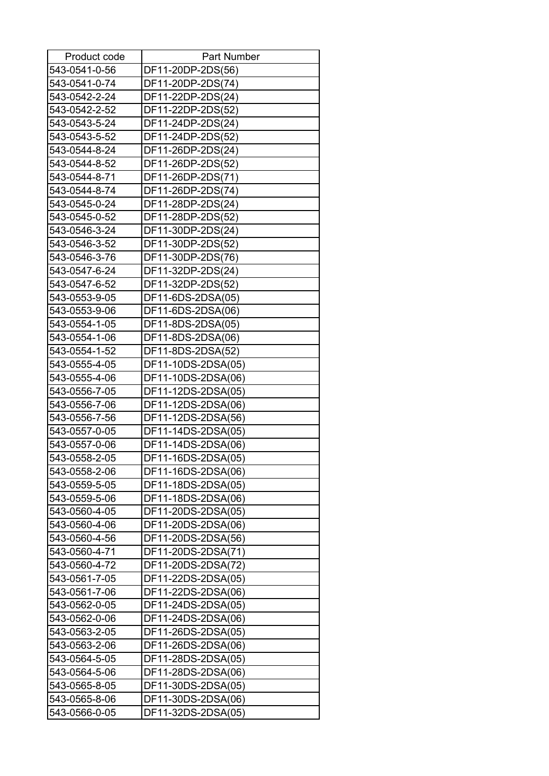| Product code  | <b>Part Number</b> |
|---------------|--------------------|
| 543-0541-0-56 | DF11-20DP-2DS(56)  |
| 543-0541-0-74 | DF11-20DP-2DS(74)  |
| 543-0542-2-24 | DF11-22DP-2DS(24)  |
| 543-0542-2-52 | DF11-22DP-2DS(52)  |
| 543-0543-5-24 | DF11-24DP-2DS(24)  |
| 543-0543-5-52 | DF11-24DP-2DS(52)  |
| 543-0544-8-24 | DF11-26DP-2DS(24)  |
| 543-0544-8-52 | DF11-26DP-2DS(52)  |
| 543-0544-8-71 | DF11-26DP-2DS(71)  |
| 543-0544-8-74 | DF11-26DP-2DS(74)  |
| 543-0545-0-24 | DF11-28DP-2DS(24)  |
| 543-0545-0-52 | DF11-28DP-2DS(52)  |
| 543-0546-3-24 | DF11-30DP-2DS(24)  |
| 543-0546-3-52 | DF11-30DP-2DS(52)  |
| 543-0546-3-76 | DF11-30DP-2DS(76)  |
| 543-0547-6-24 | DF11-32DP-2DS(24)  |
| 543-0547-6-52 | DF11-32DP-2DS(52)  |
| 543-0553-9-05 | DF11-6DS-2DSA(05)  |
| 543-0553-9-06 | DF11-6DS-2DSA(06)  |
| 543-0554-1-05 | DF11-8DS-2DSA(05)  |
| 543-0554-1-06 | DF11-8DS-2DSA(06)  |
| 543-0554-1-52 | DF11-8DS-2DSA(52)  |
| 543-0555-4-05 | DF11-10DS-2DSA(05) |
| 543-0555-4-06 | DF11-10DS-2DSA(06) |
| 543-0556-7-05 | DF11-12DS-2DSA(05) |
| 543-0556-7-06 | DF11-12DS-2DSA(06) |
| 543-0556-7-56 | DF11-12DS-2DSA(56) |
| 543-0557-0-05 | DF11-14DS-2DSA(05) |
| 543-0557-0-06 | DF11-14DS-2DSA(06) |
| 543-0558-2-05 | DF11-16DS-2DSA(05) |
| 543-0558-2-06 | DF11-16DS-2DSA(06) |
| 543-0559-5-05 | DF11-18DS-2DSA(05) |
| 543-0559-5-06 | DF11-18DS-2DSA(06) |
| 543-0560-4-05 | DF11-20DS-2DSA(05) |
| 543-0560-4-06 | DF11-20DS-2DSA(06) |
| 543-0560-4-56 | DF11-20DS-2DSA(56) |
| 543-0560-4-71 | DF11-20DS-2DSA(71) |
| 543-0560-4-72 | DF11-20DS-2DSA(72) |
| 543-0561-7-05 | DF11-22DS-2DSA(05) |
| 543-0561-7-06 | DF11-22DS-2DSA(06) |
| 543-0562-0-05 | DF11-24DS-2DSA(05) |
| 543-0562-0-06 | DF11-24DS-2DSA(06) |
| 543-0563-2-05 | DF11-26DS-2DSA(05) |
| 543-0563-2-06 | DF11-26DS-2DSA(06) |
| 543-0564-5-05 | DF11-28DS-2DSA(05) |
| 543-0564-5-06 | DF11-28DS-2DSA(06) |
| 543-0565-8-05 | DF11-30DS-2DSA(05) |
| 543-0565-8-06 | DF11-30DS-2DSA(06) |
| 543-0566-0-05 | DF11-32DS-2DSA(05) |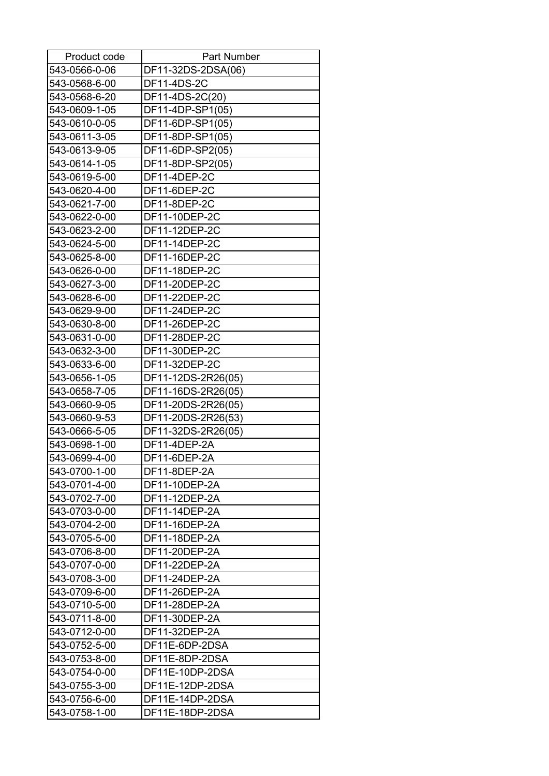| Product code  | <b>Part Number</b> |
|---------------|--------------------|
| 543-0566-0-06 | DF11-32DS-2DSA(06) |
| 543-0568-6-00 | DF11-4DS-2C        |
| 543-0568-6-20 | DF11-4DS-2C(20)    |
| 543-0609-1-05 | DF11-4DP-SP1(05)   |
| 543-0610-0-05 | DF11-6DP-SP1(05)   |
| 543-0611-3-05 | DF11-8DP-SP1(05)   |
| 543-0613-9-05 | DF11-6DP-SP2(05)   |
| 543-0614-1-05 | DF11-8DP-SP2(05)   |
| 543-0619-5-00 | DF11-4DEP-2C       |
| 543-0620-4-00 | DF11-6DEP-2C       |
| 543-0621-7-00 | DF11-8DEP-2C       |
| 543-0622-0-00 | DF11-10DEP-2C      |
| 543-0623-2-00 | DF11-12DEP-2C      |
| 543-0624-5-00 | DF11-14DEP-2C      |
| 543-0625-8-00 | DF11-16DEP-2C      |
| 543-0626-0-00 | DF11-18DEP-2C      |
| 543-0627-3-00 | DF11-20DEP-2C      |
| 543-0628-6-00 | DF11-22DEP-2C      |
| 543-0629-9-00 | DF11-24DEP-2C      |
| 543-0630-8-00 | DF11-26DEP-2C      |
| 543-0631-0-00 | DF11-28DEP-2C      |
| 543-0632-3-00 | DF11-30DEP-2C      |
| 543-0633-6-00 | DF11-32DEP-2C      |
| 543-0656-1-05 | DF11-12DS-2R26(05) |
| 543-0658-7-05 | DF11-16DS-2R26(05) |
| 543-0660-9-05 | DF11-20DS-2R26(05) |
| 543-0660-9-53 | DF11-20DS-2R26(53) |
| 543-0666-5-05 | DF11-32DS-2R26(05) |
| 543-0698-1-00 | DF11-4DEP-2A       |
| 543-0699-4-00 | DF11-6DEP-2A       |
| 543-0700-1-00 | DF11-8DEP-2A       |
| 543-0701-4-00 | DF11-10DEP-2A      |
| 543-0702-7-00 | DF11-12DEP-2A      |
| 543-0703-0-00 | DF11-14DEP-2A      |
| 543-0704-2-00 | DF11-16DEP-2A      |
| 543-0705-5-00 | DF11-18DEP-2A      |
| 543-0706-8-00 | DF11-20DEP-2A      |
| 543-0707-0-00 | DF11-22DEP-2A      |
| 543-0708-3-00 | DF11-24DEP-2A      |
| 543-0709-6-00 | DF11-26DEP-2A      |
| 543-0710-5-00 | DF11-28DEP-2A      |
| 543-0711-8-00 | DF11-30DEP-2A      |
| 543-0712-0-00 | DF11-32DEP-2A      |
| 543-0752-5-00 | DF11E-6DP-2DSA     |
| 543-0753-8-00 | DF11E-8DP-2DSA     |
| 543-0754-0-00 | DF11E-10DP-2DSA    |
| 543-0755-3-00 | DF11E-12DP-2DSA    |
| 543-0756-6-00 | DF11E-14DP-2DSA    |
|               |                    |
| 543-0758-1-00 | DF11E-18DP-2DSA    |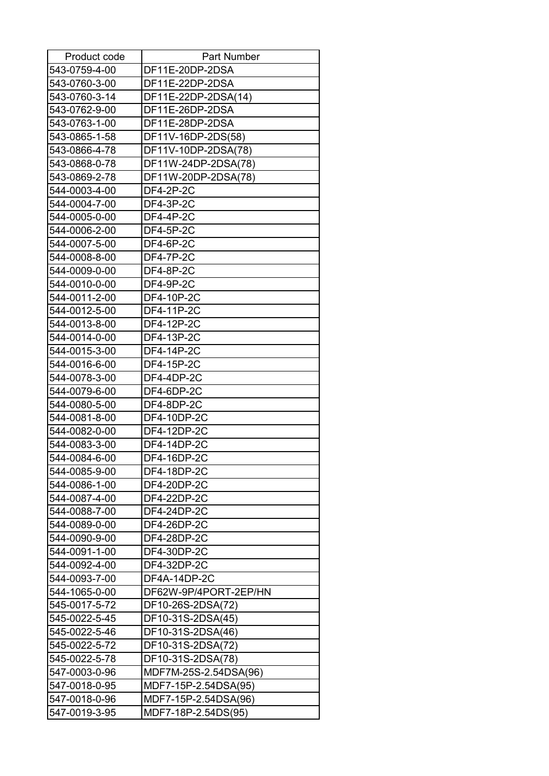| Product code  | <b>Part Number</b>    |
|---------------|-----------------------|
| 543-0759-4-00 | DF11E-20DP-2DSA       |
| 543-0760-3-00 | DF11E-22DP-2DSA       |
| 543-0760-3-14 | DF11E-22DP-2DSA(14)   |
| 543-0762-9-00 | DF11E-26DP-2DSA       |
| 543-0763-1-00 | DF11E-28DP-2DSA       |
| 543-0865-1-58 | DF11V-16DP-2DS(58)    |
| 543-0866-4-78 | DF11V-10DP-2DSA(78)   |
| 543-0868-0-78 | DF11W-24DP-2DSA(78)   |
| 543-0869-2-78 | DF11W-20DP-2DSA(78)   |
| 544-0003-4-00 | DF4-2P-2C             |
| 544-0004-7-00 | <b>DF4-3P-2C</b>      |
| 544-0005-0-00 | <b>DF4-4P-2C</b>      |
| 544-0006-2-00 | <b>DF4-5P-2C</b>      |
| 544-0007-5-00 | <b>DF4-6P-2C</b>      |
| 544-0008-8-00 | <b>DF4-7P-2C</b>      |
| 544-0009-0-00 | <b>DF4-8P-2C</b>      |
| 544-0010-0-00 | <b>DF4-9P-2C</b>      |
| 544-0011-2-00 | DF4-10P-2C            |
| 544-0012-5-00 | DF4-11P-2C            |
| 544-0013-8-00 | DF4-12P-2C            |
| 544-0014-0-00 | DF4-13P-2C            |
| 544-0015-3-00 | DF4-14P-2C            |
| 544-0016-6-00 | DF4-15P-2C            |
| 544-0078-3-00 | DF4-4DP-2C            |
| 544-0079-6-00 | DF4-6DP-2C            |
| 544-0080-5-00 | DF4-8DP-2C            |
| 544-0081-8-00 | DF4-10DP-2C           |
| 544-0082-0-00 | DF4-12DP-2C           |
| 544-0083-3-00 | <b>DF4-14DP-2C</b>    |
| 544-0084-6-00 | DF4-16DP-2C           |
| 544-0085-9-00 | DF4-18DP-2C           |
| 544-0086-1-00 | DF4-20DP-2C           |
| 544-0087-4-00 | DF4-22DP-2C           |
| 544-0088-7-00 | DF4-24DP-2C           |
| 544-0089-0-00 | DF4-26DP-2C           |
| 544-0090-9-00 | DF4-28DP-2C           |
| 544-0091-1-00 | DF4-30DP-2C           |
| 544-0092-4-00 | DF4-32DP-2C           |
| 544-0093-7-00 | DF4A-14DP-2C          |
| 544-1065-0-00 | DF62W-9P/4PORT-2EP/HN |
| 545-0017-5-72 | DF10-26S-2DSA(72)     |
| 545-0022-5-45 |                       |
| 545-0022-5-46 | DF10-31S-2DSA(45)     |
|               | DF10-31S-2DSA(46)     |
| 545-0022-5-72 | DF10-31S-2DSA(72)     |
| 545-0022-5-78 | DF10-31S-2DSA(78)     |
| 547-0003-0-96 | MDF7M-25S-2.54DSA(96) |
| 547-0018-0-95 | MDF7-15P-2.54DSA(95)  |
| 547-0018-0-96 | MDF7-15P-2.54DSA(96)  |
| 547-0019-3-95 | MDF7-18P-2.54DS(95)   |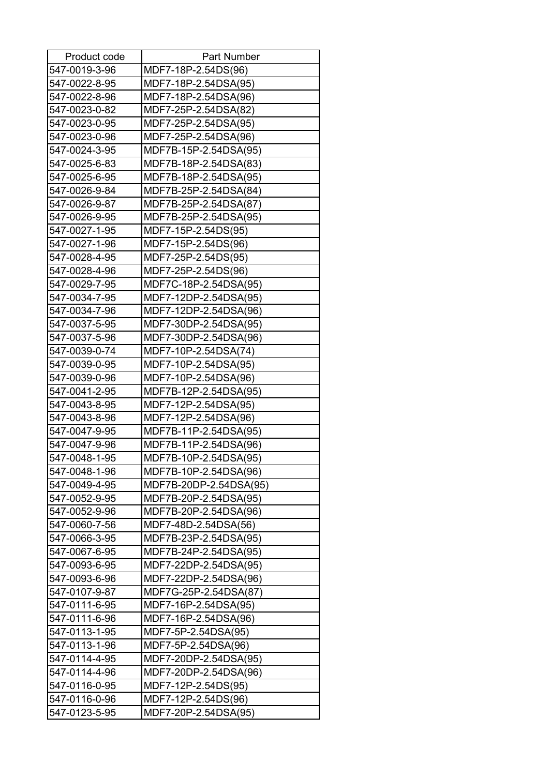| Product code  | <b>Part Number</b>     |
|---------------|------------------------|
| 547-0019-3-96 | MDF7-18P-2.54DS(96)    |
| 547-0022-8-95 | MDF7-18P-2.54DSA(95)   |
| 547-0022-8-96 | MDF7-18P-2.54DSA(96)   |
| 547-0023-0-82 | MDF7-25P-2.54DSA(82)   |
| 547-0023-0-95 | MDF7-25P-2.54DSA(95)   |
| 547-0023-0-96 | MDF7-25P-2.54DSA(96)   |
| 547-0024-3-95 | MDF7B-15P-2.54DSA(95)  |
| 547-0025-6-83 | MDF7B-18P-2.54DSA(83)  |
| 547-0025-6-95 | MDF7B-18P-2.54DSA(95)  |
| 547-0026-9-84 | MDF7B-25P-2.54DSA(84)  |
| 547-0026-9-87 | MDF7B-25P-2.54DSA(87)  |
| 547-0026-9-95 | MDF7B-25P-2.54DSA(95)  |
| 547-0027-1-95 | MDF7-15P-2.54DS(95)    |
| 547-0027-1-96 | MDF7-15P-2.54DS(96)    |
| 547-0028-4-95 | MDF7-25P-2.54DS(95)    |
| 547-0028-4-96 | MDF7-25P-2.54DS(96)    |
| 547-0029-7-95 | MDF7C-18P-2.54DSA(95)  |
| 547-0034-7-95 | MDF7-12DP-2.54DSA(95)  |
| 547-0034-7-96 | MDF7-12DP-2.54DSA(96)  |
| 547-0037-5-95 | MDF7-30DP-2.54DSA(95)  |
| 547-0037-5-96 | MDF7-30DP-2.54DSA(96)  |
| 547-0039-0-74 | MDF7-10P-2.54DSA(74)   |
| 547-0039-0-95 | MDF7-10P-2.54DSA(95)   |
| 547-0039-0-96 | MDF7-10P-2.54DSA(96)   |
| 547-0041-2-95 | MDF7B-12P-2.54DSA(95)  |
| 547-0043-8-95 | MDF7-12P-2.54DSA(95)   |
| 547-0043-8-96 | MDF7-12P-2.54DSA(96)   |
| 547-0047-9-95 | MDF7B-11P-2.54DSA(95)  |
| 547-0047-9-96 | MDF7B-11P-2.54DSA(96)  |
| 547-0048-1-95 | MDF7B-10P-2.54DSA(95)  |
| 547-0048-1-96 | MDF7B-10P-2.54DSA(96)  |
| 547-0049-4-95 | MDF7B-20DP-2.54DSA(95) |
| 547-0052-9-95 | MDF7B-20P-2.54DSA(95)  |
| 547-0052-9-96 | MDF7B-20P-2.54DSA(96)  |
| 547-0060-7-56 | MDF7-48D-2.54DSA(56)   |
| 547-0066-3-95 | MDF7B-23P-2.54DSA(95)  |
| 547-0067-6-95 | MDF7B-24P-2.54DSA(95)  |
| 547-0093-6-95 | MDF7-22DP-2.54DSA(95)  |
| 547-0093-6-96 | MDF7-22DP-2.54DSA(96)  |
| 547-0107-9-87 | MDF7G-25P-2.54DSA(87)  |
| 547-0111-6-95 | MDF7-16P-2.54DSA(95)   |
| 547-0111-6-96 | MDF7-16P-2.54DSA(96)   |
| 547-0113-1-95 | MDF7-5P-2.54DSA(95)    |
| 547-0113-1-96 | MDF7-5P-2.54DSA(96)    |
| 547-0114-4-95 | MDF7-20DP-2.54DSA(95)  |
| 547-0114-4-96 | MDF7-20DP-2.54DSA(96)  |
| 547-0116-0-95 | MDF7-12P-2.54DS(95)    |
| 547-0116-0-96 | MDF7-12P-2.54DS(96)    |
| 547-0123-5-95 | MDF7-20P-2.54DSA(95)   |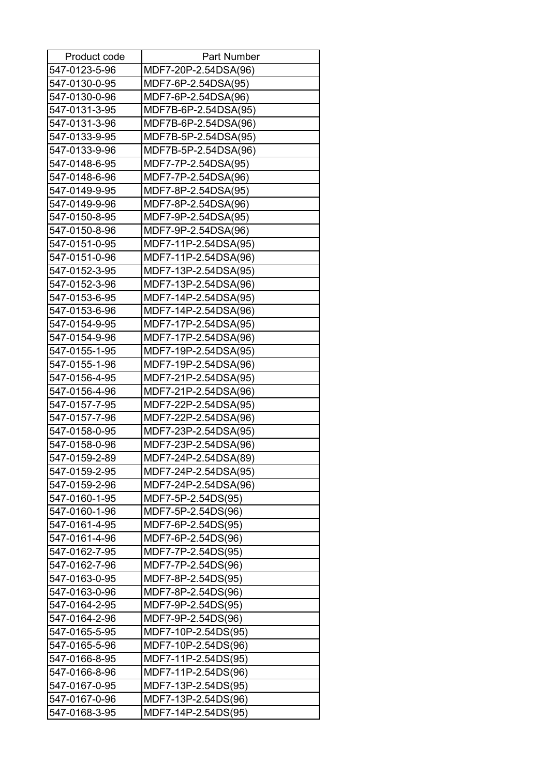| Product code  | <b>Part Number</b>   |
|---------------|----------------------|
| 547-0123-5-96 | MDF7-20P-2.54DSA(96) |
| 547-0130-0-95 | MDF7-6P-2.54DSA(95)  |
| 547-0130-0-96 | MDF7-6P-2.54DSA(96)  |
| 547-0131-3-95 | MDF7B-6P-2.54DSA(95) |
| 547-0131-3-96 | MDF7B-6P-2.54DSA(96) |
| 547-0133-9-95 | MDF7B-5P-2.54DSA(95) |
| 547-0133-9-96 | MDF7B-5P-2.54DSA(96) |
| 547-0148-6-95 | MDF7-7P-2.54DSA(95)  |
| 547-0148-6-96 | MDF7-7P-2.54DSA(96)  |
| 547-0149-9-95 | MDF7-8P-2.54DSA(95)  |
| 547-0149-9-96 | MDF7-8P-2.54DSA(96)  |
| 547-0150-8-95 | MDF7-9P-2.54DSA(95)  |
| 547-0150-8-96 | MDF7-9P-2.54DSA(96)  |
| 547-0151-0-95 | MDF7-11P-2.54DSA(95) |
| 547-0151-0-96 | MDF7-11P-2.54DSA(96) |
| 547-0152-3-95 | MDF7-13P-2.54DSA(95) |
| 547-0152-3-96 | MDF7-13P-2.54DSA(96) |
| 547-0153-6-95 | MDF7-14P-2.54DSA(95) |
| 547-0153-6-96 | MDF7-14P-2.54DSA(96) |
| 547-0154-9-95 | MDF7-17P-2.54DSA(95) |
| 547-0154-9-96 | MDF7-17P-2.54DSA(96) |
| 547-0155-1-95 | MDF7-19P-2.54DSA(95) |
| 547-0155-1-96 | MDF7-19P-2.54DSA(96) |
| 547-0156-4-95 | MDF7-21P-2.54DSA(95) |
| 547-0156-4-96 | MDF7-21P-2.54DSA(96) |
| 547-0157-7-95 | MDF7-22P-2.54DSA(95) |
| 547-0157-7-96 | MDF7-22P-2.54DSA(96) |
| 547-0158-0-95 | MDF7-23P-2.54DSA(95) |
| 547-0158-0-96 | MDF7-23P-2.54DSA(96) |
| 547-0159-2-89 | MDF7-24P-2.54DSA(89) |
| 547-0159-2-95 | MDF7-24P-2.54DSA(95) |
| 547-0159-2-96 | MDF7-24P-2.54DSA(96) |
| 547-0160-1-95 | MDF7-5P-2.54DS(95)   |
| 547-0160-1-96 | MDF7-5P-2.54DS(96)   |
| 547-0161-4-95 | MDF7-6P-2.54DS(95)   |
| 547-0161-4-96 | MDF7-6P-2.54DS(96)   |
| 547-0162-7-95 | MDF7-7P-2.54DS(95)   |
| 547-0162-7-96 | MDF7-7P-2.54DS(96)   |
| 547-0163-0-95 | MDF7-8P-2.54DS(95)   |
| 547-0163-0-96 | MDF7-8P-2.54DS(96)   |
| 547-0164-2-95 | MDF7-9P-2.54DS(95)   |
| 547-0164-2-96 | MDF7-9P-2.54DS(96)   |
| 547-0165-5-95 | MDF7-10P-2.54DS(95)  |
| 547-0165-5-96 | MDF7-10P-2.54DS(96)  |
| 547-0166-8-95 | MDF7-11P-2.54DS(95)  |
| 547-0166-8-96 | MDF7-11P-2.54DS(96)  |
| 547-0167-0-95 | MDF7-13P-2.54DS(95)  |
| 547-0167-0-96 | MDF7-13P-2.54DS(96)  |
| 547-0168-3-95 | MDF7-14P-2.54DS(95)  |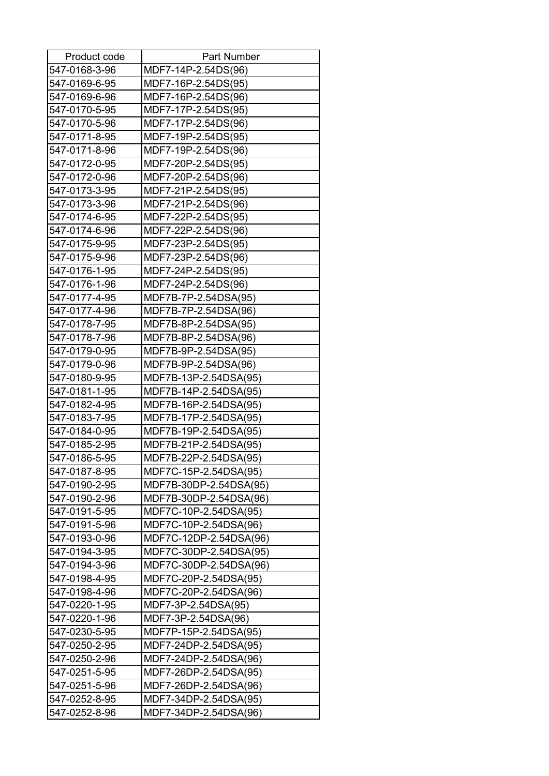| Product code  | <b>Part Number</b>     |
|---------------|------------------------|
| 547-0168-3-96 | MDF7-14P-2.54DS(96)    |
| 547-0169-6-95 | MDF7-16P-2.54DS(95)    |
| 547-0169-6-96 | MDF7-16P-2.54DS(96)    |
| 547-0170-5-95 | MDF7-17P-2.54DS(95)    |
| 547-0170-5-96 | MDF7-17P-2.54DS(96)    |
| 547-0171-8-95 | MDF7-19P-2.54DS(95)    |
| 547-0171-8-96 | MDF7-19P-2.54DS(96)    |
| 547-0172-0-95 | MDF7-20P-2.54DS(95)    |
| 547-0172-0-96 | MDF7-20P-2.54DS(96)    |
| 547-0173-3-95 | MDF7-21P-2.54DS(95)    |
| 547-0173-3-96 | MDF7-21P-2.54DS(96)    |
| 547-0174-6-95 | MDF7-22P-2.54DS(95)    |
| 547-0174-6-96 | MDF7-22P-2.54DS(96)    |
| 547-0175-9-95 | MDF7-23P-2.54DS(95)    |
| 547-0175-9-96 | MDF7-23P-2.54DS(96)    |
| 547-0176-1-95 | MDF7-24P-2.54DS(95)    |
| 547-0176-1-96 | MDF7-24P-2.54DS(96)    |
| 547-0177-4-95 | MDF7B-7P-2.54DSA(95)   |
| 547-0177-4-96 | MDF7B-7P-2.54DSA(96)   |
| 547-0178-7-95 | MDF7B-8P-2.54DSA(95)   |
| 547-0178-7-96 | MDF7B-8P-2.54DSA(96)   |
| 547-0179-0-95 | MDF7B-9P-2.54DSA(95)   |
| 547-0179-0-96 | MDF7B-9P-2.54DSA(96)   |
| 547-0180-9-95 | MDF7B-13P-2.54DSA(95)  |
| 547-0181-1-95 | MDF7B-14P-2.54DSA(95)  |
| 547-0182-4-95 | MDF7B-16P-2.54DSA(95)  |
| 547-0183-7-95 | MDF7B-17P-2.54DSA(95)  |
| 547-0184-0-95 | MDF7B-19P-2.54DSA(95)  |
| 547-0185-2-95 | MDF7B-21P-2.54DSA(95)  |
| 547-0186-5-95 | MDF7B-22P-2.54DSA(95)  |
| 547-0187-8-95 | MDF7C-15P-2.54DSA(95)  |
| 547-0190-2-95 | MDF7B-30DP-2.54DSA(95) |
| 547-0190-2-96 | MDF7B-30DP-2.54DSA(96) |
| 547-0191-5-95 | MDF7C-10P-2.54DSA(95)  |
| 547-0191-5-96 | MDF7C-10P-2.54DSA(96)  |
| 547-0193-0-96 | MDF7C-12DP-2.54DSA(96) |
| 547-0194-3-95 | MDF7C-30DP-2.54DSA(95) |
| 547-0194-3-96 | MDF7C-30DP-2.54DSA(96) |
| 547-0198-4-95 | MDF7C-20P-2.54DSA(95)  |
| 547-0198-4-96 | MDF7C-20P-2.54DSA(96)  |
| 547-0220-1-95 | MDF7-3P-2.54DSA(95)    |
| 547-0220-1-96 | MDF7-3P-2.54DSA(96)    |
| 547-0230-5-95 | MDF7P-15P-2.54DSA(95)  |
| 547-0250-2-95 | MDF7-24DP-2.54DSA(95)  |
| 547-0250-2-96 | MDF7-24DP-2.54DSA(96)  |
| 547-0251-5-95 | MDF7-26DP-2.54DSA(95)  |
| 547-0251-5-96 | MDF7-26DP-2.54DSA(96)  |
| 547-0252-8-95 | MDF7-34DP-2.54DSA(95)  |
| 547-0252-8-96 | MDF7-34DP-2.54DSA(96)  |
|               |                        |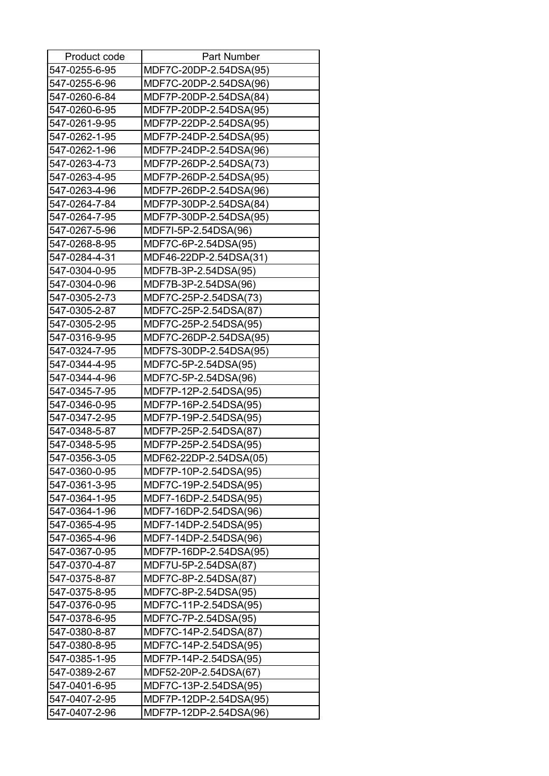| Product code  | <b>Part Number</b>     |
|---------------|------------------------|
| 547-0255-6-95 | MDF7C-20DP-2.54DSA(95) |
| 547-0255-6-96 | MDF7C-20DP-2.54DSA(96) |
| 547-0260-6-84 | MDF7P-20DP-2.54DSA(84) |
| 547-0260-6-95 | MDF7P-20DP-2.54DSA(95) |
| 547-0261-9-95 | MDF7P-22DP-2.54DSA(95) |
| 547-0262-1-95 | MDF7P-24DP-2.54DSA(95) |
| 547-0262-1-96 | MDF7P-24DP-2.54DSA(96) |
| 547-0263-4-73 | MDF7P-26DP-2.54DSA(73) |
| 547-0263-4-95 | MDF7P-26DP-2.54DSA(95) |
| 547-0263-4-96 | MDF7P-26DP-2.54DSA(96) |
| 547-0264-7-84 | MDF7P-30DP-2.54DSA(84) |
| 547-0264-7-95 | MDF7P-30DP-2.54DSA(95) |
| 547-0267-5-96 | MDF7I-5P-2.54DSA(96)   |
| 547-0268-8-95 | MDF7C-6P-2.54DSA(95)   |
| 547-0284-4-31 | MDF46-22DP-2.54DSA(31) |
| 547-0304-0-95 | MDF7B-3P-2.54DSA(95)   |
| 547-0304-0-96 | MDF7B-3P-2.54DSA(96)   |
| 547-0305-2-73 | MDF7C-25P-2.54DSA(73)  |
| 547-0305-2-87 | MDF7C-25P-2.54DSA(87)  |
| 547-0305-2-95 | MDF7C-25P-2.54DSA(95)  |
| 547-0316-9-95 | MDF7C-26DP-2.54DSA(95) |
| 547-0324-7-95 | MDF7S-30DP-2.54DSA(95) |
| 547-0344-4-95 | MDF7C-5P-2.54DSA(95)   |
| 547-0344-4-96 | MDF7C-5P-2.54DSA(96)   |
| 547-0345-7-95 | MDF7P-12P-2.54DSA(95)  |
| 547-0346-0-95 | MDF7P-16P-2.54DSA(95)  |
| 547-0347-2-95 | MDF7P-19P-2.54DSA(95)  |
| 547-0348-5-87 | MDF7P-25P-2.54DSA(87)  |
| 547-0348-5-95 | MDF7P-25P-2.54DSA(95)  |
| 547-0356-3-05 | MDF62-22DP-2.54DSA(05) |
| 547-0360-0-95 | MDF7P-10P-2.54DSA(95)  |
| 547-0361-3-95 | MDF7C-19P-2.54DSA(95)  |
| 547-0364-1-95 | MDF7-16DP-2.54DSA(95)  |
| 547-0364-1-96 | MDF7-16DP-2.54DSA(96)  |
| 547-0365-4-95 | MDF7-14DP-2.54DSA(95)  |
| 547-0365-4-96 | MDF7-14DP-2.54DSA(96)  |
| 547-0367-0-95 | MDF7P-16DP-2.54DSA(95) |
| 547-0370-4-87 | MDF7U-5P-2.54DSA(87)   |
| 547-0375-8-87 | MDF7C-8P-2.54DSA(87)   |
| 547-0375-8-95 | MDF7C-8P-2.54DSA(95)   |
| 547-0376-0-95 | MDF7C-11P-2.54DSA(95)  |
| 547-0378-6-95 | MDF7C-7P-2.54DSA(95)   |
| 547-0380-8-87 | MDF7C-14P-2.54DSA(87)  |
| 547-0380-8-95 | MDF7C-14P-2.54DSA(95)  |
| 547-0385-1-95 | MDF7P-14P-2.54DSA(95)  |
| 547-0389-2-67 | MDF52-20P-2.54DSA(67)  |
| 547-0401-6-95 | MDF7C-13P-2.54DSA(95)  |
| 547-0407-2-95 | MDF7P-12DP-2.54DSA(95) |
| 547-0407-2-96 | MDF7P-12DP-2.54DSA(96) |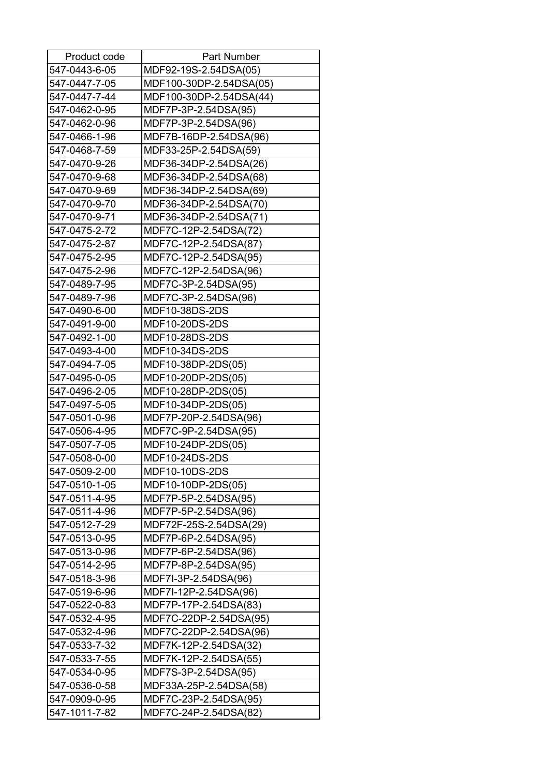| Product code  | <b>Part Number</b>      |
|---------------|-------------------------|
| 547-0443-6-05 | MDF92-19S-2.54DSA(05)   |
| 547-0447-7-05 | MDF100-30DP-2.54DSA(05) |
| 547-0447-7-44 | MDF100-30DP-2.54DSA(44) |
| 547-0462-0-95 | MDF7P-3P-2.54DSA(95)    |
| 547-0462-0-96 | MDF7P-3P-2.54DSA(96)    |
| 547-0466-1-96 | MDF7B-16DP-2.54DSA(96)  |
| 547-0468-7-59 | MDF33-25P-2.54DSA(59)   |
| 547-0470-9-26 | MDF36-34DP-2.54DSA(26)  |
| 547-0470-9-68 | MDF36-34DP-2.54DSA(68)  |
| 547-0470-9-69 | MDF36-34DP-2.54DSA(69)  |
| 547-0470-9-70 | MDF36-34DP-2.54DSA(70)  |
| 547-0470-9-71 | MDF36-34DP-2.54DSA(71)  |
| 547-0475-2-72 | MDF7C-12P-2.54DSA(72)   |
| 547-0475-2-87 | MDF7C-12P-2.54DSA(87)   |
| 547-0475-2-95 | MDF7C-12P-2.54DSA(95)   |
| 547-0475-2-96 | MDF7C-12P-2.54DSA(96)   |
| 547-0489-7-95 | MDF7C-3P-2.54DSA(95)    |
| 547-0489-7-96 | MDF7C-3P-2.54DSA(96)    |
| 547-0490-6-00 | MDF10-38DS-2DS          |
| 547-0491-9-00 | MDF10-20DS-2DS          |
| 547-0492-1-00 | MDF10-28DS-2DS          |
| 547-0493-4-00 | MDF10-34DS-2DS          |
| 547-0494-7-05 | MDF10-38DP-2DS(05)      |
| 547-0495-0-05 | MDF10-20DP-2DS(05)      |
| 547-0496-2-05 | MDF10-28DP-2DS(05)      |
| 547-0497-5-05 | MDF10-34DP-2DS(05)      |
| 547-0501-0-96 | MDF7P-20P-2.54DSA(96)   |
| 547-0506-4-95 | MDF7C-9P-2.54DSA(95)    |
| 547-0507-7-05 | MDF10-24DP-2DS(05)      |
| 547-0508-0-00 | MDF10-24DS-2DS          |
| 547-0509-2-00 | MDF10-10DS-2DS          |
| 547-0510-1-05 | MDF10-10DP-2DS(05)      |
| 547-0511-4-95 | MDF7P-5P-2.54DSA(95)    |
| 547-0511-4-96 | MDF7P-5P-2.54DSA(96)    |
| 547-0512-7-29 | MDF72F-25S-2.54DSA(29)  |
| 547-0513-0-95 | MDF7P-6P-2.54DSA(95)    |
| 547-0513-0-96 | MDF7P-6P-2.54DSA(96)    |
| 547-0514-2-95 | MDF7P-8P-2.54DSA(95)    |
| 547-0518-3-96 | MDF7I-3P-2.54DSA(96)    |
| 547-0519-6-96 | MDF7I-12P-2.54DSA(96)   |
| 547-0522-0-83 | MDF7P-17P-2.54DSA(83)   |
| 547-0532-4-95 | MDF7C-22DP-2.54DSA(95)  |
| 547-0532-4-96 | MDF7C-22DP-2.54DSA(96)  |
| 547-0533-7-32 | MDF7K-12P-2.54DSA(32)   |
| 547-0533-7-55 | MDF7K-12P-2.54DSA(55)   |
| 547-0534-0-95 | MDF7S-3P-2.54DSA(95)    |
| 547-0536-0-58 | MDF33A-25P-2.54DSA(58)  |
| 547-0909-0-95 | MDF7C-23P-2.54DSA(95)   |
| 547-1011-7-82 | MDF7C-24P-2.54DSA(82)   |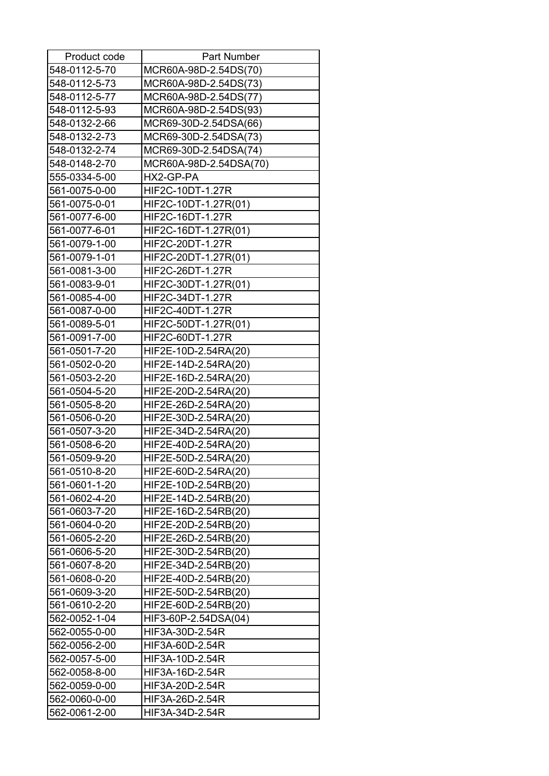| Product code  | <b>Part Number</b>     |
|---------------|------------------------|
| 548-0112-5-70 | MCR60A-98D-2.54DS(70)  |
| 548-0112-5-73 | MCR60A-98D-2.54DS(73)  |
| 548-0112-5-77 | MCR60A-98D-2.54DS(77)  |
| 548-0112-5-93 | MCR60A-98D-2.54DS(93)  |
| 548-0132-2-66 | MCR69-30D-2.54DSA(66)  |
| 548-0132-2-73 | MCR69-30D-2.54DSA(73)  |
| 548-0132-2-74 | MCR69-30D-2.54DSA(74)  |
| 548-0148-2-70 | MCR60A-98D-2.54DSA(70) |
| 555-0334-5-00 | HX2-GP-PA              |
| 561-0075-0-00 | HIF2C-10DT-1.27R       |
| 561-0075-0-01 | HIF2C-10DT-1.27R(01)   |
| 561-0077-6-00 | HIF2C-16DT-1.27R       |
| 561-0077-6-01 | HIF2C-16DT-1.27R(01)   |
| 561-0079-1-00 | HIF2C-20DT-1.27R       |
| 561-0079-1-01 | HIF2C-20DT-1.27R(01)   |
| 561-0081-3-00 | HIF2C-26DT-1.27R       |
| 561-0083-9-01 | HIF2C-30DT-1.27R(01)   |
| 561-0085-4-00 | HIF2C-34DT-1.27R       |
| 561-0087-0-00 | HIF2C-40DT-1.27R       |
| 561-0089-5-01 | HIF2C-50DT-1.27R(01)   |
| 561-0091-7-00 | HIF2C-60DT-1.27R       |
| 561-0501-7-20 | HIF2E-10D-2.54RA(20)   |
| 561-0502-0-20 | HIF2E-14D-2.54RA(20)   |
| 561-0503-2-20 | HIF2E-16D-2.54RA(20)   |
| 561-0504-5-20 | HIF2E-20D-2.54RA(20)   |
| 561-0505-8-20 | HIF2E-26D-2.54RA(20)   |
| 561-0506-0-20 | HIF2E-30D-2.54RA(20)   |
| 561-0507-3-20 | HIF2E-34D-2.54RA(20)   |
| 561-0508-6-20 | HIF2E-40D-2.54RA(20)   |
| 561-0509-9-20 | HIF2E-50D-2.54RA(20)   |
| 561-0510-8-20 | HIF2E-60D-2.54RA(20)   |
| 561-0601-1-20 | HIF2E-10D-2.54RB(20)   |
| 561-0602-4-20 | HIF2E-14D-2.54RB(20)   |
| 561-0603-7-20 | HIF2E-16D-2.54RB(20)   |
| 561-0604-0-20 | HIF2E-20D-2.54RB(20)   |
| 561-0605-2-20 | HIF2E-26D-2.54RB(20)   |
| 561-0606-5-20 | HIF2E-30D-2.54RB(20)   |
| 561-0607-8-20 | HIF2E-34D-2.54RB(20)   |
| 561-0608-0-20 | HIF2E-40D-2.54RB(20)   |
| 561-0609-3-20 | HIF2E-50D-2.54RB(20)   |
| 561-0610-2-20 | HIF2E-60D-2.54RB(20)   |
| 562-0052-1-04 | HIF3-60P-2.54DSA(04)   |
| 562-0055-0-00 | HIF3A-30D-2.54R        |
| 562-0056-2-00 | HIF3A-60D-2.54R        |
| 562-0057-5-00 | HIF3A-10D-2.54R        |
| 562-0058-8-00 | HIF3A-16D-2.54R        |
| 562-0059-0-00 | HIF3A-20D-2.54R        |
| 562-0060-0-00 | HIF3A-26D-2.54R        |
| 562-0061-2-00 | HIF3A-34D-2.54R        |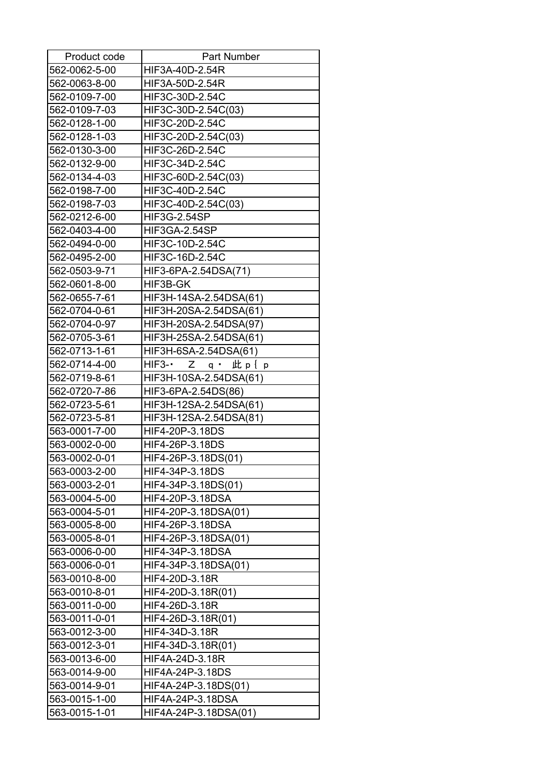| Product code  | <b>Part Number</b>                |
|---------------|-----------------------------------|
| 562-0062-5-00 | HIF3A-40D-2.54R                   |
| 562-0063-8-00 | HIF3A-50D-2.54R                   |
| 562-0109-7-00 | HIF3C-30D-2.54C                   |
| 562-0109-7-03 | HIF3C-30D-2.54C(03)               |
| 562-0128-1-00 | HIF3C-20D-2.54C                   |
| 562-0128-1-03 | HIF3C-20D-2.54C(03)               |
| 562-0130-3-00 | HIF3C-26D-2.54C                   |
| 562-0132-9-00 | HIF3C-34D-2.54C                   |
| 562-0134-4-03 | HIF3C-60D-2.54C(03)               |
| 562-0198-7-00 | HIF3C-40D-2.54C                   |
| 562-0198-7-03 | HIF3C-40D-2.54C(03)               |
| 562-0212-6-00 | HIF3G-2.54SP                      |
| 562-0403-4-00 | HIF3GA-2.54SP                     |
| 562-0494-0-00 | HIF3C-10D-2.54C                   |
| 562-0495-2-00 | HIF3C-16D-2.54C                   |
| 562-0503-9-71 | HIF3-6PA-2.54DSA(71)              |
| 562-0601-8-00 | HIF3B-GK                          |
| 562-0655-7-61 | HIF3H-14SA-2.54DSA(61)            |
| 562-0704-0-61 | HIF3H-20SA-2.54DSA(61)            |
| 562-0704-0-97 | HIF3H-20SA-2.54DSA(97)            |
| 562-0705-3-61 | HIF3H-25SA-2.54DSA(61)            |
| 562-0713-1-61 | HIF3H-6SA-2.54DSA(61)             |
| 562-0714-4-00 | HIF3- $\cdot$ Z q $\cdot$ 此 p { p |
| 562-0719-8-61 | HIF3H-10SA-2.54DSA(61)            |
| 562-0720-7-86 | HIF3-6PA-2.54DS(86)               |
| 562-0723-5-61 | HIF3H-12SA-2.54DSA(61)            |
| 562-0723-5-81 | HIF3H-12SA-2.54DSA(81)            |
| 563-0001-7-00 | HIF4-20P-3.18DS                   |
| 563-0002-0-00 | HIF4-26P-3.18DS                   |
| 563-0002-0-01 | HIF4-26P-3.18DS(01)               |
| 563-0003-2-00 | HIF4-34P-3.18DS                   |
| 563-0003-2-01 | HIF4-34P-3.18DS(01)               |
| 563-0004-5-00 | HIF4-20P-3.18DSA                  |
| 563-0004-5-01 | HIF4-20P-3.18DSA(01)              |
| 563-0005-8-00 | HIF4-26P-3.18DSA                  |
| 563-0005-8-01 | HIF4-26P-3.18DSA(01)              |
| 563-0006-0-00 | HIF4-34P-3.18DSA                  |
| 563-0006-0-01 | HIF4-34P-3.18DSA(01)              |
| 563-0010-8-00 | HIF4-20D-3.18R                    |
| 563-0010-8-01 | HIF4-20D-3.18R(01)                |
| 563-0011-0-00 | HIF4-26D-3.18R                    |
| 563-0011-0-01 | HIF4-26D-3.18R(01)                |
| 563-0012-3-00 | HIF4-34D-3.18R                    |
| 563-0012-3-01 | HIF4-34D-3.18R(01)                |
| 563-0013-6-00 | HIF4A-24D-3.18R                   |
| 563-0014-9-00 | HIF4A-24P-3.18DS                  |
| 563-0014-9-01 | HIF4A-24P-3.18DS(01)              |
| 563-0015-1-00 | HIF4A-24P-3.18DSA                 |
| 563-0015-1-01 | HIF4A-24P-3.18DSA(01)             |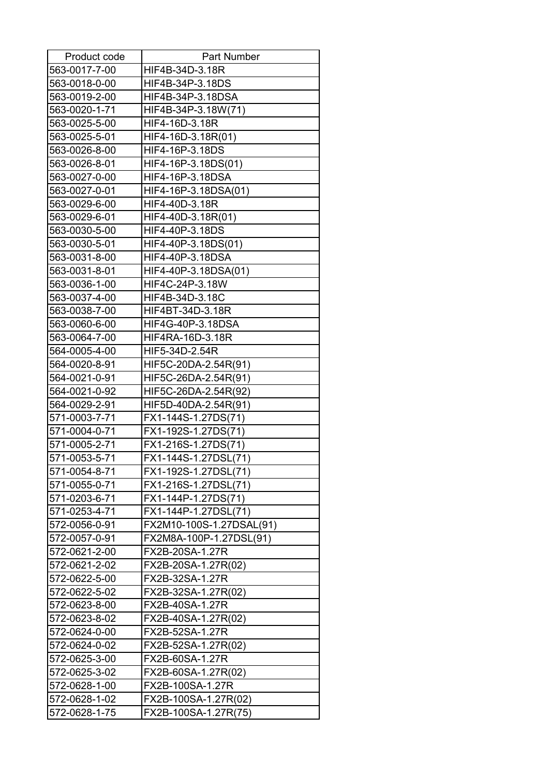| Product code  | <b>Part Number</b>       |
|---------------|--------------------------|
| 563-0017-7-00 | HIF4B-34D-3.18R          |
| 563-0018-0-00 | HIF4B-34P-3.18DS         |
| 563-0019-2-00 | HIF4B-34P-3.18DSA        |
| 563-0020-1-71 | HIF4B-34P-3.18W(71)      |
| 563-0025-5-00 | HIF4-16D-3.18R           |
| 563-0025-5-01 | HIF4-16D-3.18R(01)       |
| 563-0026-8-00 | HIF4-16P-3.18DS          |
| 563-0026-8-01 | HIF4-16P-3.18DS(01)      |
| 563-0027-0-00 | HIF4-16P-3.18DSA         |
| 563-0027-0-01 | HIF4-16P-3.18DSA(01)     |
| 563-0029-6-00 | HIF4-40D-3.18R           |
| 563-0029-6-01 | HIF4-40D-3.18R(01)       |
| 563-0030-5-00 | HIF4-40P-3.18DS          |
| 563-0030-5-01 | HIF4-40P-3.18DS(01)      |
| 563-0031-8-00 | HIF4-40P-3.18DSA         |
| 563-0031-8-01 | HIF4-40P-3.18DSA(01)     |
| 563-0036-1-00 | HIF4C-24P-3.18W          |
| 563-0037-4-00 | HIF4B-34D-3.18C          |
| 563-0038-7-00 | HIF4BT-34D-3.18R         |
| 563-0060-6-00 | HIF4G-40P-3.18DSA        |
| 563-0064-7-00 | HIF4RA-16D-3.18R         |
| 564-0005-4-00 | HIF5-34D-2.54R           |
| 564-0020-8-91 | HIF5C-20DA-2.54R(91)     |
| 564-0021-0-91 | HIF5C-26DA-2.54R(91)     |
| 564-0021-0-92 | HIF5C-26DA-2.54R(92)     |
| 564-0029-2-91 | HIF5D-40DA-2.54R(91)     |
| 571-0003-7-71 | FX1-144S-1.27DS(71)      |
| 571-0004-0-71 | FX1-192S-1.27DS(71)      |
| 571-0005-2-71 | FX1-216S-1.27DS(71)      |
| 571-0053-5-71 | FX1-144S-1.27DSL(71)     |
| 571-0054-8-71 | FX1-192S-1.27DSL(71)     |
| 571-0055-0-71 | FX1-216S-1.27DSL(71)     |
| 571-0203-6-71 | FX1-144P-1.27DS(71)      |
| 571-0253-4-71 | FX1-144P-1.27DSL(71)     |
| 572-0056-0-91 | FX2M10-100S-1.27DSAL(91) |
| 572-0057-0-91 | FX2M8A-100P-1.27DSL(91)  |
| 572-0621-2-00 | FX2B-20SA-1.27R          |
| 572-0621-2-02 | FX2B-20SA-1.27R(02)      |
| 572-0622-5-00 | FX2B-32SA-1.27R          |
| 572-0622-5-02 | FX2B-32SA-1.27R(02)      |
| 572-0623-8-00 | FX2B-40SA-1.27R          |
| 572-0623-8-02 | FX2B-40SA-1.27R(02)      |
| 572-0624-0-00 | FX2B-52SA-1.27R          |
| 572-0624-0-02 | FX2B-52SA-1.27R(02)      |
| 572-0625-3-00 | FX2B-60SA-1.27R          |
| 572-0625-3-02 | FX2B-60SA-1.27R(02)      |
| 572-0628-1-00 | FX2B-100SA-1.27R         |
| 572-0628-1-02 | FX2B-100SA-1.27R(02)     |
| 572-0628-1-75 | FX2B-100SA-1.27R(75)     |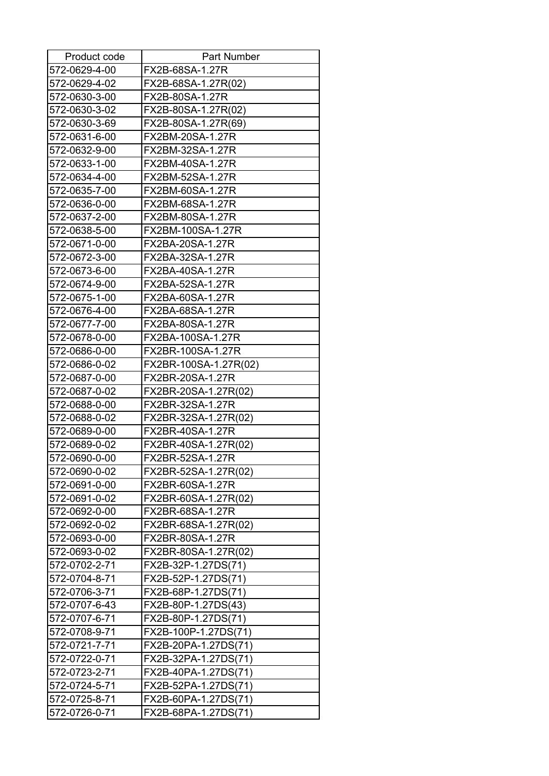| Product code  | <b>Part Number</b>    |
|---------------|-----------------------|
| 572-0629-4-00 | FX2B-68SA-1.27R       |
| 572-0629-4-02 | FX2B-68SA-1.27R(02)   |
| 572-0630-3-00 | FX2B-80SA-1.27R       |
| 572-0630-3-02 | FX2B-80SA-1.27R(02)   |
| 572-0630-3-69 | FX2B-80SA-1.27R(69)   |
| 572-0631-6-00 | FX2BM-20SA-1.27R      |
| 572-0632-9-00 | FX2BM-32SA-1.27R      |
| 572-0633-1-00 | FX2BM-40SA-1.27R      |
| 572-0634-4-00 | FX2BM-52SA-1.27R      |
| 572-0635-7-00 | FX2BM-60SA-1.27R      |
| 572-0636-0-00 | FX2BM-68SA-1.27R      |
| 572-0637-2-00 | FX2BM-80SA-1.27R      |
| 572-0638-5-00 | FX2BM-100SA-1.27R     |
| 572-0671-0-00 | FX2BA-20SA-1.27R      |
| 572-0672-3-00 | FX2BA-32SA-1.27R      |
| 572-0673-6-00 | FX2BA-40SA-1.27R      |
| 572-0674-9-00 | FX2BA-52SA-1.27R      |
| 572-0675-1-00 | FX2BA-60SA-1.27R      |
| 572-0676-4-00 | FX2BA-68SA-1.27R      |
| 572-0677-7-00 | FX2BA-80SA-1.27R      |
| 572-0678-0-00 | FX2BA-100SA-1.27R     |
| 572-0686-0-00 | FX2BR-100SA-1.27R     |
| 572-0686-0-02 | FX2BR-100SA-1.27R(02) |
| 572-0687-0-00 | FX2BR-20SA-1.27R      |
| 572-0687-0-02 | FX2BR-20SA-1.27R(02)  |
| 572-0688-0-00 | FX2BR-32SA-1.27R      |
| 572-0688-0-02 | FX2BR-32SA-1.27R(02)  |
| 572-0689-0-00 | FX2BR-40SA-1.27R      |
| 572-0689-0-02 | FX2BR-40SA-1.27R(02)  |
| 572-0690-0-00 | FX2BR-52SA-1.27R      |
| 572-0690-0-02 | FX2BR-52SA-1.27R(02)  |
| 572-0691-0-00 | FX2BR-60SA-1.27R      |
| 572-0691-0-02 | FX2BR-60SA-1.27R(02)  |
| 572-0692-0-00 | FX2BR-68SA-1.27R      |
| 572-0692-0-02 | FX2BR-68SA-1.27R(02)  |
| 572-0693-0-00 | FX2BR-80SA-1.27R      |
| 572-0693-0-02 | FX2BR-80SA-1.27R(02)  |
| 572-0702-2-71 | FX2B-32P-1.27DS(71)   |
| 572-0704-8-71 | FX2B-52P-1.27DS(71)   |
| 572-0706-3-71 | FX2B-68P-1.27DS(71)   |
| 572-0707-6-43 | FX2B-80P-1.27DS(43)   |
| 572-0707-6-71 | FX2B-80P-1.27DS(71)   |
| 572-0708-9-71 | FX2B-100P-1.27DS(71)  |
| 572-0721-7-71 | FX2B-20PA-1.27DS(71)  |
| 572-0722-0-71 | FX2B-32PA-1.27DS(71)  |
| 572-0723-2-71 | FX2B-40PA-1.27DS(71)  |
| 572-0724-5-71 | FX2B-52PA-1.27DS(71)  |
| 572-0725-8-71 | FX2B-60PA-1.27DS(71)  |
| 572-0726-0-71 | FX2B-68PA-1.27DS(71)  |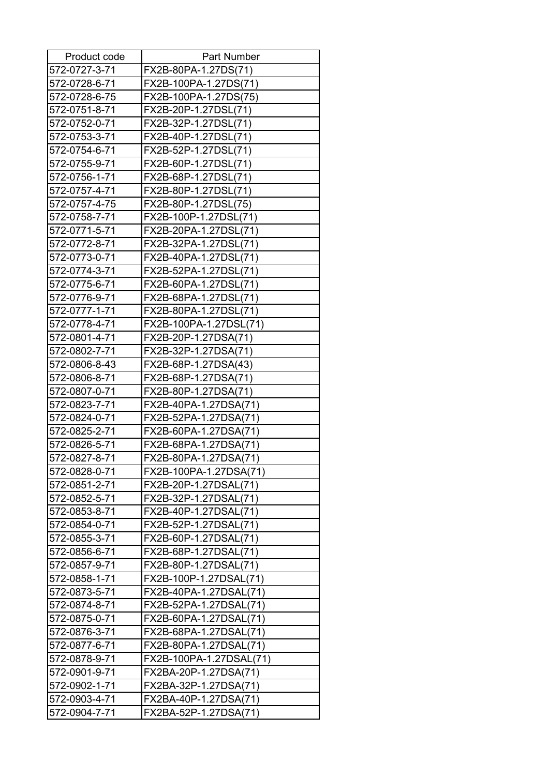| Product code  | <b>Part Number</b>      |
|---------------|-------------------------|
| 572-0727-3-71 | FX2B-80PA-1.27DS(71)    |
| 572-0728-6-71 | FX2B-100PA-1.27DS(71)   |
| 572-0728-6-75 | FX2B-100PA-1.27DS(75)   |
| 572-0751-8-71 | FX2B-20P-1.27DSL(71)    |
| 572-0752-0-71 | FX2B-32P-1.27DSL(71)    |
| 572-0753-3-71 | FX2B-40P-1.27DSL(71)    |
| 572-0754-6-71 | FX2B-52P-1.27DSL(71)    |
| 572-0755-9-71 | FX2B-60P-1.27DSL(71)    |
| 572-0756-1-71 | FX2B-68P-1.27DSL(71)    |
| 572-0757-4-71 | FX2B-80P-1.27DSL(71)    |
| 572-0757-4-75 | FX2B-80P-1.27DSL(75)    |
| 572-0758-7-71 | FX2B-100P-1.27DSL(71)   |
| 572-0771-5-71 | FX2B-20PA-1.27DSL(71)   |
| 572-0772-8-71 | FX2B-32PA-1.27DSL(71)   |
| 572-0773-0-71 | FX2B-40PA-1.27DSL(71)   |
| 572-0774-3-71 | FX2B-52PA-1.27DSL(71)   |
| 572-0775-6-71 | FX2B-60PA-1.27DSL(71)   |
| 572-0776-9-71 | FX2B-68PA-1.27DSL(71)   |
| 572-0777-1-71 | FX2B-80PA-1.27DSL(71)   |
| 572-0778-4-71 | FX2B-100PA-1.27DSL(71)  |
| 572-0801-4-71 | FX2B-20P-1.27DSA(71)    |
| 572-0802-7-71 | FX2B-32P-1.27DSA(71)    |
| 572-0806-8-43 | FX2B-68P-1.27DSA(43)    |
| 572-0806-8-71 | FX2B-68P-1.27DSA(71)    |
| 572-0807-0-71 | FX2B-80P-1.27DSA(71)    |
| 572-0823-7-71 | FX2B-40PA-1.27DSA(71)   |
| 572-0824-0-71 | FX2B-52PA-1.27DSA(71)   |
| 572-0825-2-71 | FX2B-60PA-1.27DSA(71)   |
| 572-0826-5-71 | FX2B-68PA-1.27DSA(71)   |
| 572-0827-8-71 | FX2B-80PA-1.27DSA(71)   |
| 572-0828-0-71 | FX2B-100PA-1.27DSA(71)  |
| 572-0851-2-71 | FX2B-20P-1.27DSAL(71)   |
| 572-0852-5-71 | FX2B-32P-1.27DSAL(71)   |
| 572-0853-8-71 | FX2B-40P-1.27DSAL(71)   |
| 572-0854-0-71 | FX2B-52P-1.27DSAL(71)   |
| 572-0855-3-71 | FX2B-60P-1.27DSAL(71)   |
| 572-0856-6-71 | FX2B-68P-1.27DSAL(71)   |
| 572-0857-9-71 | FX2B-80P-1.27DSAL(71)   |
| 572-0858-1-71 | FX2B-100P-1.27DSAL(71)  |
| 572-0873-5-71 | FX2B-40PA-1.27DSAL(71)  |
| 572-0874-8-71 | FX2B-52PA-1.27DSAL(71)  |
| 572-0875-0-71 | FX2B-60PA-1.27DSAL(71)  |
| 572-0876-3-71 | FX2B-68PA-1.27DSAL(71)  |
| 572-0877-6-71 | FX2B-80PA-1.27DSAL(71)  |
| 572-0878-9-71 | FX2B-100PA-1.27DSAL(71) |
| 572-0901-9-71 | FX2BA-20P-1.27DSA(71)   |
| 572-0902-1-71 | FX2BA-32P-1.27DSA(71)   |
| 572-0903-4-71 | FX2BA-40P-1.27DSA(71)   |
| 572-0904-7-71 | FX2BA-52P-1.27DSA(71)   |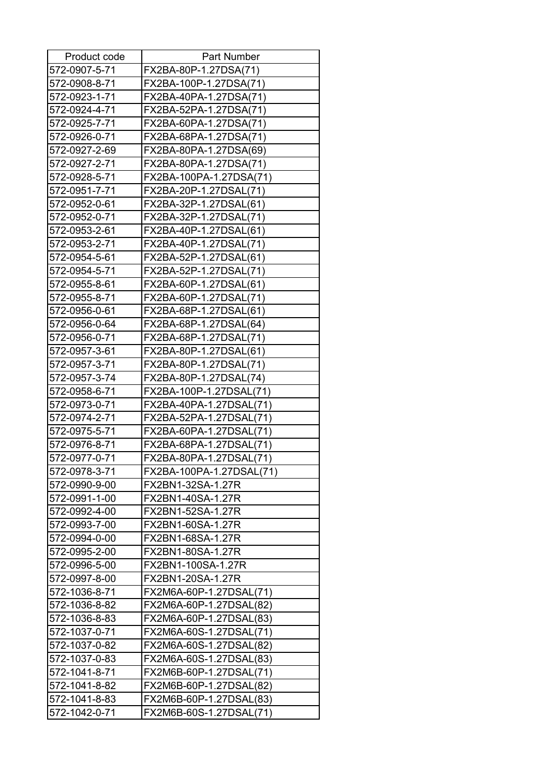| Product code  | <b>Part Number</b>       |
|---------------|--------------------------|
| 572-0907-5-71 | FX2BA-80P-1.27DSA(71)    |
| 572-0908-8-71 | FX2BA-100P-1.27DSA(71)   |
| 572-0923-1-71 | FX2BA-40PA-1.27DSA(71)   |
| 572-0924-4-71 | FX2BA-52PA-1.27DSA(71)   |
| 572-0925-7-71 | FX2BA-60PA-1.27DSA(71)   |
| 572-0926-0-71 | FX2BA-68PA-1.27DSA(71)   |
| 572-0927-2-69 | FX2BA-80PA-1.27DSA(69)   |
| 572-0927-2-71 | FX2BA-80PA-1.27DSA(71)   |
| 572-0928-5-71 | FX2BA-100PA-1.27DSA(71)  |
| 572-0951-7-71 | FX2BA-20P-1.27DSAL(71)   |
| 572-0952-0-61 | FX2BA-32P-1.27DSAL(61)   |
| 572-0952-0-71 | FX2BA-32P-1.27DSAL(71)   |
| 572-0953-2-61 | FX2BA-40P-1.27DSAL(61)   |
| 572-0953-2-71 | FX2BA-40P-1.27DSAL(71)   |
| 572-0954-5-61 | FX2BA-52P-1.27DSAL(61)   |
| 572-0954-5-71 | FX2BA-52P-1.27DSAL(71)   |
| 572-0955-8-61 | FX2BA-60P-1.27DSAL(61)   |
| 572-0955-8-71 | FX2BA-60P-1.27DSAL(71)   |
| 572-0956-0-61 | FX2BA-68P-1.27DSAL(61)   |
| 572-0956-0-64 | FX2BA-68P-1.27DSAL(64)   |
| 572-0956-0-71 | FX2BA-68P-1.27DSAL(71)   |
| 572-0957-3-61 | FX2BA-80P-1.27DSAL(61)   |
| 572-0957-3-71 | FX2BA-80P-1.27DSAL(71)   |
| 572-0957-3-74 | FX2BA-80P-1.27DSAL(74)   |
| 572-0958-6-71 | FX2BA-100P-1.27DSAL(71)  |
| 572-0973-0-71 | FX2BA-40PA-1.27DSAL(71)  |
| 572-0974-2-71 | FX2BA-52PA-1.27DSAL(71)  |
| 572-0975-5-71 | FX2BA-60PA-1.27DSAL(71)  |
| 572-0976-8-71 | FX2BA-68PA-1.27DSAL(71)  |
| 572-0977-0-71 | FX2BA-80PA-1.27DSAL(71)  |
| 572-0978-3-71 | FX2BA-100PA-1.27DSAL(71) |
| 572-0990-9-00 | FX2BN1-32SA-1.27R        |
| 572-0991-1-00 | FX2BN1-40SA-1.27R        |
| 572-0992-4-00 | FX2BN1-52SA-1.27R        |
| 572-0993-7-00 | FX2BN1-60SA-1.27R        |
| 572-0994-0-00 | FX2BN1-68SA-1.27R        |
| 572-0995-2-00 | FX2BN1-80SA-1.27R        |
| 572-0996-5-00 | FX2BN1-100SA-1.27R       |
| 572-0997-8-00 | FX2BN1-20SA-1.27R        |
| 572-1036-8-71 | FX2M6A-60P-1.27DSAL(71)  |
| 572-1036-8-82 | FX2M6A-60P-1.27DSAL(82)  |
| 572-1036-8-83 | FX2M6A-60P-1.27DSAL(83)  |
| 572-1037-0-71 | FX2M6A-60S-1.27DSAL(71)  |
| 572-1037-0-82 | FX2M6A-60S-1.27DSAL(82)  |
| 572-1037-0-83 | FX2M6A-60S-1.27DSAL(83)  |
| 572-1041-8-71 | FX2M6B-60P-1.27DSAL(71)  |
| 572-1041-8-82 | FX2M6B-60P-1.27DSAL(82)  |
| 572-1041-8-83 | FX2M6B-60P-1.27DSAL(83)  |
| 572-1042-0-71 | FX2M6B-60S-1.27DSAL(71)  |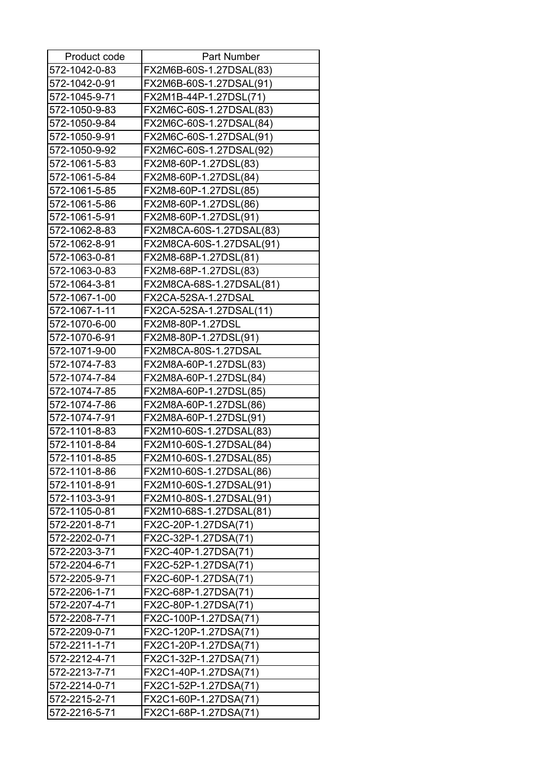| Product code  | <b>Part Number</b>       |
|---------------|--------------------------|
| 572-1042-0-83 | FX2M6B-60S-1.27DSAL(83)  |
| 572-1042-0-91 | FX2M6B-60S-1.27DSAL(91)  |
| 572-1045-9-71 | FX2M1B-44P-1.27DSL(71)   |
| 572-1050-9-83 | FX2M6C-60S-1.27DSAL(83)  |
| 572-1050-9-84 | FX2M6C-60S-1.27DSAL(84)  |
| 572-1050-9-91 | FX2M6C-60S-1.27DSAL(91)  |
| 572-1050-9-92 | FX2M6C-60S-1.27DSAL(92)  |
| 572-1061-5-83 | FX2M8-60P-1.27DSL(83)    |
| 572-1061-5-84 | FX2M8-60P-1.27DSL(84)    |
| 572-1061-5-85 | FX2M8-60P-1.27DSL(85)    |
| 572-1061-5-86 | FX2M8-60P-1.27DSL(86)    |
| 572-1061-5-91 | FX2M8-60P-1.27DSL(91)    |
| 572-1062-8-83 | FX2M8CA-60S-1.27DSAL(83) |
| 572-1062-8-91 | FX2M8CA-60S-1.27DSAL(91) |
| 572-1063-0-81 | FX2M8-68P-1.27DSL(81)    |
| 572-1063-0-83 | FX2M8-68P-1.27DSL(83)    |
| 572-1064-3-81 | FX2M8CA-68S-1.27DSAL(81) |
| 572-1067-1-00 | FX2CA-52SA-1.27DSAL      |
| 572-1067-1-11 | FX2CA-52SA-1.27DSAL(11)  |
| 572-1070-6-00 | FX2M8-80P-1.27DSL        |
| 572-1070-6-91 | FX2M8-80P-1.27DSL(91)    |
| 572-1071-9-00 | FX2M8CA-80S-1.27DSAL     |
| 572-1074-7-83 | FX2M8A-60P-1.27DSL(83)   |
| 572-1074-7-84 | FX2M8A-60P-1.27DSL(84)   |
| 572-1074-7-85 | FX2M8A-60P-1.27DSL(85)   |
| 572-1074-7-86 | FX2M8A-60P-1.27DSL(86)   |
| 572-1074-7-91 | FX2M8A-60P-1.27DSL(91)   |
| 572-1101-8-83 | FX2M10-60S-1.27DSAL(83)  |
| 572-1101-8-84 | FX2M10-60S-1.27DSAL(84)  |
| 572-1101-8-85 | FX2M10-60S-1.27DSAL(85)  |
| 572-1101-8-86 | FX2M10-60S-1.27DSAL(86)  |
| 572-1101-8-91 | FX2M10-60S-1.27DSAL(91)  |
| 572-1103-3-91 | FX2M10-80S-1.27DSAL(91)  |
| 572-1105-0-81 | FX2M10-68S-1.27DSAL(81)  |
| 572-2201-8-71 | FX2C-20P-1.27DSA(71)     |
| 572-2202-0-71 | FX2C-32P-1.27DSA(71)     |
| 572-2203-3-71 | FX2C-40P-1.27DSA(71)     |
| 572-2204-6-71 | FX2C-52P-1.27DSA(71)     |
| 572-2205-9-71 | FX2C-60P-1.27DSA(71)     |
| 572-2206-1-71 | FX2C-68P-1.27DSA(71)     |
| 572-2207-4-71 | FX2C-80P-1.27DSA(71)     |
| 572-2208-7-71 | FX2C-100P-1.27DSA(71)    |
| 572-2209-0-71 | FX2C-120P-1.27DSA(71)    |
| 572-2211-1-71 | FX2C1-20P-1.27DSA(71)    |
| 572-2212-4-71 | FX2C1-32P-1.27DSA(71)    |
| 572-2213-7-71 | FX2C1-40P-1.27DSA(71)    |
| 572-2214-0-71 | FX2C1-52P-1.27DSA(71)    |
| 572-2215-2-71 | FX2C1-60P-1.27DSA(71)    |
| 572-2216-5-71 | FX2C1-68P-1.27DSA(71)    |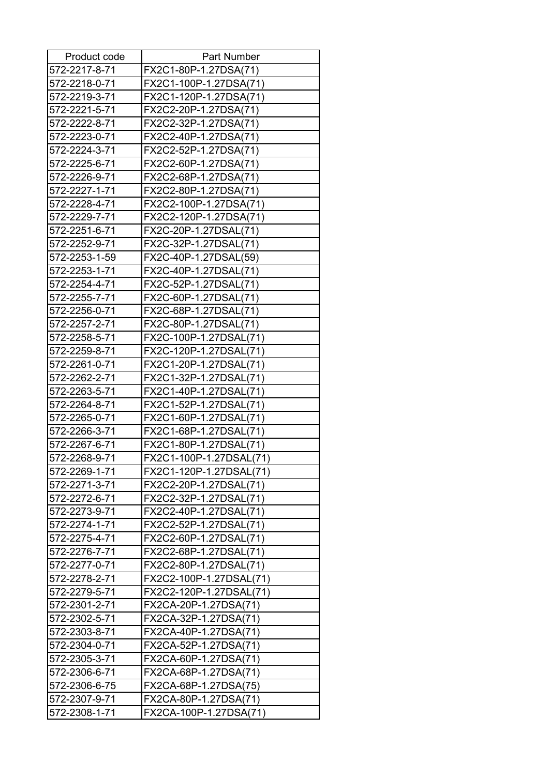| Product code  | <b>Part Number</b>      |
|---------------|-------------------------|
| 572-2217-8-71 | FX2C1-80P-1.27DSA(71)   |
| 572-2218-0-71 | FX2C1-100P-1.27DSA(71)  |
| 572-2219-3-71 | FX2C1-120P-1.27DSA(71)  |
| 572-2221-5-71 | FX2C2-20P-1.27DSA(71)   |
| 572-2222-8-71 | FX2C2-32P-1.27DSA(71)   |
| 572-2223-0-71 | FX2C2-40P-1.27DSA(71)   |
| 572-2224-3-71 | FX2C2-52P-1.27DSA(71)   |
| 572-2225-6-71 | FX2C2-60P-1.27DSA(71)   |
| 572-2226-9-71 | FX2C2-68P-1.27DSA(71)   |
| 572-2227-1-71 | FX2C2-80P-1.27DSA(71)   |
| 572-2228-4-71 | FX2C2-100P-1.27DSA(71)  |
| 572-2229-7-71 | FX2C2-120P-1.27DSA(71)  |
| 572-2251-6-71 | FX2C-20P-1.27DSAL(71)   |
| 572-2252-9-71 | FX2C-32P-1.27DSAL(71)   |
| 572-2253-1-59 | FX2C-40P-1.27DSAL(59)   |
| 572-2253-1-71 | FX2C-40P-1.27DSAL(71)   |
| 572-2254-4-71 | FX2C-52P-1.27DSAL(71)   |
| 572-2255-7-71 | FX2C-60P-1.27DSAL(71)   |
| 572-2256-0-71 | FX2C-68P-1.27DSAL(71)   |
| 572-2257-2-71 | FX2C-80P-1.27DSAL(71)   |
| 572-2258-5-71 | FX2C-100P-1.27DSAL(71)  |
| 572-2259-8-71 | FX2C-120P-1.27DSAL(71)  |
| 572-2261-0-71 | FX2C1-20P-1.27DSAL(71)  |
| 572-2262-2-71 | FX2C1-32P-1.27DSAL(71)  |
| 572-2263-5-71 | FX2C1-40P-1.27DSAL(71)  |
| 572-2264-8-71 | FX2C1-52P-1.27DSAL(71)  |
| 572-2265-0-71 | FX2C1-60P-1.27DSAL(71)  |
| 572-2266-3-71 | FX2C1-68P-1.27DSAL(71)  |
| 572-2267-6-71 | FX2C1-80P-1.27DSAL(71)  |
| 572-2268-9-71 | FX2C1-100P-1.27DSAL(71) |
| 572-2269-1-71 | FX2C1-120P-1.27DSAL(71) |
| 572-2271-3-71 | FX2C2-20P-1.27DSAL(71)  |
| 572-2272-6-71 | FX2C2-32P-1.27DSAL(71)  |
| 572-2273-9-71 | FX2C2-40P-1.27DSAL(71)  |
| 572-2274-1-71 | FX2C2-52P-1.27DSAL(71)  |
| 572-2275-4-71 | FX2C2-60P-1.27DSAL(71)  |
| 572-2276-7-71 | FX2C2-68P-1.27DSAL(71)  |
| 572-2277-0-71 | FX2C2-80P-1.27DSAL(71)  |
| 572-2278-2-71 | FX2C2-100P-1.27DSAL(71) |
| 572-2279-5-71 | FX2C2-120P-1.27DSAL(71) |
| 572-2301-2-71 | FX2CA-20P-1.27DSA(71)   |
| 572-2302-5-71 | FX2CA-32P-1.27DSA(71)   |
| 572-2303-8-71 | FX2CA-40P-1.27DSA(71)   |
| 572-2304-0-71 | FX2CA-52P-1.27DSA(71)   |
| 572-2305-3-71 | FX2CA-60P-1.27DSA(71)   |
| 572-2306-6-71 | FX2CA-68P-1.27DSA(71)   |
| 572-2306-6-75 | FX2CA-68P-1.27DSA(75)   |
| 572-2307-9-71 | FX2CA-80P-1.27DSA(71)   |
| 572-2308-1-71 | FX2CA-100P-1.27DSA(71)  |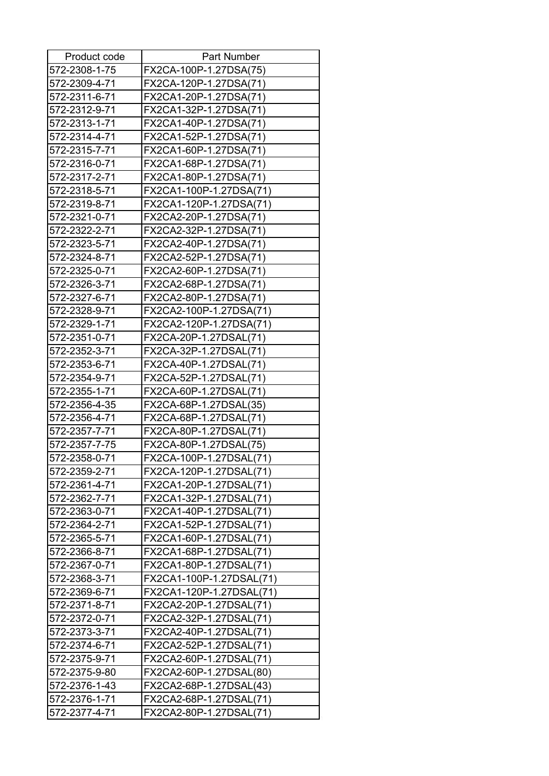| Product code  | <b>Part Number</b>       |
|---------------|--------------------------|
| 572-2308-1-75 | FX2CA-100P-1.27DSA(75)   |
| 572-2309-4-71 | FX2CA-120P-1.27DSA(71)   |
| 572-2311-6-71 | FX2CA1-20P-1.27DSA(71)   |
| 572-2312-9-71 | FX2CA1-32P-1.27DSA(71)   |
| 572-2313-1-71 | FX2CA1-40P-1.27DSA(71)   |
| 572-2314-4-71 | FX2CA1-52P-1.27DSA(71)   |
| 572-2315-7-71 | FX2CA1-60P-1.27DSA(71)   |
| 572-2316-0-71 | FX2CA1-68P-1.27DSA(71)   |
| 572-2317-2-71 | FX2CA1-80P-1.27DSA(71)   |
| 572-2318-5-71 | FX2CA1-100P-1.27DSA(71)  |
| 572-2319-8-71 | FX2CA1-120P-1.27DSA(71)  |
| 572-2321-0-71 | FX2CA2-20P-1.27DSA(71)   |
| 572-2322-2-71 | FX2CA2-32P-1.27DSA(71)   |
| 572-2323-5-71 | FX2CA2-40P-1.27DSA(71)   |
| 572-2324-8-71 | FX2CA2-52P-1.27DSA(71)   |
| 572-2325-0-71 | FX2CA2-60P-1.27DSA(71)   |
| 572-2326-3-71 | FX2CA2-68P-1.27DSA(71)   |
| 572-2327-6-71 | FX2CA2-80P-1.27DSA(71)   |
| 572-2328-9-71 | FX2CA2-100P-1.27DSA(71)  |
| 572-2329-1-71 | FX2CA2-120P-1.27DSA(71)  |
| 572-2351-0-71 | FX2CA-20P-1.27DSAL(71)   |
| 572-2352-3-71 | FX2CA-32P-1.27DSAL(71)   |
| 572-2353-6-71 | FX2CA-40P-1.27DSAL(71)   |
| 572-2354-9-71 | FX2CA-52P-1.27DSAL(71)   |
| 572-2355-1-71 | FX2CA-60P-1.27DSAL(71)   |
| 572-2356-4-35 | FX2CA-68P-1.27DSAL(35)   |
| 572-2356-4-71 | FX2CA-68P-1.27DSAL(71)   |
| 572-2357-7-71 | FX2CA-80P-1.27DSAL(71)   |
| 572-2357-7-75 | FX2CA-80P-1.27DSAL(75)   |
| 572-2358-0-71 | FX2CA-100P-1.27DSAL(71)  |
| 572-2359-2-71 | FX2CA-120P-1.27DSAL(71)  |
| 572-2361-4-71 | FX2CA1-20P-1.27DSAL(71)  |
| 572-2362-7-71 | FX2CA1-32P-1.27DSAL(71)  |
| 572-2363-0-71 | FX2CA1-40P-1.27DSAL(71)  |
| 572-2364-2-71 | FX2CA1-52P-1.27DSAL(71)  |
| 572-2365-5-71 | FX2CA1-60P-1.27DSAL(71)  |
| 572-2366-8-71 | FX2CA1-68P-1.27DSAL(71)  |
| 572-2367-0-71 | FX2CA1-80P-1.27DSAL(71)  |
| 572-2368-3-71 | FX2CA1-100P-1.27DSAL(71) |
| 572-2369-6-71 | FX2CA1-120P-1.27DSAL(71) |
| 572-2371-8-71 | FX2CA2-20P-1.27DSAL(71)  |
| 572-2372-0-71 | FX2CA2-32P-1.27DSAL(71)  |
| 572-2373-3-71 | FX2CA2-40P-1.27DSAL(71)  |
| 572-2374-6-71 | FX2CA2-52P-1.27DSAL(71)  |
| 572-2375-9-71 | FX2CA2-60P-1.27DSAL(71)  |
| 572-2375-9-80 | FX2CA2-60P-1.27DSAL(80)  |
| 572-2376-1-43 | FX2CA2-68P-1.27DSAL(43)  |
| 572-2376-1-71 | FX2CA2-68P-1.27DSAL(71)  |
| 572-2377-4-71 | FX2CA2-80P-1.27DSAL(71)  |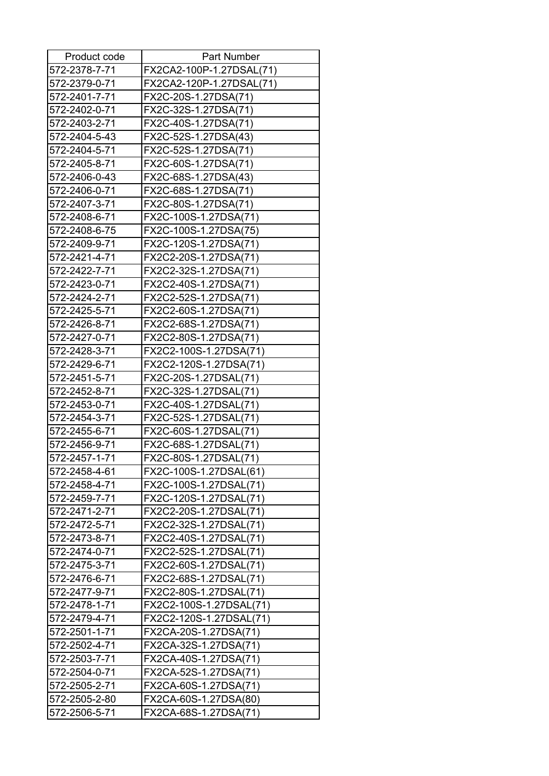| Product code  | <b>Part Number</b>       |
|---------------|--------------------------|
| 572-2378-7-71 | FX2CA2-100P-1.27DSAL(71) |
| 572-2379-0-71 | FX2CA2-120P-1.27DSAL(71) |
| 572-2401-7-71 | FX2C-20S-1.27DSA(71)     |
| 572-2402-0-71 | FX2C-32S-1.27DSA(71)     |
| 572-2403-2-71 | FX2C-40S-1.27DSA(71)     |
| 572-2404-5-43 | FX2C-52S-1.27DSA(43)     |
| 572-2404-5-71 | FX2C-52S-1.27DSA(71)     |
| 572-2405-8-71 | FX2C-60S-1.27DSA(71)     |
| 572-2406-0-43 | FX2C-68S-1.27DSA(43)     |
| 572-2406-0-71 | FX2C-68S-1.27DSA(71)     |
| 572-2407-3-71 | FX2C-80S-1.27DSA(71)     |
| 572-2408-6-71 | FX2C-100S-1.27DSA(71)    |
| 572-2408-6-75 | FX2C-100S-1.27DSA(75)    |
| 572-2409-9-71 | FX2C-120S-1.27DSA(71)    |
| 572-2421-4-71 | FX2C2-20S-1.27DSA(71)    |
| 572-2422-7-71 | FX2C2-32S-1.27DSA(71)    |
| 572-2423-0-71 | FX2C2-40S-1.27DSA(71)    |
| 572-2424-2-71 | FX2C2-52S-1.27DSA(71)    |
| 572-2425-5-71 | FX2C2-60S-1.27DSA(71)    |
| 572-2426-8-71 | FX2C2-68S-1.27DSA(71)    |
| 572-2427-0-71 | FX2C2-80S-1.27DSA(71)    |
| 572-2428-3-71 | FX2C2-100S-1.27DSA(71)   |
| 572-2429-6-71 | FX2C2-120S-1.27DSA(71)   |
| 572-2451-5-71 | FX2C-20S-1.27DSAL(71)    |
| 572-2452-8-71 | FX2C-32S-1.27DSAL(71)    |
| 572-2453-0-71 | FX2C-40S-1.27DSAL(71)    |
| 572-2454-3-71 | FX2C-52S-1.27DSAL(71)    |
| 572-2455-6-71 | FX2C-60S-1.27DSAL(71)    |
| 572-2456-9-71 | FX2C-68S-1.27DSAL(71)    |
| 572-2457-1-71 | FX2C-80S-1.27DSAL(71)    |
| 572-2458-4-61 | FX2C-100S-1.27DSAL(61)   |
| 572-2458-4-71 | FX2C-100S-1.27DSAL(71)   |
| 572-2459-7-71 | FX2C-120S-1.27DSAL(71)   |
| 572-2471-2-71 | FX2C2-20S-1.27DSAL(71)   |
| 572-2472-5-71 | FX2C2-32S-1.27DSAL(71)   |
| 572-2473-8-71 | FX2C2-40S-1.27DSAL(71)   |
| 572-2474-0-71 | FX2C2-52S-1.27DSAL(71)   |
| 572-2475-3-71 | FX2C2-60S-1.27DSAL(71)   |
| 572-2476-6-71 | FX2C2-68S-1.27DSAL(71)   |
| 572-2477-9-71 | FX2C2-80S-1.27DSAL(71)   |
| 572-2478-1-71 | FX2C2-100S-1.27DSAL(71)  |
| 572-2479-4-71 | FX2C2-120S-1.27DSAL(71)  |
| 572-2501-1-71 | FX2CA-20S-1.27DSA(71)    |
| 572-2502-4-71 | FX2CA-32S-1.27DSA(71)    |
| 572-2503-7-71 | FX2CA-40S-1.27DSA(71)    |
| 572-2504-0-71 | FX2CA-52S-1.27DSA(71)    |
| 572-2505-2-71 | FX2CA-60S-1.27DSA(71)    |
| 572-2505-2-80 | FX2CA-60S-1.27DSA(80)    |
| 572-2506-5-71 | FX2CA-68S-1.27DSA(71)    |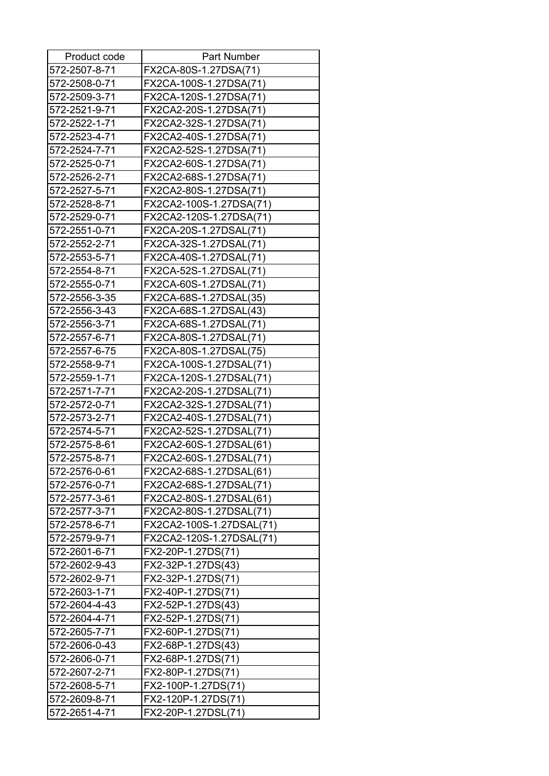| Product code  | <b>Part Number</b>       |
|---------------|--------------------------|
| 572-2507-8-71 | FX2CA-80S-1.27DSA(71)    |
| 572-2508-0-71 | FX2CA-100S-1.27DSA(71)   |
| 572-2509-3-71 | FX2CA-120S-1.27DSA(71)   |
| 572-2521-9-71 | FX2CA2-20S-1.27DSA(71)   |
| 572-2522-1-71 | FX2CA2-32S-1.27DSA(71)   |
| 572-2523-4-71 | FX2CA2-40S-1.27DSA(71)   |
| 572-2524-7-71 | FX2CA2-52S-1.27DSA(71)   |
| 572-2525-0-71 | FX2CA2-60S-1.27DSA(71)   |
| 572-2526-2-71 | FX2CA2-68S-1.27DSA(71)   |
| 572-2527-5-71 | FX2CA2-80S-1.27DSA(71)   |
| 572-2528-8-71 | FX2CA2-100S-1.27DSA(71)  |
| 572-2529-0-71 | FX2CA2-120S-1.27DSA(71)  |
| 572-2551-0-71 | FX2CA-20S-1.27DSAL(71)   |
| 572-2552-2-71 | FX2CA-32S-1.27DSAL(71)   |
| 572-2553-5-71 | FX2CA-40S-1.27DSAL(71)   |
| 572-2554-8-71 | FX2CA-52S-1.27DSAL(71)   |
| 572-2555-0-71 | FX2CA-60S-1.27DSAL(71)   |
| 572-2556-3-35 | FX2CA-68S-1.27DSAL(35)   |
| 572-2556-3-43 | FX2CA-68S-1.27DSAL(43)   |
| 572-2556-3-71 | FX2CA-68S-1.27DSAL(71)   |
| 572-2557-6-71 | FX2CA-80S-1.27DSAL(71)   |
| 572-2557-6-75 | FX2CA-80S-1.27DSAL(75)   |
| 572-2558-9-71 | FX2CA-100S-1.27DSAL(71)  |
| 572-2559-1-71 | FX2CA-120S-1.27DSAL(71)  |
| 572-2571-7-71 | FX2CA2-20S-1.27DSAL(71)  |
| 572-2572-0-71 | FX2CA2-32S-1.27DSAL(71)  |
| 572-2573-2-71 | FX2CA2-40S-1.27DSAL(71)  |
| 572-2574-5-71 | FX2CA2-52S-1.27DSAL(71)  |
| 572-2575-8-61 | FX2CA2-60S-1.27DSAL(61)  |
| 572-2575-8-71 | FX2CA2-60S-1.27DSAL(71)  |
| 572-2576-0-61 | FX2CA2-68S-1.27DSAL(61)  |
| 572-2576-0-71 | FX2CA2-68S-1.27DSAL(71)  |
| 572-2577-3-61 | FX2CA2-80S-1.27DSAL(61)  |
| 572-2577-3-71 | FX2CA2-80S-1.27DSAL(71)  |
| 572-2578-6-71 | FX2CA2-100S-1.27DSAL(71) |
| 572-2579-9-71 | FX2CA2-120S-1.27DSAL(71) |
| 572-2601-6-71 | FX2-20P-1.27DS(71)       |
| 572-2602-9-43 | FX2-32P-1.27DS(43)       |
| 572-2602-9-71 | FX2-32P-1.27DS(71)       |
| 572-2603-1-71 | FX2-40P-1.27DS(71)       |
| 572-2604-4-43 | FX2-52P-1.27DS(43)       |
| 572-2604-4-71 | FX2-52P-1.27DS(71)       |
| 572-2605-7-71 | FX2-60P-1.27DS(71)       |
| 572-2606-0-43 | FX2-68P-1.27DS(43)       |
| 572-2606-0-71 | FX2-68P-1.27DS(71)       |
| 572-2607-2-71 | FX2-80P-1.27DS(71)       |
| 572-2608-5-71 | FX2-100P-1.27DS(71)      |
| 572-2609-8-71 | FX2-120P-1.27DS(71)      |
| 572-2651-4-71 | FX2-20P-1.27DSL(71)      |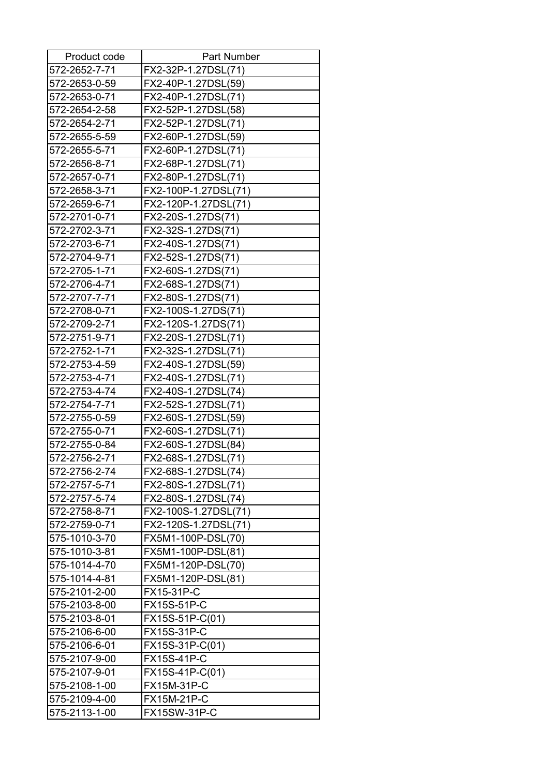| Product code  | Part Number          |
|---------------|----------------------|
| 572-2652-7-71 | FX2-32P-1.27DSL(71)  |
| 572-2653-0-59 | FX2-40P-1.27DSL(59)  |
| 572-2653-0-71 | FX2-40P-1.27DSL(71)  |
| 572-2654-2-58 | FX2-52P-1.27DSL(58)  |
| 572-2654-2-71 | FX2-52P-1.27DSL(71)  |
| 572-2655-5-59 | FX2-60P-1.27DSL(59)  |
| 572-2655-5-71 | FX2-60P-1.27DSL(71)  |
| 572-2656-8-71 | FX2-68P-1.27DSL(71)  |
| 572-2657-0-71 | FX2-80P-1.27DSL(71)  |
| 572-2658-3-71 | FX2-100P-1.27DSL(71) |
| 572-2659-6-71 | FX2-120P-1.27DSL(71) |
| 572-2701-0-71 | FX2-20S-1.27DS(71)   |
| 572-2702-3-71 | FX2-32S-1.27DS(71)   |
| 572-2703-6-71 | FX2-40S-1.27DS(71)   |
| 572-2704-9-71 | FX2-52S-1.27DS(71)   |
| 572-2705-1-71 | FX2-60S-1.27DS(71)   |
| 572-2706-4-71 | FX2-68S-1.27DS(71)   |
| 572-2707-7-71 | FX2-80S-1.27DS(71)   |
| 572-2708-0-71 | FX2-100S-1.27DS(71)  |
| 572-2709-2-71 | FX2-120S-1.27DS(71)  |
| 572-2751-9-71 | FX2-20S-1.27DSL(71)  |
| 572-2752-1-71 | FX2-32S-1.27DSL(71)  |
| 572-2753-4-59 | FX2-40S-1.27DSL(59)  |
| 572-2753-4-71 | FX2-40S-1.27DSL(71)  |
| 572-2753-4-74 | FX2-40S-1.27DSL(74)  |
| 572-2754-7-71 | FX2-52S-1.27DSL(71)  |
| 572-2755-0-59 | FX2-60S-1.27DSL(59)  |
| 572-2755-0-71 | FX2-60S-1.27DSL(71)  |
| 572-2755-0-84 | FX2-60S-1.27DSL(84)  |
| 572-2756-2-71 | FX2-68S-1.27DSL(71)  |
| 572-2756-2-74 | FX2-68S-1.27DSL(74)  |
| 572-2757-5-71 | FX2-80S-1.27DSL(71)  |
| 572-2757-5-74 | FX2-80S-1.27DSL(74)  |
| 572-2758-8-71 | FX2-100S-1.27DSL(71) |
| 572-2759-0-71 | FX2-120S-1.27DSL(71) |
| 575-1010-3-70 | FX5M1-100P-DSL(70)   |
| 575-1010-3-81 | FX5M1-100P-DSL(81)   |
| 575-1014-4-70 | FX5M1-120P-DSL(70)   |
| 575-1014-4-81 | FX5M1-120P-DSL(81)   |
| 575-2101-2-00 | FX15-31P-C           |
| 575-2103-8-00 | <b>FX15S-51P-C</b>   |
| 575-2103-8-01 | FX15S-51P-C(01)      |
| 575-2106-6-00 | <b>FX15S-31P-C</b>   |
| 575-2106-6-01 | FX15S-31P-C(01)      |
| 575-2107-9-00 | <b>FX15S-41P-C</b>   |
| 575-2107-9-01 | FX15S-41P-C(01)      |
| 575-2108-1-00 | <b>FX15M-31P-C</b>   |
| 575-2109-4-00 | FX15M-21P-C          |
| 575-2113-1-00 | <b>FX15SW-31P-C</b>  |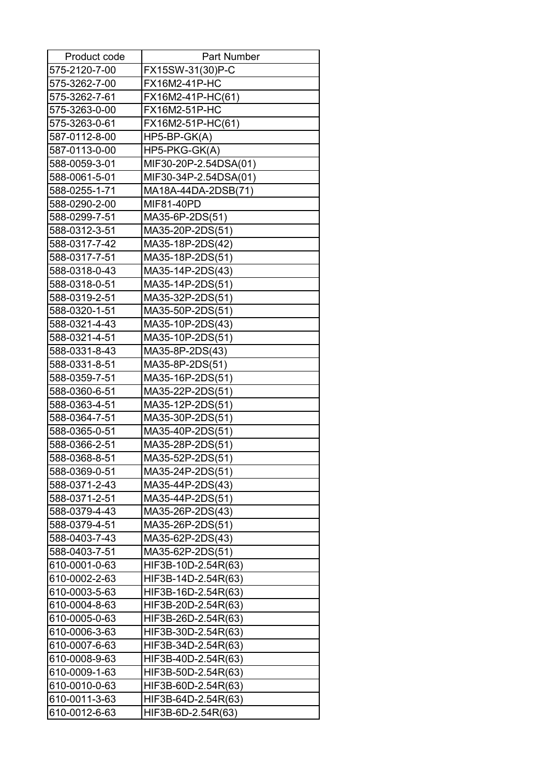| Product code  | Part Number           |
|---------------|-----------------------|
| 575-2120-7-00 | FX15SW-31(30)P-C      |
| 575-3262-7-00 | FX16M2-41P-HC         |
| 575-3262-7-61 | FX16M2-41P-HC(61)     |
| 575-3263-0-00 | FX16M2-51P-HC         |
| 575-3263-0-61 | FX16M2-51P-HC(61)     |
| 587-0112-8-00 | $HP5-BP-GK(A)$        |
| 587-0113-0-00 | HP5-PKG-GK(A)         |
| 588-0059-3-01 | MIF30-20P-2.54DSA(01) |
| 588-0061-5-01 | MIF30-34P-2.54DSA(01) |
| 588-0255-1-71 | MA18A-44DA-2DSB(71)   |
| 588-0290-2-00 | MIF81-40PD            |
| 588-0299-7-51 | MA35-6P-2DS(51)       |
| 588-0312-3-51 | MA35-20P-2DS(51)      |
| 588-0317-7-42 | MA35-18P-2DS(42)      |
| 588-0317-7-51 | MA35-18P-2DS(51)      |
| 588-0318-0-43 | MA35-14P-2DS(43)      |
| 588-0318-0-51 | MA35-14P-2DS(51)      |
| 588-0319-2-51 | MA35-32P-2DS(51)      |
| 588-0320-1-51 | MA35-50P-2DS(51)      |
| 588-0321-4-43 | MA35-10P-2DS(43)      |
| 588-0321-4-51 | MA35-10P-2DS(51)      |
| 588-0331-8-43 | MA35-8P-2DS(43)       |
| 588-0331-8-51 | MA35-8P-2DS(51)       |
| 588-0359-7-51 | MA35-16P-2DS(51)      |
| 588-0360-6-51 | MA35-22P-2DS(51)      |
| 588-0363-4-51 | MA35-12P-2DS(51)      |
| 588-0364-7-51 | MA35-30P-2DS(51)      |
| 588-0365-0-51 | MA35-40P-2DS(51)      |
| 588-0366-2-51 | MA35-28P-2DS(51)      |
| 588-0368-8-51 | MA35-52P-2DS(51)      |
| 588-0369-0-51 | MA35-24P-2DS(51)      |
| 588-0371-2-43 | MA35-44P-2DS(43)      |
| 588-0371-2-51 | MA35-44P-2DS(51)      |
| 588-0379-4-43 | MA35-26P-2DS(43)      |
| 588-0379-4-51 | MA35-26P-2DS(51)      |
| 588-0403-7-43 | MA35-62P-2DS(43)      |
| 588-0403-7-51 | MA35-62P-2DS(51)      |
| 610-0001-0-63 | HIF3B-10D-2.54R(63)   |
| 610-0002-2-63 | HIF3B-14D-2.54R(63)   |
| 610-0003-5-63 | HIF3B-16D-2.54R(63)   |
| 610-0004-8-63 | HIF3B-20D-2.54R(63)   |
| 610-0005-0-63 | HIF3B-26D-2.54R(63)   |
| 610-0006-3-63 | HIF3B-30D-2.54R(63)   |
| 610-0007-6-63 | HIF3B-34D-2.54R(63)   |
| 610-0008-9-63 | HIF3B-40D-2.54R(63)   |
| 610-0009-1-63 | HIF3B-50D-2.54R(63)   |
| 610-0010-0-63 | HIF3B-60D-2.54R(63)   |
| 610-0011-3-63 | HIF3B-64D-2.54R(63)   |
| 610-0012-6-63 | HIF3B-6D-2.54R(63)    |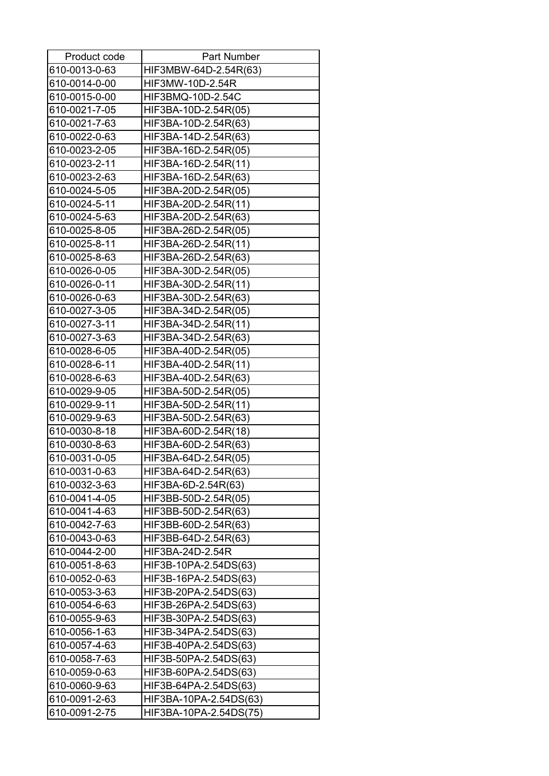| Product code  | <b>Part Number</b>     |
|---------------|------------------------|
| 610-0013-0-63 | HIF3MBW-64D-2.54R(63)  |
| 610-0014-0-00 | HIF3MW-10D-2.54R       |
| 610-0015-0-00 | HIF3BMQ-10D-2.54C      |
| 610-0021-7-05 | HIF3BA-10D-2.54R(05)   |
| 610-0021-7-63 | HIF3BA-10D-2.54R(63)   |
| 610-0022-0-63 | HIF3BA-14D-2.54R(63)   |
| 610-0023-2-05 | HIF3BA-16D-2.54R(05)   |
| 610-0023-2-11 | HIF3BA-16D-2.54R(11)   |
| 610-0023-2-63 | HIF3BA-16D-2.54R(63)   |
| 610-0024-5-05 | HIF3BA-20D-2.54R(05)   |
| 610-0024-5-11 | HIF3BA-20D-2.54R(11)   |
| 610-0024-5-63 | HIF3BA-20D-2.54R(63)   |
| 610-0025-8-05 | HIF3BA-26D-2.54R(05)   |
| 610-0025-8-11 | HIF3BA-26D-2.54R(11)   |
| 610-0025-8-63 | HIF3BA-26D-2.54R(63)   |
| 610-0026-0-05 | HIF3BA-30D-2.54R(05)   |
| 610-0026-0-11 | HIF3BA-30D-2.54R(11)   |
| 610-0026-0-63 | HIF3BA-30D-2.54R(63)   |
| 610-0027-3-05 | HIF3BA-34D-2.54R(05)   |
| 610-0027-3-11 | HIF3BA-34D-2.54R(11)   |
| 610-0027-3-63 | HIF3BA-34D-2.54R(63)   |
| 610-0028-6-05 | HIF3BA-40D-2.54R(05)   |
| 610-0028-6-11 | HIF3BA-40D-2.54R(11)   |
| 610-0028-6-63 | HIF3BA-40D-2.54R(63)   |
| 610-0029-9-05 | HIF3BA-50D-2.54R(05)   |
| 610-0029-9-11 | HIF3BA-50D-2.54R(11)   |
| 610-0029-9-63 | HIF3BA-50D-2.54R(63)   |
| 610-0030-8-18 | HIF3BA-60D-2.54R(18)   |
| 610-0030-8-63 | HIF3BA-60D-2.54R(63)   |
| 610-0031-0-05 | HIF3BA-64D-2.54R(05)   |
| 610-0031-0-63 | HIF3BA-64D-2.54R(63)   |
| 610-0032-3-63 | HIF3BA-6D-2.54R(63)    |
| 610-0041-4-05 | HIF3BB-50D-2.54R(05)   |
| 610-0041-4-63 | HIF3BB-50D-2.54R(63)   |
| 610-0042-7-63 | HIF3BB-60D-2.54R(63)   |
| 610-0043-0-63 | HIF3BB-64D-2.54R(63)   |
| 610-0044-2-00 | HIF3BA-24D-2.54R       |
| 610-0051-8-63 | HIF3B-10PA-2.54DS(63)  |
| 610-0052-0-63 | HIF3B-16PA-2.54DS(63)  |
| 610-0053-3-63 | HIF3B-20PA-2.54DS(63)  |
| 610-0054-6-63 | HIF3B-26PA-2.54DS(63)  |
| 610-0055-9-63 | HIF3B-30PA-2.54DS(63)  |
| 610-0056-1-63 | HIF3B-34PA-2.54DS(63)  |
| 610-0057-4-63 | HIF3B-40PA-2.54DS(63)  |
| 610-0058-7-63 | HIF3B-50PA-2.54DS(63)  |
| 610-0059-0-63 | HIF3B-60PA-2.54DS(63)  |
| 610-0060-9-63 | HIF3B-64PA-2.54DS(63)  |
| 610-0091-2-63 | HIF3BA-10PA-2.54DS(63) |
| 610-0091-2-75 | HIF3BA-10PA-2.54DS(75) |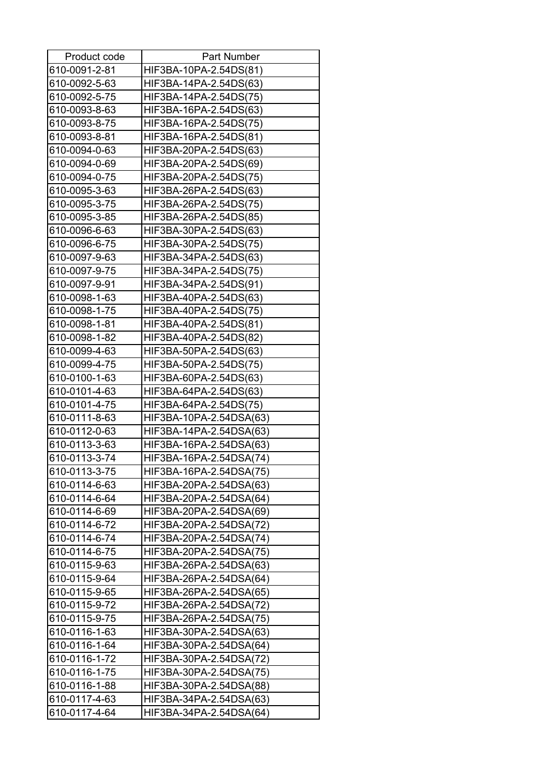| Product code                   | <b>Part Number</b>                                 |
|--------------------------------|----------------------------------------------------|
| 610-0091-2-81                  | HIF3BA-10PA-2.54DS(81)                             |
| 610-0092-5-63                  | HIF3BA-14PA-2.54DS(63)                             |
| 610-0092-5-75                  | HIF3BA-14PA-2.54DS(75)                             |
| 610-0093-8-63                  | HIF3BA-16PA-2.54DS(63)                             |
| 610-0093-8-75                  | HIF3BA-16PA-2.54DS(75)                             |
| 610-0093-8-81                  | HIF3BA-16PA-2.54DS(81)                             |
| 610-0094-0-63                  | HIF3BA-20PA-2.54DS(63)                             |
| 610-0094-0-69                  | HIF3BA-20PA-2.54DS(69)                             |
| 610-0094-0-75                  | HIF3BA-20PA-2.54DS(75)                             |
| 610-0095-3-63                  | HIF3BA-26PA-2.54DS(63)                             |
| 610-0095-3-75                  | HIF3BA-26PA-2.54DS(75)                             |
| 610-0095-3-85                  | HIF3BA-26PA-2.54DS(85)                             |
| 610-0096-6-63                  | HIF3BA-30PA-2.54DS(63)                             |
| 610-0096-6-75                  | HIF3BA-30PA-2.54DS(75)                             |
| 610-0097-9-63                  | HIF3BA-34PA-2.54DS(63)                             |
| 610-0097-9-75                  | HIF3BA-34PA-2.54DS(75)                             |
| 610-0097-9-91                  | HIF3BA-34PA-2.54DS(91)                             |
| 610-0098-1-63                  | HIF3BA-40PA-2.54DS(63)                             |
| 610-0098-1-75                  | HIF3BA-40PA-2.54DS(75)                             |
| 610-0098-1-81                  | HIF3BA-40PA-2.54DS(81)                             |
| 610-0098-1-82                  | HIF3BA-40PA-2.54DS(82)                             |
| 610-0099-4-63                  | HIF3BA-50PA-2.54DS(63)                             |
| 610-0099-4-75                  | HIF3BA-50PA-2.54DS(75)                             |
| 610-0100-1-63                  | HIF3BA-60PA-2.54DS(63)                             |
| 610-0101-4-63                  | HIF3BA-64PA-2.54DS(63)                             |
| 610-0101-4-75                  | HIF3BA-64PA-2.54DS(75)                             |
| 610-0111-8-63                  | HIF3BA-10PA-2.54DSA(63)                            |
| 610-0112-0-63                  | HIF3BA-14PA-2.54DSA(63)                            |
| 610-0113-3-63                  | HIF3BA-16PA-2.54DSA(63)                            |
| 610-0113-3-74                  | HIF3BA-16PA-2.54DSA(74)                            |
| 610-0113-3-75                  | HIF3BA-16PA-2.54DSA(75)                            |
| 610-0114-6-63                  | HIF3BA-20PA-2.54DSA(63)                            |
| 610-0114-6-64                  | HIF3BA-20PA-2.54DSA(64)                            |
| 610-0114-6-69                  | HIF3BA-20PA-2.54DSA(69)                            |
| 610-0114-6-72                  | HIF3BA-20PA-2.54DSA(72)                            |
| 610-0114-6-74                  | HIF3BA-20PA-2.54DSA(74)                            |
| 610-0114-6-75                  | HIF3BA-20PA-2.54DSA(75)                            |
| 610-0115-9-63                  | HIF3BA-26PA-2.54DSA(63)                            |
| 610-0115-9-64                  | HIF3BA-26PA-2.54DSA(64)                            |
| 610-0115-9-65                  | HIF3BA-26PA-2.54DSA(65)                            |
| 610-0115-9-72                  | HIF3BA-26PA-2.54DSA(72)                            |
| 610-0115-9-75<br>610-0116-1-63 | HIF3BA-26PA-2.54DSA(75)<br>HIF3BA-30PA-2.54DSA(63) |
| 610-0116-1-64                  | HIF3BA-30PA-2.54DSA(64)                            |
| 610-0116-1-72                  | HIF3BA-30PA-2.54DSA(72)                            |
| 610-0116-1-75                  | HIF3BA-30PA-2.54DSA(75)                            |
| 610-0116-1-88                  | HIF3BA-30PA-2.54DSA(88)                            |
| 610-0117-4-63                  | HIF3BA-34PA-2.54DSA(63)                            |
| 610-0117-4-64                  | HIF3BA-34PA-2.54DSA(64)                            |
|                                |                                                    |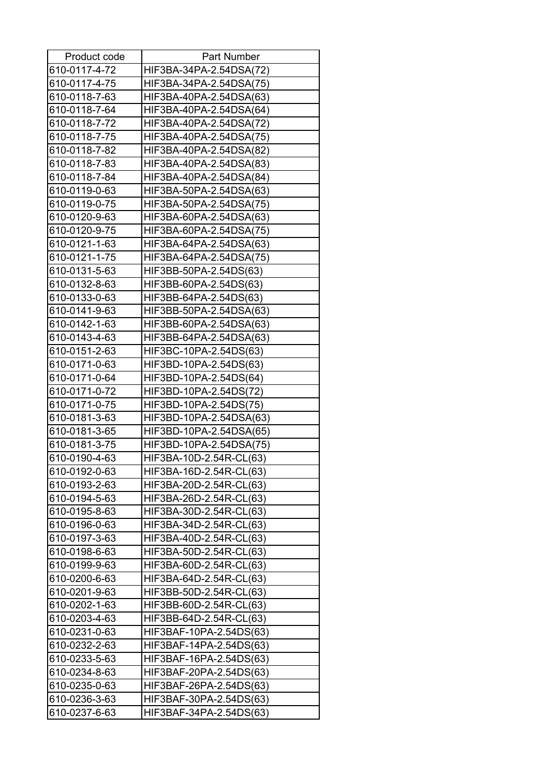| Product code  | <b>Part Number</b>      |
|---------------|-------------------------|
| 610-0117-4-72 | HIF3BA-34PA-2.54DSA(72) |
| 610-0117-4-75 | HIF3BA-34PA-2.54DSA(75) |
| 610-0118-7-63 | HIF3BA-40PA-2.54DSA(63) |
| 610-0118-7-64 | HIF3BA-40PA-2.54DSA(64) |
| 610-0118-7-72 | HIF3BA-40PA-2.54DSA(72) |
| 610-0118-7-75 | HIF3BA-40PA-2.54DSA(75) |
| 610-0118-7-82 | HIF3BA-40PA-2.54DSA(82) |
| 610-0118-7-83 | HIF3BA-40PA-2.54DSA(83) |
| 610-0118-7-84 | HIF3BA-40PA-2.54DSA(84) |
| 610-0119-0-63 | HIF3BA-50PA-2.54DSA(63) |
| 610-0119-0-75 | HIF3BA-50PA-2.54DSA(75) |
| 610-0120-9-63 | HIF3BA-60PA-2.54DSA(63) |
| 610-0120-9-75 | HIF3BA-60PA-2.54DSA(75) |
| 610-0121-1-63 | HIF3BA-64PA-2.54DSA(63) |
| 610-0121-1-75 | HIF3BA-64PA-2.54DSA(75) |
| 610-0131-5-63 | HIF3BB-50PA-2.54DS(63)  |
| 610-0132-8-63 | HIF3BB-60PA-2.54DS(63)  |
| 610-0133-0-63 | HIF3BB-64PA-2.54DS(63)  |
| 610-0141-9-63 | HIF3BB-50PA-2.54DSA(63) |
| 610-0142-1-63 | HIF3BB-60PA-2.54DSA(63) |
| 610-0143-4-63 | HIF3BB-64PA-2.54DSA(63) |
| 610-0151-2-63 | HIF3BC-10PA-2.54DS(63)  |
| 610-0171-0-63 | HIF3BD-10PA-2.54DS(63)  |
| 610-0171-0-64 | HIF3BD-10PA-2.54DS(64)  |
| 610-0171-0-72 | HIF3BD-10PA-2.54DS(72)  |
| 610-0171-0-75 | HIF3BD-10PA-2.54DS(75)  |
| 610-0181-3-63 | HIF3BD-10PA-2.54DSA(63) |
| 610-0181-3-65 | HIF3BD-10PA-2.54DSA(65) |
| 610-0181-3-75 | HIF3BD-10PA-2.54DSA(75) |
| 610-0190-4-63 | HIF3BA-10D-2.54R-CL(63) |
| 610-0192-0-63 | HIF3BA-16D-2.54R-CL(63) |
| 610-0193-2-63 | HIF3BA-20D-2.54R-CL(63) |
| 610-0194-5-63 | HIF3BA-26D-2.54R-CL(63) |
| 610-0195-8-63 | HIF3BA-30D-2.54R-CL(63) |
| 610-0196-0-63 | HIF3BA-34D-2.54R-CL(63) |
| 610-0197-3-63 | HIF3BA-40D-2.54R-CL(63) |
| 610-0198-6-63 | HIF3BA-50D-2.54R-CL(63) |
| 610-0199-9-63 | HIF3BA-60D-2.54R-CL(63) |
| 610-0200-6-63 | HIF3BA-64D-2.54R-CL(63) |
| 610-0201-9-63 | HIF3BB-50D-2.54R-CL(63) |
| 610-0202-1-63 | HIF3BB-60D-2.54R-CL(63) |
| 610-0203-4-63 | HIF3BB-64D-2.54R-CL(63) |
| 610-0231-0-63 | HIF3BAF-10PA-2.54DS(63) |
| 610-0232-2-63 | HIF3BAF-14PA-2.54DS(63) |
| 610-0233-5-63 | HIF3BAF-16PA-2.54DS(63) |
| 610-0234-8-63 | HIF3BAF-20PA-2.54DS(63) |
| 610-0235-0-63 | HIF3BAF-26PA-2.54DS(63) |
| 610-0236-3-63 | HIF3BAF-30PA-2.54DS(63) |
| 610-0237-6-63 | HIF3BAF-34PA-2.54DS(63) |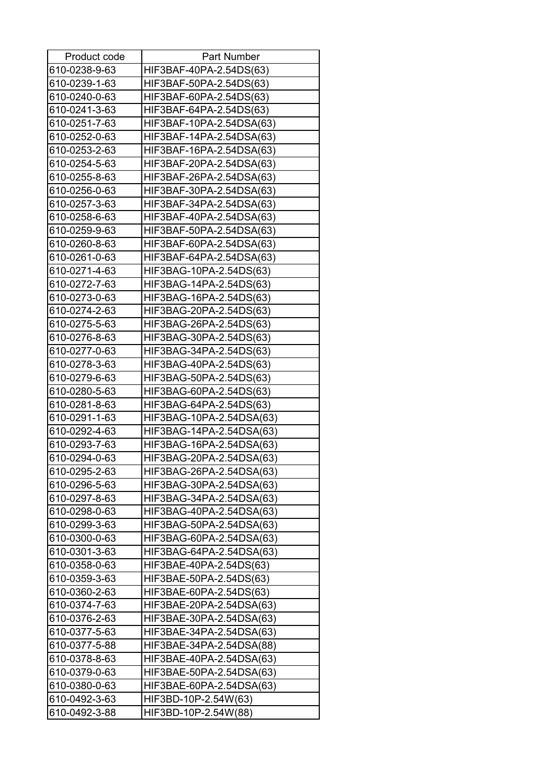| Product code  | <b>Part Number</b>       |
|---------------|--------------------------|
| 610-0238-9-63 | HIF3BAF-40PA-2.54DS(63)  |
| 610-0239-1-63 | HIF3BAF-50PA-2.54DS(63)  |
| 610-0240-0-63 | HIF3BAF-60PA-2.54DS(63)  |
| 610-0241-3-63 | HIF3BAF-64PA-2.54DS(63)  |
| 610-0251-7-63 | HIF3BAF-10PA-2.54DSA(63) |
| 610-0252-0-63 | HIF3BAF-14PA-2.54DSA(63) |
| 610-0253-2-63 | HIF3BAF-16PA-2.54DSA(63) |
| 610-0254-5-63 | HIF3BAF-20PA-2.54DSA(63) |
| 610-0255-8-63 | HIF3BAF-26PA-2.54DSA(63) |
| 610-0256-0-63 | HIF3BAF-30PA-2.54DSA(63) |
| 610-0257-3-63 | HIF3BAF-34PA-2.54DSA(63) |
| 610-0258-6-63 | HIF3BAF-40PA-2.54DSA(63) |
| 610-0259-9-63 | HIF3BAF-50PA-2.54DSA(63) |
| 610-0260-8-63 | HIF3BAF-60PA-2.54DSA(63) |
| 610-0261-0-63 | HIF3BAF-64PA-2.54DSA(63) |
| 610-0271-4-63 | HIF3BAG-10PA-2.54DS(63)  |
| 610-0272-7-63 | HIF3BAG-14PA-2.54DS(63)  |
| 610-0273-0-63 | HIF3BAG-16PA-2.54DS(63)  |
| 610-0274-2-63 | HIF3BAG-20PA-2.54DS(63)  |
| 610-0275-5-63 | HIF3BAG-26PA-2.54DS(63)  |
| 610-0276-8-63 | HIF3BAG-30PA-2.54DS(63)  |
| 610-0277-0-63 | HIF3BAG-34PA-2.54DS(63)  |
| 610-0278-3-63 | HIF3BAG-40PA-2.54DS(63)  |
| 610-0279-6-63 | HIF3BAG-50PA-2.54DS(63)  |
| 610-0280-5-63 | HIF3BAG-60PA-2.54DS(63)  |
| 610-0281-8-63 | HIF3BAG-64PA-2.54DS(63)  |
| 610-0291-1-63 | HIF3BAG-10PA-2.54DSA(63) |
| 610-0292-4-63 | HIF3BAG-14PA-2.54DSA(63) |
| 610-0293-7-63 | HIF3BAG-16PA-2.54DSA(63) |
| 610-0294-0-63 | HIF3BAG-20PA-2.54DSA(63) |
| 610-0295-2-63 | HIF3BAG-26PA-2.54DSA(63) |
| 610-0296-5-63 | HIF3BAG-30PA-2.54DSA(63) |
| 610-0297-8-63 | HIF3BAG-34PA-2.54DSA(63) |
| 610-0298-0-63 | HIF3BAG-40PA-2.54DSA(63) |
| 610-0299-3-63 | HIF3BAG-50PA-2.54DSA(63) |
| 610-0300-0-63 | HIF3BAG-60PA-2.54DSA(63) |
| 610-0301-3-63 | HIF3BAG-64PA-2.54DSA(63) |
| 610-0358-0-63 | HIF3BAE-40PA-2.54DS(63)  |
| 610-0359-3-63 | HIF3BAE-50PA-2.54DS(63)  |
| 610-0360-2-63 | HIF3BAE-60PA-2.54DS(63)  |
| 610-0374-7-63 | HIF3BAE-20PA-2.54DSA(63) |
| 610-0376-2-63 | HIF3BAE-30PA-2.54DSA(63) |
| 610-0377-5-63 | HIF3BAE-34PA-2.54DSA(63) |
| 610-0377-5-88 | HIF3BAE-34PA-2.54DSA(88) |
| 610-0378-8-63 | HIF3BAE-40PA-2.54DSA(63) |
| 610-0379-0-63 | HIF3BAE-50PA-2.54DSA(63) |
| 610-0380-0-63 | HIF3BAE-60PA-2.54DSA(63) |
| 610-0492-3-63 | HIF3BD-10P-2.54W(63)     |
| 610-0492-3-88 | HIF3BD-10P-2.54W(88)     |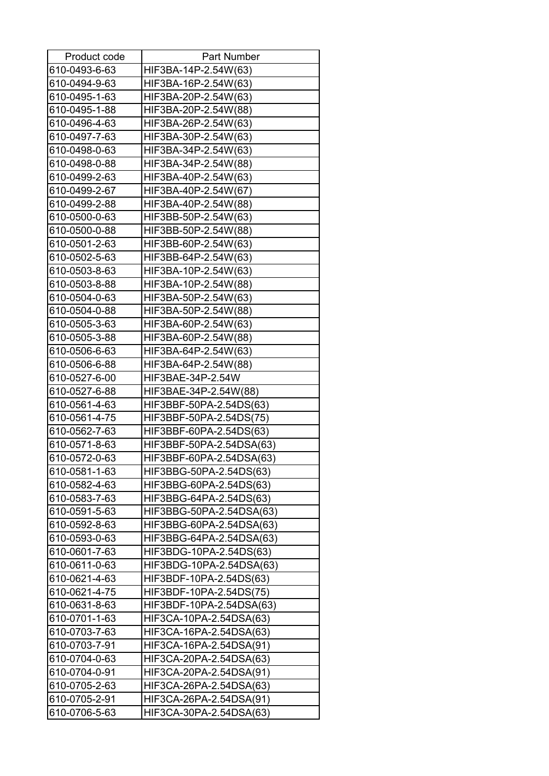| Product code  | <b>Part Number</b>       |
|---------------|--------------------------|
| 610-0493-6-63 | HIF3BA-14P-2.54W(63)     |
| 610-0494-9-63 | HIF3BA-16P-2.54W(63)     |
| 610-0495-1-63 | HIF3BA-20P-2.54W(63)     |
| 610-0495-1-88 | HIF3BA-20P-2.54W(88)     |
| 610-0496-4-63 | HIF3BA-26P-2.54W(63)     |
| 610-0497-7-63 | HIF3BA-30P-2.54W(63)     |
| 610-0498-0-63 | HIF3BA-34P-2.54W(63)     |
| 610-0498-0-88 | HIF3BA-34P-2.54W(88)     |
| 610-0499-2-63 | HIF3BA-40P-2.54W(63)     |
| 610-0499-2-67 | HIF3BA-40P-2.54W(67)     |
| 610-0499-2-88 | HIF3BA-40P-2.54W(88)     |
| 610-0500-0-63 | HIF3BB-50P-2.54W(63)     |
| 610-0500-0-88 | HIF3BB-50P-2.54W(88)     |
| 610-0501-2-63 | HIF3BB-60P-2.54W(63)     |
| 610-0502-5-63 | HIF3BB-64P-2.54W(63)     |
| 610-0503-8-63 | HIF3BA-10P-2.54W(63)     |
| 610-0503-8-88 | HIF3BA-10P-2.54W(88)     |
| 610-0504-0-63 | HIF3BA-50P-2.54W(63)     |
| 610-0504-0-88 | HIF3BA-50P-2.54W(88)     |
| 610-0505-3-63 | HIF3BA-60P-2.54W(63)     |
| 610-0505-3-88 | HIF3BA-60P-2.54W(88)     |
| 610-0506-6-63 | HIF3BA-64P-2.54W(63)     |
| 610-0506-6-88 | HIF3BA-64P-2.54W(88)     |
| 610-0527-6-00 | HIF3BAE-34P-2.54W        |
| 610-0527-6-88 | HIF3BAE-34P-2.54W(88)    |
| 610-0561-4-63 | HIF3BBF-50PA-2.54DS(63)  |
| 610-0561-4-75 | HIF3BBF-50PA-2.54DS(75)  |
| 610-0562-7-63 | HIF3BBF-60PA-2.54DS(63)  |
| 610-0571-8-63 | HIF3BBF-50PA-2.54DSA(63) |
| 610-0572-0-63 | HIF3BBF-60PA-2.54DSA(63) |
| 610-0581-1-63 | HIF3BBG-50PA-2.54DS(63)  |
| 610-0582-4-63 | HIF3BBG-60PA-2.54DS(63)  |
| 610-0583-7-63 | HIF3BBG-64PA-2.54DS(63)  |
| 610-0591-5-63 | HIF3BBG-50PA-2.54DSA(63) |
| 610-0592-8-63 | HIF3BBG-60PA-2.54DSA(63) |
| 610-0593-0-63 | HIF3BBG-64PA-2.54DSA(63) |
| 610-0601-7-63 | HIF3BDG-10PA-2.54DS(63)  |
| 610-0611-0-63 | HIF3BDG-10PA-2.54DSA(63) |
| 610-0621-4-63 | HIF3BDF-10PA-2.54DS(63)  |
| 610-0621-4-75 | HIF3BDF-10PA-2.54DS(75)  |
| 610-0631-8-63 | HIF3BDF-10PA-2.54DSA(63) |
| 610-0701-1-63 | HIF3CA-10PA-2.54DSA(63)  |
| 610-0703-7-63 | HIF3CA-16PA-2.54DSA(63)  |
| 610-0703-7-91 | HIF3CA-16PA-2.54DSA(91)  |
| 610-0704-0-63 | HIF3CA-20PA-2.54DSA(63)  |
| 610-0704-0-91 | HIF3CA-20PA-2.54DSA(91)  |
| 610-0705-2-63 | HIF3CA-26PA-2.54DSA(63)  |
| 610-0705-2-91 | HIF3CA-26PA-2.54DSA(91)  |
| 610-0706-5-63 | HIF3CA-30PA-2.54DSA(63)  |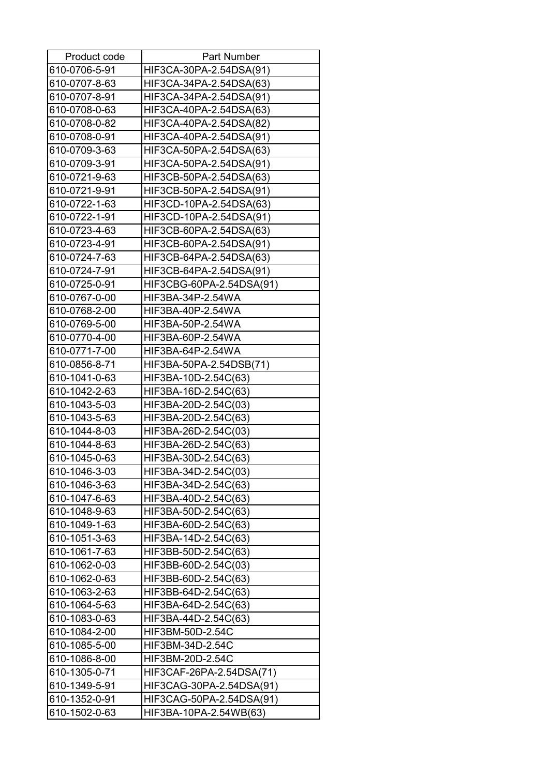| Product code  | <b>Part Number</b>       |
|---------------|--------------------------|
| 610-0706-5-91 | HIF3CA-30PA-2.54DSA(91)  |
| 610-0707-8-63 | HIF3CA-34PA-2.54DSA(63)  |
| 610-0707-8-91 | HIF3CA-34PA-2.54DSA(91)  |
| 610-0708-0-63 | HIF3CA-40PA-2.54DSA(63)  |
| 610-0708-0-82 | HIF3CA-40PA-2.54DSA(82)  |
| 610-0708-0-91 | HIF3CA-40PA-2.54DSA(91)  |
| 610-0709-3-63 | HIF3CA-50PA-2.54DSA(63)  |
| 610-0709-3-91 | HIF3CA-50PA-2.54DSA(91)  |
| 610-0721-9-63 | HIF3CB-50PA-2.54DSA(63)  |
| 610-0721-9-91 | HIF3CB-50PA-2.54DSA(91)  |
| 610-0722-1-63 | HIF3CD-10PA-2.54DSA(63)  |
| 610-0722-1-91 | HIF3CD-10PA-2.54DSA(91)  |
| 610-0723-4-63 | HIF3CB-60PA-2.54DSA(63)  |
| 610-0723-4-91 | HIF3CB-60PA-2.54DSA(91)  |
| 610-0724-7-63 | HIF3CB-64PA-2.54DSA(63)  |
| 610-0724-7-91 | HIF3CB-64PA-2.54DSA(91)  |
| 610-0725-0-91 | HIF3CBG-60PA-2.54DSA(91) |
| 610-0767-0-00 | HIF3BA-34P-2.54WA        |
| 610-0768-2-00 | HIF3BA-40P-2.54WA        |
| 610-0769-5-00 | HIF3BA-50P-2.54WA        |
| 610-0770-4-00 | HIF3BA-60P-2.54WA        |
| 610-0771-7-00 | HIF3BA-64P-2.54WA        |
| 610-0856-8-71 | HIF3BA-50PA-2.54DSB(71)  |
| 610-1041-0-63 | HIF3BA-10D-2.54C(63)     |
| 610-1042-2-63 | HIF3BA-16D-2.54C(63)     |
| 610-1043-5-03 | HIF3BA-20D-2.54C(03)     |
| 610-1043-5-63 | HIF3BA-20D-2.54C(63)     |
| 610-1044-8-03 | HIF3BA-26D-2.54C(03)     |
| 610-1044-8-63 | HIF3BA-26D-2.54C(63)     |
| 610-1045-0-63 | HIF3BA-30D-2.54C(63)     |
| 610-1046-3-03 | HIF3BA-34D-2.54C(03)     |
| 610-1046-3-63 | HIF3BA-34D-2.54C(63)     |
| 610-1047-6-63 | HIF3BA-40D-2.54C(63)     |
| 610-1048-9-63 | HIF3BA-50D-2.54C(63)     |
| 610-1049-1-63 | HIF3BA-60D-2.54C(63)     |
| 610-1051-3-63 | HIF3BA-14D-2.54C(63)     |
| 610-1061-7-63 | HIF3BB-50D-2.54C(63)     |
| 610-1062-0-03 | HIF3BB-60D-2.54C(03)     |
| 610-1062-0-63 | HIF3BB-60D-2.54C(63)     |
| 610-1063-2-63 | HIF3BB-64D-2.54C(63)     |
| 610-1064-5-63 | HIF3BA-64D-2.54C(63)     |
| 610-1083-0-63 | HIF3BA-44D-2.54C(63)     |
| 610-1084-2-00 | HIF3BM-50D-2.54C         |
| 610-1085-5-00 | HIF3BM-34D-2.54C         |
| 610-1086-8-00 | HIF3BM-20D-2.54C         |
| 610-1305-0-71 | HIF3CAF-26PA-2.54DSA(71) |
| 610-1349-5-91 | HIF3CAG-30PA-2.54DSA(91) |
| 610-1352-0-91 | HIF3CAG-50PA-2.54DSA(91) |
| 610-1502-0-63 | HIF3BA-10PA-2.54WB(63)   |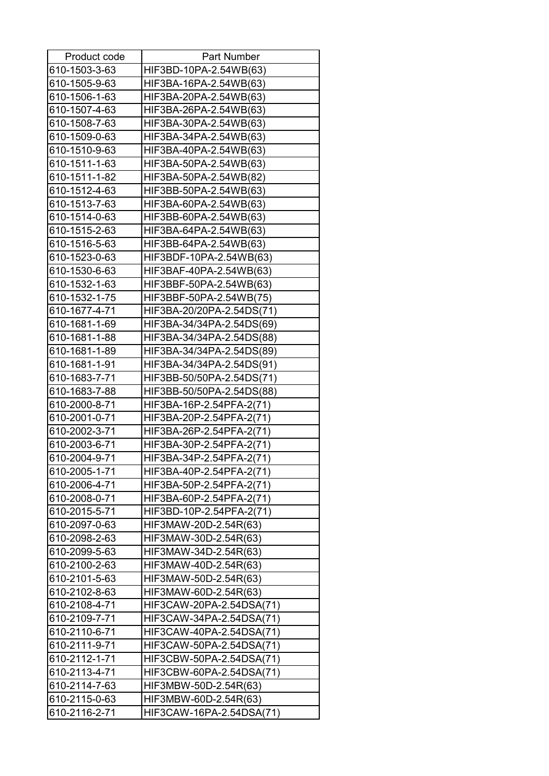| Product code  | <b>Part Number</b>        |
|---------------|---------------------------|
| 610-1503-3-63 | HIF3BD-10PA-2.54WB(63)    |
| 610-1505-9-63 | HIF3BA-16PA-2.54WB(63)    |
| 610-1506-1-63 | HIF3BA-20PA-2.54WB(63)    |
| 610-1507-4-63 | HIF3BA-26PA-2.54WB(63)    |
| 610-1508-7-63 | HIF3BA-30PA-2.54WB(63)    |
| 610-1509-0-63 | HIF3BA-34PA-2.54WB(63)    |
| 610-1510-9-63 | HIF3BA-40PA-2.54WB(63)    |
| 610-1511-1-63 | HIF3BA-50PA-2.54WB(63)    |
| 610-1511-1-82 | HIF3BA-50PA-2.54WB(82)    |
| 610-1512-4-63 | HIF3BB-50PA-2.54WB(63)    |
| 610-1513-7-63 | HIF3BA-60PA-2.54WB(63)    |
| 610-1514-0-63 | HIF3BB-60PA-2.54WB(63)    |
| 610-1515-2-63 | HIF3BA-64PA-2.54WB(63)    |
| 610-1516-5-63 | HIF3BB-64PA-2.54WB(63)    |
| 610-1523-0-63 | HIF3BDF-10PA-2.54WB(63)   |
| 610-1530-6-63 | HIF3BAF-40PA-2.54WB(63)   |
| 610-1532-1-63 | HIF3BBF-50PA-2.54WB(63)   |
| 610-1532-1-75 | HIF3BBF-50PA-2.54WB(75)   |
| 610-1677-4-71 | HIF3BA-20/20PA-2.54DS(71) |
| 610-1681-1-69 | HIF3BA-34/34PA-2.54DS(69) |
| 610-1681-1-88 | HIF3BA-34/34PA-2.54DS(88) |
| 610-1681-1-89 | HIF3BA-34/34PA-2.54DS(89) |
| 610-1681-1-91 | HIF3BA-34/34PA-2.54DS(91) |
| 610-1683-7-71 | HIF3BB-50/50PA-2.54DS(71) |
| 610-1683-7-88 | HIF3BB-50/50PA-2.54DS(88) |
| 610-2000-8-71 | HIF3BA-16P-2.54PFA-2(71)  |
| 610-2001-0-71 | HIF3BA-20P-2.54PFA-2(71)  |
| 610-2002-3-71 | HIF3BA-26P-2.54PFA-2(71)  |
| 610-2003-6-71 | HIF3BA-30P-2.54PFA-2(71)  |
| 610-2004-9-71 | HIF3BA-34P-2.54PFA-2(71)  |
| 610-2005-1-71 | HIF3BA-40P-2.54PFA-2(71)  |
| 610-2006-4-71 | HIF3BA-50P-2.54PFA-2(71)  |
| 610-2008-0-71 | HIF3BA-60P-2.54PFA-2(71)  |
| 610-2015-5-71 | HIF3BD-10P-2.54PFA-2(71)  |
| 610-2097-0-63 | HIF3MAW-20D-2.54R(63)     |
| 610-2098-2-63 | HIF3MAW-30D-2.54R(63)     |
| 610-2099-5-63 | HIF3MAW-34D-2.54R(63)     |
| 610-2100-2-63 | HIF3MAW-40D-2.54R(63)     |
| 610-2101-5-63 | HIF3MAW-50D-2.54R(63)     |
| 610-2102-8-63 | HIF3MAW-60D-2.54R(63)     |
| 610-2108-4-71 | HIF3CAW-20PA-2.54DSA(71)  |
| 610-2109-7-71 | HIF3CAW-34PA-2.54DSA(71)  |
| 610-2110-6-71 | HIF3CAW-40PA-2.54DSA(71)  |
| 610-2111-9-71 | HIF3CAW-50PA-2.54DSA(71)  |
| 610-2112-1-71 | HIF3CBW-50PA-2.54DSA(71)  |
| 610-2113-4-71 | HIF3CBW-60PA-2.54DSA(71)  |
| 610-2114-7-63 | HIF3MBW-50D-2.54R(63)     |
| 610-2115-0-63 | HIF3MBW-60D-2.54R(63)     |
| 610-2116-2-71 | HIF3CAW-16PA-2.54DSA(71)  |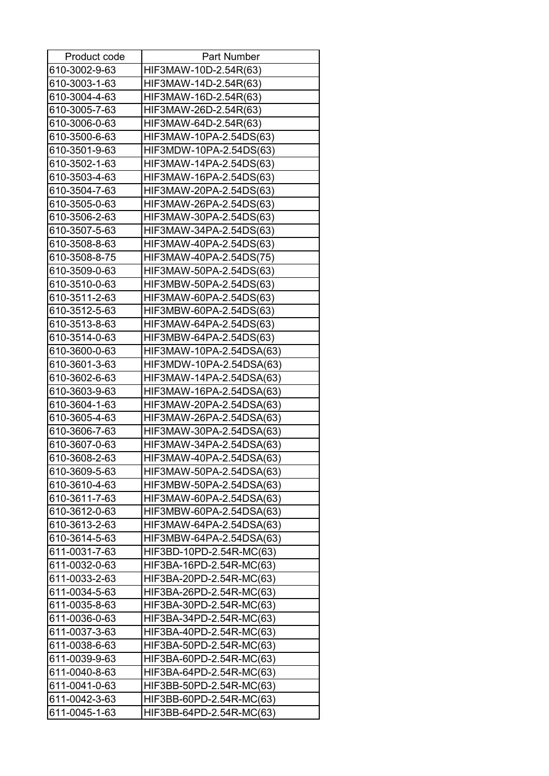| Product code  | <b>Part Number</b>       |
|---------------|--------------------------|
| 610-3002-9-63 | HIF3MAW-10D-2.54R(63)    |
| 610-3003-1-63 | HIF3MAW-14D-2.54R(63)    |
| 610-3004-4-63 | HIF3MAW-16D-2.54R(63)    |
| 610-3005-7-63 | HIF3MAW-26D-2.54R(63)    |
| 610-3006-0-63 | HIF3MAW-64D-2.54R(63)    |
| 610-3500-6-63 | HIF3MAW-10PA-2.54DS(63)  |
| 610-3501-9-63 | HIF3MDW-10PA-2.54DS(63)  |
| 610-3502-1-63 | HIF3MAW-14PA-2.54DS(63)  |
| 610-3503-4-63 | HIF3MAW-16PA-2.54DS(63)  |
| 610-3504-7-63 | HIF3MAW-20PA-2.54DS(63)  |
| 610-3505-0-63 | HIF3MAW-26PA-2.54DS(63)  |
| 610-3506-2-63 | HIF3MAW-30PA-2.54DS(63)  |
| 610-3507-5-63 | HIF3MAW-34PA-2.54DS(63)  |
| 610-3508-8-63 | HIF3MAW-40PA-2.54DS(63)  |
| 610-3508-8-75 | HIF3MAW-40PA-2.54DS(75)  |
| 610-3509-0-63 | HIF3MAW-50PA-2.54DS(63)  |
| 610-3510-0-63 | HIF3MBW-50PA-2.54DS(63)  |
| 610-3511-2-63 | HIF3MAW-60PA-2.54DS(63)  |
| 610-3512-5-63 | HIF3MBW-60PA-2.54DS(63)  |
| 610-3513-8-63 | HIF3MAW-64PA-2.54DS(63)  |
| 610-3514-0-63 | HIF3MBW-64PA-2.54DS(63)  |
| 610-3600-0-63 | HIF3MAW-10PA-2.54DSA(63) |
| 610-3601-3-63 | HIF3MDW-10PA-2.54DSA(63) |
| 610-3602-6-63 | HIF3MAW-14PA-2.54DSA(63) |
| 610-3603-9-63 | HIF3MAW-16PA-2.54DSA(63) |
| 610-3604-1-63 | HIF3MAW-20PA-2.54DSA(63) |
| 610-3605-4-63 | HIF3MAW-26PA-2.54DSA(63) |
| 610-3606-7-63 | HIF3MAW-30PA-2.54DSA(63) |
| 610-3607-0-63 | HIF3MAW-34PA-2.54DSA(63) |
| 610-3608-2-63 | HIF3MAW-40PA-2.54DSA(63) |
| 610-3609-5-63 | HIF3MAW-50PA-2.54DSA(63) |
| 610-3610-4-63 | HIF3MBW-50PA-2.54DSA(63) |
| 610-3611-7-63 | HIF3MAW-60PA-2.54DSA(63) |
| 610-3612-0-63 | HIF3MBW-60PA-2.54DSA(63) |
| 610-3613-2-63 | HIF3MAW-64PA-2.54DSA(63) |
| 610-3614-5-63 | HIF3MBW-64PA-2.54DSA(63) |
| 611-0031-7-63 | HIF3BD-10PD-2.54R-MC(63) |
| 611-0032-0-63 | HIF3BA-16PD-2.54R-MC(63) |
| 611-0033-2-63 | HIF3BA-20PD-2.54R-MC(63) |
| 611-0034-5-63 | HIF3BA-26PD-2.54R-MC(63) |
| 611-0035-8-63 | HIF3BA-30PD-2.54R-MC(63) |
| 611-0036-0-63 | HIF3BA-34PD-2.54R-MC(63) |
| 611-0037-3-63 | HIF3BA-40PD-2.54R-MC(63) |
| 611-0038-6-63 | HIF3BA-50PD-2.54R-MC(63) |
| 611-0039-9-63 | HIF3BA-60PD-2.54R-MC(63) |
| 611-0040-8-63 | HIF3BA-64PD-2.54R-MC(63) |
| 611-0041-0-63 | HIF3BB-50PD-2.54R-MC(63) |
| 611-0042-3-63 | HIF3BB-60PD-2.54R-MC(63) |
| 611-0045-1-63 | HIF3BB-64PD-2.54R-MC(63) |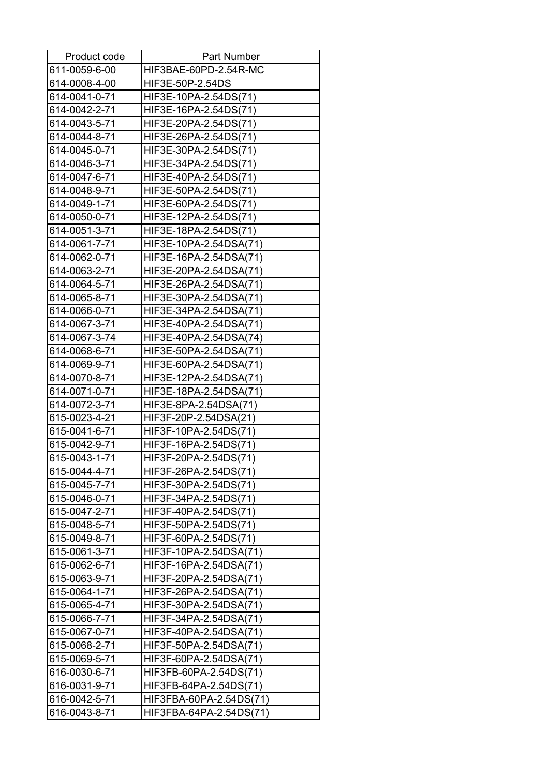| 611-0059-6-00<br>HIF3BAE-60PD-2.54R-MC<br>614-0008-4-00<br>HIF3E-50P-2.54DS<br>614-0041-0-71<br>HIF3E-10PA-2.54DS(71)<br>614-0042-2-71<br>HIF3E-16PA-2.54DS(71)<br>614-0043-5-71<br>HIF3E-20PA-2.54DS(71)<br>HIF3E-26PA-2.54DS(71)<br>614-0044-8-71<br>614-0045-0-71<br>HIF3E-30PA-2.54DS(71)<br>614-0046-3-71<br>HIF3E-34PA-2.54DS(71)<br>614-0047-6-71<br>HIF3E-40PA-2.54DS(71)<br>614-0048-9-71<br>HIF3E-50PA-2.54DS(71)<br>614-0049-1-71<br>HIF3E-60PA-2.54DS(71)<br>614-0050-0-71<br>HIF3E-12PA-2.54DS(71)<br>614-0051-3-71<br>HIF3E-18PA-2.54DS(71)<br>614-0061-7-71<br>HIF3E-10PA-2.54DSA(71)<br>614-0062-0-71<br>HIF3E-16PA-2.54DSA(71)<br>614-0063-2-71<br>HIF3E-20PA-2.54DSA(71)<br>614-0064-5-71<br>HIF3E-26PA-2.54DSA(71)<br>614-0065-8-71<br>HIF3E-30PA-2.54DSA(71)<br>614-0066-0-71<br>HIF3E-34PA-2.54DSA(71)<br>614-0067-3-71<br>HIF3E-40PA-2.54DSA(71)<br>614-0067-3-74<br>HIF3E-40PA-2.54DSA(74)<br>614-0068-6-71<br>HIF3E-50PA-2.54DSA(71)<br>614-0069-9-71<br>HIF3E-60PA-2.54DSA(71)<br>614-0070-8-71<br>HIF3E-12PA-2.54DSA(71)<br>614-0071-0-71<br>HIF3E-18PA-2.54DSA(71)<br>614-0072-3-71<br>HIF3E-8PA-2.54DSA(71)<br>615-0023-4-21<br>HIF3F-20P-2.54DSA(21)<br>615-0041-6-71<br>HIF3F-10PA-2.54DS(71)<br>615-0042-9-71<br>HIF3F-16PA-2.54DS(71)<br>HIF3F-20PA-2.54DS(71)<br>615-0043-1-71<br>615-0044-4-71<br>HIF3F-26PA-2.54DS(71)<br>615-0045-7-71<br>HIF3F-30PA-2.54DS(71)<br>615-0046-0-71<br>HIF3F-34PA-2.54DS(71)<br>615-0047-2-71<br>HIF3F-40PA-2.54DS(71)<br>615-0048-5-71<br>HIF3F-50PA-2.54DS(71)<br>615-0049-8-71<br>HIF3F-60PA-2.54DS(71)<br>HIF3F-10PA-2.54DSA(71)<br>615-0061-3-71<br>615-0062-6-71<br>HIF3F-16PA-2.54DSA(71)<br>615-0063-9-71<br>HIF3F-20PA-2.54DSA(71)<br>615-0064-1-71<br>HIF3F-26PA-2.54DSA(71)<br>615-0065-4-71<br>HIF3F-30PA-2.54DSA(71) | Product code | <b>Part Number</b> |
|----------------------------------------------------------------------------------------------------------------------------------------------------------------------------------------------------------------------------------------------------------------------------------------------------------------------------------------------------------------------------------------------------------------------------------------------------------------------------------------------------------------------------------------------------------------------------------------------------------------------------------------------------------------------------------------------------------------------------------------------------------------------------------------------------------------------------------------------------------------------------------------------------------------------------------------------------------------------------------------------------------------------------------------------------------------------------------------------------------------------------------------------------------------------------------------------------------------------------------------------------------------------------------------------------------------------------------------------------------------------------------------------------------------------------------------------------------------------------------------------------------------------------------------------------------------------------------------------------------------------------------------------------------------------------------------------------------------------------------------------------------------------------------------------------|--------------|--------------------|
|                                                                                                                                                                                                                                                                                                                                                                                                                                                                                                                                                                                                                                                                                                                                                                                                                                                                                                                                                                                                                                                                                                                                                                                                                                                                                                                                                                                                                                                                                                                                                                                                                                                                                                                                                                                                    |              |                    |
|                                                                                                                                                                                                                                                                                                                                                                                                                                                                                                                                                                                                                                                                                                                                                                                                                                                                                                                                                                                                                                                                                                                                                                                                                                                                                                                                                                                                                                                                                                                                                                                                                                                                                                                                                                                                    |              |                    |
|                                                                                                                                                                                                                                                                                                                                                                                                                                                                                                                                                                                                                                                                                                                                                                                                                                                                                                                                                                                                                                                                                                                                                                                                                                                                                                                                                                                                                                                                                                                                                                                                                                                                                                                                                                                                    |              |                    |
|                                                                                                                                                                                                                                                                                                                                                                                                                                                                                                                                                                                                                                                                                                                                                                                                                                                                                                                                                                                                                                                                                                                                                                                                                                                                                                                                                                                                                                                                                                                                                                                                                                                                                                                                                                                                    |              |                    |
|                                                                                                                                                                                                                                                                                                                                                                                                                                                                                                                                                                                                                                                                                                                                                                                                                                                                                                                                                                                                                                                                                                                                                                                                                                                                                                                                                                                                                                                                                                                                                                                                                                                                                                                                                                                                    |              |                    |
|                                                                                                                                                                                                                                                                                                                                                                                                                                                                                                                                                                                                                                                                                                                                                                                                                                                                                                                                                                                                                                                                                                                                                                                                                                                                                                                                                                                                                                                                                                                                                                                                                                                                                                                                                                                                    |              |                    |
|                                                                                                                                                                                                                                                                                                                                                                                                                                                                                                                                                                                                                                                                                                                                                                                                                                                                                                                                                                                                                                                                                                                                                                                                                                                                                                                                                                                                                                                                                                                                                                                                                                                                                                                                                                                                    |              |                    |
|                                                                                                                                                                                                                                                                                                                                                                                                                                                                                                                                                                                                                                                                                                                                                                                                                                                                                                                                                                                                                                                                                                                                                                                                                                                                                                                                                                                                                                                                                                                                                                                                                                                                                                                                                                                                    |              |                    |
|                                                                                                                                                                                                                                                                                                                                                                                                                                                                                                                                                                                                                                                                                                                                                                                                                                                                                                                                                                                                                                                                                                                                                                                                                                                                                                                                                                                                                                                                                                                                                                                                                                                                                                                                                                                                    |              |                    |
|                                                                                                                                                                                                                                                                                                                                                                                                                                                                                                                                                                                                                                                                                                                                                                                                                                                                                                                                                                                                                                                                                                                                                                                                                                                                                                                                                                                                                                                                                                                                                                                                                                                                                                                                                                                                    |              |                    |
|                                                                                                                                                                                                                                                                                                                                                                                                                                                                                                                                                                                                                                                                                                                                                                                                                                                                                                                                                                                                                                                                                                                                                                                                                                                                                                                                                                                                                                                                                                                                                                                                                                                                                                                                                                                                    |              |                    |
|                                                                                                                                                                                                                                                                                                                                                                                                                                                                                                                                                                                                                                                                                                                                                                                                                                                                                                                                                                                                                                                                                                                                                                                                                                                                                                                                                                                                                                                                                                                                                                                                                                                                                                                                                                                                    |              |                    |
|                                                                                                                                                                                                                                                                                                                                                                                                                                                                                                                                                                                                                                                                                                                                                                                                                                                                                                                                                                                                                                                                                                                                                                                                                                                                                                                                                                                                                                                                                                                                                                                                                                                                                                                                                                                                    |              |                    |
|                                                                                                                                                                                                                                                                                                                                                                                                                                                                                                                                                                                                                                                                                                                                                                                                                                                                                                                                                                                                                                                                                                                                                                                                                                                                                                                                                                                                                                                                                                                                                                                                                                                                                                                                                                                                    |              |                    |
|                                                                                                                                                                                                                                                                                                                                                                                                                                                                                                                                                                                                                                                                                                                                                                                                                                                                                                                                                                                                                                                                                                                                                                                                                                                                                                                                                                                                                                                                                                                                                                                                                                                                                                                                                                                                    |              |                    |
|                                                                                                                                                                                                                                                                                                                                                                                                                                                                                                                                                                                                                                                                                                                                                                                                                                                                                                                                                                                                                                                                                                                                                                                                                                                                                                                                                                                                                                                                                                                                                                                                                                                                                                                                                                                                    |              |                    |
|                                                                                                                                                                                                                                                                                                                                                                                                                                                                                                                                                                                                                                                                                                                                                                                                                                                                                                                                                                                                                                                                                                                                                                                                                                                                                                                                                                                                                                                                                                                                                                                                                                                                                                                                                                                                    |              |                    |
|                                                                                                                                                                                                                                                                                                                                                                                                                                                                                                                                                                                                                                                                                                                                                                                                                                                                                                                                                                                                                                                                                                                                                                                                                                                                                                                                                                                                                                                                                                                                                                                                                                                                                                                                                                                                    |              |                    |
|                                                                                                                                                                                                                                                                                                                                                                                                                                                                                                                                                                                                                                                                                                                                                                                                                                                                                                                                                                                                                                                                                                                                                                                                                                                                                                                                                                                                                                                                                                                                                                                                                                                                                                                                                                                                    |              |                    |
|                                                                                                                                                                                                                                                                                                                                                                                                                                                                                                                                                                                                                                                                                                                                                                                                                                                                                                                                                                                                                                                                                                                                                                                                                                                                                                                                                                                                                                                                                                                                                                                                                                                                                                                                                                                                    |              |                    |
|                                                                                                                                                                                                                                                                                                                                                                                                                                                                                                                                                                                                                                                                                                                                                                                                                                                                                                                                                                                                                                                                                                                                                                                                                                                                                                                                                                                                                                                                                                                                                                                                                                                                                                                                                                                                    |              |                    |
|                                                                                                                                                                                                                                                                                                                                                                                                                                                                                                                                                                                                                                                                                                                                                                                                                                                                                                                                                                                                                                                                                                                                                                                                                                                                                                                                                                                                                                                                                                                                                                                                                                                                                                                                                                                                    |              |                    |
|                                                                                                                                                                                                                                                                                                                                                                                                                                                                                                                                                                                                                                                                                                                                                                                                                                                                                                                                                                                                                                                                                                                                                                                                                                                                                                                                                                                                                                                                                                                                                                                                                                                                                                                                                                                                    |              |                    |
|                                                                                                                                                                                                                                                                                                                                                                                                                                                                                                                                                                                                                                                                                                                                                                                                                                                                                                                                                                                                                                                                                                                                                                                                                                                                                                                                                                                                                                                                                                                                                                                                                                                                                                                                                                                                    |              |                    |
|                                                                                                                                                                                                                                                                                                                                                                                                                                                                                                                                                                                                                                                                                                                                                                                                                                                                                                                                                                                                                                                                                                                                                                                                                                                                                                                                                                                                                                                                                                                                                                                                                                                                                                                                                                                                    |              |                    |
|                                                                                                                                                                                                                                                                                                                                                                                                                                                                                                                                                                                                                                                                                                                                                                                                                                                                                                                                                                                                                                                                                                                                                                                                                                                                                                                                                                                                                                                                                                                                                                                                                                                                                                                                                                                                    |              |                    |
|                                                                                                                                                                                                                                                                                                                                                                                                                                                                                                                                                                                                                                                                                                                                                                                                                                                                                                                                                                                                                                                                                                                                                                                                                                                                                                                                                                                                                                                                                                                                                                                                                                                                                                                                                                                                    |              |                    |
|                                                                                                                                                                                                                                                                                                                                                                                                                                                                                                                                                                                                                                                                                                                                                                                                                                                                                                                                                                                                                                                                                                                                                                                                                                                                                                                                                                                                                                                                                                                                                                                                                                                                                                                                                                                                    |              |                    |
|                                                                                                                                                                                                                                                                                                                                                                                                                                                                                                                                                                                                                                                                                                                                                                                                                                                                                                                                                                                                                                                                                                                                                                                                                                                                                                                                                                                                                                                                                                                                                                                                                                                                                                                                                                                                    |              |                    |
|                                                                                                                                                                                                                                                                                                                                                                                                                                                                                                                                                                                                                                                                                                                                                                                                                                                                                                                                                                                                                                                                                                                                                                                                                                                                                                                                                                                                                                                                                                                                                                                                                                                                                                                                                                                                    |              |                    |
|                                                                                                                                                                                                                                                                                                                                                                                                                                                                                                                                                                                                                                                                                                                                                                                                                                                                                                                                                                                                                                                                                                                                                                                                                                                                                                                                                                                                                                                                                                                                                                                                                                                                                                                                                                                                    |              |                    |
|                                                                                                                                                                                                                                                                                                                                                                                                                                                                                                                                                                                                                                                                                                                                                                                                                                                                                                                                                                                                                                                                                                                                                                                                                                                                                                                                                                                                                                                                                                                                                                                                                                                                                                                                                                                                    |              |                    |
|                                                                                                                                                                                                                                                                                                                                                                                                                                                                                                                                                                                                                                                                                                                                                                                                                                                                                                                                                                                                                                                                                                                                                                                                                                                                                                                                                                                                                                                                                                                                                                                                                                                                                                                                                                                                    |              |                    |
|                                                                                                                                                                                                                                                                                                                                                                                                                                                                                                                                                                                                                                                                                                                                                                                                                                                                                                                                                                                                                                                                                                                                                                                                                                                                                                                                                                                                                                                                                                                                                                                                                                                                                                                                                                                                    |              |                    |
|                                                                                                                                                                                                                                                                                                                                                                                                                                                                                                                                                                                                                                                                                                                                                                                                                                                                                                                                                                                                                                                                                                                                                                                                                                                                                                                                                                                                                                                                                                                                                                                                                                                                                                                                                                                                    |              |                    |
|                                                                                                                                                                                                                                                                                                                                                                                                                                                                                                                                                                                                                                                                                                                                                                                                                                                                                                                                                                                                                                                                                                                                                                                                                                                                                                                                                                                                                                                                                                                                                                                                                                                                                                                                                                                                    |              |                    |
|                                                                                                                                                                                                                                                                                                                                                                                                                                                                                                                                                                                                                                                                                                                                                                                                                                                                                                                                                                                                                                                                                                                                                                                                                                                                                                                                                                                                                                                                                                                                                                                                                                                                                                                                                                                                    |              |                    |
|                                                                                                                                                                                                                                                                                                                                                                                                                                                                                                                                                                                                                                                                                                                                                                                                                                                                                                                                                                                                                                                                                                                                                                                                                                                                                                                                                                                                                                                                                                                                                                                                                                                                                                                                                                                                    |              |                    |
|                                                                                                                                                                                                                                                                                                                                                                                                                                                                                                                                                                                                                                                                                                                                                                                                                                                                                                                                                                                                                                                                                                                                                                                                                                                                                                                                                                                                                                                                                                                                                                                                                                                                                                                                                                                                    |              |                    |
|                                                                                                                                                                                                                                                                                                                                                                                                                                                                                                                                                                                                                                                                                                                                                                                                                                                                                                                                                                                                                                                                                                                                                                                                                                                                                                                                                                                                                                                                                                                                                                                                                                                                                                                                                                                                    |              |                    |
|                                                                                                                                                                                                                                                                                                                                                                                                                                                                                                                                                                                                                                                                                                                                                                                                                                                                                                                                                                                                                                                                                                                                                                                                                                                                                                                                                                                                                                                                                                                                                                                                                                                                                                                                                                                                    |              |                    |
| 615-0066-7-71<br>HIF3F-34PA-2.54DSA(71)                                                                                                                                                                                                                                                                                                                                                                                                                                                                                                                                                                                                                                                                                                                                                                                                                                                                                                                                                                                                                                                                                                                                                                                                                                                                                                                                                                                                                                                                                                                                                                                                                                                                                                                                                            |              |                    |
| 615-0067-0-71<br>HIF3F-40PA-2.54DSA(71)                                                                                                                                                                                                                                                                                                                                                                                                                                                                                                                                                                                                                                                                                                                                                                                                                                                                                                                                                                                                                                                                                                                                                                                                                                                                                                                                                                                                                                                                                                                                                                                                                                                                                                                                                            |              |                    |
| 615-0068-2-71<br>HIF3F-50PA-2.54DSA(71)                                                                                                                                                                                                                                                                                                                                                                                                                                                                                                                                                                                                                                                                                                                                                                                                                                                                                                                                                                                                                                                                                                                                                                                                                                                                                                                                                                                                                                                                                                                                                                                                                                                                                                                                                            |              |                    |
| 615-0069-5-71<br>HIF3F-60PA-2.54DSA(71)                                                                                                                                                                                                                                                                                                                                                                                                                                                                                                                                                                                                                                                                                                                                                                                                                                                                                                                                                                                                                                                                                                                                                                                                                                                                                                                                                                                                                                                                                                                                                                                                                                                                                                                                                            |              |                    |
| 616-0030-6-71<br>HIF3FB-60PA-2.54DS(71)                                                                                                                                                                                                                                                                                                                                                                                                                                                                                                                                                                                                                                                                                                                                                                                                                                                                                                                                                                                                                                                                                                                                                                                                                                                                                                                                                                                                                                                                                                                                                                                                                                                                                                                                                            |              |                    |
| 616-0031-9-71<br>HIF3FB-64PA-2.54DS(71)                                                                                                                                                                                                                                                                                                                                                                                                                                                                                                                                                                                                                                                                                                                                                                                                                                                                                                                                                                                                                                                                                                                                                                                                                                                                                                                                                                                                                                                                                                                                                                                                                                                                                                                                                            |              |                    |
| 616-0042-5-71<br>HIF3FBA-60PA-2.54DS(71)                                                                                                                                                                                                                                                                                                                                                                                                                                                                                                                                                                                                                                                                                                                                                                                                                                                                                                                                                                                                                                                                                                                                                                                                                                                                                                                                                                                                                                                                                                                                                                                                                                                                                                                                                           |              |                    |
| 616-0043-8-71<br>HIF3FBA-64PA-2.54DS(71)                                                                                                                                                                                                                                                                                                                                                                                                                                                                                                                                                                                                                                                                                                                                                                                                                                                                                                                                                                                                                                                                                                                                                                                                                                                                                                                                                                                                                                                                                                                                                                                                                                                                                                                                                           |              |                    |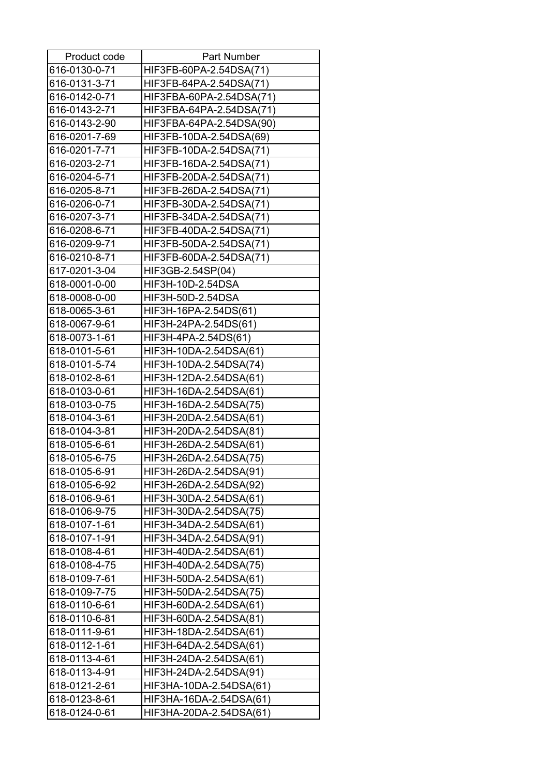| Product code  | <b>Part Number</b>       |
|---------------|--------------------------|
| 616-0130-0-71 | HIF3FB-60PA-2.54DSA(71)  |
| 616-0131-3-71 | HIF3FB-64PA-2.54DSA(71)  |
| 616-0142-0-71 | HIF3FBA-60PA-2.54DSA(71) |
| 616-0143-2-71 | HIF3FBA-64PA-2.54DSA(71) |
| 616-0143-2-90 | HIF3FBA-64PA-2.54DSA(90) |
| 616-0201-7-69 | HIF3FB-10DA-2.54DSA(69)  |
| 616-0201-7-71 | HIF3FB-10DA-2.54DSA(71)  |
| 616-0203-2-71 | HIF3FB-16DA-2.54DSA(71)  |
| 616-0204-5-71 | HIF3FB-20DA-2.54DSA(71)  |
| 616-0205-8-71 | HIF3FB-26DA-2.54DSA(71)  |
| 616-0206-0-71 | HIF3FB-30DA-2.54DSA(71)  |
| 616-0207-3-71 | HIF3FB-34DA-2.54DSA(71)  |
| 616-0208-6-71 | HIF3FB-40DA-2.54DSA(71)  |
| 616-0209-9-71 | HIF3FB-50DA-2.54DSA(71)  |
| 616-0210-8-71 | HIF3FB-60DA-2.54DSA(71)  |
| 617-0201-3-04 | HIF3GB-2.54SP(04)        |
| 618-0001-0-00 | HIF3H-10D-2.54DSA        |
| 618-0008-0-00 | HIF3H-50D-2.54DSA        |
| 618-0065-3-61 | HIF3H-16PA-2.54DS(61)    |
| 618-0067-9-61 | HIF3H-24PA-2.54DS(61)    |
| 618-0073-1-61 | HIF3H-4PA-2.54DS(61)     |
| 618-0101-5-61 | HIF3H-10DA-2.54DSA(61)   |
| 618-0101-5-74 | HIF3H-10DA-2.54DSA(74)   |
| 618-0102-8-61 | HIF3H-12DA-2.54DSA(61)   |
| 618-0103-0-61 | HIF3H-16DA-2.54DSA(61)   |
| 618-0103-0-75 | HIF3H-16DA-2.54DSA(75)   |
| 618-0104-3-61 | HIF3H-20DA-2.54DSA(61)   |
| 618-0104-3-81 | HIF3H-20DA-2.54DSA(81)   |
| 618-0105-6-61 | HIF3H-26DA-2.54DSA(61)   |
| 618-0105-6-75 | HIF3H-26DA-2.54DSA(75)   |
| 618-0105-6-91 | HIF3H-26DA-2.54DSA(91)   |
| 618-0105-6-92 | HIF3H-26DA-2.54DSA(92)   |
| 618-0106-9-61 | HIF3H-30DA-2.54DSA(61)   |
| 618-0106-9-75 | HIF3H-30DA-2.54DSA(75)   |
| 618-0107-1-61 | HIF3H-34DA-2.54DSA(61)   |
| 618-0107-1-91 | HIF3H-34DA-2.54DSA(91)   |
| 618-0108-4-61 | HIF3H-40DA-2.54DSA(61)   |
| 618-0108-4-75 | HIF3H-40DA-2.54DSA(75)   |
| 618-0109-7-61 | HIF3H-50DA-2.54DSA(61)   |
| 618-0109-7-75 | HIF3H-50DA-2.54DSA(75)   |
| 618-0110-6-61 | HIF3H-60DA-2.54DSA(61)   |
| 618-0110-6-81 | HIF3H-60DA-2.54DSA(81)   |
| 618-0111-9-61 | HIF3H-18DA-2.54DSA(61)   |
| 618-0112-1-61 | HIF3H-64DA-2.54DSA(61)   |
| 618-0113-4-61 | HIF3H-24DA-2.54DSA(61)   |
| 618-0113-4-91 | HIF3H-24DA-2.54DSA(91)   |
| 618-0121-2-61 | HIF3HA-10DA-2.54DSA(61)  |
| 618-0123-8-61 | HIF3HA-16DA-2.54DSA(61)  |
| 618-0124-0-61 | HIF3HA-20DA-2.54DSA(61)  |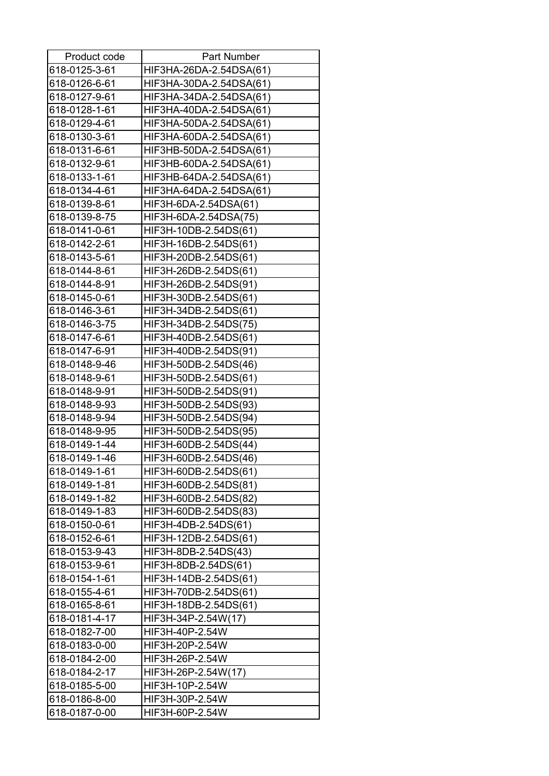| Product code  | <b>Part Number</b>      |
|---------------|-------------------------|
| 618-0125-3-61 | HIF3HA-26DA-2.54DSA(61) |
| 618-0126-6-61 | HIF3HA-30DA-2.54DSA(61) |
| 618-0127-9-61 | HIF3HA-34DA-2.54DSA(61) |
| 618-0128-1-61 | HIF3HA-40DA-2.54DSA(61) |
| 618-0129-4-61 | HIF3HA-50DA-2.54DSA(61) |
| 618-0130-3-61 | HIF3HA-60DA-2.54DSA(61) |
| 618-0131-6-61 | HIF3HB-50DA-2.54DSA(61) |
| 618-0132-9-61 | HIF3HB-60DA-2.54DSA(61) |
| 618-0133-1-61 | HIF3HB-64DA-2.54DSA(61) |
| 618-0134-4-61 | HIF3HA-64DA-2.54DSA(61) |
| 618-0139-8-61 | HIF3H-6DA-2.54DSA(61)   |
| 618-0139-8-75 | HIF3H-6DA-2.54DSA(75)   |
| 618-0141-0-61 | HIF3H-10DB-2.54DS(61)   |
| 618-0142-2-61 | HIF3H-16DB-2.54DS(61)   |
| 618-0143-5-61 | HIF3H-20DB-2.54DS(61)   |
| 618-0144-8-61 | HIF3H-26DB-2.54DS(61)   |
| 618-0144-8-91 | HIF3H-26DB-2.54DS(91)   |
| 618-0145-0-61 | HIF3H-30DB-2.54DS(61)   |
| 618-0146-3-61 | HIF3H-34DB-2.54DS(61)   |
| 618-0146-3-75 | HIF3H-34DB-2.54DS(75)   |
| 618-0147-6-61 | HIF3H-40DB-2.54DS(61)   |
| 618-0147-6-91 | HIF3H-40DB-2.54DS(91)   |
| 618-0148-9-46 | HIF3H-50DB-2.54DS(46)   |
| 618-0148-9-61 | HIF3H-50DB-2.54DS(61)   |
| 618-0148-9-91 | HIF3H-50DB-2.54DS(91)   |
| 618-0148-9-93 | HIF3H-50DB-2.54DS(93)   |
| 618-0148-9-94 | HIF3H-50DB-2.54DS(94)   |
| 618-0148-9-95 | HIF3H-50DB-2.54DS(95)   |
| 618-0149-1-44 | HIF3H-60DB-2.54DS(44)   |
| 618-0149-1-46 | HIF3H-60DB-2.54DS(46)   |
| 618-0149-1-61 | HIF3H-60DB-2.54DS(61)   |
| 618-0149-1-81 | HIF3H-60DB-2.54DS(81)   |
| 618-0149-1-82 | HIF3H-60DB-2.54DS(82)   |
| 618-0149-1-83 | HIF3H-60DB-2.54DS(83)   |
| 618-0150-0-61 | HIF3H-4DB-2.54DS(61)    |
| 618-0152-6-61 | HIF3H-12DB-2.54DS(61)   |
| 618-0153-9-43 | HIF3H-8DB-2.54DS(43)    |
| 618-0153-9-61 | HIF3H-8DB-2.54DS(61)    |
| 618-0154-1-61 | HIF3H-14DB-2.54DS(61)   |
| 618-0155-4-61 | HIF3H-70DB-2.54DS(61)   |
| 618-0165-8-61 | HIF3H-18DB-2.54DS(61)   |
| 618-0181-4-17 | HIF3H-34P-2.54W(17)     |
| 618-0182-7-00 | HIF3H-40P-2.54W         |
| 618-0183-0-00 | HIF3H-20P-2.54W         |
| 618-0184-2-00 | HIF3H-26P-2.54W         |
| 618-0184-2-17 | HIF3H-26P-2.54W(17)     |
| 618-0185-5-00 | HIF3H-10P-2.54W         |
| 618-0186-8-00 | HIF3H-30P-2.54W         |
| 618-0187-0-00 | HIF3H-60P-2.54W         |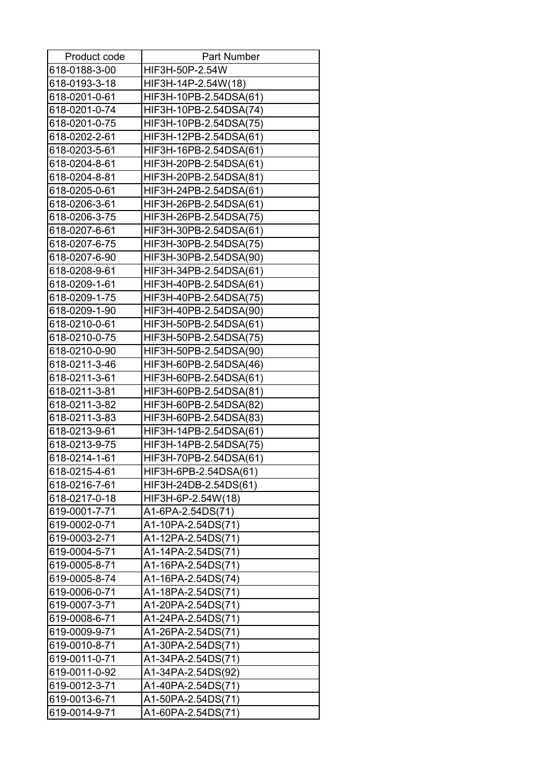| Product code  | <b>Part Number</b>     |
|---------------|------------------------|
| 618-0188-3-00 | HIF3H-50P-2.54W        |
| 618-0193-3-18 | HIF3H-14P-2.54W(18)    |
| 618-0201-0-61 | HIF3H-10PB-2.54DSA(61) |
| 618-0201-0-74 | HIF3H-10PB-2.54DSA(74) |
| 618-0201-0-75 | HIF3H-10PB-2.54DSA(75) |
| 618-0202-2-61 | HIF3H-12PB-2.54DSA(61) |
| 618-0203-5-61 | HIF3H-16PB-2.54DSA(61) |
| 618-0204-8-61 | HIF3H-20PB-2.54DSA(61) |
| 618-0204-8-81 | HIF3H-20PB-2.54DSA(81) |
| 618-0205-0-61 | HIF3H-24PB-2.54DSA(61) |
| 618-0206-3-61 | HIF3H-26PB-2.54DSA(61) |
| 618-0206-3-75 | HIF3H-26PB-2.54DSA(75) |
| 618-0207-6-61 | HIF3H-30PB-2.54DSA(61) |
| 618-0207-6-75 | HIF3H-30PB-2.54DSA(75) |
| 618-0207-6-90 | HIF3H-30PB-2.54DSA(90) |
| 618-0208-9-61 | HIF3H-34PB-2.54DSA(61) |
| 618-0209-1-61 | HIF3H-40PB-2.54DSA(61) |
| 618-0209-1-75 | HIF3H-40PB-2.54DSA(75) |
| 618-0209-1-90 | HIF3H-40PB-2.54DSA(90) |
| 618-0210-0-61 | HIF3H-50PB-2.54DSA(61) |
| 618-0210-0-75 | HIF3H-50PB-2.54DSA(75) |
| 618-0210-0-90 | HIF3H-50PB-2.54DSA(90) |
| 618-0211-3-46 | HIF3H-60PB-2.54DSA(46) |
| 618-0211-3-61 | HIF3H-60PB-2.54DSA(61) |
| 618-0211-3-81 | HIF3H-60PB-2.54DSA(81) |
| 618-0211-3-82 | HIF3H-60PB-2.54DSA(82) |
| 618-0211-3-83 | HIF3H-60PB-2.54DSA(83) |
| 618-0213-9-61 | HIF3H-14PB-2.54DSA(61) |
| 618-0213-9-75 | HIF3H-14PB-2.54DSA(75) |
| 618-0214-1-61 | HIF3H-70PB-2.54DSA(61) |
| 618-0215-4-61 | HIF3H-6PB-2.54DSA(61)  |
| 618-0216-7-61 | HIF3H-24DB-2.54DS(61)  |
| 618-0217-0-18 | HIF3H-6P-2.54W(18)     |
| 619-0001-7-71 | A1-6PA-2.54DS(71)      |
| 619-0002-0-71 | A1-10PA-2.54DS(71)     |
| 619-0003-2-71 | A1-12PA-2.54DS(71)     |
| 619-0004-5-71 | A1-14PA-2.54DS(71)     |
| 619-0005-8-71 | A1-16PA-2.54DS(71)     |
| 619-0005-8-74 | A1-16PA-2.54DS(74)     |
| 619-0006-0-71 | A1-18PA-2.54DS(71)     |
| 619-0007-3-71 | A1-20PA-2.54DS(71)     |
| 619-0008-6-71 | A1-24PA-2.54DS(71)     |
| 619-0009-9-71 | A1-26PA-2.54DS(71)     |
| 619-0010-8-71 | A1-30PA-2.54DS(71)     |
| 619-0011-0-71 | A1-34PA-2.54DS(71)     |
| 619-0011-0-92 | A1-34PA-2.54DS(92)     |
| 619-0012-3-71 | A1-40PA-2.54DS(71)     |
| 619-0013-6-71 | A1-50PA-2.54DS(71)     |
| 619-0014-9-71 | A1-60PA-2.54DS(71)     |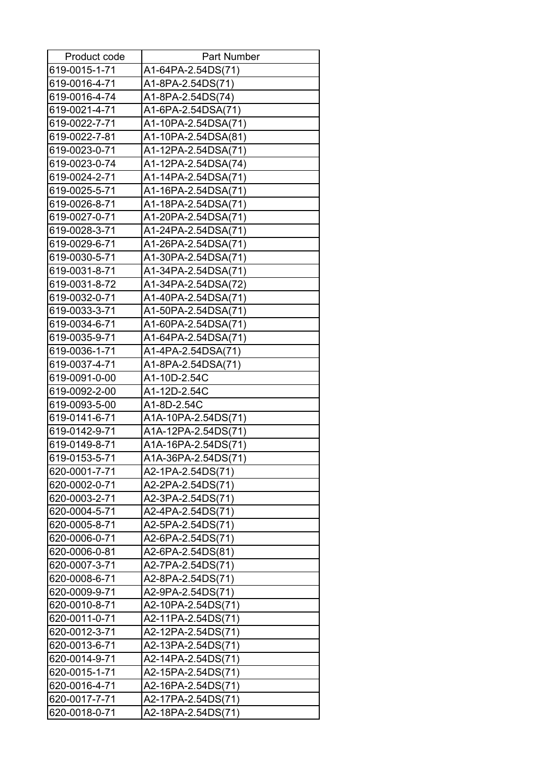| Product code  | <b>Part Number</b>  |
|---------------|---------------------|
| 619-0015-1-71 | A1-64PA-2.54DS(71)  |
| 619-0016-4-71 | A1-8PA-2.54DS(71)   |
| 619-0016-4-74 | A1-8PA-2.54DS(74)   |
| 619-0021-4-71 | A1-6PA-2.54DSA(71)  |
| 619-0022-7-71 | A1-10PA-2.54DSA(71) |
| 619-0022-7-81 | A1-10PA-2.54DSA(81) |
| 619-0023-0-71 | A1-12PA-2.54DSA(71) |
| 619-0023-0-74 | A1-12PA-2.54DSA(74) |
| 619-0024-2-71 | A1-14PA-2.54DSA(71) |
| 619-0025-5-71 | A1-16PA-2.54DSA(71) |
| 619-0026-8-71 | A1-18PA-2.54DSA(71) |
| 619-0027-0-71 | A1-20PA-2.54DSA(71) |
| 619-0028-3-71 | A1-24PA-2.54DSA(71) |
| 619-0029-6-71 | A1-26PA-2.54DSA(71) |
| 619-0030-5-71 | A1-30PA-2.54DSA(71) |
| 619-0031-8-71 | A1-34PA-2.54DSA(71) |
| 619-0031-8-72 | A1-34PA-2.54DSA(72) |
| 619-0032-0-71 | A1-40PA-2.54DSA(71) |
| 619-0033-3-71 | A1-50PA-2.54DSA(71) |
| 619-0034-6-71 | A1-60PA-2.54DSA(71) |
| 619-0035-9-71 | A1-64PA-2.54DSA(71) |
| 619-0036-1-71 | A1-4PA-2.54DSA(71)  |
| 619-0037-4-71 | A1-8PA-2.54DSA(71)  |
| 619-0091-0-00 | A1-10D-2.54C        |
| 619-0092-2-00 | A1-12D-2.54C        |
| 619-0093-5-00 | A1-8D-2.54C         |
| 619-0141-6-71 | A1A-10PA-2.54DS(71) |
| 619-0142-9-71 | A1A-12PA-2.54DS(71) |
| 619-0149-8-71 | A1A-16PA-2.54DS(71) |
| 619-0153-5-71 | A1A-36PA-2.54DS(71) |
| 620-0001-7-71 | A2-1PA-2.54DS(71)   |
| 620-0002-0-71 | A2-2PA-2.54DS(71)   |
| 620-0003-2-71 | A2-3PA-2.54DS(71)   |
| 620-0004-5-71 | A2-4PA-2.54DS(71)   |
| 620-0005-8-71 | A2-5PA-2.54DS(71)   |
| 620-0006-0-71 | A2-6PA-2.54DS(71)   |
| 620-0006-0-81 | A2-6PA-2.54DS(81)   |
| 620-0007-3-71 | A2-7PA-2.54DS(71)   |
| 620-0008-6-71 | A2-8PA-2.54DS(71)   |
| 620-0009-9-71 | A2-9PA-2.54DS(71)   |
| 620-0010-8-71 | A2-10PA-2.54DS(71)  |
| 620-0011-0-71 | A2-11PA-2.54DS(71)  |
| 620-0012-3-71 | A2-12PA-2.54DS(71)  |
| 620-0013-6-71 | A2-13PA-2.54DS(71)  |
| 620-0014-9-71 | A2-14PA-2.54DS(71)  |
| 620-0015-1-71 | A2-15PA-2.54DS(71)  |
| 620-0016-4-71 | A2-16PA-2.54DS(71)  |
| 620-0017-7-71 | A2-17PA-2.54DS(71)  |
| 620-0018-0-71 | A2-18PA-2.54DS(71)  |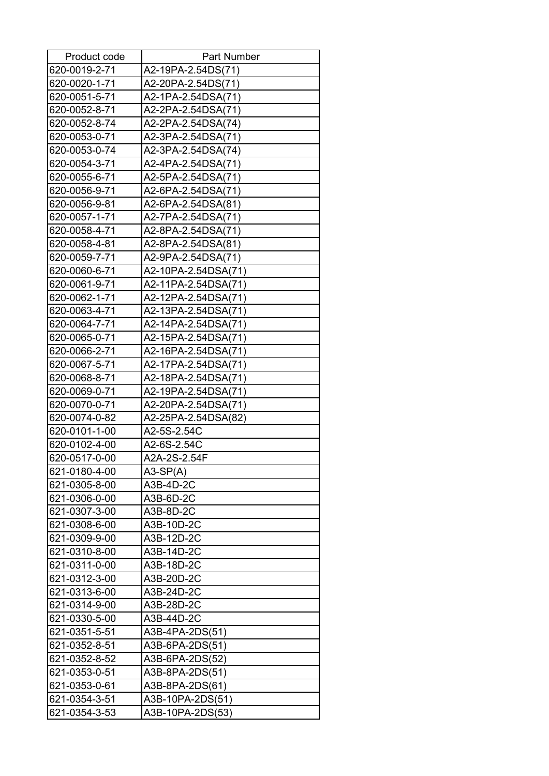| Product code  | Part Number         |
|---------------|---------------------|
| 620-0019-2-71 | A2-19PA-2.54DS(71)  |
| 620-0020-1-71 | A2-20PA-2.54DS(71)  |
| 620-0051-5-71 | A2-1PA-2.54DSA(71)  |
| 620-0052-8-71 | A2-2PA-2.54DSA(71)  |
| 620-0052-8-74 | A2-2PA-2.54DSA(74)  |
| 620-0053-0-71 | A2-3PA-2.54DSA(71)  |
| 620-0053-0-74 | A2-3PA-2.54DSA(74)  |
| 620-0054-3-71 | A2-4PA-2.54DSA(71)  |
| 620-0055-6-71 | A2-5PA-2.54DSA(71)  |
| 620-0056-9-71 | A2-6PA-2.54DSA(71)  |
| 620-0056-9-81 | A2-6PA-2.54DSA(81)  |
| 620-0057-1-71 | A2-7PA-2.54DSA(71)  |
| 620-0058-4-71 | A2-8PA-2.54DSA(71)  |
| 620-0058-4-81 | A2-8PA-2.54DSA(81)  |
| 620-0059-7-71 | A2-9PA-2.54DSA(71)  |
| 620-0060-6-71 | A2-10PA-2.54DSA(71) |
| 620-0061-9-71 | A2-11PA-2.54DSA(71) |
| 620-0062-1-71 | A2-12PA-2.54DSA(71) |
| 620-0063-4-71 | A2-13PA-2.54DSA(71) |
| 620-0064-7-71 | A2-14PA-2.54DSA(71) |
| 620-0065-0-71 | A2-15PA-2.54DSA(71) |
| 620-0066-2-71 | A2-16PA-2.54DSA(71) |
| 620-0067-5-71 | A2-17PA-2.54DSA(71) |
| 620-0068-8-71 | A2-18PA-2.54DSA(71) |
| 620-0069-0-71 | A2-19PA-2.54DSA(71) |
| 620-0070-0-71 | A2-20PA-2.54DSA(71) |
| 620-0074-0-82 | A2-25PA-2.54DSA(82) |
| 620-0101-1-00 | A2-5S-2.54C         |
| 620-0102-4-00 | A2-6S-2.54C         |
| 620-0517-0-00 | A2A-2S-2.54F        |
| 621-0180-4-00 | $A3-SP(A)$          |
| 621-0305-8-00 | A3B-4D-2C           |
| 621-0306-0-00 | A3B-6D-2C           |
| 621-0307-3-00 | A3B-8D-2C           |
| 621-0308-6-00 | A3B-10D-2C          |
| 621-0309-9-00 | A3B-12D-2C          |
| 621-0310-8-00 | A3B-14D-2C          |
| 621-0311-0-00 | A3B-18D-2C          |
| 621-0312-3-00 | A3B-20D-2C          |
| 621-0313-6-00 | A3B-24D-2C          |
| 621-0314-9-00 | A3B-28D-2C          |
| 621-0330-5-00 | A3B-44D-2C          |
| 621-0351-5-51 | A3B-4PA-2DS(51)     |
| 621-0352-8-51 | A3B-6PA-2DS(51)     |
| 621-0352-8-52 | A3B-6PA-2DS(52)     |
| 621-0353-0-51 | A3B-8PA-2DS(51)     |
| 621-0353-0-61 | A3B-8PA-2DS(61)     |
| 621-0354-3-51 | A3B-10PA-2DS(51)    |
| 621-0354-3-53 | A3B-10PA-2DS(53)    |
|               |                     |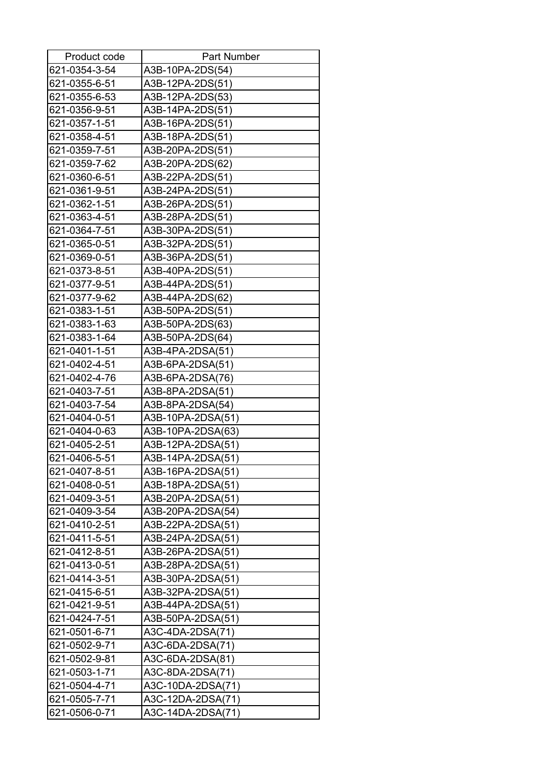| Product code  | <b>Part Number</b> |
|---------------|--------------------|
| 621-0354-3-54 | A3B-10PA-2DS(54)   |
| 621-0355-6-51 | A3B-12PA-2DS(51)   |
| 621-0355-6-53 | A3B-12PA-2DS(53)   |
| 621-0356-9-51 | A3B-14PA-2DS(51)   |
| 621-0357-1-51 | A3B-16PA-2DS(51)   |
| 621-0358-4-51 | A3B-18PA-2DS(51)   |
| 621-0359-7-51 | A3B-20PA-2DS(51)   |
| 621-0359-7-62 | A3B-20PA-2DS(62)   |
| 621-0360-6-51 | A3B-22PA-2DS(51)   |
| 621-0361-9-51 | A3B-24PA-2DS(51)   |
| 621-0362-1-51 | A3B-26PA-2DS(51)   |
| 621-0363-4-51 | A3B-28PA-2DS(51)   |
| 621-0364-7-51 | A3B-30PA-2DS(51)   |
| 621-0365-0-51 | A3B-32PA-2DS(51)   |
| 621-0369-0-51 | A3B-36PA-2DS(51)   |
| 621-0373-8-51 | A3B-40PA-2DS(51)   |
| 621-0377-9-51 | A3B-44PA-2DS(51)   |
| 621-0377-9-62 | A3B-44PA-2DS(62)   |
| 621-0383-1-51 | A3B-50PA-2DS(51)   |
| 621-0383-1-63 | A3B-50PA-2DS(63)   |
| 621-0383-1-64 | A3B-50PA-2DS(64)   |
| 621-0401-1-51 | A3B-4PA-2DSA(51)   |
| 621-0402-4-51 | A3B-6PA-2DSA(51)   |
| 621-0402-4-76 | A3B-6PA-2DSA(76)   |
| 621-0403-7-51 | A3B-8PA-2DSA(51)   |
| 621-0403-7-54 | A3B-8PA-2DSA(54)   |
| 621-0404-0-51 | A3B-10PA-2DSA(51)  |
| 621-0404-0-63 | A3B-10PA-2DSA(63)  |
| 621-0405-2-51 | A3B-12PA-2DSA(51)  |
| 621-0406-5-51 | A3B-14PA-2DSA(51)  |
| 621-0407-8-51 | A3B-16PA-2DSA(51)  |
| 621-0408-0-51 | A3B-18PA-2DSA(51)  |
| 621-0409-3-51 | A3B-20PA-2DSA(51)  |
| 621-0409-3-54 | A3B-20PA-2DSA(54)  |
| 621-0410-2-51 | A3B-22PA-2DSA(51)  |
| 621-0411-5-51 | A3B-24PA-2DSA(51)  |
| 621-0412-8-51 | A3B-26PA-2DSA(51)  |
| 621-0413-0-51 | A3B-28PA-2DSA(51)  |
| 621-0414-3-51 | A3B-30PA-2DSA(51)  |
| 621-0415-6-51 | A3B-32PA-2DSA(51)  |
| 621-0421-9-51 | A3B-44PA-2DSA(51)  |
| 621-0424-7-51 | A3B-50PA-2DSA(51)  |
| 621-0501-6-71 | A3C-4DA-2DSA(71)   |
| 621-0502-9-71 | A3C-6DA-2DSA(71)   |
| 621-0502-9-81 | A3C-6DA-2DSA(81)   |
| 621-0503-1-71 | A3C-8DA-2DSA(71)   |
| 621-0504-4-71 | A3C-10DA-2DSA(71)  |
| 621-0505-7-71 | A3C-12DA-2DSA(71)  |
| 621-0506-0-71 | A3C-14DA-2DSA(71)  |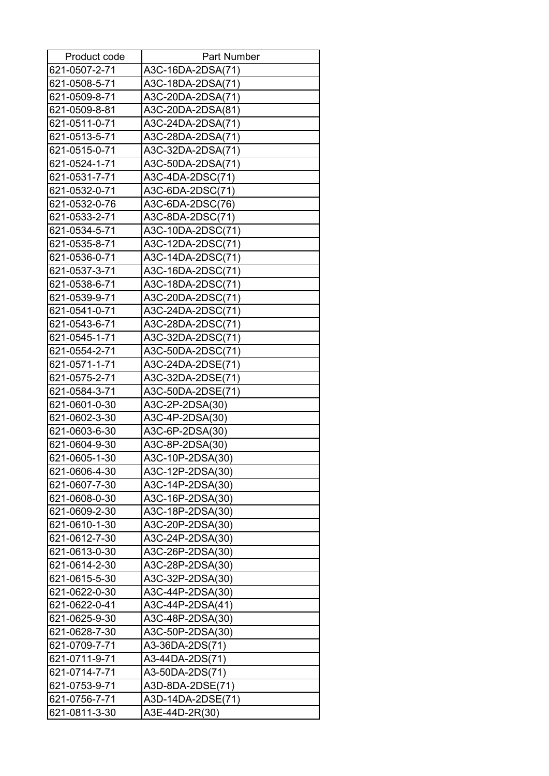| Product code  | <b>Part Number</b> |
|---------------|--------------------|
| 621-0507-2-71 | A3C-16DA-2DSA(71)  |
| 621-0508-5-71 | A3C-18DA-2DSA(71)  |
| 621-0509-8-71 | A3C-20DA-2DSA(71)  |
| 621-0509-8-81 | A3C-20DA-2DSA(81)  |
| 621-0511-0-71 | A3C-24DA-2DSA(71)  |
| 621-0513-5-71 | A3C-28DA-2DSA(71)  |
| 621-0515-0-71 | A3C-32DA-2DSA(71)  |
| 621-0524-1-71 | A3C-50DA-2DSA(71)  |
| 621-0531-7-71 | A3C-4DA-2DSC(71)   |
| 621-0532-0-71 | A3C-6DA-2DSC(71)   |
| 621-0532-0-76 | A3C-6DA-2DSC(76)   |
| 621-0533-2-71 | A3C-8DA-2DSC(71)   |
| 621-0534-5-71 | A3C-10DA-2DSC(71)  |
| 621-0535-8-71 | A3C-12DA-2DSC(71)  |
| 621-0536-0-71 | A3C-14DA-2DSC(71)  |
| 621-0537-3-71 | A3C-16DA-2DSC(71)  |
| 621-0538-6-71 | A3C-18DA-2DSC(71)  |
| 621-0539-9-71 | A3C-20DA-2DSC(71)  |
| 621-0541-0-71 | A3C-24DA-2DSC(71)  |
| 621-0543-6-71 | A3C-28DA-2DSC(71)  |
| 621-0545-1-71 | A3C-32DA-2DSC(71)  |
| 621-0554-2-71 | A3C-50DA-2DSC(71)  |
| 621-0571-1-71 | A3C-24DA-2DSE(71)  |
| 621-0575-2-71 | A3C-32DA-2DSE(71)  |
| 621-0584-3-71 | A3C-50DA-2DSE(71)  |
| 621-0601-0-30 | A3C-2P-2DSA(30)    |
| 621-0602-3-30 | A3C-4P-2DSA(30)    |
| 621-0603-6-30 | A3C-6P-2DSA(30)    |
| 621-0604-9-30 | A3C-8P-2DSA(30)    |
| 621-0605-1-30 | A3C-10P-2DSA(30)   |
| 621-0606-4-30 | A3C-12P-2DSA(30)   |
| 621-0607-7-30 | A3C-14P-2DSA(30)   |
| 621-0608-0-30 | A3C-16P-2DSA(30)   |
| 621-0609-2-30 | A3C-18P-2DSA(30)   |
| 621-0610-1-30 | A3C-20P-2DSA(30)   |
| 621-0612-7-30 | A3C-24P-2DSA(30)   |
| 621-0613-0-30 | A3C-26P-2DSA(30)   |
| 621-0614-2-30 | A3C-28P-2DSA(30)   |
| 621-0615-5-30 | A3C-32P-2DSA(30)   |
| 621-0622-0-30 | A3C-44P-2DSA(30)   |
| 621-0622-0-41 | A3C-44P-2DSA(41)   |
| 621-0625-9-30 | A3C-48P-2DSA(30)   |
| 621-0628-7-30 | A3C-50P-2DSA(30)   |
| 621-0709-7-71 | A3-36DA-2DS(71)    |
| 621-0711-9-71 | A3-44DA-2DS(71)    |
| 621-0714-7-71 | A3-50DA-2DS(71)    |
| 621-0753-9-71 | A3D-8DA-2DSE(71)   |
| 621-0756-7-71 | A3D-14DA-2DSE(71)  |
| 621-0811-3-30 | A3E-44D-2R(30)     |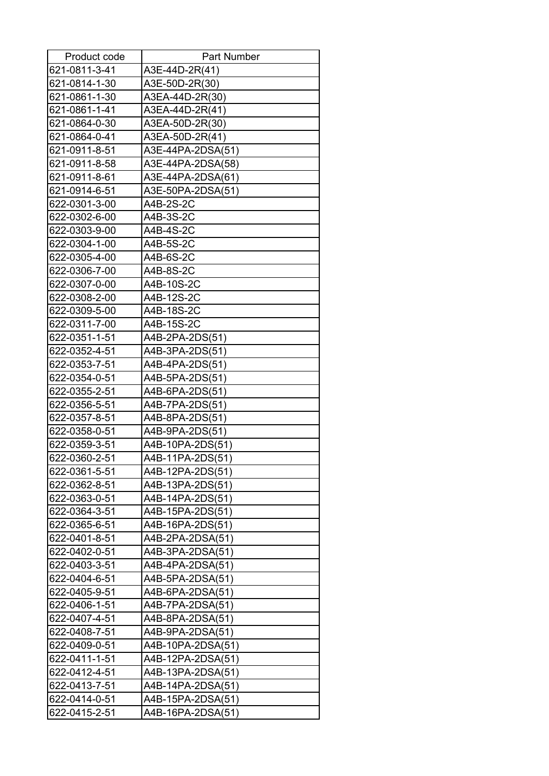| Product code  | <b>Part Number</b> |
|---------------|--------------------|
| 621-0811-3-41 | A3E-44D-2R(41)     |
| 621-0814-1-30 | A3E-50D-2R(30)     |
| 621-0861-1-30 | A3EA-44D-2R(30)    |
| 621-0861-1-41 | A3EA-44D-2R(41)    |
| 621-0864-0-30 | A3EA-50D-2R(30)    |
| 621-0864-0-41 | A3EA-50D-2R(41)    |
| 621-0911-8-51 | A3E-44PA-2DSA(51)  |
| 621-0911-8-58 | A3E-44PA-2DSA(58)  |
| 621-0911-8-61 | A3E-44PA-2DSA(61)  |
| 621-0914-6-51 | A3E-50PA-2DSA(51)  |
| 622-0301-3-00 | A4B-2S-2C          |
| 622-0302-6-00 | A4B-3S-2C          |
| 622-0303-9-00 | A4B-4S-2C          |
| 622-0304-1-00 | A4B-5S-2C          |
| 622-0305-4-00 | A4B-6S-2C          |
| 622-0306-7-00 | A4B-8S-2C          |
| 622-0307-0-00 | A4B-10S-2C         |
| 622-0308-2-00 | A4B-12S-2C         |
| 622-0309-5-00 | A4B-18S-2C         |
| 622-0311-7-00 | A4B-15S-2C         |
| 622-0351-1-51 | A4B-2PA-2DS(51)    |
| 622-0352-4-51 | A4B-3PA-2DS(51)    |
| 622-0353-7-51 | A4B-4PA-2DS(51)    |
| 622-0354-0-51 | A4B-5PA-2DS(51)    |
| 622-0355-2-51 | A4B-6PA-2DS(51)    |
| 622-0356-5-51 | A4B-7PA-2DS(51)    |
| 622-0357-8-51 | A4B-8PA-2DS(51)    |
| 622-0358-0-51 | A4B-9PA-2DS(51)    |
| 622-0359-3-51 | A4B-10PA-2DS(51)   |
| 622-0360-2-51 | A4B-11PA-2DS(51)   |
| 622-0361-5-51 | A4B-12PA-2DS(51)   |
| 622-0362-8-51 | A4B-13PA-2DS(51)   |
| 622-0363-0-51 | A4B-14PA-2DS(51)   |
| 622-0364-3-51 | A4B-15PA-2DS(51)   |
| 622-0365-6-51 | A4B-16PA-2DS(51)   |
| 622-0401-8-51 | A4B-2PA-2DSA(51)   |
| 622-0402-0-51 | A4B-3PA-2DSA(51)   |
| 622-0403-3-51 | A4B-4PA-2DSA(51)   |
| 622-0404-6-51 | A4B-5PA-2DSA(51)   |
| 622-0405-9-51 | A4B-6PA-2DSA(51)   |
| 622-0406-1-51 | A4B-7PA-2DSA(51)   |
| 622-0407-4-51 | A4B-8PA-2DSA(51)   |
| 622-0408-7-51 | A4B-9PA-2DSA(51)   |
| 622-0409-0-51 | A4B-10PA-2DSA(51)  |
| 622-0411-1-51 | A4B-12PA-2DSA(51)  |
| 622-0412-4-51 | A4B-13PA-2DSA(51)  |
| 622-0413-7-51 | A4B-14PA-2DSA(51)  |
| 622-0414-0-51 | A4B-15PA-2DSA(51)  |
| 622-0415-2-51 | A4B-16PA-2DSA(51)  |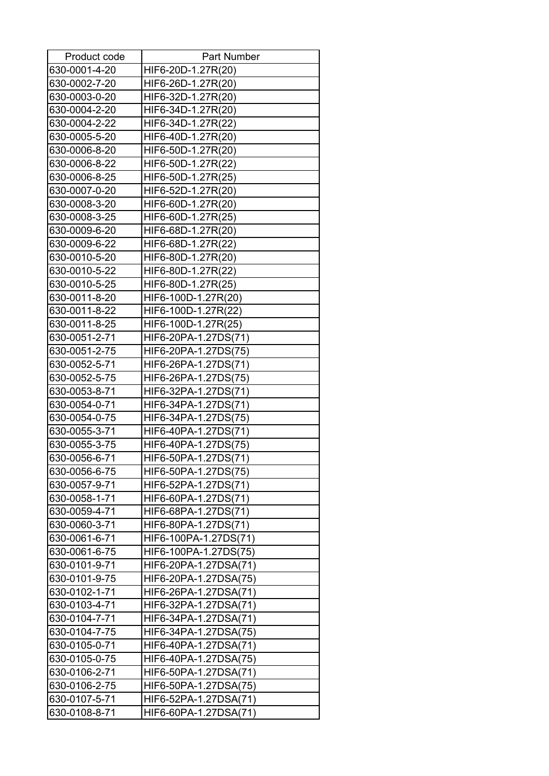| Product code  | <b>Part Number</b>    |
|---------------|-----------------------|
| 630-0001-4-20 | HIF6-20D-1.27R(20)    |
| 630-0002-7-20 | HIF6-26D-1.27R(20)    |
| 630-0003-0-20 | HIF6-32D-1.27R(20)    |
| 630-0004-2-20 | HIF6-34D-1.27R(20)    |
| 630-0004-2-22 | HIF6-34D-1.27R(22)    |
| 630-0005-5-20 | HIF6-40D-1.27R(20)    |
| 630-0006-8-20 | HIF6-50D-1.27R(20)    |
| 630-0006-8-22 | HIF6-50D-1.27R(22)    |
| 630-0006-8-25 | HIF6-50D-1.27R(25)    |
| 630-0007-0-20 | HIF6-52D-1.27R(20)    |
| 630-0008-3-20 | HIF6-60D-1.27R(20)    |
| 630-0008-3-25 | HIF6-60D-1.27R(25)    |
| 630-0009-6-20 | HIF6-68D-1.27R(20)    |
| 630-0009-6-22 | HIF6-68D-1.27R(22)    |
| 630-0010-5-20 | HIF6-80D-1.27R(20)    |
| 630-0010-5-22 | HIF6-80D-1.27R(22)    |
| 630-0010-5-25 | HIF6-80D-1.27R(25)    |
| 630-0011-8-20 | HIF6-100D-1.27R(20)   |
| 630-0011-8-22 | HIF6-100D-1.27R(22)   |
| 630-0011-8-25 | HIF6-100D-1.27R(25)   |
| 630-0051-2-71 | HIF6-20PA-1.27DS(71)  |
| 630-0051-2-75 | HIF6-20PA-1.27DS(75)  |
| 630-0052-5-71 | HIF6-26PA-1.27DS(71)  |
| 630-0052-5-75 | HIF6-26PA-1.27DS(75)  |
| 630-0053-8-71 | HIF6-32PA-1.27DS(71)  |
| 630-0054-0-71 | HIF6-34PA-1.27DS(71)  |
| 630-0054-0-75 | HIF6-34PA-1.27DS(75)  |
| 630-0055-3-71 | HIF6-40PA-1.27DS(71)  |
| 630-0055-3-75 | HIF6-40PA-1.27DS(75)  |
| 630-0056-6-71 | HIF6-50PA-1.27DS(71)  |
| 630-0056-6-75 | HIF6-50PA-1.27DS(75)  |
| 630-0057-9-71 | HIF6-52PA-1.27DS(71)  |
| 630-0058-1-71 | HIF6-60PA-1.27DS(71)  |
| 630-0059-4-71 | HIF6-68PA-1.27DS(71)  |
| 630-0060-3-71 | HIF6-80PA-1.27DS(71)  |
| 630-0061-6-71 | HIF6-100PA-1.27DS(71) |
| 630-0061-6-75 | HIF6-100PA-1.27DS(75) |
| 630-0101-9-71 | HIF6-20PA-1.27DSA(71) |
| 630-0101-9-75 | HIF6-20PA-1.27DSA(75) |
| 630-0102-1-71 | HIF6-26PA-1.27DSA(71) |
| 630-0103-4-71 | HIF6-32PA-1.27DSA(71) |
| 630-0104-7-71 | HIF6-34PA-1.27DSA(71) |
| 630-0104-7-75 | HIF6-34PA-1.27DSA(75) |
| 630-0105-0-71 | HIF6-40PA-1.27DSA(71) |
| 630-0105-0-75 | HIF6-40PA-1.27DSA(75) |
| 630-0106-2-71 | HIF6-50PA-1.27DSA(71) |
| 630-0106-2-75 | HIF6-50PA-1.27DSA(75) |
| 630-0107-5-71 | HIF6-52PA-1.27DSA(71) |
| 630-0108-8-71 | HIF6-60PA-1.27DSA(71) |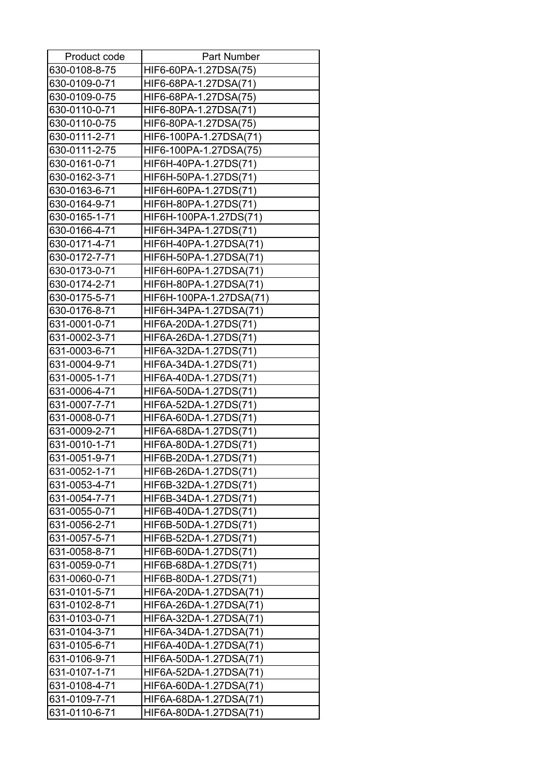| Product code  | <b>Part Number</b>      |
|---------------|-------------------------|
| 630-0108-8-75 | HIF6-60PA-1.27DSA(75)   |
| 630-0109-0-71 | HIF6-68PA-1.27DSA(71)   |
| 630-0109-0-75 | HIF6-68PA-1.27DSA(75)   |
| 630-0110-0-71 | HIF6-80PA-1.27DSA(71)   |
| 630-0110-0-75 | HIF6-80PA-1.27DSA(75)   |
| 630-0111-2-71 | HIF6-100PA-1.27DSA(71)  |
| 630-0111-2-75 | HIF6-100PA-1.27DSA(75)  |
| 630-0161-0-71 | HIF6H-40PA-1.27DS(71)   |
| 630-0162-3-71 | HIF6H-50PA-1.27DS(71)   |
| 630-0163-6-71 | HIF6H-60PA-1.27DS(71)   |
| 630-0164-9-71 | HIF6H-80PA-1.27DS(71)   |
| 630-0165-1-71 | HIF6H-100PA-1.27DS(71)  |
| 630-0166-4-71 | HIF6H-34PA-1.27DS(71)   |
| 630-0171-4-71 | HIF6H-40PA-1.27DSA(71)  |
| 630-0172-7-71 | HIF6H-50PA-1.27DSA(71)  |
| 630-0173-0-71 | HIF6H-60PA-1.27DSA(71)  |
| 630-0174-2-71 | HIF6H-80PA-1.27DSA(71)  |
| 630-0175-5-71 | HIF6H-100PA-1.27DSA(71) |
| 630-0176-8-71 | HIF6H-34PA-1.27DSA(71)  |
| 631-0001-0-71 | HIF6A-20DA-1.27DS(71)   |
| 631-0002-3-71 | HIF6A-26DA-1.27DS(71)   |
| 631-0003-6-71 | HIF6A-32DA-1.27DS(71)   |
| 631-0004-9-71 | HIF6A-34DA-1.27DS(71)   |
| 631-0005-1-71 | HIF6A-40DA-1.27DS(71)   |
| 631-0006-4-71 | HIF6A-50DA-1.27DS(71)   |
| 631-0007-7-71 | HIF6A-52DA-1.27DS(71)   |
| 631-0008-0-71 | HIF6A-60DA-1.27DS(71)   |
| 631-0009-2-71 | HIF6A-68DA-1.27DS(71)   |
| 631-0010-1-71 | HIF6A-80DA-1.27DS(71)   |
| 631-0051-9-71 | HIF6B-20DA-1.27DS(71)   |
| 631-0052-1-71 | HIF6B-26DA-1.27DS(71)   |
| 631-0053-4-71 | HIF6B-32DA-1.27DS(71)   |
| 631-0054-7-71 | HIF6B-34DA-1.27DS(71)   |
| 631-0055-0-71 | HIF6B-40DA-1.27DS(71)   |
| 631-0056-2-71 | HIF6B-50DA-1.27DS(71)   |
| 631-0057-5-71 | HIF6B-52DA-1.27DS(71)   |
| 631-0058-8-71 | HIF6B-60DA-1.27DS(71)   |
| 631-0059-0-71 | HIF6B-68DA-1.27DS(71)   |
| 631-0060-0-71 | HIF6B-80DA-1.27DS(71)   |
| 631-0101-5-71 | HIF6A-20DA-1.27DSA(71)  |
| 631-0102-8-71 | HIF6A-26DA-1.27DSA(71)  |
| 631-0103-0-71 | HIF6A-32DA-1.27DSA(71)  |
| 631-0104-3-71 | HIF6A-34DA-1.27DSA(71)  |
| 631-0105-6-71 | HIF6A-40DA-1.27DSA(71)  |
| 631-0106-9-71 | HIF6A-50DA-1.27DSA(71)  |
| 631-0107-1-71 | HIF6A-52DA-1.27DSA(71)  |
| 631-0108-4-71 | HIF6A-60DA-1.27DSA(71)  |
| 631-0109-7-71 | HIF6A-68DA-1.27DSA(71)  |
| 631-0110-6-71 | HIF6A-80DA-1.27DSA(71)  |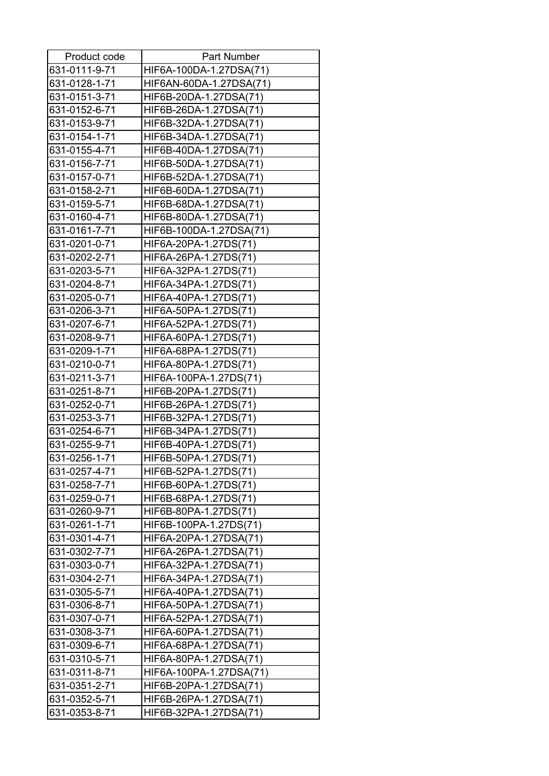| Product code  | <b>Part Number</b>      |
|---------------|-------------------------|
| 631-0111-9-71 | HIF6A-100DA-1.27DSA(71) |
| 631-0128-1-71 | HIF6AN-60DA-1.27DSA(71) |
| 631-0151-3-71 | HIF6B-20DA-1.27DSA(71)  |
| 631-0152-6-71 | HIF6B-26DA-1.27DSA(71)  |
| 631-0153-9-71 | HIF6B-32DA-1.27DSA(71)  |
| 631-0154-1-71 | HIF6B-34DA-1.27DSA(71)  |
| 631-0155-4-71 | HIF6B-40DA-1.27DSA(71)  |
| 631-0156-7-71 | HIF6B-50DA-1.27DSA(71)  |
| 631-0157-0-71 | HIF6B-52DA-1.27DSA(71)  |
| 631-0158-2-71 | HIF6B-60DA-1.27DSA(71)  |
| 631-0159-5-71 | HIF6B-68DA-1.27DSA(71)  |
| 631-0160-4-71 | HIF6B-80DA-1.27DSA(71)  |
| 631-0161-7-71 | HIF6B-100DA-1.27DSA(71) |
| 631-0201-0-71 | HIF6A-20PA-1.27DS(71)   |
| 631-0202-2-71 | HIF6A-26PA-1.27DS(71)   |
| 631-0203-5-71 | HIF6A-32PA-1.27DS(71)   |
| 631-0204-8-71 | HIF6A-34PA-1.27DS(71)   |
| 631-0205-0-71 | HIF6A-40PA-1.27DS(71)   |
| 631-0206-3-71 | HIF6A-50PA-1.27DS(71)   |
| 631-0207-6-71 | HIF6A-52PA-1.27DS(71)   |
| 631-0208-9-71 | HIF6A-60PA-1.27DS(71)   |
| 631-0209-1-71 | HIF6A-68PA-1.27DS(71)   |
| 631-0210-0-71 | HIF6A-80PA-1.27DS(71)   |
| 631-0211-3-71 | HIF6A-100PA-1.27DS(71)  |
| 631-0251-8-71 | HIF6B-20PA-1.27DS(71)   |
| 631-0252-0-71 | HIF6B-26PA-1.27DS(71)   |
| 631-0253-3-71 | HIF6B-32PA-1.27DS(71)   |
| 631-0254-6-71 | HIF6B-34PA-1.27DS(71)   |
| 631-0255-9-71 | HIF6B-40PA-1.27DS(71)   |
| 631-0256-1-71 | HIF6B-50PA-1.27DS(71)   |
| 631-0257-4-71 | HIF6B-52PA-1.27DS(71)   |
| 631-0258-7-71 | HIF6B-60PA-1.27DS(71)   |
| 631-0259-0-71 | HIF6B-68PA-1.27DS(71)   |
| 631-0260-9-71 | HIF6B-80PA-1.27DS(71)   |
| 631-0261-1-71 | HIF6B-100PA-1.27DS(71)  |
| 631-0301-4-71 | HIF6A-20PA-1.27DSA(71)  |
| 631-0302-7-71 | HIF6A-26PA-1.27DSA(71)  |
| 631-0303-0-71 | HIF6A-32PA-1.27DSA(71)  |
| 631-0304-2-71 | HIF6A-34PA-1.27DSA(71)  |
| 631-0305-5-71 | HIF6A-40PA-1.27DSA(71)  |
| 631-0306-8-71 | HIF6A-50PA-1.27DSA(71)  |
| 631-0307-0-71 | HIF6A-52PA-1.27DSA(71)  |
| 631-0308-3-71 | HIF6A-60PA-1.27DSA(71)  |
| 631-0309-6-71 | HIF6A-68PA-1.27DSA(71)  |
| 631-0310-5-71 | HIF6A-80PA-1.27DSA(71)  |
| 631-0311-8-71 | HIF6A-100PA-1.27DSA(71) |
| 631-0351-2-71 | HIF6B-20PA-1.27DSA(71)  |
| 631-0352-5-71 | HIF6B-26PA-1.27DSA(71)  |
| 631-0353-8-71 | HIF6B-32PA-1.27DSA(71)  |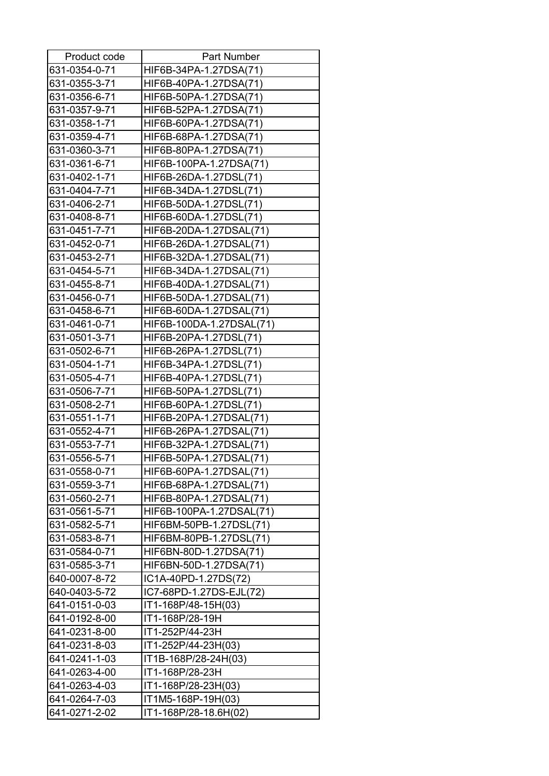| Product code  | Part Number              |
|---------------|--------------------------|
| 631-0354-0-71 | HIF6B-34PA-1.27DSA(71)   |
| 631-0355-3-71 | HIF6B-40PA-1.27DSA(71)   |
| 631-0356-6-71 | HIF6B-50PA-1.27DSA(71)   |
| 631-0357-9-71 | HIF6B-52PA-1.27DSA(71)   |
| 631-0358-1-71 | HIF6B-60PA-1.27DSA(71)   |
| 631-0359-4-71 | HIF6B-68PA-1.27DSA(71)   |
| 631-0360-3-71 | HIF6B-80PA-1.27DSA(71)   |
| 631-0361-6-71 | HIF6B-100PA-1.27DSA(71)  |
| 631-0402-1-71 | HIF6B-26DA-1.27DSL(71)   |
| 631-0404-7-71 | HIF6B-34DA-1.27DSL(71)   |
| 631-0406-2-71 | HIF6B-50DA-1.27DSL(71)   |
| 631-0408-8-71 | HIF6B-60DA-1.27DSL(71)   |
| 631-0451-7-71 | HIF6B-20DA-1.27DSAL(71)  |
| 631-0452-0-71 | HIF6B-26DA-1.27DSAL(71)  |
| 631-0453-2-71 | HIF6B-32DA-1.27DSAL(71)  |
| 631-0454-5-71 | HIF6B-34DA-1.27DSAL(71)  |
| 631-0455-8-71 | HIF6B-40DA-1.27DSAL(71)  |
| 631-0456-0-71 | HIF6B-50DA-1.27DSAL(71)  |
| 631-0458-6-71 | HIF6B-60DA-1.27DSAL(71)  |
| 631-0461-0-71 | HIF6B-100DA-1.27DSAL(71) |
| 631-0501-3-71 | HIF6B-20PA-1.27DSL(71)   |
| 631-0502-6-71 | HIF6B-26PA-1.27DSL(71)   |
| 631-0504-1-71 | HIF6B-34PA-1.27DSL(71)   |
| 631-0505-4-71 | HIF6B-40PA-1.27DSL(71)   |
| 631-0506-7-71 | HIF6B-50PA-1.27DSL(71)   |
| 631-0508-2-71 | HIF6B-60PA-1.27DSL(71)   |
| 631-0551-1-71 | HIF6B-20PA-1.27DSAL(71)  |
| 631-0552-4-71 | HIF6B-26PA-1.27DSAL(71)  |
| 631-0553-7-71 | HIF6B-32PA-1.27DSAL(71)  |
| 631-0556-5-71 | HIF6B-50PA-1.27DSAL(71)  |
| 631-0558-0-71 | HIF6B-60PA-1.27DSAL(71)  |
| 631-0559-3-71 | HIF6B-68PA-1.27DSAL(71)  |
| 631-0560-2-71 | HIF6B-80PA-1.27DSAL(71)  |
| 631-0561-5-71 | HIF6B-100PA-1.27DSAL(71) |
| 631-0582-5-71 | HIF6BM-50PB-1.27DSL(71)  |
| 631-0583-8-71 | HIF6BM-80PB-1.27DSL(71)  |
| 631-0584-0-71 | HIF6BN-80D-1.27DSA(71)   |
| 631-0585-3-71 | HIF6BN-50D-1.27DSA(71)   |
| 640-0007-8-72 | IC1A-40PD-1.27DS(72)     |
| 640-0403-5-72 | IC7-68PD-1.27DS-EJL(72)  |
| 641-0151-0-03 | IT1-168P/48-15H(03)      |
| 641-0192-8-00 | IT1-168P/28-19H          |
| 641-0231-8-00 | IT1-252P/44-23H          |
| 641-0231-8-03 | IT1-252P/44-23H(03)      |
| 641-0241-1-03 | IT1B-168P/28-24H(03)     |
| 641-0263-4-00 | IT1-168P/28-23H          |
| 641-0263-4-03 | IT1-168P/28-23H(03)      |
| 641-0264-7-03 | IT1M5-168P-19H(03)       |
| 641-0271-2-02 | IT1-168P/28-18.6H(02)    |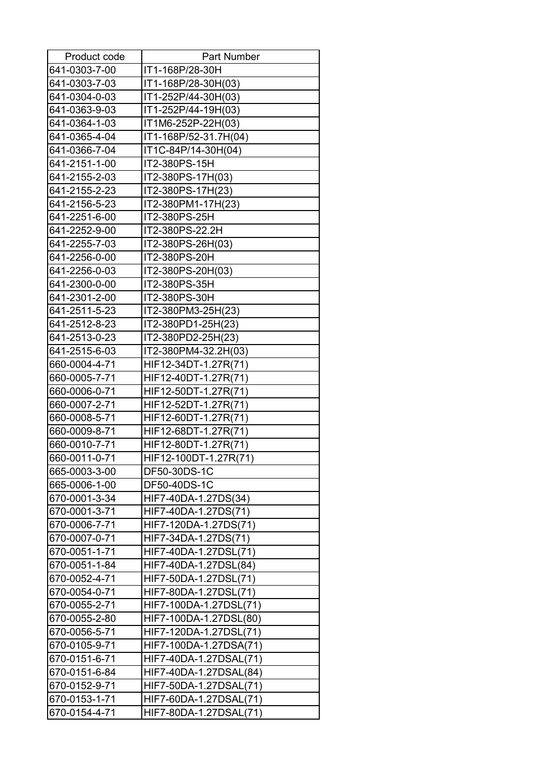| Product code  | Part Number            |
|---------------|------------------------|
| 641-0303-7-00 | IT1-168P/28-30H        |
| 641-0303-7-03 | IT1-168P/28-30H(03)    |
| 641-0304-0-03 | IT1-252P/44-30H(03)    |
| 641-0363-9-03 | IT1-252P/44-19H(03)    |
| 641-0364-1-03 | IT1M6-252P-22H(03)     |
| 641-0365-4-04 | IT1-168P/52-31.7H(04)  |
| 641-0366-7-04 | IT1C-84P/14-30H(04)    |
| 641-2151-1-00 | IT2-380PS-15H          |
| 641-2155-2-03 | IT2-380PS-17H(03)      |
| 641-2155-2-23 | IT2-380PS-17H(23)      |
| 641-2156-5-23 | IT2-380PM1-17H(23)     |
| 641-2251-6-00 | IT2-380PS-25H          |
| 641-2252-9-00 | IT2-380PS-22.2H        |
| 641-2255-7-03 | IT2-380PS-26H(03)      |
| 641-2256-0-00 | IT2-380PS-20H          |
| 641-2256-0-03 | IT2-380PS-20H(03)      |
| 641-2300-0-00 | IT2-380PS-35H          |
| 641-2301-2-00 | IT2-380PS-30H          |
| 641-2511-5-23 | IT2-380PM3-25H(23)     |
| 641-2512-8-23 | IT2-380PD1-25H(23)     |
| 641-2513-0-23 | IT2-380PD2-25H(23)     |
| 641-2515-6-03 | IT2-380PM4-32.2H(03)   |
| 660-0004-4-71 | HIF12-34DT-1.27R(71)   |
| 660-0005-7-71 | HIF12-40DT-1.27R(71)   |
| 660-0006-0-71 | HIF12-50DT-1.27R(71)   |
| 660-0007-2-71 | HIF12-52DT-1.27R(71)   |
| 660-0008-5-71 | HIF12-60DT-1.27R(71)   |
| 660-0009-8-71 | HIF12-68DT-1.27R(71)   |
| 660-0010-7-71 | HIF12-80DT-1.27R(71)   |
| 660-0011-0-71 | HIF12-100DT-1.27R(71)  |
| 665-0003-3-00 | DF50-30DS-1C           |
| 665-0006-1-00 | DF50-40DS-1C           |
| 670-0001-3-34 | HIF7-40DA-1.27DS(34)   |
| 670-0001-3-71 | HIF7-40DA-1.27DS(71)   |
| 670-0006-7-71 | HIF7-120DA-1.27DS(71)  |
| 670-0007-0-71 | HIF7-34DA-1.27DS(71)   |
| 670-0051-1-71 | HIF7-40DA-1.27DSL(71)  |
| 670-0051-1-84 | HIF7-40DA-1.27DSL(84)  |
| 670-0052-4-71 | HIF7-50DA-1.27DSL(71)  |
| 670-0054-0-71 | HIF7-80DA-1.27DSL(71)  |
| 670-0055-2-71 | HIF7-100DA-1.27DSL(71) |
| 670-0055-2-80 | HIF7-100DA-1.27DSL(80) |
| 670-0056-5-71 | HIF7-120DA-1.27DSL(71) |
| 670-0105-9-71 | HIF7-100DA-1.27DSA(71) |
| 670-0151-6-71 | HIF7-40DA-1.27DSAL(71) |
| 670-0151-6-84 | HIF7-40DA-1.27DSAL(84) |
| 670-0152-9-71 | HIF7-50DA-1.27DSAL(71) |
| 670-0153-1-71 | HIF7-60DA-1.27DSAL(71) |
| 670-0154-4-71 | HIF7-80DA-1.27DSAL(71) |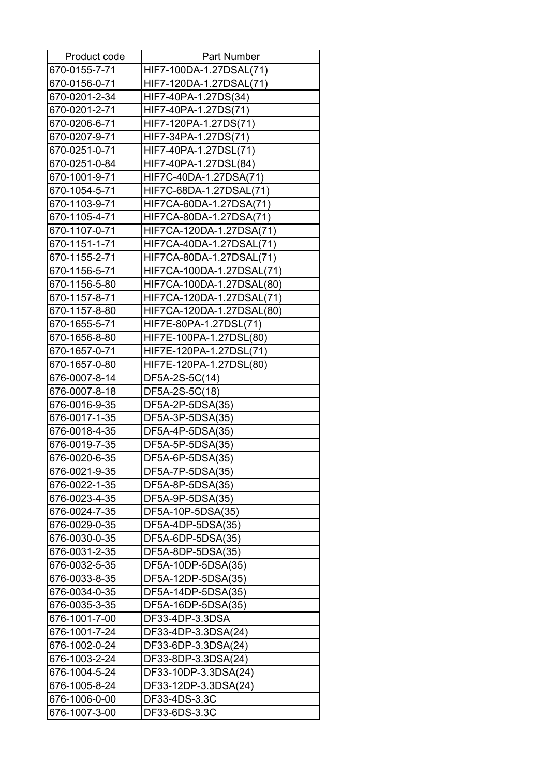| Product code  | <b>Part Number</b>        |
|---------------|---------------------------|
| 670-0155-7-71 | HIF7-100DA-1.27DSAL(71)   |
| 670-0156-0-71 | HIF7-120DA-1.27DSAL(71)   |
| 670-0201-2-34 | HIF7-40PA-1.27DS(34)      |
| 670-0201-2-71 | HIF7-40PA-1.27DS(71)      |
| 670-0206-6-71 | HIF7-120PA-1.27DS(71)     |
| 670-0207-9-71 | HIF7-34PA-1.27DS(71)      |
| 670-0251-0-71 | HIF7-40PA-1.27DSL(71)     |
| 670-0251-0-84 | HIF7-40PA-1.27DSL(84)     |
| 670-1001-9-71 | HIF7C-40DA-1.27DSA(71)    |
| 670-1054-5-71 | HIF7C-68DA-1.27DSAL(71)   |
| 670-1103-9-71 | HIF7CA-60DA-1.27DSA(71)   |
| 670-1105-4-71 | HIF7CA-80DA-1.27DSA(71)   |
| 670-1107-0-71 | HIF7CA-120DA-1.27DSA(71)  |
| 670-1151-1-71 | HIF7CA-40DA-1.27DSAL(71)  |
| 670-1155-2-71 | HIF7CA-80DA-1.27DSAL(71)  |
| 670-1156-5-71 | HIF7CA-100DA-1.27DSAL(71) |
| 670-1156-5-80 | HIF7CA-100DA-1.27DSAL(80) |
| 670-1157-8-71 | HIF7CA-120DA-1.27DSAL(71) |
| 670-1157-8-80 | HIF7CA-120DA-1.27DSAL(80) |
| 670-1655-5-71 | HIF7E-80PA-1.27DSL(71)    |
| 670-1656-8-80 | HIF7E-100PA-1.27DSL(80)   |
| 670-1657-0-71 | HIF7E-120PA-1.27DSL(71)   |
| 670-1657-0-80 | HIF7E-120PA-1.27DSL(80)   |
| 676-0007-8-14 | DF5A-2S-5C(14)            |
| 676-0007-8-18 | DF5A-2S-5C(18)            |
| 676-0016-9-35 | DF5A-2P-5DSA(35)          |
| 676-0017-1-35 | DF5A-3P-5DSA(35)          |
| 676-0018-4-35 | DF5A-4P-5DSA(35)          |
| 676-0019-7-35 | DF5A-5P-5DSA(35)          |
| 676-0020-6-35 | DF5A-6P-5DSA(35)          |
| 676-0021-9-35 | DF5A-7P-5DSA(35)          |
| 676-0022-1-35 | DF5A-8P-5DSA(35)          |
| 676-0023-4-35 | DF5A-9P-5DSA(35)          |
| 676-0024-7-35 | DF5A-10P-5DSA(35)         |
| 676-0029-0-35 | DF5A-4DP-5DSA(35)         |
| 676-0030-0-35 | DF5A-6DP-5DSA(35)         |
| 676-0031-2-35 | DF5A-8DP-5DSA(35)         |
| 676-0032-5-35 | DF5A-10DP-5DSA(35)        |
| 676-0033-8-35 | DF5A-12DP-5DSA(35)        |
| 676-0034-0-35 | DF5A-14DP-5DSA(35)        |
| 676-0035-3-35 | DF5A-16DP-5DSA(35)        |
| 676-1001-7-00 | DF33-4DP-3.3DSA           |
| 676-1001-7-24 | DF33-4DP-3.3DSA(24)       |
| 676-1002-0-24 | DF33-6DP-3.3DSA(24)       |
| 676-1003-2-24 | DF33-8DP-3.3DSA(24)       |
| 676-1004-5-24 | DF33-10DP-3.3DSA(24)      |
| 676-1005-8-24 | DF33-12DP-3.3DSA(24)      |
| 676-1006-0-00 | DF33-4DS-3.3C             |
| 676-1007-3-00 | DF33-6DS-3.3C             |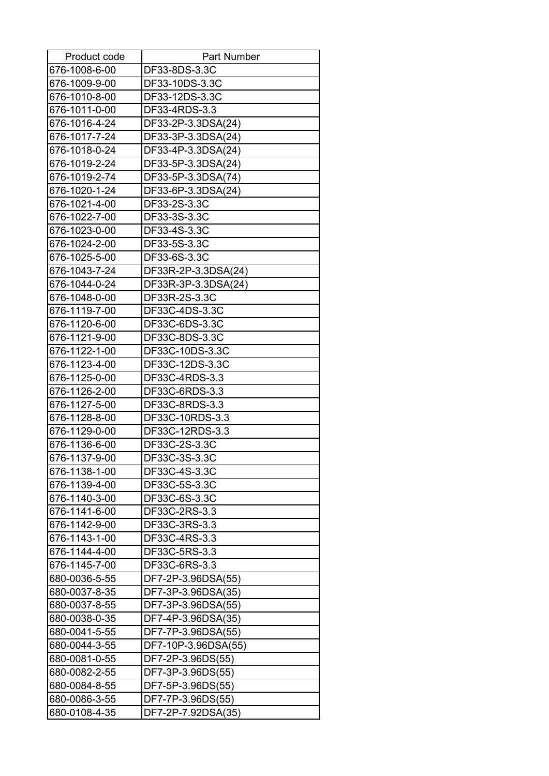| Product code  | <b>Part Number</b>  |
|---------------|---------------------|
| 676-1008-6-00 | DF33-8DS-3.3C       |
| 676-1009-9-00 | DF33-10DS-3.3C      |
| 676-1010-8-00 | DF33-12DS-3.3C      |
| 676-1011-0-00 | DF33-4RDS-3.3       |
| 676-1016-4-24 | DF33-2P-3.3DSA(24)  |
| 676-1017-7-24 | DF33-3P-3.3DSA(24)  |
| 676-1018-0-24 | DF33-4P-3.3DSA(24)  |
| 676-1019-2-24 | DF33-5P-3.3DSA(24)  |
| 676-1019-2-74 | DF33-5P-3.3DSA(74)  |
| 676-1020-1-24 | DF33-6P-3.3DSA(24)  |
| 676-1021-4-00 | DF33-2S-3.3C        |
| 676-1022-7-00 | DF33-3S-3.3C        |
| 676-1023-0-00 | DF33-4S-3.3C        |
| 676-1024-2-00 | DF33-5S-3.3C        |
| 676-1025-5-00 | DF33-6S-3.3C        |
| 676-1043-7-24 | DF33R-2P-3.3DSA(24) |
| 676-1044-0-24 | DF33R-3P-3.3DSA(24) |
| 676-1048-0-00 | DF33R-2S-3.3C       |
| 676-1119-7-00 | DF33C-4DS-3.3C      |
| 676-1120-6-00 | DF33C-6DS-3.3C      |
| 676-1121-9-00 | DF33C-8DS-3.3C      |
| 676-1122-1-00 | DF33C-10DS-3.3C     |
| 676-1123-4-00 | DF33C-12DS-3.3C     |
| 676-1125-0-00 | DF33C-4RDS-3.3      |
| 676-1126-2-00 | DF33C-6RDS-3.3      |
| 676-1127-5-00 | DF33C-8RDS-3.3      |
| 676-1128-8-00 | DF33C-10RDS-3.3     |
| 676-1129-0-00 | DF33C-12RDS-3.3     |
| 676-1136-6-00 | DF33C-2S-3.3C       |
| 676-1137-9-00 | DF33C-3S-3.3C       |
| 676-1138-1-00 | DF33C-4S-3.3C       |
| 676-1139-4-00 | DF33C-5S-3.3C       |
| 676-1140-3-00 | DF33C-6S-3.3C       |
| 676-1141-6-00 | DF33C-2RS-3.3       |
| 676-1142-9-00 | DF33C-3RS-3.3       |
| 676-1143-1-00 | DF33C-4RS-3.3       |
| 676-1144-4-00 | DF33C-5RS-3.3       |
| 676-1145-7-00 | DF33C-6RS-3.3       |
| 680-0036-5-55 | DF7-2P-3.96DSA(55)  |
| 680-0037-8-35 | DF7-3P-3.96DSA(35)  |
| 680-0037-8-55 | DF7-3P-3.96DSA(55)  |
| 680-0038-0-35 | DF7-4P-3.96DSA(35)  |
| 680-0041-5-55 | DF7-7P-3.96DSA(55)  |
| 680-0044-3-55 | DF7-10P-3.96DSA(55) |
| 680-0081-0-55 | DF7-2P-3.96DS(55)   |
| 680-0082-2-55 | DF7-3P-3.96DS(55)   |
| 680-0084-8-55 | DF7-5P-3.96DS(55)   |
| 680-0086-3-55 | DF7-7P-3.96DS(55)   |
| 680-0108-4-35 | DF7-2P-7.92DSA(35)  |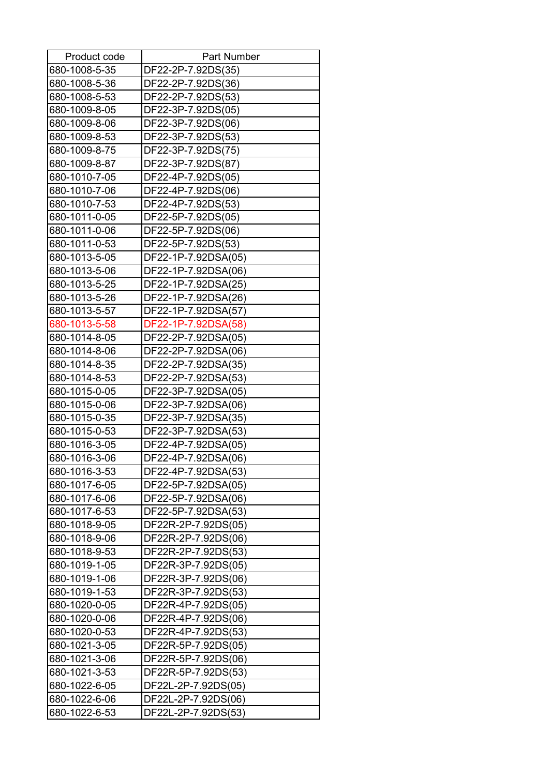| Product code  | <b>Part Number</b>  |
|---------------|---------------------|
| 680-1008-5-35 | DF22-2P-7.92DS(35)  |
| 680-1008-5-36 | DF22-2P-7.92DS(36)  |
| 680-1008-5-53 | DF22-2P-7.92DS(53)  |
| 680-1009-8-05 | DF22-3P-7.92DS(05)  |
| 680-1009-8-06 | DF22-3P-7.92DS(06)  |
| 680-1009-8-53 | DF22-3P-7.92DS(53)  |
| 680-1009-8-75 | DF22-3P-7.92DS(75)  |
| 680-1009-8-87 | DF22-3P-7.92DS(87)  |
| 680-1010-7-05 | DF22-4P-7.92DS(05)  |
| 680-1010-7-06 | DF22-4P-7.92DS(06)  |
| 680-1010-7-53 | DF22-4P-7.92DS(53)  |
| 680-1011-0-05 | DF22-5P-7.92DS(05)  |
| 680-1011-0-06 | DF22-5P-7.92DS(06)  |
| 680-1011-0-53 | DF22-5P-7.92DS(53)  |
| 680-1013-5-05 | DF22-1P-7.92DSA(05) |
| 680-1013-5-06 | DF22-1P-7.92DSA(06) |
| 680-1013-5-25 | DF22-1P-7.92DSA(25) |
| 680-1013-5-26 | DF22-1P-7.92DSA(26) |
| 680-1013-5-57 | DF22-1P-7.92DSA(57) |
| 680-1013-5-58 | DF22-1P-7.92DSA(58) |
| 680-1014-8-05 | DF22-2P-7.92DSA(05) |
| 680-1014-8-06 | DF22-2P-7.92DSA(06) |
| 680-1014-8-35 | DF22-2P-7.92DSA(35) |
| 680-1014-8-53 | DF22-2P-7.92DSA(53) |
| 680-1015-0-05 | DF22-3P-7.92DSA(05) |
| 680-1015-0-06 | DF22-3P-7.92DSA(06) |
| 680-1015-0-35 | DF22-3P-7.92DSA(35) |
| 680-1015-0-53 | DF22-3P-7.92DSA(53) |
| 680-1016-3-05 | DF22-4P-7.92DSA(05) |
| 680-1016-3-06 | DF22-4P-7.92DSA(06) |
| 680-1016-3-53 | DF22-4P-7.92DSA(53) |
| 680-1017-6-05 | DF22-5P-7.92DSA(05) |
| 680-1017-6-06 | DF22-5P-7.92DSA(06) |
| 680-1017-6-53 | DF22-5P-7.92DSA(53) |
| 680-1018-9-05 | DF22R-2P-7.92DS(05) |
| 680-1018-9-06 | DF22R-2P-7.92DS(06) |
| 680-1018-9-53 | DF22R-2P-7.92DS(53) |
| 680-1019-1-05 | DF22R-3P-7.92DS(05) |
| 680-1019-1-06 | DF22R-3P-7.92DS(06) |
| 680-1019-1-53 | DF22R-3P-7.92DS(53) |
| 680-1020-0-05 | DF22R-4P-7.92DS(05) |
| 680-1020-0-06 | DF22R-4P-7.92DS(06) |
| 680-1020-0-53 | DF22R-4P-7.92DS(53) |
| 680-1021-3-05 | DF22R-5P-7.92DS(05) |
| 680-1021-3-06 | DF22R-5P-7.92DS(06) |
| 680-1021-3-53 | DF22R-5P-7.92DS(53) |
| 680-1022-6-05 | DF22L-2P-7.92DS(05) |
| 680-1022-6-06 | DF22L-2P-7.92DS(06) |
| 680-1022-6-53 | DF22L-2P-7.92DS(53) |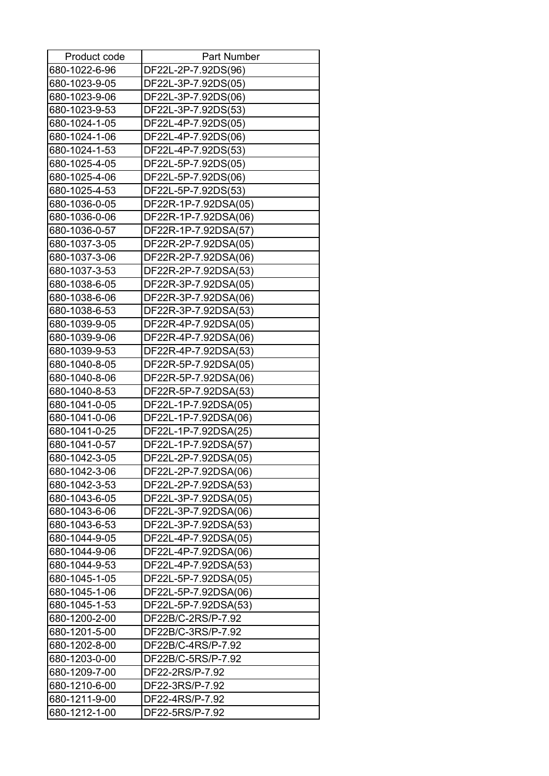| Product code  | <b>Part Number</b>   |
|---------------|----------------------|
| 680-1022-6-96 | DF22L-2P-7.92DS(96)  |
| 680-1023-9-05 | DF22L-3P-7.92DS(05)  |
| 680-1023-9-06 | DF22L-3P-7.92DS(06)  |
| 680-1023-9-53 | DF22L-3P-7.92DS(53)  |
| 680-1024-1-05 | DF22L-4P-7.92DS(05)  |
| 680-1024-1-06 | DF22L-4P-7.92DS(06)  |
| 680-1024-1-53 | DF22L-4P-7.92DS(53)  |
| 680-1025-4-05 | DF22L-5P-7.92DS(05)  |
| 680-1025-4-06 | DF22L-5P-7.92DS(06)  |
| 680-1025-4-53 | DF22L-5P-7.92DS(53)  |
| 680-1036-0-05 | DF22R-1P-7.92DSA(05) |
| 680-1036-0-06 | DF22R-1P-7.92DSA(06) |
| 680-1036-0-57 | DF22R-1P-7.92DSA(57) |
| 680-1037-3-05 | DF22R-2P-7.92DSA(05) |
| 680-1037-3-06 | DF22R-2P-7.92DSA(06) |
| 680-1037-3-53 | DF22R-2P-7.92DSA(53) |
| 680-1038-6-05 | DF22R-3P-7.92DSA(05) |
| 680-1038-6-06 | DF22R-3P-7.92DSA(06) |
| 680-1038-6-53 | DF22R-3P-7.92DSA(53) |
| 680-1039-9-05 | DF22R-4P-7.92DSA(05) |
| 680-1039-9-06 | DF22R-4P-7.92DSA(06) |
| 680-1039-9-53 | DF22R-4P-7.92DSA(53) |
| 680-1040-8-05 | DF22R-5P-7.92DSA(05) |
| 680-1040-8-06 | DF22R-5P-7.92DSA(06) |
| 680-1040-8-53 | DF22R-5P-7.92DSA(53) |
| 680-1041-0-05 | DF22L-1P-7.92DSA(05) |
| 680-1041-0-06 | DF22L-1P-7.92DSA(06) |
| 680-1041-0-25 | DF22L-1P-7.92DSA(25) |
| 680-1041-0-57 | DF22L-1P-7.92DSA(57) |
| 680-1042-3-05 | DF22L-2P-7.92DSA(05) |
| 680-1042-3-06 | DF22L-2P-7.92DSA(06) |
| 680-1042-3-53 | DF22L-2P-7.92DSA(53) |
| 680-1043-6-05 | DF22L-3P-7.92DSA(05) |
| 680-1043-6-06 | DF22L-3P-7.92DSA(06) |
| 680-1043-6-53 | DF22L-3P-7.92DSA(53) |
| 680-1044-9-05 | DF22L-4P-7.92DSA(05) |
| 680-1044-9-06 | DF22L-4P-7.92DSA(06) |
| 680-1044-9-53 | DF22L-4P-7.92DSA(53) |
| 680-1045-1-05 | DF22L-5P-7.92DSA(05) |
| 680-1045-1-06 | DF22L-5P-7.92DSA(06) |
| 680-1045-1-53 | DF22L-5P-7.92DSA(53) |
| 680-1200-2-00 | DF22B/C-2RS/P-7.92   |
| 680-1201-5-00 | DF22B/C-3RS/P-7.92   |
| 680-1202-8-00 | DF22B/C-4RS/P-7.92   |
| 680-1203-0-00 | DF22B/C-5RS/P-7.92   |
| 680-1209-7-00 | DF22-2RS/P-7.92      |
| 680-1210-6-00 | DF22-3RS/P-7.92      |
| 680-1211-9-00 | DF22-4RS/P-7.92      |
| 680-1212-1-00 | DF22-5RS/P-7.92      |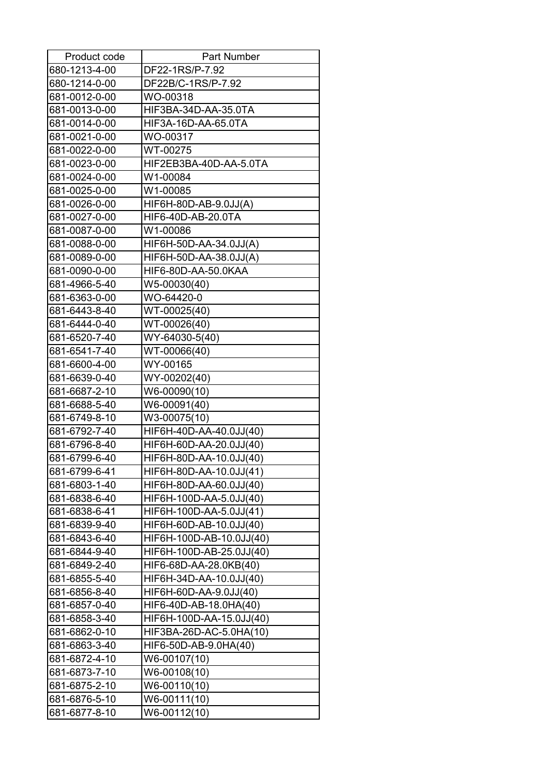| Product code  | <b>Part Number</b>       |
|---------------|--------------------------|
| 680-1213-4-00 | DF22-1RS/P-7.92          |
| 680-1214-0-00 | DF22B/C-1RS/P-7.92       |
| 681-0012-0-00 | WO-00318                 |
| 681-0013-0-00 | HIF3BA-34D-AA-35.0TA     |
| 681-0014-0-00 | HIF3A-16D-AA-65.0TA      |
| 681-0021-0-00 | WO-00317                 |
| 681-0022-0-00 | WT-00275                 |
| 681-0023-0-00 | HIF2EB3BA-40D-AA-5.0TA   |
| 681-0024-0-00 | W1-00084                 |
| 681-0025-0-00 | W1-00085                 |
| 681-0026-0-00 | HIF6H-80D-AB-9.0JJ(A)    |
| 681-0027-0-00 | HIF6-40D-AB-20.0TA       |
| 681-0087-0-00 | W1-00086                 |
| 681-0088-0-00 | HIF6H-50D-AA-34.0JJ(A)   |
| 681-0089-0-00 | HIF6H-50D-AA-38.0JJ(A)   |
| 681-0090-0-00 | HIF6-80D-AA-50.0KAA      |
| 681-4966-5-40 | W5-00030(40)             |
| 681-6363-0-00 | WO-64420-0               |
| 681-6443-8-40 | WT-00025(40)             |
| 681-6444-0-40 | WT-00026(40)             |
| 681-6520-7-40 | WY-64030-5(40)           |
| 681-6541-7-40 | WT-00066(40)             |
| 681-6600-4-00 | WY-00165                 |
| 681-6639-0-40 | WY-00202(40)             |
| 681-6687-2-10 | W6-00090(10)             |
| 681-6688-5-40 | W6-00091(40)             |
| 681-6749-8-10 | W3-00075(10)             |
| 681-6792-7-40 | HIF6H-40D-AA-40.0JJ(40)  |
| 681-6796-8-40 | HIF6H-60D-AA-20.0JJ(40)  |
| 681-6799-6-40 | HIF6H-80D-AA-10.0JJ(40)  |
| 681-6799-6-41 | HIF6H-80D-AA-10.0JJ(41)  |
| 681-6803-1-40 | HIF6H-80D-AA-60.0JJ(40)  |
| 681-6838-6-40 | HIF6H-100D-AA-5.0JJ(40)  |
| 681-6838-6-41 | HIF6H-100D-AA-5.0JJ(41)  |
| 681-6839-9-40 | HIF6H-60D-AB-10.0JJ(40)  |
| 681-6843-6-40 | HIF6H-100D-AB-10.0JJ(40) |
| 681-6844-9-40 | HIF6H-100D-AB-25.0JJ(40) |
| 681-6849-2-40 | HIF6-68D-AA-28.0KB(40)   |
| 681-6855-5-40 | HIF6H-34D-AA-10.0JJ(40)  |
| 681-6856-8-40 | HIF6H-60D-AA-9.0JJ(40)   |
| 681-6857-0-40 | HIF6-40D-AB-18.0HA(40)   |
| 681-6858-3-40 | HIF6H-100D-AA-15.0JJ(40) |
| 681-6862-0-10 | HIF3BA-26D-AC-5.0HA(10)  |
| 681-6863-3-40 | HIF6-50D-AB-9.0HA(40)    |
| 681-6872-4-10 | W6-00107(10)             |
| 681-6873-7-10 | W6-00108(10)             |
| 681-6875-2-10 | W6-00110(10)             |
| 681-6876-5-10 | W6-00111(10)             |
| 681-6877-8-10 | W6-00112(10)             |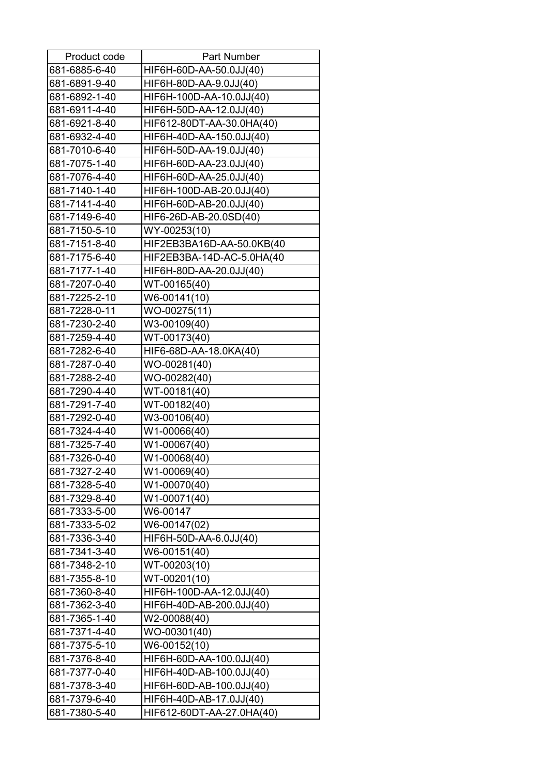| Product code  | Part Number               |
|---------------|---------------------------|
| 681-6885-6-40 | HIF6H-60D-AA-50.0JJ(40)   |
| 681-6891-9-40 | HIF6H-80D-AA-9.0JJ(40)    |
| 681-6892-1-40 | HIF6H-100D-AA-10.0JJ(40)  |
| 681-6911-4-40 | HIF6H-50D-AA-12.0JJ(40)   |
| 681-6921-8-40 | HIF612-80DT-AA-30.0HA(40) |
| 681-6932-4-40 | HIF6H-40D-AA-150.0JJ(40)  |
| 681-7010-6-40 | HIF6H-50D-AA-19.0JJ(40)   |
| 681-7075-1-40 | HIF6H-60D-AA-23.0JJ(40)   |
| 681-7076-4-40 | HIF6H-60D-AA-25.0JJ(40)   |
| 681-7140-1-40 | HIF6H-100D-AB-20.0JJ(40)  |
| 681-7141-4-40 | HIF6H-60D-AB-20.0JJ(40)   |
| 681-7149-6-40 | HIF6-26D-AB-20.0SD(40)    |
| 681-7150-5-10 | WY-00253(10)              |
| 681-7151-8-40 | HIF2EB3BA16D-AA-50.0KB(40 |
| 681-7175-6-40 | HIF2EB3BA-14D-AC-5.0HA(40 |
| 681-7177-1-40 | HIF6H-80D-AA-20.0JJ(40)   |
| 681-7207-0-40 | WT-00165(40)              |
| 681-7225-2-10 | W6-00141(10)              |
| 681-7228-0-11 | WO-00275(11)              |
| 681-7230-2-40 | W3-00109(40)              |
| 681-7259-4-40 | WT-00173(40)              |
| 681-7282-6-40 | HIF6-68D-AA-18.0KA(40)    |
| 681-7287-0-40 | WO-00281(40)              |
| 681-7288-2-40 | WO-00282(40)              |
| 681-7290-4-40 | WT-00181(40)              |
| 681-7291-7-40 | WT-00182(40)              |
| 681-7292-0-40 | W3-00106(40)              |
| 681-7324-4-40 | W1-00066(40)              |
| 681-7325-7-40 | W1-00067(40)              |
| 681-7326-0-40 | W1-00068(40)              |
| 681-7327-2-40 | W1-00069(40)              |
| 681-7328-5-40 | W1-00070(40)              |
| 681-7329-8-40 | W1-00071(40)              |
| 681-7333-5-00 | W6-00147                  |
| 681-7333-5-02 | W6-00147(02)              |
| 681-7336-3-40 | HIF6H-50D-AA-6.0JJ(40)    |
| 681-7341-3-40 | W6-00151(40)              |
| 681-7348-2-10 | WT-00203(10)              |
| 681-7355-8-10 | WT-00201(10)              |
| 681-7360-8-40 | HIF6H-100D-AA-12.0JJ(40)  |
| 681-7362-3-40 | HIF6H-40D-AB-200.0JJ(40)  |
| 681-7365-1-40 | W2-00088(40)              |
| 681-7371-4-40 | WO-00301(40)              |
| 681-7375-5-10 | W6-00152(10)              |
| 681-7376-8-40 | HIF6H-60D-AA-100.0JJ(40)  |
| 681-7377-0-40 | HIF6H-40D-AB-100.0JJ(40)  |
| 681-7378-3-40 | HIF6H-60D-AB-100.0JJ(40)  |
| 681-7379-6-40 | HIF6H-40D-AB-17.0JJ(40)   |
| 681-7380-5-40 | HIF612-60DT-AA-27.0HA(40) |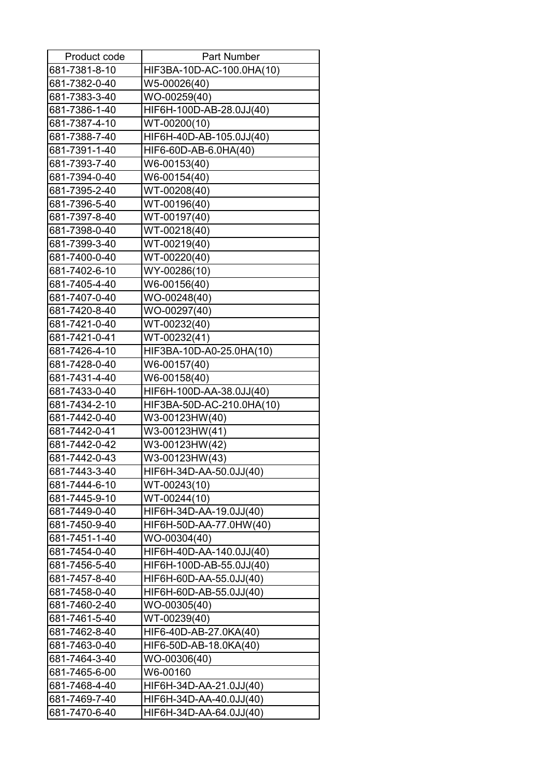| Product code  | <b>Part Number</b>        |
|---------------|---------------------------|
| 681-7381-8-10 | HIF3BA-10D-AC-100.0HA(10) |
| 681-7382-0-40 | W5-00026(40)              |
| 681-7383-3-40 | WO-00259(40)              |
| 681-7386-1-40 | HIF6H-100D-AB-28.0JJ(40)  |
| 681-7387-4-10 | WT-00200(10)              |
| 681-7388-7-40 | HIF6H-40D-AB-105.0JJ(40)  |
| 681-7391-1-40 | HIF6-60D-AB-6.0HA(40)     |
| 681-7393-7-40 | W6-00153(40)              |
| 681-7394-0-40 | W6-00154(40)              |
| 681-7395-2-40 | WT-00208(40)              |
| 681-7396-5-40 | WT-00196(40)              |
| 681-7397-8-40 | WT-00197(40)              |
| 681-7398-0-40 | WT-00218(40)              |
| 681-7399-3-40 | WT-00219(40)              |
| 681-7400-0-40 | WT-00220(40)              |
| 681-7402-6-10 | WY-00286(10)              |
| 681-7405-4-40 | W6-00156(40)              |
| 681-7407-0-40 | WO-00248(40)              |
| 681-7420-8-40 | WO-00297(40)              |
| 681-7421-0-40 | WT-00232(40)              |
| 681-7421-0-41 | WT-00232(41)              |
| 681-7426-4-10 | HIF3BA-10D-A0-25.0HA(10)  |
| 681-7428-0-40 | W6-00157(40)              |
| 681-7431-4-40 | W6-00158(40)              |
| 681-7433-0-40 | HIF6H-100D-AA-38.0JJ(40)  |
| 681-7434-2-10 | HIF3BA-50D-AC-210.0HA(10) |
| 681-7442-0-40 | W3-00123HW(40)            |
| 681-7442-0-41 | W3-00123HW(41)            |
| 681-7442-0-42 | W3-00123HW(42)            |
| 681-7442-0-43 | W3-00123HW(43)            |
| 681-7443-3-40 | HIF6H-34D-AA-50.0JJ(40)   |
| 681-7444-6-10 | WT-00243(10)              |
| 681-7445-9-10 | WT-00244(10)              |
| 681-7449-0-40 | HIF6H-34D-AA-19.0JJ(40)   |
| 681-7450-9-40 | HIF6H-50D-AA-77.0HW(40)   |
| 681-7451-1-40 | WO-00304(40)              |
| 681-7454-0-40 | HIF6H-40D-AA-140.0JJ(40)  |
| 681-7456-5-40 | HIF6H-100D-AB-55.0JJ(40)  |
| 681-7457-8-40 | HIF6H-60D-AA-55.0JJ(40)   |
| 681-7458-0-40 | HIF6H-60D-AB-55.0JJ(40)   |
| 681-7460-2-40 | WO-00305(40)              |
| 681-7461-5-40 | WT-00239(40)              |
| 681-7462-8-40 | HIF6-40D-AB-27.0KA(40)    |
| 681-7463-0-40 | HIF6-50D-AB-18.0KA(40)    |
| 681-7464-3-40 | WO-00306(40)              |
| 681-7465-6-00 | W6-00160                  |
| 681-7468-4-40 | HIF6H-34D-AA-21.0JJ(40)   |
| 681-7469-7-40 | HIF6H-34D-AA-40.0JJ(40)   |
| 681-7470-6-40 | HIF6H-34D-AA-64.0JJ(40)   |
|               |                           |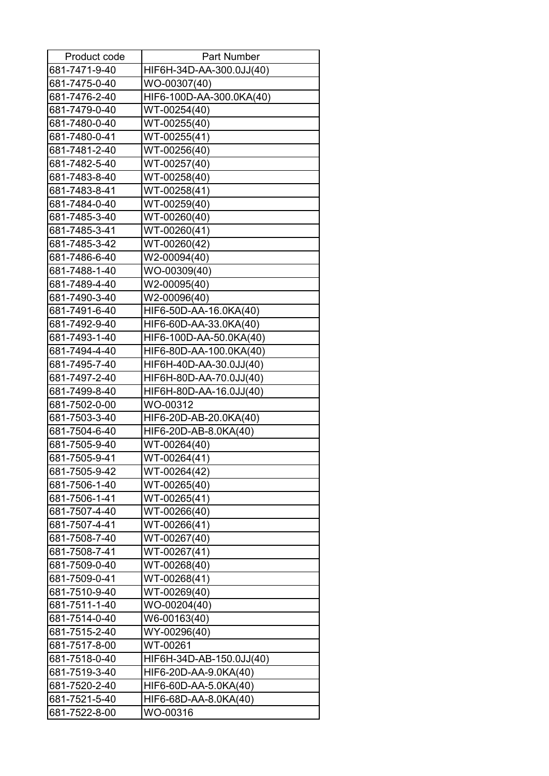| Product code  | Part Number              |
|---------------|--------------------------|
| 681-7471-9-40 | HIF6H-34D-AA-300.0JJ(40) |
| 681-7475-0-40 | WO-00307(40)             |
| 681-7476-2-40 | HIF6-100D-AA-300.0KA(40) |
| 681-7479-0-40 | WT-00254(40)             |
| 681-7480-0-40 | WT-00255(40)             |
| 681-7480-0-41 | WT-00255(41)             |
| 681-7481-2-40 | WT-00256(40)             |
| 681-7482-5-40 | WT-00257(40)             |
| 681-7483-8-40 | WT-00258(40)             |
| 681-7483-8-41 | WT-00258(41)             |
| 681-7484-0-40 | WT-00259(40)             |
| 681-7485-3-40 | WT-00260(40)             |
| 681-7485-3-41 | WT-00260(41)             |
| 681-7485-3-42 | WT-00260(42)             |
| 681-7486-6-40 | W2-00094(40)             |
| 681-7488-1-40 | WO-00309(40)             |
| 681-7489-4-40 | W2-00095(40)             |
| 681-7490-3-40 | W2-00096(40)             |
| 681-7491-6-40 | HIF6-50D-AA-16.0KA(40)   |
| 681-7492-9-40 | HIF6-60D-AA-33.0KA(40)   |
| 681-7493-1-40 | HIF6-100D-AA-50.0KA(40)  |
| 681-7494-4-40 | HIF6-80D-AA-100.0KA(40)  |
| 681-7495-7-40 | HIF6H-40D-AA-30.0JJ(40)  |
| 681-7497-2-40 | HIF6H-80D-AA-70.0JJ(40)  |
| 681-7499-8-40 | HIF6H-80D-AA-16.0JJ(40)  |
| 681-7502-0-00 | WO-00312                 |
| 681-7503-3-40 | HIF6-20D-AB-20.0KA(40)   |
| 681-7504-6-40 | HIF6-20D-AB-8.0KA(40)    |
| 681-7505-9-40 | WT-00264(40)             |
| 681-7505-9-41 | WT-00264(41)             |
| 681-7505-9-42 | WT-00264(42)             |
| 681-7506-1-40 | WT-00265(40)             |
| 681-7506-1-41 | WT-00265(41)             |
| 681-7507-4-40 | WT-00266(40)             |
| 681-7507-4-41 | WT-00266(41)             |
| 681-7508-7-40 | WT-00267(40)             |
| 681-7508-7-41 | WT-00267(41)             |
| 681-7509-0-40 | WT-00268(40)             |
| 681-7509-0-41 | WT-00268(41)             |
| 681-7510-9-40 | WT-00269(40)             |
| 681-7511-1-40 | WO-00204(40)             |
| 681-7514-0-40 | W6-00163(40)             |
| 681-7515-2-40 | WY-00296(40)             |
| 681-7517-8-00 | WT-00261                 |
| 681-7518-0-40 | HIF6H-34D-AB-150.0JJ(40) |
| 681-7519-3-40 | HIF6-20D-AA-9.0KA(40)    |
| 681-7520-2-40 | HIF6-60D-AA-5.0KA(40)    |
| 681-7521-5-40 | HIF6-68D-AA-8.0KA(40)    |
| 681-7522-8-00 | WO-00316                 |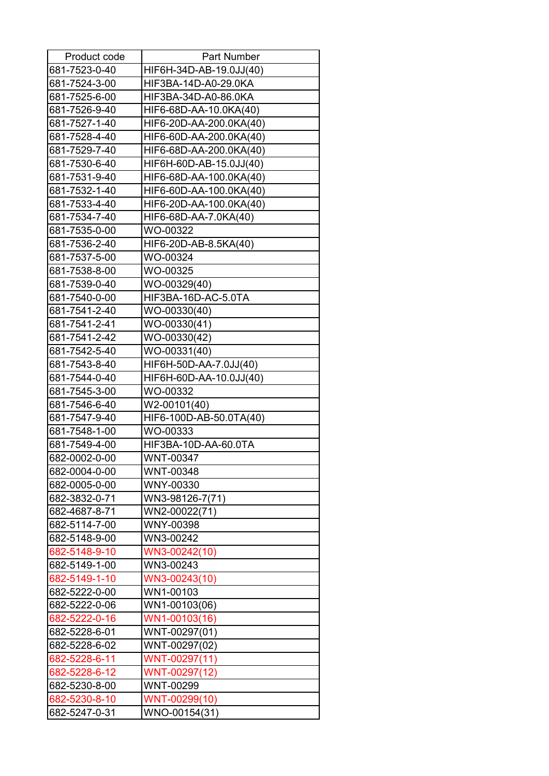| Product code  | <b>Part Number</b>      |
|---------------|-------------------------|
| 681-7523-0-40 | HIF6H-34D-AB-19.0JJ(40) |
| 681-7524-3-00 | HIF3BA-14D-A0-29.0KA    |
| 681-7525-6-00 | HIF3BA-34D-A0-86.0KA    |
| 681-7526-9-40 | HIF6-68D-AA-10.0KA(40)  |
| 681-7527-1-40 | HIF6-20D-AA-200.0KA(40) |
| 681-7528-4-40 | HIF6-60D-AA-200.0KA(40) |
| 681-7529-7-40 | HIF6-68D-AA-200.0KA(40) |
| 681-7530-6-40 | HIF6H-60D-AB-15.0JJ(40) |
| 681-7531-9-40 | HIF6-68D-AA-100.0KA(40) |
| 681-7532-1-40 | HIF6-60D-AA-100.0KA(40) |
| 681-7533-4-40 | HIF6-20D-AA-100.0KA(40) |
| 681-7534-7-40 | HIF6-68D-AA-7.0KA(40)   |
| 681-7535-0-00 | WO-00322                |
| 681-7536-2-40 | HIF6-20D-AB-8.5KA(40)   |
| 681-7537-5-00 | WO-00324                |
| 681-7538-8-00 | WO-00325                |
| 681-7539-0-40 | WO-00329(40)            |
| 681-7540-0-00 | HIF3BA-16D-AC-5.0TA     |
| 681-7541-2-40 | WO-00330(40)            |
| 681-7541-2-41 | WO-00330(41)            |
| 681-7541-2-42 | WO-00330(42)            |
| 681-7542-5-40 | WO-00331(40)            |
| 681-7543-8-40 | HIF6H-50D-AA-7.0JJ(40)  |
| 681-7544-0-40 | HIF6H-60D-AA-10.0JJ(40) |
| 681-7545-3-00 | WO-00332                |
| 681-7546-6-40 | W2-00101(40)            |
| 681-7547-9-40 | HIF6-100D-AB-50.0TA(40) |
| 681-7548-1-00 | WO-00333                |
| 681-7549-4-00 | HIF3BA-10D-AA-60.0TA    |
| 682-0002-0-00 | WNT-00347               |
| 682-0004-0-00 | WNT-00348               |
| 682-0005-0-00 | WNY-00330               |
| 682-3832-0-71 | WN3-98126-7(71)         |
| 682-4687-8-71 | WN2-00022(71)           |
| 682-5114-7-00 | WNY-00398               |
| 682-5148-9-00 | WN3-00242               |
| 682-5148-9-10 | WN3-00242(10)           |
| 682-5149-1-00 | WN3-00243               |
| 682-5149-1-10 | WN3-00243(10)           |
| 682-5222-0-00 | WN1-00103               |
| 682-5222-0-06 | WN1-00103(06)           |
| 682-5222-0-16 | WN1-00103(16)           |
| 682-5228-6-01 | WNT-00297(01)           |
| 682-5228-6-02 | WNT-00297(02)           |
| 682-5228-6-11 | WNT-00297(11)           |
| 682-5228-6-12 | WNT-00297(12)           |
| 682-5230-8-00 | WNT-00299               |
| 682-5230-8-10 | WNT-00299(10)           |
| 682-5247-0-31 | WNO-00154(31)           |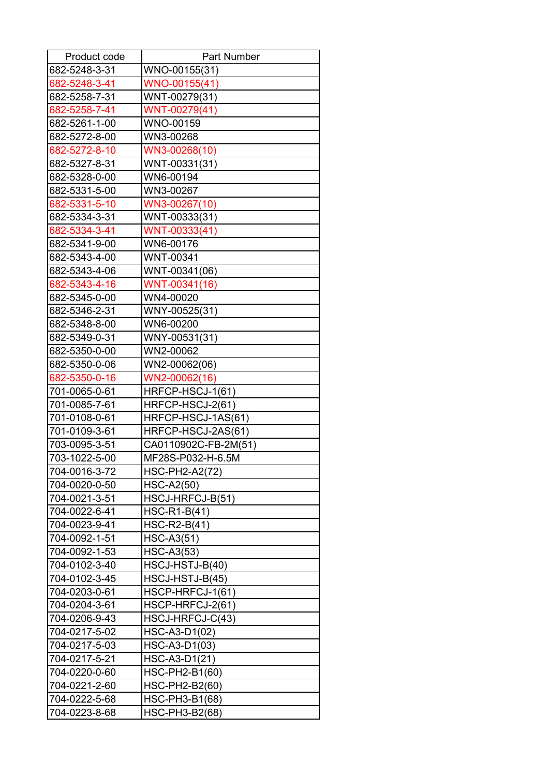| Product code  | <b>Part Number</b>    |
|---------------|-----------------------|
| 682-5248-3-31 | WNO-00155(31)         |
| 682-5248-3-41 | WNO-00155(41)         |
| 682-5258-7-31 | WNT-00279(31)         |
| 682-5258-7-41 | WNT-00279(41)         |
| 682-5261-1-00 | WNO-00159             |
| 682-5272-8-00 | WN3-00268             |
| 682-5272-8-10 | WN3-00268(10)         |
| 682-5327-8-31 | WNT-00331(31)         |
| 682-5328-0-00 | WN6-00194             |
| 682-5331-5-00 | WN3-00267             |
| 682-5331-5-10 | WN3-00267(10)         |
| 682-5334-3-31 | WNT-00333(31)         |
| 682-5334-3-41 | WNT-00333(41)         |
| 682-5341-9-00 | WN6-00176             |
| 682-5343-4-00 | WNT-00341             |
| 682-5343-4-06 | WNT-00341(06)         |
| 682-5343-4-16 | WNT-00341(16)         |
| 682-5345-0-00 | WN4-00020             |
| 682-5346-2-31 | WNY-00525(31)         |
| 682-5348-8-00 | WN6-00200             |
| 682-5349-0-31 | WNY-00531(31)         |
| 682-5350-0-00 | WN2-00062             |
| 682-5350-0-06 | WN2-00062(06)         |
| 682-5350-0-16 | WN2-00062(16)         |
| 701-0065-0-61 | HRFCP-HSCJ-1(61)      |
| 701-0085-7-61 | HRFCP-HSCJ-2(61)      |
| 701-0108-0-61 | HRFCP-HSCJ-1AS(61)    |
| 701-0109-3-61 | HRFCP-HSCJ-2AS(61)    |
| 703-0095-3-51 | CA0110902C-FB-2M(51)  |
| 703-1022-5-00 | MF28S-P032-H-6.5M     |
| 704-0016-3-72 | <b>HSC-PH2-A2(72)</b> |
| 704-0020-0-50 | <b>HSC-A2(50)</b>     |
| 704-0021-3-51 | HSCJ-HRFCJ-B(51)      |
| 704-0022-6-41 | HSC-R1-B(41)          |
| 704-0023-9-41 | $HSC-R2-B(41)$        |
| 704-0092-1-51 | <b>HSC-A3(51)</b>     |
| 704-0092-1-53 | HSC-A3(53)            |
| 704-0102-3-40 | HSCJ-HSTJ-B(40)       |
| 704-0102-3-45 | HSCJ-HSTJ-B(45)       |
| 704-0203-0-61 | HSCP-HRFCJ-1(61)      |
| 704-0204-3-61 | HSCP-HRFCJ-2(61)      |
| 704-0206-9-43 | HSCJ-HRFCJ-C(43)      |
| 704-0217-5-02 | HSC-A3-D1(02)         |
| 704-0217-5-03 | HSC-A3-D1(03)         |
| 704-0217-5-21 | HSC-A3-D1(21)         |
| 704-0220-0-60 | HSC-PH2-B1(60)        |
| 704-0221-2-60 | HSC-PH2-B2(60)        |
| 704-0222-5-68 | HSC-PH3-B1(68)        |
| 704-0223-8-68 | HSC-PH3-B2(68)        |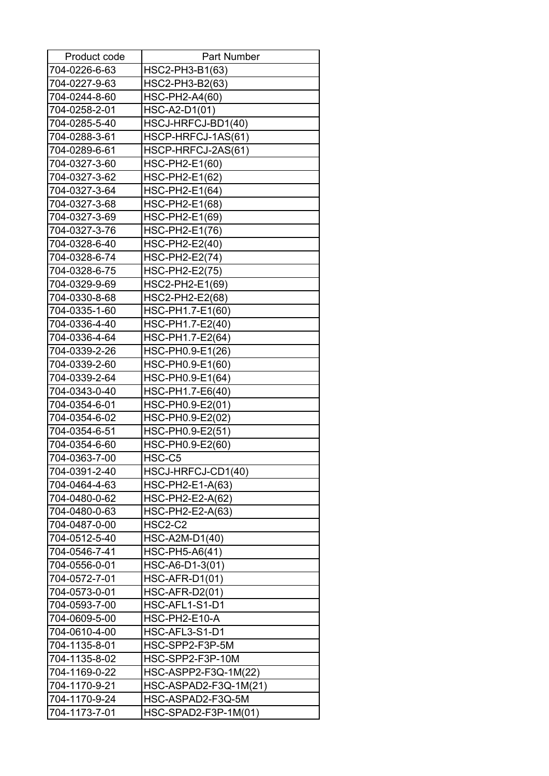| Product code  | <b>Part Number</b>    |
|---------------|-----------------------|
| 704-0226-6-63 | HSC2-PH3-B1(63)       |
| 704-0227-9-63 | HSC2-PH3-B2(63)       |
| 704-0244-8-60 | HSC-PH2-A4(60)        |
| 704-0258-2-01 | HSC-A2-D1(01)         |
| 704-0285-5-40 | HSCJ-HRFCJ-BD1(40)    |
| 704-0288-3-61 | HSCP-HRFCJ-1AS(61)    |
| 704-0289-6-61 | HSCP-HRFCJ-2AS(61)    |
| 704-0327-3-60 | HSC-PH2-E1(60)        |
| 704-0327-3-62 | HSC-PH2-E1(62)        |
| 704-0327-3-64 | HSC-PH2-E1(64)        |
| 704-0327-3-68 | HSC-PH2-E1(68)        |
| 704-0327-3-69 | HSC-PH2-E1(69)        |
| 704-0327-3-76 | HSC-PH2-E1(76)        |
| 704-0328-6-40 | HSC-PH2-E2(40)        |
| 704-0328-6-74 | <b>HSC-PH2-E2(74)</b> |
| 704-0328-6-75 | HSC-PH2-E2(75)        |
| 704-0329-9-69 | HSC2-PH2-E1(69)       |
| 704-0330-8-68 | HSC2-PH2-E2(68)       |
| 704-0335-1-60 | HSC-PH1.7-E1(60)      |
| 704-0336-4-40 | HSC-PH1.7-E2(40)      |
| 704-0336-4-64 | HSC-PH1.7-E2(64)      |
| 704-0339-2-26 | HSC-PH0.9-E1(26)      |
| 704-0339-2-60 | HSC-PH0.9-E1(60)      |
| 704-0339-2-64 | HSC-PH0.9-E1(64)      |
| 704-0343-0-40 | HSC-PH1.7-E6(40)      |
| 704-0354-6-01 | HSC-PH0.9-E2(01)      |
| 704-0354-6-02 | HSC-PH0.9-E2(02)      |
| 704-0354-6-51 | HSC-PH0.9-E2(51)      |
| 704-0354-6-60 | HSC-PH0.9-E2(60)      |
| 704-0363-7-00 | HSC-C5                |
| 704-0391-2-40 | HSCJ-HRFCJ-CD1(40)    |
| 704-0464-4-63 | HSC-PH2-E1-A(63)      |
| 704-0480-0-62 | HSC-PH2-E2-A(62)      |
| 704-0480-0-63 | HSC-PH2-E2-A(63)      |
| 704-0487-0-00 | HSC2-C2               |
| 704-0512-5-40 | HSC-A2M-D1(40)        |
| 704-0546-7-41 | HSC-PH5-A6(41)        |
| 704-0556-0-01 | HSC-A6-D1-3(01)       |
| 704-0572-7-01 | <b>HSC-AFR-D1(01)</b> |
| 704-0573-0-01 | <b>HSC-AFR-D2(01)</b> |
| 704-0593-7-00 | HSC-AFL1-S1-D1        |
| 704-0609-5-00 | HSC-PH2-E10-A         |
| 704-0610-4-00 | HSC-AFL3-S1-D1        |
| 704-1135-8-01 | HSC-SPP2-F3P-5M       |
| 704-1135-8-02 | HSC-SPP2-F3P-10M      |
| 704-1169-0-22 | HSC-ASPP2-F3Q-1M(22)  |
| 704-1170-9-21 | HSC-ASPAD2-F3Q-1M(21) |
| 704-1170-9-24 | HSC-ASPAD2-F3Q-5M     |
| 704-1173-7-01 | HSC-SPAD2-F3P-1M(01)  |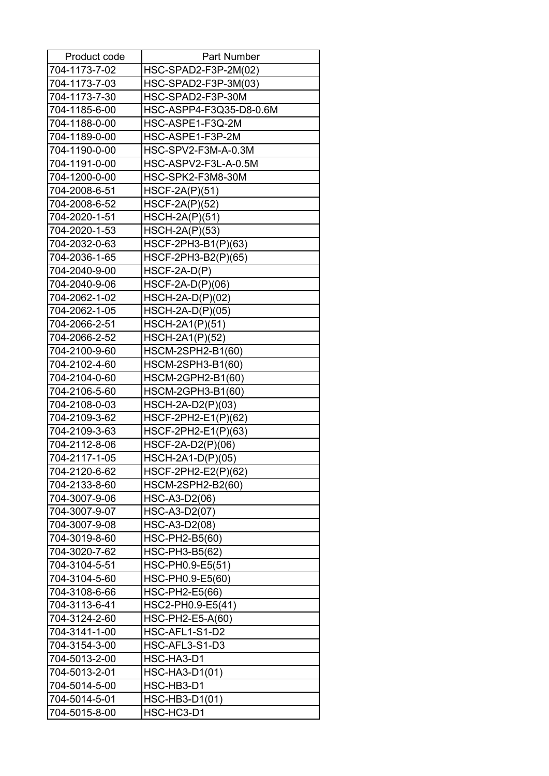| Product code  | Part Number             |
|---------------|-------------------------|
| 704-1173-7-02 | HSC-SPAD2-F3P-2M(02)    |
| 704-1173-7-03 | HSC-SPAD2-F3P-3M(03)    |
| 704-1173-7-30 | HSC-SPAD2-F3P-30M       |
| 704-1185-6-00 | HSC-ASPP4-F3Q35-D8-0.6M |
| 704-1188-0-00 | HSC-ASPE1-F3Q-2M        |
| 704-1189-0-00 | HSC-ASPE1-F3P-2M        |
| 704-1190-0-00 | HSC-SPV2-F3M-A-0.3M     |
| 704-1191-0-00 | HSC-ASPV2-F3L-A-0.5M    |
| 704-1200-0-00 | HSC-SPK2-F3M8-30M       |
| 704-2008-6-51 | $HSCF-2A(P)(51)$        |
| 704-2008-6-52 | <b>HSCF-2A(P)(52)</b>   |
| 704-2020-1-51 | $HSCH-2A(P)(51)$        |
| 704-2020-1-53 | <b>HSCH-2A(P)(53)</b>   |
| 704-2032-0-63 | HSCF-2PH3-B1(P)(63)     |
| 704-2036-1-65 | HSCF-2PH3-B2(P)(65)     |
| 704-2040-9-00 | $HSCF-2A-D(P)$          |
| 704-2040-9-06 | $HSCF-2A-D(P)(06)$      |
| 704-2062-1-02 | $HSCH-2A-D(P)(02)$      |
| 704-2062-1-05 | $HSCH-2A-D(P)(05)$      |
| 704-2066-2-51 | HSCH-2A1(P)(51)         |
| 704-2066-2-52 | HSCH-2A1(P)(52)         |
| 704-2100-9-60 | HSCM-2SPH2-B1(60)       |
| 704-2102-4-60 | HSCM-2SPH3-B1(60)       |
| 704-2104-0-60 | HSCM-2GPH2-B1(60)       |
| 704-2106-5-60 | HSCM-2GPH3-B1(60)       |
| 704-2108-0-03 | HSCH-2A-D2(P)(03)       |
| 704-2109-3-62 | HSCF-2PH2-E1(P)(62)     |
| 704-2109-3-63 | HSCF-2PH2-E1(P)(63)     |
| 704-2112-8-06 | HSCF-2A-D2(P)(06)       |
| 704-2117-1-05 | HSCH-2A1-D(P)(05)       |
| 704-2120-6-62 | HSCF-2PH2-E2(P)(62)     |
| 704-2133-8-60 | HSCM-2SPH2-B2(60)       |
| 704-3007-9-06 | HSC-A3-D2(06)           |
| 704-3007-9-07 | HSC-A3-D2(07)           |
| 704-3007-9-08 | HSC-A3-D2(08)           |
| 704-3019-8-60 | HSC-PH2-B5(60)          |
| 704-3020-7-62 | HSC-PH3-B5(62)          |
| 704-3104-5-51 | HSC-PH0.9-E5(51)        |
| 704-3104-5-60 | HSC-PH0.9-E5(60)        |
| 704-3108-6-66 | HSC-PH2-E5(66)          |
| 704-3113-6-41 | HSC2-PH0.9-E5(41)       |
| 704-3124-2-60 | HSC-PH2-E5-A(60)        |
| 704-3141-1-00 | HSC-AFL1-S1-D2          |
| 704-3154-3-00 | HSC-AFL3-S1-D3          |
| 704-5013-2-00 | HSC-HA3-D1              |
| 704-5013-2-01 | HSC-HA3-D1(01)          |
| 704-5014-5-00 | HSC-HB3-D1              |
| 704-5014-5-01 | HSC-HB3-D1(01)          |
| 704-5015-8-00 | HSC-HC3-D1              |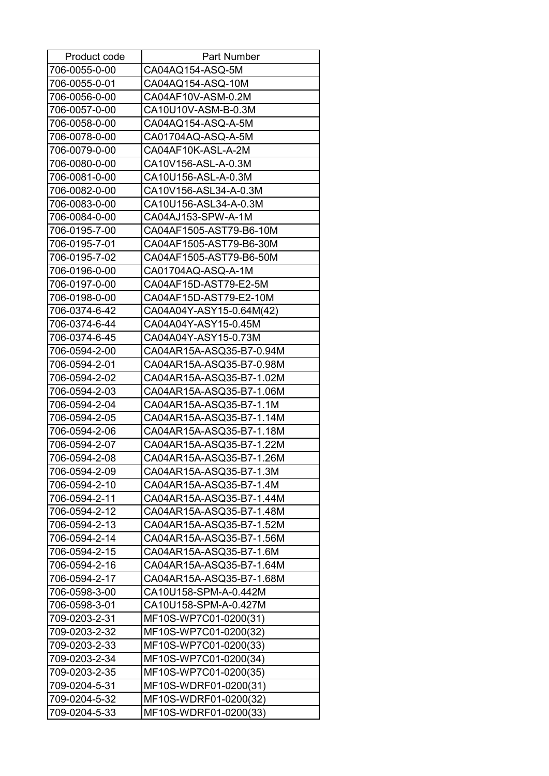| Product code  | <b>Part Number</b>       |
|---------------|--------------------------|
| 706-0055-0-00 | CA04AQ154-ASQ-5M         |
| 706-0055-0-01 | CA04AQ154-ASQ-10M        |
| 706-0056-0-00 | CA04AF10V-ASM-0.2M       |
| 706-0057-0-00 | CA10U10V-ASM-B-0.3M      |
| 706-0058-0-00 | CA04AQ154-ASQ-A-5M       |
| 706-0078-0-00 | CA01704AQ-ASQ-A-5M       |
| 706-0079-0-00 | CA04AF10K-ASL-A-2M       |
| 706-0080-0-00 | CA10V156-ASL-A-0.3M      |
| 706-0081-0-00 | CA10U156-ASL-A-0.3M      |
| 706-0082-0-00 | CA10V156-ASL34-A-0.3M    |
| 706-0083-0-00 | CA10U156-ASL34-A-0.3M    |
| 706-0084-0-00 | CA04AJ153-SPW-A-1M       |
| 706-0195-7-00 | CA04AF1505-AST79-B6-10M  |
| 706-0195-7-01 | CA04AF1505-AST79-B6-30M  |
| 706-0195-7-02 | CA04AF1505-AST79-B6-50M  |
| 706-0196-0-00 | CA01704AQ-ASQ-A-1M       |
| 706-0197-0-00 | CA04AF15D-AST79-E2-5M    |
| 706-0198-0-00 | CA04AF15D-AST79-E2-10M   |
| 706-0374-6-42 | CA04A04Y-ASY15-0.64M(42) |
| 706-0374-6-44 | CA04A04Y-ASY15-0.45M     |
| 706-0374-6-45 | CA04A04Y-ASY15-0.73M     |
| 706-0594-2-00 | CA04AR15A-ASQ35-B7-0.94M |
| 706-0594-2-01 | CA04AR15A-ASQ35-B7-0.98M |
| 706-0594-2-02 | CA04AR15A-ASQ35-B7-1.02M |
| 706-0594-2-03 | CA04AR15A-ASQ35-B7-1.06M |
| 706-0594-2-04 | CA04AR15A-ASQ35-B7-1.1M  |
| 706-0594-2-05 | CA04AR15A-ASQ35-B7-1.14M |
| 706-0594-2-06 | CA04AR15A-ASQ35-B7-1.18M |
| 706-0594-2-07 | CA04AR15A-ASQ35-B7-1.22M |
| 706-0594-2-08 | CA04AR15A-ASQ35-B7-1.26M |
| 706-0594-2-09 | CA04AR15A-ASQ35-B7-1.3M  |
| 706-0594-2-10 | CA04AR15A-ASQ35-B7-1.4M  |
| 706-0594-2-11 | CA04AR15A-ASQ35-B7-1.44M |
| 706-0594-2-12 | CA04AR15A-ASQ35-B7-1.48M |
| 706-0594-2-13 | CA04AR15A-ASQ35-B7-1.52M |
| 706-0594-2-14 | CA04AR15A-ASQ35-B7-1.56M |
| 706-0594-2-15 | CA04AR15A-ASQ35-B7-1.6M  |
| 706-0594-2-16 | CA04AR15A-ASQ35-B7-1.64M |
| 706-0594-2-17 | CA04AR15A-ASQ35-B7-1.68M |
| 706-0598-3-00 | CA10U158-SPM-A-0.442M    |
| 706-0598-3-01 | CA10U158-SPM-A-0.427M    |
| 709-0203-2-31 | MF10S-WP7C01-0200(31)    |
| 709-0203-2-32 | MF10S-WP7C01-0200(32)    |
| 709-0203-2-33 | MF10S-WP7C01-0200(33)    |
| 709-0203-2-34 | MF10S-WP7C01-0200(34)    |
| 709-0203-2-35 | MF10S-WP7C01-0200(35)    |
| 709-0204-5-31 | MF10S-WDRF01-0200(31)    |
| 709-0204-5-32 | MF10S-WDRF01-0200(32)    |
| 709-0204-5-33 | MF10S-WDRF01-0200(33)    |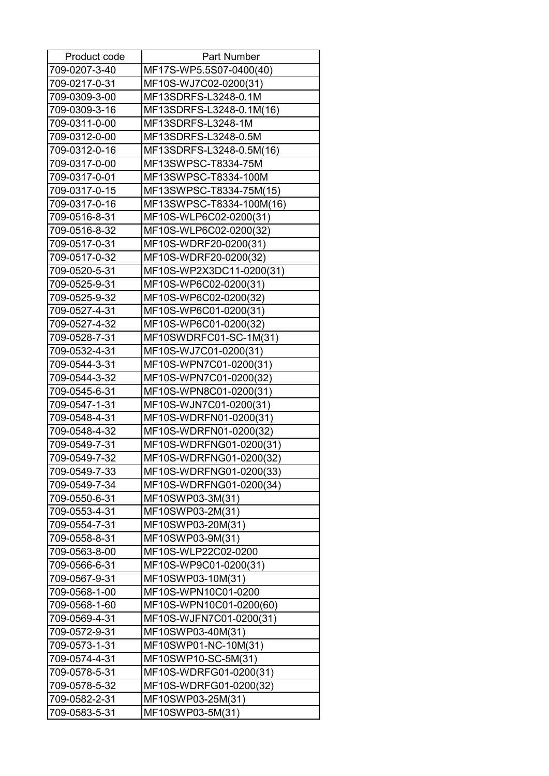| 709-0207-3-40<br>MF17S-WP5.5S07-0400(40)<br>709-0217-0-31<br>MF10S-WJ7C02-0200(31)<br>709-0309-3-00<br>MF13SDRFS-L3248-0.1M<br>709-0309-3-16<br>MF13SDRFS-L3248-0.1M(16)<br>709-0311-0-00<br>MF13SDRFS-L3248-1M<br>MF13SDRFS-L3248-0.5M<br>709-0312-0-00<br>709-0312-0-16<br>MF13SDRFS-L3248-0.5M(16)<br>MF13SWPSC-T8334-75M<br>709-0317-0-00<br>MF13SWPSC-T8334-100M<br>709-0317-0-01<br>709-0317-0-15<br>MF13SWPSC-T8334-75M(15)<br>MF13SWPSC-T8334-100M(16)<br>709-0317-0-16<br>MF10S-WLP6C02-0200(31)<br>709-0516-8-31<br>MF10S-WLP6C02-0200(32)<br>709-0516-8-32<br>709-0517-0-31<br>MF10S-WDRF20-0200(31)<br>MF10S-WDRF20-0200(32)<br>709-0517-0-32<br>709-0520-5-31<br>MF10S-WP2X3DC11-0200(31)<br>709-0525-9-31<br>MF10S-WP6C02-0200(31)<br>MF10S-WP6C02-0200(32)<br>709-0525-9-32<br>MF10S-WP6C01-0200(31)<br>709-0527-4-31<br>709-0527-4-32<br>MF10S-WP6C01-0200(32)<br>MF10SWDRFC01-SC-1M(31)<br>709-0528-7-31<br>MF10S-WJ7C01-0200(31)<br>709-0532-4-31<br>MF10S-WPN7C01-0200(31)<br>709-0544-3-31<br>MF10S-WPN7C01-0200(32)<br>709-0544-3-32<br>MF10S-WPN8C01-0200(31)<br>709-0545-6-31<br>MF10S-WJN7C01-0200(31)<br>709-0547-1-31<br>MF10S-WDRFN01-0200(31)<br>709-0548-4-31<br>MF10S-WDRFN01-0200(32)<br>709-0548-4-32<br>MF10S-WDRFNG01-0200(31)<br>709-0549-7-31<br>MF10S-WDRFNG01-0200(32)<br>709-0549-7-32<br>709-0549-7-33<br>MF10S-WDRFNG01-0200(33)<br>709-0549-7-34<br>MF10S-WDRFNG01-0200(34)<br>709-0550-6-31<br>MF10SWP03-3M(31)<br>709-0553-4-31<br>MF10SWP03-2M(31)<br>709-0554-7-31<br>MF10SWP03-20M(31)<br>709-0558-8-31<br>MF10SWP03-9M(31)<br>709-0563-8-00<br>MF10S-WLP22C02-0200<br>709-0566-6-31<br>MF10S-WP9C01-0200(31)<br>709-0567-9-31<br>MF10SWP03-10M(31)<br>709-0568-1-00<br>MF10S-WPN10C01-0200<br>709-0568-1-60<br>MF10S-WPN10C01-0200(60)<br>MF10S-WJFN7C01-0200(31)<br>709-0569-4-31<br>709-0572-9-31<br>MF10SWP03-40M(31)<br>MF10SWP01-NC-10M(31)<br>709-0573-1-31<br>709-0574-4-31<br>MF10SWP10-SC-5M(31)<br>709-0578-5-31<br>MF10S-WDRFG01-0200(31)<br>709-0578-5-32<br>MF10S-WDRFG01-0200(32)<br>709-0582-2-31<br>MF10SWP03-25M(31)<br>MF10SWP03-5M(31)<br>709-0583-5-31 | Product code | <b>Part Number</b> |
|----------------------------------------------------------------------------------------------------------------------------------------------------------------------------------------------------------------------------------------------------------------------------------------------------------------------------------------------------------------------------------------------------------------------------------------------------------------------------------------------------------------------------------------------------------------------------------------------------------------------------------------------------------------------------------------------------------------------------------------------------------------------------------------------------------------------------------------------------------------------------------------------------------------------------------------------------------------------------------------------------------------------------------------------------------------------------------------------------------------------------------------------------------------------------------------------------------------------------------------------------------------------------------------------------------------------------------------------------------------------------------------------------------------------------------------------------------------------------------------------------------------------------------------------------------------------------------------------------------------------------------------------------------------------------------------------------------------------------------------------------------------------------------------------------------------------------------------------------------------------------------------------------------------------------------------------------------------------------------------------------------------------------------------------------------------------------------------------------------------------------|--------------|--------------------|
|                                                                                                                                                                                                                                                                                                                                                                                                                                                                                                                                                                                                                                                                                                                                                                                                                                                                                                                                                                                                                                                                                                                                                                                                                                                                                                                                                                                                                                                                                                                                                                                                                                                                                                                                                                                                                                                                                                                                                                                                                                                                                                                            |              |                    |
|                                                                                                                                                                                                                                                                                                                                                                                                                                                                                                                                                                                                                                                                                                                                                                                                                                                                                                                                                                                                                                                                                                                                                                                                                                                                                                                                                                                                                                                                                                                                                                                                                                                                                                                                                                                                                                                                                                                                                                                                                                                                                                                            |              |                    |
|                                                                                                                                                                                                                                                                                                                                                                                                                                                                                                                                                                                                                                                                                                                                                                                                                                                                                                                                                                                                                                                                                                                                                                                                                                                                                                                                                                                                                                                                                                                                                                                                                                                                                                                                                                                                                                                                                                                                                                                                                                                                                                                            |              |                    |
|                                                                                                                                                                                                                                                                                                                                                                                                                                                                                                                                                                                                                                                                                                                                                                                                                                                                                                                                                                                                                                                                                                                                                                                                                                                                                                                                                                                                                                                                                                                                                                                                                                                                                                                                                                                                                                                                                                                                                                                                                                                                                                                            |              |                    |
|                                                                                                                                                                                                                                                                                                                                                                                                                                                                                                                                                                                                                                                                                                                                                                                                                                                                                                                                                                                                                                                                                                                                                                                                                                                                                                                                                                                                                                                                                                                                                                                                                                                                                                                                                                                                                                                                                                                                                                                                                                                                                                                            |              |                    |
|                                                                                                                                                                                                                                                                                                                                                                                                                                                                                                                                                                                                                                                                                                                                                                                                                                                                                                                                                                                                                                                                                                                                                                                                                                                                                                                                                                                                                                                                                                                                                                                                                                                                                                                                                                                                                                                                                                                                                                                                                                                                                                                            |              |                    |
|                                                                                                                                                                                                                                                                                                                                                                                                                                                                                                                                                                                                                                                                                                                                                                                                                                                                                                                                                                                                                                                                                                                                                                                                                                                                                                                                                                                                                                                                                                                                                                                                                                                                                                                                                                                                                                                                                                                                                                                                                                                                                                                            |              |                    |
|                                                                                                                                                                                                                                                                                                                                                                                                                                                                                                                                                                                                                                                                                                                                                                                                                                                                                                                                                                                                                                                                                                                                                                                                                                                                                                                                                                                                                                                                                                                                                                                                                                                                                                                                                                                                                                                                                                                                                                                                                                                                                                                            |              |                    |
|                                                                                                                                                                                                                                                                                                                                                                                                                                                                                                                                                                                                                                                                                                                                                                                                                                                                                                                                                                                                                                                                                                                                                                                                                                                                                                                                                                                                                                                                                                                                                                                                                                                                                                                                                                                                                                                                                                                                                                                                                                                                                                                            |              |                    |
|                                                                                                                                                                                                                                                                                                                                                                                                                                                                                                                                                                                                                                                                                                                                                                                                                                                                                                                                                                                                                                                                                                                                                                                                                                                                                                                                                                                                                                                                                                                                                                                                                                                                                                                                                                                                                                                                                                                                                                                                                                                                                                                            |              |                    |
|                                                                                                                                                                                                                                                                                                                                                                                                                                                                                                                                                                                                                                                                                                                                                                                                                                                                                                                                                                                                                                                                                                                                                                                                                                                                                                                                                                                                                                                                                                                                                                                                                                                                                                                                                                                                                                                                                                                                                                                                                                                                                                                            |              |                    |
|                                                                                                                                                                                                                                                                                                                                                                                                                                                                                                                                                                                                                                                                                                                                                                                                                                                                                                                                                                                                                                                                                                                                                                                                                                                                                                                                                                                                                                                                                                                                                                                                                                                                                                                                                                                                                                                                                                                                                                                                                                                                                                                            |              |                    |
|                                                                                                                                                                                                                                                                                                                                                                                                                                                                                                                                                                                                                                                                                                                                                                                                                                                                                                                                                                                                                                                                                                                                                                                                                                                                                                                                                                                                                                                                                                                                                                                                                                                                                                                                                                                                                                                                                                                                                                                                                                                                                                                            |              |                    |
|                                                                                                                                                                                                                                                                                                                                                                                                                                                                                                                                                                                                                                                                                                                                                                                                                                                                                                                                                                                                                                                                                                                                                                                                                                                                                                                                                                                                                                                                                                                                                                                                                                                                                                                                                                                                                                                                                                                                                                                                                                                                                                                            |              |                    |
|                                                                                                                                                                                                                                                                                                                                                                                                                                                                                                                                                                                                                                                                                                                                                                                                                                                                                                                                                                                                                                                                                                                                                                                                                                                                                                                                                                                                                                                                                                                                                                                                                                                                                                                                                                                                                                                                                                                                                                                                                                                                                                                            |              |                    |
|                                                                                                                                                                                                                                                                                                                                                                                                                                                                                                                                                                                                                                                                                                                                                                                                                                                                                                                                                                                                                                                                                                                                                                                                                                                                                                                                                                                                                                                                                                                                                                                                                                                                                                                                                                                                                                                                                                                                                                                                                                                                                                                            |              |                    |
|                                                                                                                                                                                                                                                                                                                                                                                                                                                                                                                                                                                                                                                                                                                                                                                                                                                                                                                                                                                                                                                                                                                                                                                                                                                                                                                                                                                                                                                                                                                                                                                                                                                                                                                                                                                                                                                                                                                                                                                                                                                                                                                            |              |                    |
|                                                                                                                                                                                                                                                                                                                                                                                                                                                                                                                                                                                                                                                                                                                                                                                                                                                                                                                                                                                                                                                                                                                                                                                                                                                                                                                                                                                                                                                                                                                                                                                                                                                                                                                                                                                                                                                                                                                                                                                                                                                                                                                            |              |                    |
|                                                                                                                                                                                                                                                                                                                                                                                                                                                                                                                                                                                                                                                                                                                                                                                                                                                                                                                                                                                                                                                                                                                                                                                                                                                                                                                                                                                                                                                                                                                                                                                                                                                                                                                                                                                                                                                                                                                                                                                                                                                                                                                            |              |                    |
|                                                                                                                                                                                                                                                                                                                                                                                                                                                                                                                                                                                                                                                                                                                                                                                                                                                                                                                                                                                                                                                                                                                                                                                                                                                                                                                                                                                                                                                                                                                                                                                                                                                                                                                                                                                                                                                                                                                                                                                                                                                                                                                            |              |                    |
|                                                                                                                                                                                                                                                                                                                                                                                                                                                                                                                                                                                                                                                                                                                                                                                                                                                                                                                                                                                                                                                                                                                                                                                                                                                                                                                                                                                                                                                                                                                                                                                                                                                                                                                                                                                                                                                                                                                                                                                                                                                                                                                            |              |                    |
|                                                                                                                                                                                                                                                                                                                                                                                                                                                                                                                                                                                                                                                                                                                                                                                                                                                                                                                                                                                                                                                                                                                                                                                                                                                                                                                                                                                                                                                                                                                                                                                                                                                                                                                                                                                                                                                                                                                                                                                                                                                                                                                            |              |                    |
|                                                                                                                                                                                                                                                                                                                                                                                                                                                                                                                                                                                                                                                                                                                                                                                                                                                                                                                                                                                                                                                                                                                                                                                                                                                                                                                                                                                                                                                                                                                                                                                                                                                                                                                                                                                                                                                                                                                                                                                                                                                                                                                            |              |                    |
|                                                                                                                                                                                                                                                                                                                                                                                                                                                                                                                                                                                                                                                                                                                                                                                                                                                                                                                                                                                                                                                                                                                                                                                                                                                                                                                                                                                                                                                                                                                                                                                                                                                                                                                                                                                                                                                                                                                                                                                                                                                                                                                            |              |                    |
|                                                                                                                                                                                                                                                                                                                                                                                                                                                                                                                                                                                                                                                                                                                                                                                                                                                                                                                                                                                                                                                                                                                                                                                                                                                                                                                                                                                                                                                                                                                                                                                                                                                                                                                                                                                                                                                                                                                                                                                                                                                                                                                            |              |                    |
|                                                                                                                                                                                                                                                                                                                                                                                                                                                                                                                                                                                                                                                                                                                                                                                                                                                                                                                                                                                                                                                                                                                                                                                                                                                                                                                                                                                                                                                                                                                                                                                                                                                                                                                                                                                                                                                                                                                                                                                                                                                                                                                            |              |                    |
|                                                                                                                                                                                                                                                                                                                                                                                                                                                                                                                                                                                                                                                                                                                                                                                                                                                                                                                                                                                                                                                                                                                                                                                                                                                                                                                                                                                                                                                                                                                                                                                                                                                                                                                                                                                                                                                                                                                                                                                                                                                                                                                            |              |                    |
|                                                                                                                                                                                                                                                                                                                                                                                                                                                                                                                                                                                                                                                                                                                                                                                                                                                                                                                                                                                                                                                                                                                                                                                                                                                                                                                                                                                                                                                                                                                                                                                                                                                                                                                                                                                                                                                                                                                                                                                                                                                                                                                            |              |                    |
|                                                                                                                                                                                                                                                                                                                                                                                                                                                                                                                                                                                                                                                                                                                                                                                                                                                                                                                                                                                                                                                                                                                                                                                                                                                                                                                                                                                                                                                                                                                                                                                                                                                                                                                                                                                                                                                                                                                                                                                                                                                                                                                            |              |                    |
|                                                                                                                                                                                                                                                                                                                                                                                                                                                                                                                                                                                                                                                                                                                                                                                                                                                                                                                                                                                                                                                                                                                                                                                                                                                                                                                                                                                                                                                                                                                                                                                                                                                                                                                                                                                                                                                                                                                                                                                                                                                                                                                            |              |                    |
|                                                                                                                                                                                                                                                                                                                                                                                                                                                                                                                                                                                                                                                                                                                                                                                                                                                                                                                                                                                                                                                                                                                                                                                                                                                                                                                                                                                                                                                                                                                                                                                                                                                                                                                                                                                                                                                                                                                                                                                                                                                                                                                            |              |                    |
|                                                                                                                                                                                                                                                                                                                                                                                                                                                                                                                                                                                                                                                                                                                                                                                                                                                                                                                                                                                                                                                                                                                                                                                                                                                                                                                                                                                                                                                                                                                                                                                                                                                                                                                                                                                                                                                                                                                                                                                                                                                                                                                            |              |                    |
|                                                                                                                                                                                                                                                                                                                                                                                                                                                                                                                                                                                                                                                                                                                                                                                                                                                                                                                                                                                                                                                                                                                                                                                                                                                                                                                                                                                                                                                                                                                                                                                                                                                                                                                                                                                                                                                                                                                                                                                                                                                                                                                            |              |                    |
|                                                                                                                                                                                                                                                                                                                                                                                                                                                                                                                                                                                                                                                                                                                                                                                                                                                                                                                                                                                                                                                                                                                                                                                                                                                                                                                                                                                                                                                                                                                                                                                                                                                                                                                                                                                                                                                                                                                                                                                                                                                                                                                            |              |                    |
|                                                                                                                                                                                                                                                                                                                                                                                                                                                                                                                                                                                                                                                                                                                                                                                                                                                                                                                                                                                                                                                                                                                                                                                                                                                                                                                                                                                                                                                                                                                                                                                                                                                                                                                                                                                                                                                                                                                                                                                                                                                                                                                            |              |                    |
|                                                                                                                                                                                                                                                                                                                                                                                                                                                                                                                                                                                                                                                                                                                                                                                                                                                                                                                                                                                                                                                                                                                                                                                                                                                                                                                                                                                                                                                                                                                                                                                                                                                                                                                                                                                                                                                                                                                                                                                                                                                                                                                            |              |                    |
|                                                                                                                                                                                                                                                                                                                                                                                                                                                                                                                                                                                                                                                                                                                                                                                                                                                                                                                                                                                                                                                                                                                                                                                                                                                                                                                                                                                                                                                                                                                                                                                                                                                                                                                                                                                                                                                                                                                                                                                                                                                                                                                            |              |                    |
|                                                                                                                                                                                                                                                                                                                                                                                                                                                                                                                                                                                                                                                                                                                                                                                                                                                                                                                                                                                                                                                                                                                                                                                                                                                                                                                                                                                                                                                                                                                                                                                                                                                                                                                                                                                                                                                                                                                                                                                                                                                                                                                            |              |                    |
|                                                                                                                                                                                                                                                                                                                                                                                                                                                                                                                                                                                                                                                                                                                                                                                                                                                                                                                                                                                                                                                                                                                                                                                                                                                                                                                                                                                                                                                                                                                                                                                                                                                                                                                                                                                                                                                                                                                                                                                                                                                                                                                            |              |                    |
|                                                                                                                                                                                                                                                                                                                                                                                                                                                                                                                                                                                                                                                                                                                                                                                                                                                                                                                                                                                                                                                                                                                                                                                                                                                                                                                                                                                                                                                                                                                                                                                                                                                                                                                                                                                                                                                                                                                                                                                                                                                                                                                            |              |                    |
|                                                                                                                                                                                                                                                                                                                                                                                                                                                                                                                                                                                                                                                                                                                                                                                                                                                                                                                                                                                                                                                                                                                                                                                                                                                                                                                                                                                                                                                                                                                                                                                                                                                                                                                                                                                                                                                                                                                                                                                                                                                                                                                            |              |                    |
|                                                                                                                                                                                                                                                                                                                                                                                                                                                                                                                                                                                                                                                                                                                                                                                                                                                                                                                                                                                                                                                                                                                                                                                                                                                                                                                                                                                                                                                                                                                                                                                                                                                                                                                                                                                                                                                                                                                                                                                                                                                                                                                            |              |                    |
|                                                                                                                                                                                                                                                                                                                                                                                                                                                                                                                                                                                                                                                                                                                                                                                                                                                                                                                                                                                                                                                                                                                                                                                                                                                                                                                                                                                                                                                                                                                                                                                                                                                                                                                                                                                                                                                                                                                                                                                                                                                                                                                            |              |                    |
|                                                                                                                                                                                                                                                                                                                                                                                                                                                                                                                                                                                                                                                                                                                                                                                                                                                                                                                                                                                                                                                                                                                                                                                                                                                                                                                                                                                                                                                                                                                                                                                                                                                                                                                                                                                                                                                                                                                                                                                                                                                                                                                            |              |                    |
|                                                                                                                                                                                                                                                                                                                                                                                                                                                                                                                                                                                                                                                                                                                                                                                                                                                                                                                                                                                                                                                                                                                                                                                                                                                                                                                                                                                                                                                                                                                                                                                                                                                                                                                                                                                                                                                                                                                                                                                                                                                                                                                            |              |                    |
|                                                                                                                                                                                                                                                                                                                                                                                                                                                                                                                                                                                                                                                                                                                                                                                                                                                                                                                                                                                                                                                                                                                                                                                                                                                                                                                                                                                                                                                                                                                                                                                                                                                                                                                                                                                                                                                                                                                                                                                                                                                                                                                            |              |                    |
|                                                                                                                                                                                                                                                                                                                                                                                                                                                                                                                                                                                                                                                                                                                                                                                                                                                                                                                                                                                                                                                                                                                                                                                                                                                                                                                                                                                                                                                                                                                                                                                                                                                                                                                                                                                                                                                                                                                                                                                                                                                                                                                            |              |                    |
|                                                                                                                                                                                                                                                                                                                                                                                                                                                                                                                                                                                                                                                                                                                                                                                                                                                                                                                                                                                                                                                                                                                                                                                                                                                                                                                                                                                                                                                                                                                                                                                                                                                                                                                                                                                                                                                                                                                                                                                                                                                                                                                            |              |                    |
|                                                                                                                                                                                                                                                                                                                                                                                                                                                                                                                                                                                                                                                                                                                                                                                                                                                                                                                                                                                                                                                                                                                                                                                                                                                                                                                                                                                                                                                                                                                                                                                                                                                                                                                                                                                                                                                                                                                                                                                                                                                                                                                            |              |                    |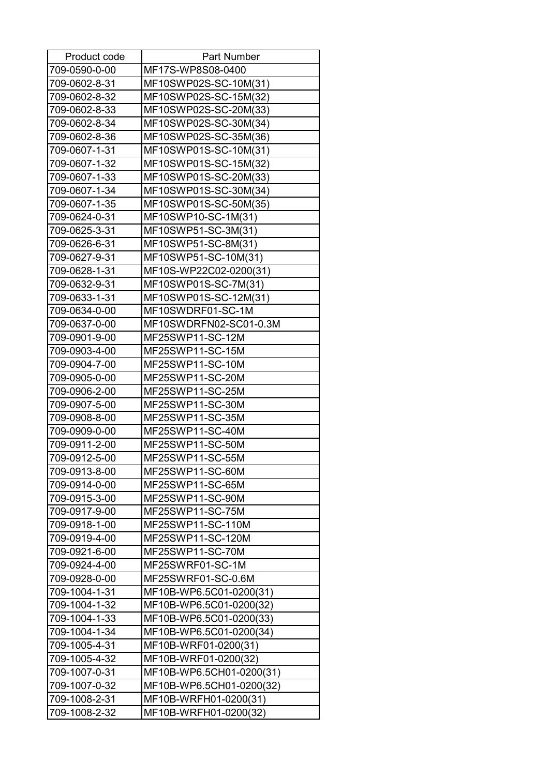| Product code  | <b>Part Number</b>       |
|---------------|--------------------------|
| 709-0590-0-00 | MF17S-WP8S08-0400        |
| 709-0602-8-31 | MF10SWP02S-SC-10M(31)    |
| 709-0602-8-32 | MF10SWP02S-SC-15M(32)    |
| 709-0602-8-33 | MF10SWP02S-SC-20M(33)    |
| 709-0602-8-34 | MF10SWP02S-SC-30M(34)    |
| 709-0602-8-36 | MF10SWP02S-SC-35M(36)    |
| 709-0607-1-31 | MF10SWP01S-SC-10M(31)    |
| 709-0607-1-32 | MF10SWP01S-SC-15M(32)    |
| 709-0607-1-33 | MF10SWP01S-SC-20M(33)    |
| 709-0607-1-34 | MF10SWP01S-SC-30M(34)    |
| 709-0607-1-35 | MF10SWP01S-SC-50M(35)    |
| 709-0624-0-31 | MF10SWP10-SC-1M(31)      |
| 709-0625-3-31 | MF10SWP51-SC-3M(31)      |
| 709-0626-6-31 | MF10SWP51-SC-8M(31)      |
| 709-0627-9-31 | MF10SWP51-SC-10M(31)     |
| 709-0628-1-31 | MF10S-WP22C02-0200(31)   |
| 709-0632-9-31 | MF10SWP01S-SC-7M(31)     |
| 709-0633-1-31 | MF10SWP01S-SC-12M(31)    |
| 709-0634-0-00 | MF10SWDRF01-SC-1M        |
| 709-0637-0-00 | MF10SWDRFN02-SC01-0.3M   |
| 709-0901-9-00 | MF25SWP11-SC-12M         |
| 709-0903-4-00 | MF25SWP11-SC-15M         |
| 709-0904-7-00 | MF25SWP11-SC-10M         |
| 709-0905-0-00 | MF25SWP11-SC-20M         |
| 709-0906-2-00 | MF25SWP11-SC-25M         |
| 709-0907-5-00 | MF25SWP11-SC-30M         |
| 709-0908-8-00 | MF25SWP11-SC-35M         |
| 709-0909-0-00 | MF25SWP11-SC-40M         |
| 709-0911-2-00 | MF25SWP11-SC-50M         |
| 709-0912-5-00 | MF25SWP11-SC-55M         |
| 709-0913-8-00 | MF25SWP11-SC-60M         |
| 709-0914-0-00 | MF25SWP11-SC-65M         |
| 709-0915-3-00 | MF25SWP11-SC-90M         |
| 709-0917-9-00 | MF25SWP11-SC-75M         |
| 709-0918-1-00 | MF25SWP11-SC-110M        |
| 709-0919-4-00 | MF25SWP11-SC-120M        |
| 709-0921-6-00 | MF25SWP11-SC-70M         |
| 709-0924-4-00 | MF25SWRF01-SC-1M         |
| 709-0928-0-00 | MF25SWRF01-SC-0.6M       |
| 709-1004-1-31 | MF10B-WP6.5C01-0200(31)  |
| 709-1004-1-32 | MF10B-WP6.5C01-0200(32)  |
| 709-1004-1-33 | MF10B-WP6.5C01-0200(33)  |
| 709-1004-1-34 | MF10B-WP6.5C01-0200(34)  |
| 709-1005-4-31 | MF10B-WRF01-0200(31)     |
| 709-1005-4-32 | MF10B-WRF01-0200(32)     |
| 709-1007-0-31 | MF10B-WP6.5CH01-0200(31) |
| 709-1007-0-32 | MF10B-WP6.5CH01-0200(32) |
| 709-1008-2-31 | MF10B-WRFH01-0200(31)    |
| 709-1008-2-32 | MF10B-WRFH01-0200(32)    |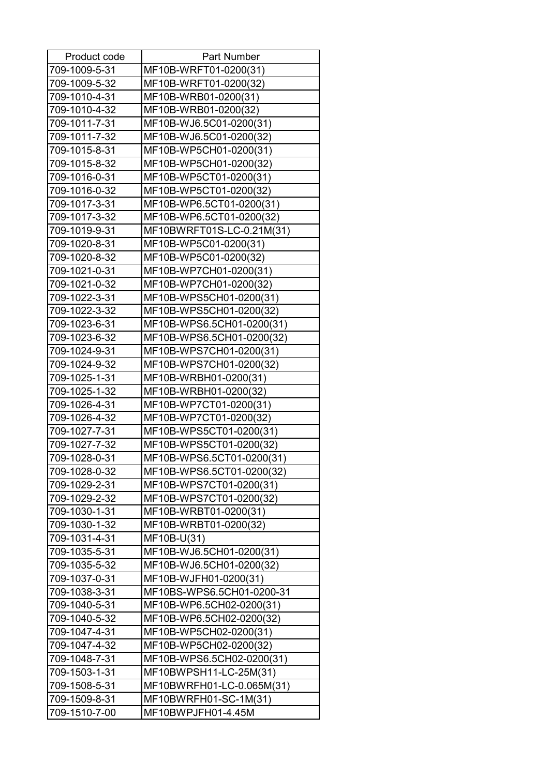| Product code  | <b>Part Number</b>        |
|---------------|---------------------------|
| 709-1009-5-31 | MF10B-WRFT01-0200(31)     |
| 709-1009-5-32 | MF10B-WRFT01-0200(32)     |
| 709-1010-4-31 | MF10B-WRB01-0200(31)      |
| 709-1010-4-32 | MF10B-WRB01-0200(32)      |
| 709-1011-7-31 | MF10B-WJ6.5C01-0200(31)   |
| 709-1011-7-32 | MF10B-WJ6.5C01-0200(32)   |
| 709-1015-8-31 | MF10B-WP5CH01-0200(31)    |
| 709-1015-8-32 | MF10B-WP5CH01-0200(32)    |
| 709-1016-0-31 | MF10B-WP5CT01-0200(31)    |
| 709-1016-0-32 | MF10B-WP5CT01-0200(32)    |
| 709-1017-3-31 | MF10B-WP6.5CT01-0200(31)  |
| 709-1017-3-32 | MF10B-WP6.5CT01-0200(32)  |
| 709-1019-9-31 | MF10BWRFT01S-LC-0.21M(31) |
| 709-1020-8-31 | MF10B-WP5C01-0200(31)     |
| 709-1020-8-32 | MF10B-WP5C01-0200(32)     |
| 709-1021-0-31 | MF10B-WP7CH01-0200(31)    |
| 709-1021-0-32 | MF10B-WP7CH01-0200(32)    |
| 709-1022-3-31 | MF10B-WPS5CH01-0200(31)   |
| 709-1022-3-32 | MF10B-WPS5CH01-0200(32)   |
| 709-1023-6-31 | MF10B-WPS6.5CH01-0200(31) |
| 709-1023-6-32 | MF10B-WPS6.5CH01-0200(32) |
| 709-1024-9-31 | MF10B-WPS7CH01-0200(31)   |
| 709-1024-9-32 | MF10B-WPS7CH01-0200(32)   |
| 709-1025-1-31 | MF10B-WRBH01-0200(31)     |
| 709-1025-1-32 | MF10B-WRBH01-0200(32)     |
| 709-1026-4-31 | MF10B-WP7CT01-0200(31)    |
| 709-1026-4-32 | MF10B-WP7CT01-0200(32)    |
| 709-1027-7-31 | MF10B-WPS5CT01-0200(31)   |
| 709-1027-7-32 | MF10B-WPS5CT01-0200(32)   |
| 709-1028-0-31 | MF10B-WPS6.5CT01-0200(31) |
| 709-1028-0-32 | MF10B-WPS6.5CT01-0200(32) |
| 709-1029-2-31 | MF10B-WPS7CT01-0200(31)   |
| 709-1029-2-32 | MF10B-WPS7CT01-0200(32)   |
| 709-1030-1-31 | MF10B-WRBT01-0200(31)     |
| 709-1030-1-32 | MF10B-WRBT01-0200(32)     |
| 709-1031-4-31 | MF10B-U(31)               |
| 709-1035-5-31 | MF10B-WJ6.5CH01-0200(31)  |
| 709-1035-5-32 | MF10B-WJ6.5CH01-0200(32)  |
| 709-1037-0-31 | MF10B-WJFH01-0200(31)     |
| 709-1038-3-31 | MF10BS-WPS6.5CH01-0200-31 |
| 709-1040-5-31 | MF10B-WP6.5CH02-0200(31)  |
| 709-1040-5-32 | MF10B-WP6.5CH02-0200(32)  |
| 709-1047-4-31 | MF10B-WP5CH02-0200(31)    |
| 709-1047-4-32 | MF10B-WP5CH02-0200(32)    |
| 709-1048-7-31 | MF10B-WPS6.5CH02-0200(31) |
| 709-1503-1-31 | MF10BWPSH11-LC-25M(31)    |
| 709-1508-5-31 | MF10BWRFH01-LC-0.065M(31) |
| 709-1509-8-31 | MF10BWRFH01-SC-1M(31)     |
| 709-1510-7-00 | MF10BWPJFH01-4.45M        |
|               |                           |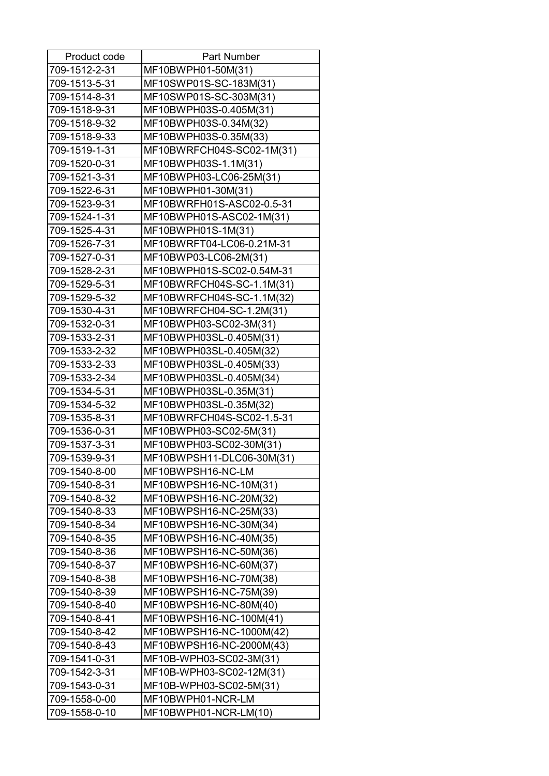| Product code  | <b>Part Number</b>        |
|---------------|---------------------------|
| 709-1512-2-31 | MF10BWPH01-50M(31)        |
| 709-1513-5-31 | MF10SWP01S-SC-183M(31)    |
| 709-1514-8-31 | MF10SWP01S-SC-303M(31)    |
| 709-1518-9-31 | MF10BWPH03S-0.405M(31)    |
| 709-1518-9-32 | MF10BWPH03S-0.34M(32)     |
| 709-1518-9-33 | MF10BWPH03S-0.35M(33)     |
| 709-1519-1-31 | MF10BWRFCH04S-SC02-1M(31) |
| 709-1520-0-31 | MF10BWPH03S-1.1M(31)      |
| 709-1521-3-31 | MF10BWPH03-LC06-25M(31)   |
| 709-1522-6-31 | MF10BWPH01-30M(31)        |
| 709-1523-9-31 | MF10BWRFH01S-ASC02-0.5-31 |
| 709-1524-1-31 | MF10BWPH01S-ASC02-1M(31)  |
| 709-1525-4-31 | MF10BWPH01S-1M(31)        |
| 709-1526-7-31 | MF10BWRFT04-LC06-0.21M-31 |
| 709-1527-0-31 | MF10BWP03-LC06-2M(31)     |
| 709-1528-2-31 | MF10BWPH01S-SC02-0.54M-31 |
| 709-1529-5-31 | MF10BWRFCH04S-SC-1.1M(31) |
| 709-1529-5-32 | MF10BWRFCH04S-SC-1.1M(32) |
| 709-1530-4-31 | MF10BWRFCH04-SC-1.2M(31)  |
| 709-1532-0-31 | MF10BWPH03-SC02-3M(31)    |
| 709-1533-2-31 | MF10BWPH03SL-0.405M(31)   |
| 709-1533-2-32 | MF10BWPH03SL-0.405M(32)   |
| 709-1533-2-33 | MF10BWPH03SL-0.405M(33)   |
| 709-1533-2-34 | MF10BWPH03SL-0.405M(34)   |
| 709-1534-5-31 | MF10BWPH03SL-0.35M(31)    |
| 709-1534-5-32 | MF10BWPH03SL-0.35M(32)    |
| 709-1535-8-31 | MF10BWRFCH04S-SC02-1.5-31 |
| 709-1536-0-31 | MF10BWPH03-SC02-5M(31)    |
| 709-1537-3-31 | MF10BWPH03-SC02-30M(31)   |
| 709-1539-9-31 | MF10BWPSH11-DLC06-30M(31) |
| 709-1540-8-00 | MF10BWPSH16-NC-LM         |
| 709-1540-8-31 | MF10BWPSH16-NC-10M(31)    |
| 709-1540-8-32 | MF10BWPSH16-NC-20M(32)    |
| 709-1540-8-33 | MF10BWPSH16-NC-25M(33)    |
| 709-1540-8-34 | MF10BWPSH16-NC-30M(34)    |
| 709-1540-8-35 | MF10BWPSH16-NC-40M(35)    |
| 709-1540-8-36 | MF10BWPSH16-NC-50M(36)    |
|               |                           |
| 709-1540-8-37 | MF10BWPSH16-NC-60M(37)    |
| 709-1540-8-38 | MF10BWPSH16-NC-70M(38)    |
| 709-1540-8-39 | MF10BWPSH16-NC-75M(39)    |
| 709-1540-8-40 | MF10BWPSH16-NC-80M(40)    |
| 709-1540-8-41 | MF10BWPSH16-NC-100M(41)   |
| 709-1540-8-42 | MF10BWPSH16-NC-1000M(42)  |
| 709-1540-8-43 | MF10BWPSH16-NC-2000M(43)  |
| 709-1541-0-31 | MF10B-WPH03-SC02-3M(31)   |
| 709-1542-3-31 | MF10B-WPH03-SC02-12M(31)  |
| 709-1543-0-31 | MF10B-WPH03-SC02-5M(31)   |
| 709-1558-0-00 | MF10BWPH01-NCR-LM         |
| 709-1558-0-10 | MF10BWPH01-NCR-LM(10)     |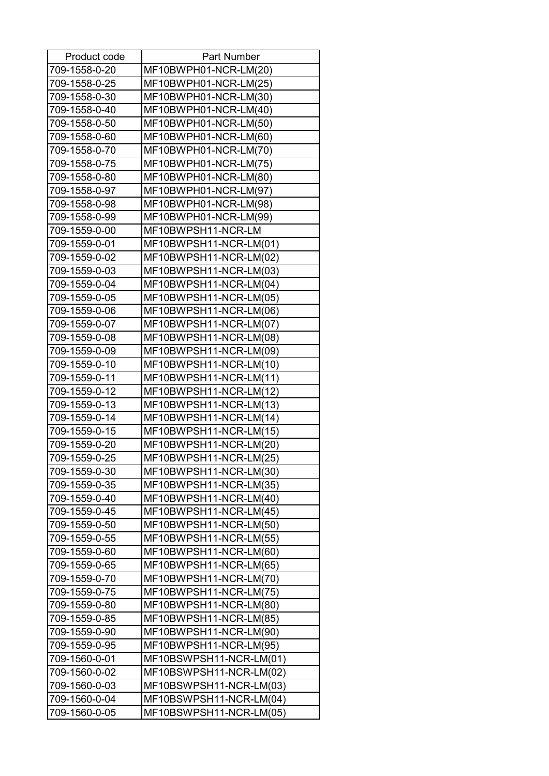| Product code                   | <b>Part Number</b>                               |
|--------------------------------|--------------------------------------------------|
| 709-1558-0-20                  | MF10BWPH01-NCR-LM(20)                            |
| 709-1558-0-25                  | MF10BWPH01-NCR-LM(25)                            |
| 709-1558-0-30                  | MF10BWPH01-NCR-LM(30)                            |
| 709-1558-0-40                  | MF10BWPH01-NCR-LM(40)                            |
| 709-1558-0-50                  | MF10BWPH01-NCR-LM(50)                            |
| 709-1558-0-60                  | MF10BWPH01-NCR-LM(60)                            |
| 709-1558-0-70                  | MF10BWPH01-NCR-LM(70)                            |
| 709-1558-0-75                  | MF10BWPH01-NCR-LM(75)                            |
| 709-1558-0-80                  | MF10BWPH01-NCR-LM(80)                            |
| 709-1558-0-97                  | MF10BWPH01-NCR-LM(97)                            |
| 709-1558-0-98                  | MF10BWPH01-NCR-LM(98)                            |
| 709-1558-0-99                  | MF10BWPH01-NCR-LM(99)                            |
| 709-1559-0-00                  | MF10BWPSH11-NCR-LM                               |
| 709-1559-0-01                  | MF10BWPSH11-NCR-LM(01)                           |
| 709-1559-0-02                  | MF10BWPSH11-NCR-LM(02)                           |
| 709-1559-0-03                  | MF10BWPSH11-NCR-LM(03)                           |
| 709-1559-0-04                  | MF10BWPSH11-NCR-LM(04)                           |
| 709-1559-0-05                  | MF10BWPSH11-NCR-LM(05)                           |
| 709-1559-0-06                  | MF10BWPSH11-NCR-LM(06)                           |
| 709-1559-0-07                  | MF10BWPSH11-NCR-LM(07)                           |
| 709-1559-0-08                  | MF10BWPSH11-NCR-LM(08)                           |
| 709-1559-0-09                  | MF10BWPSH11-NCR-LM(09)                           |
| 709-1559-0-10                  | MF10BWPSH11-NCR-LM(10)                           |
| 709-1559-0-11                  | MF10BWPSH11-NCR-LM(11)                           |
| 709-1559-0-12                  | MF10BWPSH11-NCR-LM(12)                           |
| 709-1559-0-13                  | MF10BWPSH11-NCR-LM(13)                           |
| 709-1559-0-14                  | MF10BWPSH11-NCR-LM(14)                           |
| 709-1559-0-15                  | MF10BWPSH11-NCR-LM(15)                           |
| 709-1559-0-20                  | MF10BWPSH11-NCR-LM(20)                           |
| 709-1559-0-25                  | MF10BWPSH11-NCR-LM(25)                           |
| 709-1559-0-30                  | MF10BWPSH11-NCR-LM(30)                           |
| 709-1559-0-35                  |                                                  |
|                                | MF10BWPSH11-NCR-LM(35)                           |
| 709-1559-0-40<br>709-1559-0-45 | MF10BWPSH11-NCR-LM(40)                           |
|                                | MF10BWPSH11-NCR-LM(45)<br>MF10BWPSH11-NCR-LM(50) |
| 709-1559-0-50                  |                                                  |
| 709-1559-0-55                  | MF10BWPSH11-NCR-LM(55)                           |
| 709-1559-0-60                  | MF10BWPSH11-NCR-LM(60)                           |
| 709-1559-0-65                  | MF10BWPSH11-NCR-LM(65)                           |
| 709-1559-0-70                  | MF10BWPSH11-NCR-LM(70)                           |
| 709-1559-0-75                  | MF10BWPSH11-NCR-LM(75)                           |
| 709-1559-0-80                  | MF10BWPSH11-NCR-LM(80)                           |
| 709-1559-0-85                  | MF10BWPSH11-NCR-LM(85)                           |
| 709-1559-0-90                  | MF10BWPSH11-NCR-LM(90)                           |
| 709-1559-0-95                  | MF10BWPSH11-NCR-LM(95)                           |
| 709-1560-0-01                  | MF10BSWPSH11-NCR-LM(01)                          |
| 709-1560-0-02                  | MF10BSWPSH11-NCR-LM(02)                          |
| 709-1560-0-03                  | MF10BSWPSH11-NCR-LM(03)                          |
| 709-1560-0-04                  | MF10BSWPSH11-NCR-LM(04)                          |
| 709-1560-0-05                  | MF10BSWPSH11-NCR-LM(05)                          |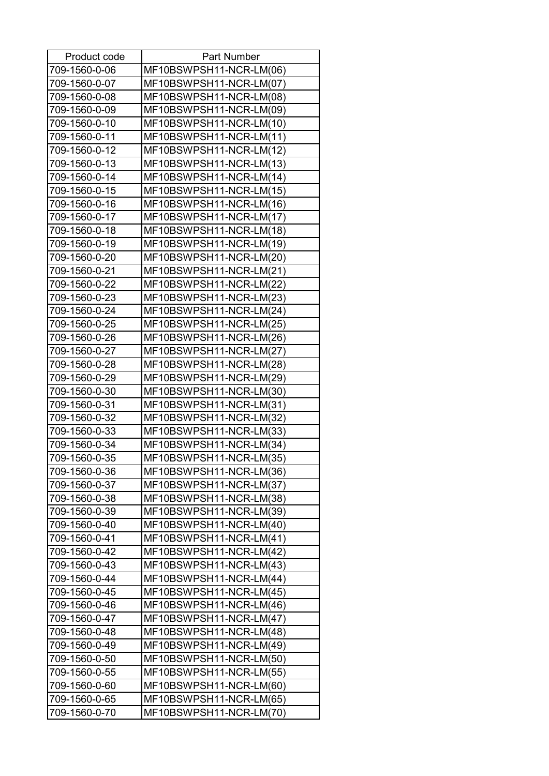| Product code  | <b>Part Number</b>      |
|---------------|-------------------------|
| 709-1560-0-06 | MF10BSWPSH11-NCR-LM(06) |
| 709-1560-0-07 | MF10BSWPSH11-NCR-LM(07) |
| 709-1560-0-08 | MF10BSWPSH11-NCR-LM(08) |
| 709-1560-0-09 | MF10BSWPSH11-NCR-LM(09) |
| 709-1560-0-10 | MF10BSWPSH11-NCR-LM(10) |
| 709-1560-0-11 | MF10BSWPSH11-NCR-LM(11) |
| 709-1560-0-12 | MF10BSWPSH11-NCR-LM(12) |
| 709-1560-0-13 | MF10BSWPSH11-NCR-LM(13) |
| 709-1560-0-14 | MF10BSWPSH11-NCR-LM(14) |
| 709-1560-0-15 | MF10BSWPSH11-NCR-LM(15) |
| 709-1560-0-16 | MF10BSWPSH11-NCR-LM(16) |
| 709-1560-0-17 | MF10BSWPSH11-NCR-LM(17) |
| 709-1560-0-18 | MF10BSWPSH11-NCR-LM(18) |
| 709-1560-0-19 | MF10BSWPSH11-NCR-LM(19) |
| 709-1560-0-20 | MF10BSWPSH11-NCR-LM(20) |
| 709-1560-0-21 | MF10BSWPSH11-NCR-LM(21) |
| 709-1560-0-22 | MF10BSWPSH11-NCR-LM(22) |
| 709-1560-0-23 | MF10BSWPSH11-NCR-LM(23) |
| 709-1560-0-24 | MF10BSWPSH11-NCR-LM(24) |
| 709-1560-0-25 | MF10BSWPSH11-NCR-LM(25) |
| 709-1560-0-26 | MF10BSWPSH11-NCR-LM(26) |
| 709-1560-0-27 | MF10BSWPSH11-NCR-LM(27) |
| 709-1560-0-28 | MF10BSWPSH11-NCR-LM(28) |
| 709-1560-0-29 | MF10BSWPSH11-NCR-LM(29) |
| 709-1560-0-30 | MF10BSWPSH11-NCR-LM(30) |
| 709-1560-0-31 | MF10BSWPSH11-NCR-LM(31) |
| 709-1560-0-32 | MF10BSWPSH11-NCR-LM(32) |
| 709-1560-0-33 | MF10BSWPSH11-NCR-LM(33) |
| 709-1560-0-34 | MF10BSWPSH11-NCR-LM(34) |
| 709-1560-0-35 | MF10BSWPSH11-NCR-LM(35) |
| 709-1560-0-36 | MF10BSWPSH11-NCR-LM(36) |
| 709-1560-0-37 | MF10BSWPSH11-NCR-LM(37) |
| 709-1560-0-38 | MF10BSWPSH11-NCR-LM(38) |
| 709-1560-0-39 | MF10BSWPSH11-NCR-LM(39) |
| 709-1560-0-40 | MF10BSWPSH11-NCR-LM(40) |
| 709-1560-0-41 | MF10BSWPSH11-NCR-LM(41) |
| 709-1560-0-42 | MF10BSWPSH11-NCR-LM(42) |
| 709-1560-0-43 | MF10BSWPSH11-NCR-LM(43) |
| 709-1560-0-44 | MF10BSWPSH11-NCR-LM(44) |
| 709-1560-0-45 | MF10BSWPSH11-NCR-LM(45) |
| 709-1560-0-46 | MF10BSWPSH11-NCR-LM(46) |
| 709-1560-0-47 | MF10BSWPSH11-NCR-LM(47) |
| 709-1560-0-48 | MF10BSWPSH11-NCR-LM(48) |
| 709-1560-0-49 | MF10BSWPSH11-NCR-LM(49) |
| 709-1560-0-50 | MF10BSWPSH11-NCR-LM(50) |
| 709-1560-0-55 | MF10BSWPSH11-NCR-LM(55) |
| 709-1560-0-60 | MF10BSWPSH11-NCR-LM(60) |
| 709-1560-0-65 | MF10BSWPSH11-NCR-LM(65) |
| 709-1560-0-70 | MF10BSWPSH11-NCR-LM(70) |
|               |                         |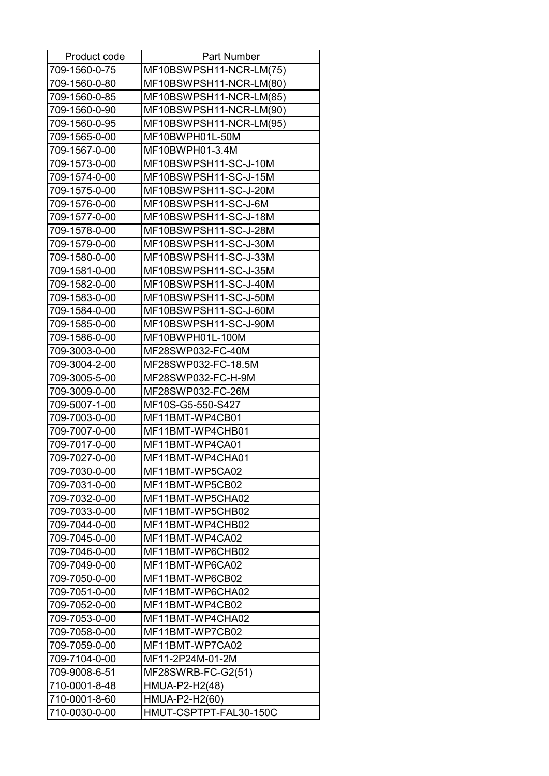| Product code  | Part Number             |
|---------------|-------------------------|
| 709-1560-0-75 | MF10BSWPSH11-NCR-LM(75) |
| 709-1560-0-80 | MF10BSWPSH11-NCR-LM(80) |
| 709-1560-0-85 | MF10BSWPSH11-NCR-LM(85) |
| 709-1560-0-90 | MF10BSWPSH11-NCR-LM(90) |
| 709-1560-0-95 | MF10BSWPSH11-NCR-LM(95) |
| 709-1565-0-00 | MF10BWPH01L-50M         |
| 709-1567-0-00 | MF10BWPH01-3.4M         |
| 709-1573-0-00 | MF10BSWPSH11-SC-J-10M   |
| 709-1574-0-00 | MF10BSWPSH11-SC-J-15M   |
| 709-1575-0-00 | MF10BSWPSH11-SC-J-20M   |
| 709-1576-0-00 | MF10BSWPSH11-SC-J-6M    |
| 709-1577-0-00 | MF10BSWPSH11-SC-J-18M   |
| 709-1578-0-00 | MF10BSWPSH11-SC-J-28M   |
| 709-1579-0-00 | MF10BSWPSH11-SC-J-30M   |
| 709-1580-0-00 | MF10BSWPSH11-SC-J-33M   |
| 709-1581-0-00 | MF10BSWPSH11-SC-J-35M   |
| 709-1582-0-00 | MF10BSWPSH11-SC-J-40M   |
| 709-1583-0-00 | MF10BSWPSH11-SC-J-50M   |
| 709-1584-0-00 | MF10BSWPSH11-SC-J-60M   |
| 709-1585-0-00 | MF10BSWPSH11-SC-J-90M   |
| 709-1586-0-00 | MF10BWPH01L-100M        |
| 709-3003-0-00 | MF28SWP032-FC-40M       |
| 709-3004-2-00 | MF28SWP032-FC-18.5M     |
| 709-3005-5-00 | MF28SWP032-FC-H-9M      |
| 709-3009-0-00 | MF28SWP032-FC-26M       |
| 709-5007-1-00 | MF10S-G5-550-S427       |
| 709-7003-0-00 | MF11BMT-WP4CB01         |
| 709-7007-0-00 | MF11BMT-WP4CHB01        |
| 709-7017-0-00 | MF11BMT-WP4CA01         |
| 709-7027-0-00 | MF11BMT-WP4CHA01        |
| 709-7030-0-00 | MF11BMT-WP5CA02         |
| 709-7031-0-00 | MF11BMT-WP5CB02         |
| 709-7032-0-00 | MF11BMT-WP5CHA02        |
| 709-7033-0-00 | MF11BMT-WP5CHB02        |
| 709-7044-0-00 | MF11BMT-WP4CHB02        |
| 709-7045-0-00 | MF11BMT-WP4CA02         |
| 709-7046-0-00 | MF11BMT-WP6CHB02        |
| 709-7049-0-00 | MF11BMT-WP6CA02         |
| 709-7050-0-00 | MF11BMT-WP6CB02         |
| 709-7051-0-00 | MF11BMT-WP6CHA02        |
| 709-7052-0-00 | MF11BMT-WP4CB02         |
| 709-7053-0-00 | MF11BMT-WP4CHA02        |
| 709-7058-0-00 | MF11BMT-WP7CB02         |
| 709-7059-0-00 | MF11BMT-WP7CA02         |
| 709-7104-0-00 | MF11-2P24M-01-2M        |
| 709-9008-6-51 | MF28SWRB-FC-G2(51)      |
| 710-0001-8-48 | HMUA-P2-H2(48)          |
| 710-0001-8-60 | HMUA-P2-H2(60)          |
| 710-0030-0-00 | HMUT-CSPTPT-FAL30-150C  |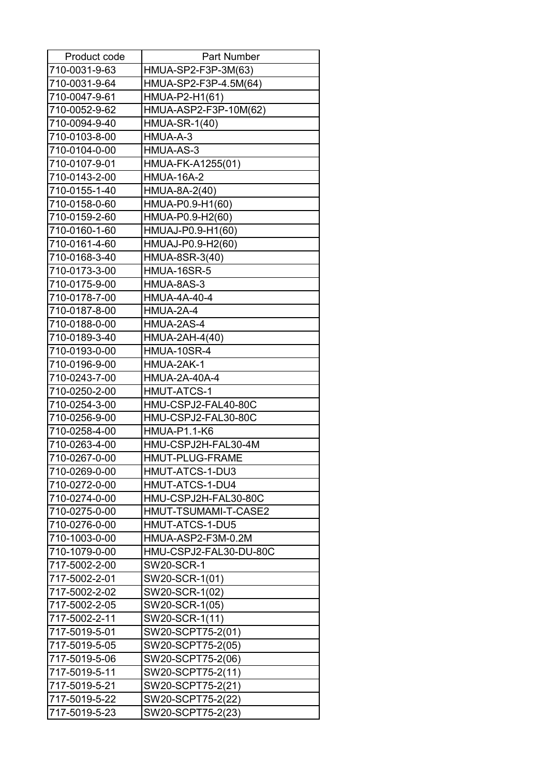| Product code  | <b>Part Number</b>     |
|---------------|------------------------|
| 710-0031-9-63 | HMUA-SP2-F3P-3M(63)    |
| 710-0031-9-64 | HMUA-SP2-F3P-4.5M(64)  |
| 710-0047-9-61 | HMUA-P2-H1(61)         |
| 710-0052-9-62 | HMUA-ASP2-F3P-10M(62)  |
| 710-0094-9-40 | <b>HMUA-SR-1(40)</b>   |
| 710-0103-8-00 | HMUA-A-3               |
| 710-0104-0-00 | HMUA-AS-3              |
| 710-0107-9-01 | HMUA-FK-A1255(01)      |
| 710-0143-2-00 | <b>HMUA-16A-2</b>      |
| 710-0155-1-40 | HMUA-8A-2(40)          |
| 710-0158-0-60 | HMUA-P0.9-H1(60)       |
| 710-0159-2-60 | HMUA-P0.9-H2(60)       |
| 710-0160-1-60 | HMUAJ-P0.9-H1(60)      |
| 710-0161-4-60 | HMUAJ-P0.9-H2(60)      |
| 710-0168-3-40 | HMUA-8SR-3(40)         |
| 710-0173-3-00 | <b>HMUA-16SR-5</b>     |
| 710-0175-9-00 | HMUA-8AS-3             |
| 710-0178-7-00 | <b>HMUA-4A-40-4</b>    |
| 710-0187-8-00 | HMUA-2A-4              |
| 710-0188-0-00 | HMUA-2AS-4             |
| 710-0189-3-40 | HMUA-2AH-4(40)         |
| 710-0193-0-00 | <b>HMUA-10SR-4</b>     |
| 710-0196-9-00 | HMUA-2AK-1             |
| 710-0243-7-00 | <b>HMUA-2A-40A-4</b>   |
| 710-0250-2-00 | <b>HMUT-ATCS-1</b>     |
| 710-0254-3-00 | HMU-CSPJ2-FAL40-80C    |
| 710-0256-9-00 | HMU-CSPJ2-FAL30-80C    |
| 710-0258-4-00 | <b>HMUA-P1.1-K6</b>    |
| 710-0263-4-00 | HMU-CSPJ2H-FAL30-4M    |
| 710-0267-0-00 | <b>HMUT-PLUG-FRAME</b> |
| 710-0269-0-00 | HMUT-ATCS-1-DU3        |
| 710-0272-0-00 | HMUT-ATCS-1-DU4        |
| 710-0274-0-00 | HMU-CSPJ2H-FAL30-80C   |
| 710-0275-0-00 | HMUT-TSUMAMI-T-CASE2   |
| 710-0276-0-00 | HMUT-ATCS-1-DU5        |
| 710-1003-0-00 | HMUA-ASP2-F3M-0.2M     |
| 710-1079-0-00 | HMU-CSPJ2-FAL30-DU-80C |
| 717-5002-2-00 | <b>SW20-SCR-1</b>      |
| 717-5002-2-01 | SW20-SCR-1(01)         |
| 717-5002-2-02 | SW20-SCR-1(02)         |
| 717-5002-2-05 | SW20-SCR-1(05)         |
| 717-5002-2-11 | SW20-SCR-1(11)         |
| 717-5019-5-01 | SW20-SCPT75-2(01)      |
| 717-5019-5-05 | SW20-SCPT75-2(05)      |
| 717-5019-5-06 | SW20-SCPT75-2(06)      |
| 717-5019-5-11 | SW20-SCPT75-2(11)      |
| 717-5019-5-21 | SW20-SCPT75-2(21)      |
| 717-5019-5-22 | SW20-SCPT75-2(22)      |
| 717-5019-5-23 | SW20-SCPT75-2(23)      |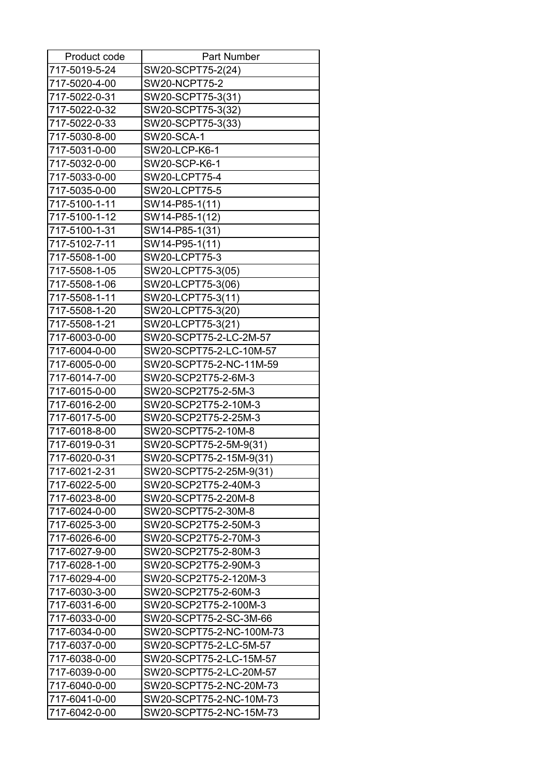| Product code  | <b>Part Number</b>       |
|---------------|--------------------------|
| 717-5019-5-24 | SW20-SCPT75-2(24)        |
| 717-5020-4-00 | SW20-NCPT75-2            |
| 717-5022-0-31 | SW20-SCPT75-3(31)        |
| 717-5022-0-32 | SW20-SCPT75-3(32)        |
| 717-5022-0-33 | SW20-SCPT75-3(33)        |
| 717-5030-8-00 | <b>SW20-SCA-1</b>        |
| 717-5031-0-00 | SW20-LCP-K6-1            |
| 717-5032-0-00 | SW20-SCP-K6-1            |
| 717-5033-0-00 | SW20-LCPT75-4            |
| 717-5035-0-00 | SW20-LCPT75-5            |
| 717-5100-1-11 | SW14-P85-1(11)           |
| 717-5100-1-12 | SW14-P85-1(12)           |
| 717-5100-1-31 | SW14-P85-1(31)           |
| 717-5102-7-11 | SW14-P95-1(11)           |
| 717-5508-1-00 | SW20-LCPT75-3            |
| 717-5508-1-05 | SW20-LCPT75-3(05)        |
| 717-5508-1-06 | SW20-LCPT75-3(06)        |
| 717-5508-1-11 | SW20-LCPT75-3(11)        |
| 717-5508-1-20 | SW20-LCPT75-3(20)        |
| 717-5508-1-21 | SW20-LCPT75-3(21)        |
| 717-6003-0-00 | SW20-SCPT75-2-LC-2M-57   |
| 717-6004-0-00 | SW20-SCPT75-2-LC-10M-57  |
| 717-6005-0-00 | SW20-SCPT75-2-NC-11M-59  |
| 717-6014-7-00 | SW20-SCP2T75-2-6M-3      |
| 717-6015-0-00 | SW20-SCP2T75-2-5M-3      |
| 717-6016-2-00 | SW20-SCP2T75-2-10M-3     |
| 717-6017-5-00 | SW20-SCP2T75-2-25M-3     |
| 717-6018-8-00 | SW20-SCPT75-2-10M-8      |
| 717-6019-0-31 | SW20-SCPT75-2-5M-9(31)   |
| 717-6020-0-31 | SW20-SCPT75-2-15M-9(31)  |
| 717-6021-2-31 | SW20-SCPT75-2-25M-9(31)  |
| 717-6022-5-00 | SW20-SCP2T75-2-40M-3     |
| 717-6023-8-00 | SW20-SCPT75-2-20M-8      |
| 717-6024-0-00 | SW20-SCPT75-2-30M-8      |
| 717-6025-3-00 | SW20-SCP2T75-2-50M-3     |
| 717-6026-6-00 | SW20-SCP2T75-2-70M-3     |
| 717-6027-9-00 | SW20-SCP2T75-2-80M-3     |
| 717-6028-1-00 | SW20-SCP2T75-2-90M-3     |
| 717-6029-4-00 | SW20-SCP2T75-2-120M-3    |
| 717-6030-3-00 | SW20-SCP2T75-2-60M-3     |
| 717-6031-6-00 | SW20-SCP2T75-2-100M-3    |
| 717-6033-0-00 | SW20-SCPT75-2-SC-3M-66   |
| 717-6034-0-00 | SW20-SCPT75-2-NC-100M-73 |
| 717-6037-0-00 | SW20-SCPT75-2-LC-5M-57   |
| 717-6038-0-00 | SW20-SCPT75-2-LC-15M-57  |
| 717-6039-0-00 | SW20-SCPT75-2-LC-20M-57  |
| 717-6040-0-00 | SW20-SCPT75-2-NC-20M-73  |
| 717-6041-0-00 | SW20-SCPT75-2-NC-10M-73  |
| 717-6042-0-00 | SW20-SCPT75-2-NC-15M-73  |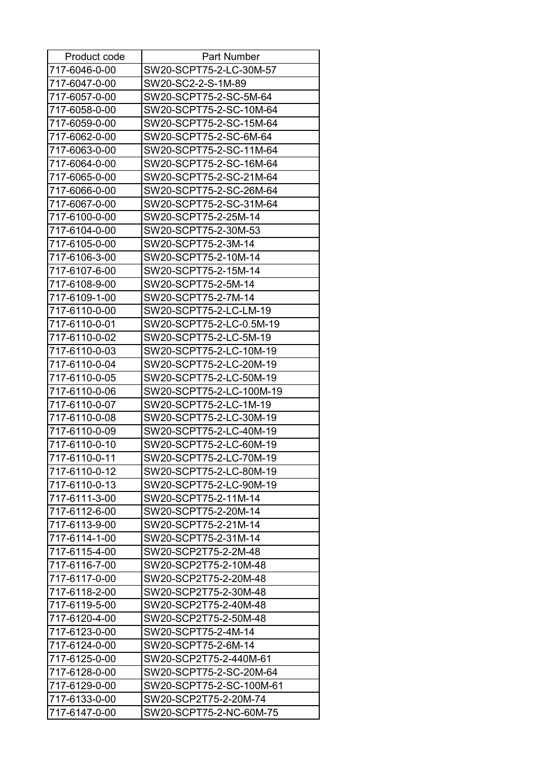| Product code  | Part Number              |
|---------------|--------------------------|
| 717-6046-0-00 | SW20-SCPT75-2-LC-30M-57  |
| 717-6047-0-00 | SW20-SC2-2-S-1M-89       |
| 717-6057-0-00 | SW20-SCPT75-2-SC-5M-64   |
| 717-6058-0-00 | SW20-SCPT75-2-SC-10M-64  |
| 717-6059-0-00 | SW20-SCPT75-2-SC-15M-64  |
| 717-6062-0-00 | SW20-SCPT75-2-SC-6M-64   |
| 717-6063-0-00 | SW20-SCPT75-2-SC-11M-64  |
| 717-6064-0-00 | SW20-SCPT75-2-SC-16M-64  |
| 717-6065-0-00 | SW20-SCPT75-2-SC-21M-64  |
| 717-6066-0-00 | SW20-SCPT75-2-SC-26M-64  |
| 717-6067-0-00 | SW20-SCPT75-2-SC-31M-64  |
| 717-6100-0-00 | SW20-SCPT75-2-25M-14     |
| 717-6104-0-00 | SW20-SCPT75-2-30M-53     |
| 717-6105-0-00 | SW20-SCPT75-2-3M-14      |
| 717-6106-3-00 | SW20-SCPT75-2-10M-14     |
| 717-6107-6-00 | SW20-SCPT75-2-15M-14     |
| 717-6108-9-00 | SW20-SCPT75-2-5M-14      |
| 717-6109-1-00 | SW20-SCPT75-2-7M-14      |
| 717-6110-0-00 | SW20-SCPT75-2-LC-LM-19   |
| 717-6110-0-01 | SW20-SCPT75-2-LC-0.5M-19 |
| 717-6110-0-02 | SW20-SCPT75-2-LC-5M-19   |
| 717-6110-0-03 | SW20-SCPT75-2-LC-10M-19  |
| 717-6110-0-04 | SW20-SCPT75-2-LC-20M-19  |
| 717-6110-0-05 | SW20-SCPT75-2-LC-50M-19  |
| 717-6110-0-06 | SW20-SCPT75-2-LC-100M-19 |
| 717-6110-0-07 | SW20-SCPT75-2-LC-1M-19   |
| 717-6110-0-08 | SW20-SCPT75-2-LC-30M-19  |
| 717-6110-0-09 | SW20-SCPT75-2-LC-40M-19  |
| 717-6110-0-10 | SW20-SCPT75-2-LC-60M-19  |
| 717-6110-0-11 | SW20-SCPT75-2-LC-70M-19  |
| 717-6110-0-12 | SW20-SCPT75-2-LC-80M-19  |
| 717-6110-0-13 | SW20-SCPT75-2-LC-90M-19  |
| 717-6111-3-00 | SW20-SCPT75-2-11M-14     |
| 717-6112-6-00 | SW20-SCPT75-2-20M-14     |
| 717-6113-9-00 | SW20-SCPT75-2-21M-14     |
| 717-6114-1-00 | SW20-SCPT75-2-31M-14     |
| 717-6115-4-00 | SW20-SCP2T75-2-2M-48     |
| 717-6116-7-00 | SW20-SCP2T75-2-10M-48    |
| 717-6117-0-00 | SW20-SCP2T75-2-20M-48    |
| 717-6118-2-00 | SW20-SCP2T75-2-30M-48    |
| 717-6119-5-00 | SW20-SCP2T75-2-40M-48    |
| 717-6120-4-00 | SW20-SCP2T75-2-50M-48    |
| 717-6123-0-00 | SW20-SCPT75-2-4M-14      |
| 717-6124-0-00 | SW20-SCPT75-2-6M-14      |
| 717-6125-0-00 | SW20-SCP2T75-2-440M-61   |
| 717-6128-0-00 | SW20-SCPT75-2-SC-20M-64  |
| 717-6129-0-00 | SW20-SCPT75-2-SC-100M-61 |
| 717-6133-0-00 | SW20-SCP2T75-2-20M-74    |
| 717-6147-0-00 | SW20-SCPT75-2-NC-60M-75  |
|               |                          |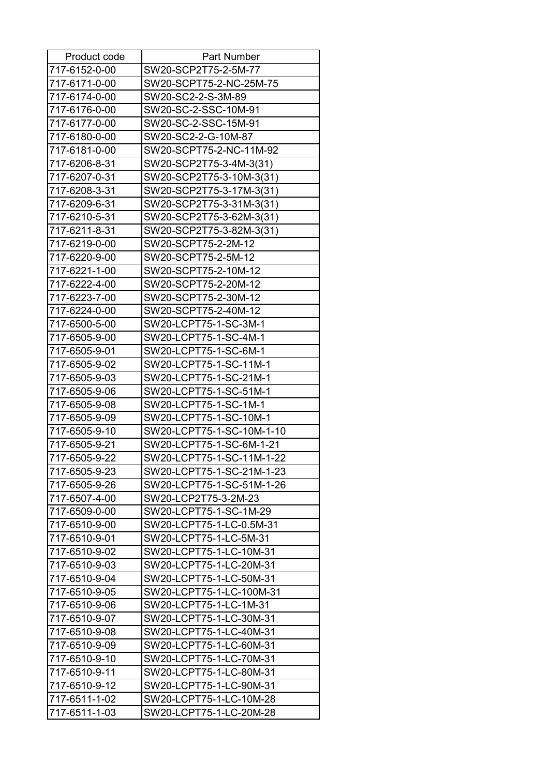| Product code  | <b>Part Number</b>        |
|---------------|---------------------------|
| 717-6152-0-00 | SW20-SCP2T75-2-5M-77      |
| 717-6171-0-00 | SW20-SCPT75-2-NC-25M-75   |
| 717-6174-0-00 | SW20-SC2-2-S-3M-89        |
| 717-6176-0-00 | SW20-SC-2-SSC-10M-91      |
| 717-6177-0-00 | SW20-SC-2-SSC-15M-91      |
| 717-6180-0-00 | SW20-SC2-2-G-10M-87       |
| 717-6181-0-00 | SW20-SCPT75-2-NC-11M-92   |
| 717-6206-8-31 | SW20-SCP2T75-3-4M-3(31)   |
| 717-6207-0-31 | SW20-SCP2T75-3-10M-3(31)  |
| 717-6208-3-31 | SW20-SCP2T75-3-17M-3(31)  |
| 717-6209-6-31 | SW20-SCP2T75-3-31M-3(31)  |
| 717-6210-5-31 | SW20-SCP2T75-3-62M-3(31)  |
| 717-6211-8-31 | SW20-SCP2T75-3-82M-3(31)  |
| 717-6219-0-00 | SW20-SCPT75-2-2M-12       |
| 717-6220-9-00 | SW20-SCPT75-2-5M-12       |
| 717-6221-1-00 | SW20-SCPT75-2-10M-12      |
| 717-6222-4-00 | SW20-SCPT75-2-20M-12      |
| 717-6223-7-00 | SW20-SCPT75-2-30M-12      |
| 717-6224-0-00 | SW20-SCPT75-2-40M-12      |
| 717-6500-5-00 | SW20-LCPT75-1-SC-3M-1     |
| 717-6505-9-00 | SW20-LCPT75-1-SC-4M-1     |
| 717-6505-9-01 | SW20-LCPT75-1-SC-6M-1     |
| 717-6505-9-02 | SW20-LCPT75-1-SC-11M-1    |
| 717-6505-9-03 | SW20-LCPT75-1-SC-21M-1    |
| 717-6505-9-06 | SW20-LCPT75-1-SC-51M-1    |
| 717-6505-9-08 | SW20-LCPT75-1-SC-1M-1     |
| 717-6505-9-09 | SW20-LCPT75-1-SC-10M-1    |
| 717-6505-9-10 | SW20-LCPT75-1-SC-10M-1-10 |
| 717-6505-9-21 | SW20-LCPT75-1-SC-6M-1-21  |
| 717-6505-9-22 | SW20-LCPT75-1-SC-11M-1-22 |
| 717-6505-9-23 | SW20-LCPT75-1-SC-21M-1-23 |
| 717-6505-9-26 | SW20-LCPT75-1-SC-51M-1-26 |
| 717-6507-4-00 | SW20-LCP2T75-3-2M-23      |
| 717-6509-0-00 | SW20-LCPT75-1-SC-1M-29    |
| 717-6510-9-00 | SW20-LCPT75-1-LC-0.5M-31  |
| 717-6510-9-01 | SW20-LCPT75-1-LC-5M-31    |
| 717-6510-9-02 | SW20-LCPT75-1-LC-10M-31   |
| 717-6510-9-03 | SW20-LCPT75-1-LC-20M-31   |
| 717-6510-9-04 | SW20-LCPT75-1-LC-50M-31   |
| 717-6510-9-05 | SW20-LCPT75-1-LC-100M-31  |
| 717-6510-9-06 | SW20-LCPT75-1-LC-1M-31    |
| 717-6510-9-07 | SW20-LCPT75-1-LC-30M-31   |
| 717-6510-9-08 | SW20-LCPT75-1-LC-40M-31   |
| 717-6510-9-09 | SW20-LCPT75-1-LC-60M-31   |
| 717-6510-9-10 | SW20-LCPT75-1-LC-70M-31   |
| 717-6510-9-11 | SW20-LCPT75-1-LC-80M-31   |
| 717-6510-9-12 | SW20-LCPT75-1-LC-90M-31   |
| 717-6511-1-02 | SW20-LCPT75-1-LC-10M-28   |
| 717-6511-1-03 | SW20-LCPT75-1-LC-20M-28   |
|               |                           |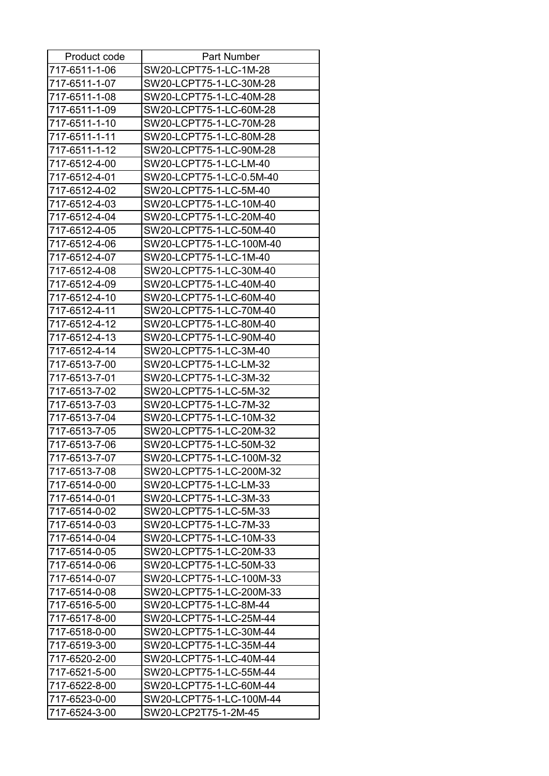| 717-6511-1-06<br>SW20-LCPT75-1-LC-1M-28<br>SW20-LCPT75-1-LC-30M-28<br>717-6511-1-07<br>717-6511-1-08<br>SW20-LCPT75-1-LC-40M-28<br>717-6511-1-09<br>SW20-LCPT75-1-LC-60M-28<br>SW20-LCPT75-1-LC-70M-28<br>717-6511-1-10<br>SW20-LCPT75-1-LC-80M-28<br>717-6511-1-11<br>717-6511-1-12<br>SW20-LCPT75-1-LC-90M-28<br>717-6512-4-00<br>SW20-LCPT75-1-LC-LM-40<br>SW20-LCPT75-1-LC-0.5M-40<br>717-6512-4-01<br>SW20-LCPT75-1-LC-5M-40<br>717-6512-4-02<br>717-6512-4-03<br>SW20-LCPT75-1-LC-10M-40<br>SW20-LCPT75-1-LC-20M-40<br>717-6512-4-04<br>SW20-LCPT75-1-LC-50M-40<br>717-6512-4-05<br>717-6512-4-06<br>SW20-LCPT75-1-LC-100M-40<br>SW20-LCPT75-1-LC-1M-40<br>717-6512-4-07<br>SW20-LCPT75-1-LC-30M-40<br>717-6512-4-08<br>717-6512-4-09<br>SW20-LCPT75-1-LC-40M-40<br>717-6512-4-10<br>SW20-LCPT75-1-LC-60M-40<br>717-6512-4-11<br>SW20-LCPT75-1-LC-70M-40<br>SW20-LCPT75-1-LC-80M-40<br>717-6512-4-12<br>717-6512-4-13<br>SW20-LCPT75-1-LC-90M-40<br>717-6512-4-14<br>SW20-LCPT75-1-LC-3M-40<br>717-6513-7-00<br>SW20-LCPT75-1-LC-LM-32<br>717-6513-7-01<br>SW20-LCPT75-1-LC-3M-32<br>717-6513-7-02<br>SW20-LCPT75-1-LC-5M-32<br>SW20-LCPT75-1-LC-7M-32<br>717-6513-7-03<br>SW20-LCPT75-1-LC-10M-32<br>717-6513-7-04<br>717-6513-7-05<br>SW20-LCPT75-1-LC-20M-32<br>717-6513-7-06<br>SW20-LCPT75-1-LC-50M-32<br>717-6513-7-07<br>SW20-LCPT75-1-LC-100M-32<br>717-6513-7-08<br>SW20-LCPT75-1-LC-200M-32<br>717-6514-0-00<br>SW20-LCPT75-1-LC-LM-33<br>717-6514-0-01<br>SW20-LCPT75-1-LC-3M-33<br>717-6514-0-02<br>SW20-LCPT75-1-LC-5M-33<br>717-6514-0-03<br>SW20-LCPT75-1-LC-7M-33<br>717-6514-0-04<br>SW20-LCPT75-1-LC-10M-33<br>SW20-LCPT75-1-LC-20M-33<br>717-6514-0-05<br>717-6514-0-06<br>SW20-LCPT75-1-LC-50M-33<br>717-6514-0-07<br>SW20-LCPT75-1-LC-100M-33<br>717-6514-0-08<br>SW20-LCPT75-1-LC-200M-33<br>717-6516-5-00<br>SW20-LCPT75-1-LC-8M-44<br>717-6517-8-00<br>SW20-LCPT75-1-LC-25M-44<br>717-6518-0-00<br>SW20-LCPT75-1-LC-30M-44<br>SW20-LCPT75-1-LC-35M-44<br>717-6519-3-00<br>SW20-LCPT75-1-LC-40M-44<br>717-6520-2-00<br>717-6521-5-00<br>SW20-LCPT75-1-LC-55M-44<br>SW20-LCPT75-1-LC-60M-44<br>717-6522-8-00<br>717-6523-0-00<br>SW20-LCPT75-1-LC-100M-44 | Product code  | Part Number          |
|---------------------------------------------------------------------------------------------------------------------------------------------------------------------------------------------------------------------------------------------------------------------------------------------------------------------------------------------------------------------------------------------------------------------------------------------------------------------------------------------------------------------------------------------------------------------------------------------------------------------------------------------------------------------------------------------------------------------------------------------------------------------------------------------------------------------------------------------------------------------------------------------------------------------------------------------------------------------------------------------------------------------------------------------------------------------------------------------------------------------------------------------------------------------------------------------------------------------------------------------------------------------------------------------------------------------------------------------------------------------------------------------------------------------------------------------------------------------------------------------------------------------------------------------------------------------------------------------------------------------------------------------------------------------------------------------------------------------------------------------------------------------------------------------------------------------------------------------------------------------------------------------------------------------------------------------------------------------------------------------------------------------------------------------------------------------------------------------------------------------------------------------------------------------------------------|---------------|----------------------|
|                                                                                                                                                                                                                                                                                                                                                                                                                                                                                                                                                                                                                                                                                                                                                                                                                                                                                                                                                                                                                                                                                                                                                                                                                                                                                                                                                                                                                                                                                                                                                                                                                                                                                                                                                                                                                                                                                                                                                                                                                                                                                                                                                                                       |               |                      |
|                                                                                                                                                                                                                                                                                                                                                                                                                                                                                                                                                                                                                                                                                                                                                                                                                                                                                                                                                                                                                                                                                                                                                                                                                                                                                                                                                                                                                                                                                                                                                                                                                                                                                                                                                                                                                                                                                                                                                                                                                                                                                                                                                                                       |               |                      |
|                                                                                                                                                                                                                                                                                                                                                                                                                                                                                                                                                                                                                                                                                                                                                                                                                                                                                                                                                                                                                                                                                                                                                                                                                                                                                                                                                                                                                                                                                                                                                                                                                                                                                                                                                                                                                                                                                                                                                                                                                                                                                                                                                                                       |               |                      |
|                                                                                                                                                                                                                                                                                                                                                                                                                                                                                                                                                                                                                                                                                                                                                                                                                                                                                                                                                                                                                                                                                                                                                                                                                                                                                                                                                                                                                                                                                                                                                                                                                                                                                                                                                                                                                                                                                                                                                                                                                                                                                                                                                                                       |               |                      |
|                                                                                                                                                                                                                                                                                                                                                                                                                                                                                                                                                                                                                                                                                                                                                                                                                                                                                                                                                                                                                                                                                                                                                                                                                                                                                                                                                                                                                                                                                                                                                                                                                                                                                                                                                                                                                                                                                                                                                                                                                                                                                                                                                                                       |               |                      |
|                                                                                                                                                                                                                                                                                                                                                                                                                                                                                                                                                                                                                                                                                                                                                                                                                                                                                                                                                                                                                                                                                                                                                                                                                                                                                                                                                                                                                                                                                                                                                                                                                                                                                                                                                                                                                                                                                                                                                                                                                                                                                                                                                                                       |               |                      |
|                                                                                                                                                                                                                                                                                                                                                                                                                                                                                                                                                                                                                                                                                                                                                                                                                                                                                                                                                                                                                                                                                                                                                                                                                                                                                                                                                                                                                                                                                                                                                                                                                                                                                                                                                                                                                                                                                                                                                                                                                                                                                                                                                                                       |               |                      |
|                                                                                                                                                                                                                                                                                                                                                                                                                                                                                                                                                                                                                                                                                                                                                                                                                                                                                                                                                                                                                                                                                                                                                                                                                                                                                                                                                                                                                                                                                                                                                                                                                                                                                                                                                                                                                                                                                                                                                                                                                                                                                                                                                                                       |               |                      |
|                                                                                                                                                                                                                                                                                                                                                                                                                                                                                                                                                                                                                                                                                                                                                                                                                                                                                                                                                                                                                                                                                                                                                                                                                                                                                                                                                                                                                                                                                                                                                                                                                                                                                                                                                                                                                                                                                                                                                                                                                                                                                                                                                                                       |               |                      |
|                                                                                                                                                                                                                                                                                                                                                                                                                                                                                                                                                                                                                                                                                                                                                                                                                                                                                                                                                                                                                                                                                                                                                                                                                                                                                                                                                                                                                                                                                                                                                                                                                                                                                                                                                                                                                                                                                                                                                                                                                                                                                                                                                                                       |               |                      |
|                                                                                                                                                                                                                                                                                                                                                                                                                                                                                                                                                                                                                                                                                                                                                                                                                                                                                                                                                                                                                                                                                                                                                                                                                                                                                                                                                                                                                                                                                                                                                                                                                                                                                                                                                                                                                                                                                                                                                                                                                                                                                                                                                                                       |               |                      |
|                                                                                                                                                                                                                                                                                                                                                                                                                                                                                                                                                                                                                                                                                                                                                                                                                                                                                                                                                                                                                                                                                                                                                                                                                                                                                                                                                                                                                                                                                                                                                                                                                                                                                                                                                                                                                                                                                                                                                                                                                                                                                                                                                                                       |               |                      |
|                                                                                                                                                                                                                                                                                                                                                                                                                                                                                                                                                                                                                                                                                                                                                                                                                                                                                                                                                                                                                                                                                                                                                                                                                                                                                                                                                                                                                                                                                                                                                                                                                                                                                                                                                                                                                                                                                                                                                                                                                                                                                                                                                                                       |               |                      |
|                                                                                                                                                                                                                                                                                                                                                                                                                                                                                                                                                                                                                                                                                                                                                                                                                                                                                                                                                                                                                                                                                                                                                                                                                                                                                                                                                                                                                                                                                                                                                                                                                                                                                                                                                                                                                                                                                                                                                                                                                                                                                                                                                                                       |               |                      |
|                                                                                                                                                                                                                                                                                                                                                                                                                                                                                                                                                                                                                                                                                                                                                                                                                                                                                                                                                                                                                                                                                                                                                                                                                                                                                                                                                                                                                                                                                                                                                                                                                                                                                                                                                                                                                                                                                                                                                                                                                                                                                                                                                                                       |               |                      |
|                                                                                                                                                                                                                                                                                                                                                                                                                                                                                                                                                                                                                                                                                                                                                                                                                                                                                                                                                                                                                                                                                                                                                                                                                                                                                                                                                                                                                                                                                                                                                                                                                                                                                                                                                                                                                                                                                                                                                                                                                                                                                                                                                                                       |               |                      |
|                                                                                                                                                                                                                                                                                                                                                                                                                                                                                                                                                                                                                                                                                                                                                                                                                                                                                                                                                                                                                                                                                                                                                                                                                                                                                                                                                                                                                                                                                                                                                                                                                                                                                                                                                                                                                                                                                                                                                                                                                                                                                                                                                                                       |               |                      |
|                                                                                                                                                                                                                                                                                                                                                                                                                                                                                                                                                                                                                                                                                                                                                                                                                                                                                                                                                                                                                                                                                                                                                                                                                                                                                                                                                                                                                                                                                                                                                                                                                                                                                                                                                                                                                                                                                                                                                                                                                                                                                                                                                                                       |               |                      |
|                                                                                                                                                                                                                                                                                                                                                                                                                                                                                                                                                                                                                                                                                                                                                                                                                                                                                                                                                                                                                                                                                                                                                                                                                                                                                                                                                                                                                                                                                                                                                                                                                                                                                                                                                                                                                                                                                                                                                                                                                                                                                                                                                                                       |               |                      |
|                                                                                                                                                                                                                                                                                                                                                                                                                                                                                                                                                                                                                                                                                                                                                                                                                                                                                                                                                                                                                                                                                                                                                                                                                                                                                                                                                                                                                                                                                                                                                                                                                                                                                                                                                                                                                                                                                                                                                                                                                                                                                                                                                                                       |               |                      |
|                                                                                                                                                                                                                                                                                                                                                                                                                                                                                                                                                                                                                                                                                                                                                                                                                                                                                                                                                                                                                                                                                                                                                                                                                                                                                                                                                                                                                                                                                                                                                                                                                                                                                                                                                                                                                                                                                                                                                                                                                                                                                                                                                                                       |               |                      |
|                                                                                                                                                                                                                                                                                                                                                                                                                                                                                                                                                                                                                                                                                                                                                                                                                                                                                                                                                                                                                                                                                                                                                                                                                                                                                                                                                                                                                                                                                                                                                                                                                                                                                                                                                                                                                                                                                                                                                                                                                                                                                                                                                                                       |               |                      |
|                                                                                                                                                                                                                                                                                                                                                                                                                                                                                                                                                                                                                                                                                                                                                                                                                                                                                                                                                                                                                                                                                                                                                                                                                                                                                                                                                                                                                                                                                                                                                                                                                                                                                                                                                                                                                                                                                                                                                                                                                                                                                                                                                                                       |               |                      |
|                                                                                                                                                                                                                                                                                                                                                                                                                                                                                                                                                                                                                                                                                                                                                                                                                                                                                                                                                                                                                                                                                                                                                                                                                                                                                                                                                                                                                                                                                                                                                                                                                                                                                                                                                                                                                                                                                                                                                                                                                                                                                                                                                                                       |               |                      |
|                                                                                                                                                                                                                                                                                                                                                                                                                                                                                                                                                                                                                                                                                                                                                                                                                                                                                                                                                                                                                                                                                                                                                                                                                                                                                                                                                                                                                                                                                                                                                                                                                                                                                                                                                                                                                                                                                                                                                                                                                                                                                                                                                                                       |               |                      |
|                                                                                                                                                                                                                                                                                                                                                                                                                                                                                                                                                                                                                                                                                                                                                                                                                                                                                                                                                                                                                                                                                                                                                                                                                                                                                                                                                                                                                                                                                                                                                                                                                                                                                                                                                                                                                                                                                                                                                                                                                                                                                                                                                                                       |               |                      |
|                                                                                                                                                                                                                                                                                                                                                                                                                                                                                                                                                                                                                                                                                                                                                                                                                                                                                                                                                                                                                                                                                                                                                                                                                                                                                                                                                                                                                                                                                                                                                                                                                                                                                                                                                                                                                                                                                                                                                                                                                                                                                                                                                                                       |               |                      |
|                                                                                                                                                                                                                                                                                                                                                                                                                                                                                                                                                                                                                                                                                                                                                                                                                                                                                                                                                                                                                                                                                                                                                                                                                                                                                                                                                                                                                                                                                                                                                                                                                                                                                                                                                                                                                                                                                                                                                                                                                                                                                                                                                                                       |               |                      |
|                                                                                                                                                                                                                                                                                                                                                                                                                                                                                                                                                                                                                                                                                                                                                                                                                                                                                                                                                                                                                                                                                                                                                                                                                                                                                                                                                                                                                                                                                                                                                                                                                                                                                                                                                                                                                                                                                                                                                                                                                                                                                                                                                                                       |               |                      |
|                                                                                                                                                                                                                                                                                                                                                                                                                                                                                                                                                                                                                                                                                                                                                                                                                                                                                                                                                                                                                                                                                                                                                                                                                                                                                                                                                                                                                                                                                                                                                                                                                                                                                                                                                                                                                                                                                                                                                                                                                                                                                                                                                                                       |               |                      |
|                                                                                                                                                                                                                                                                                                                                                                                                                                                                                                                                                                                                                                                                                                                                                                                                                                                                                                                                                                                                                                                                                                                                                                                                                                                                                                                                                                                                                                                                                                                                                                                                                                                                                                                                                                                                                                                                                                                                                                                                                                                                                                                                                                                       |               |                      |
|                                                                                                                                                                                                                                                                                                                                                                                                                                                                                                                                                                                                                                                                                                                                                                                                                                                                                                                                                                                                                                                                                                                                                                                                                                                                                                                                                                                                                                                                                                                                                                                                                                                                                                                                                                                                                                                                                                                                                                                                                                                                                                                                                                                       |               |                      |
|                                                                                                                                                                                                                                                                                                                                                                                                                                                                                                                                                                                                                                                                                                                                                                                                                                                                                                                                                                                                                                                                                                                                                                                                                                                                                                                                                                                                                                                                                                                                                                                                                                                                                                                                                                                                                                                                                                                                                                                                                                                                                                                                                                                       |               |                      |
|                                                                                                                                                                                                                                                                                                                                                                                                                                                                                                                                                                                                                                                                                                                                                                                                                                                                                                                                                                                                                                                                                                                                                                                                                                                                                                                                                                                                                                                                                                                                                                                                                                                                                                                                                                                                                                                                                                                                                                                                                                                                                                                                                                                       |               |                      |
|                                                                                                                                                                                                                                                                                                                                                                                                                                                                                                                                                                                                                                                                                                                                                                                                                                                                                                                                                                                                                                                                                                                                                                                                                                                                                                                                                                                                                                                                                                                                                                                                                                                                                                                                                                                                                                                                                                                                                                                                                                                                                                                                                                                       |               |                      |
|                                                                                                                                                                                                                                                                                                                                                                                                                                                                                                                                                                                                                                                                                                                                                                                                                                                                                                                                                                                                                                                                                                                                                                                                                                                                                                                                                                                                                                                                                                                                                                                                                                                                                                                                                                                                                                                                                                                                                                                                                                                                                                                                                                                       |               |                      |
|                                                                                                                                                                                                                                                                                                                                                                                                                                                                                                                                                                                                                                                                                                                                                                                                                                                                                                                                                                                                                                                                                                                                                                                                                                                                                                                                                                                                                                                                                                                                                                                                                                                                                                                                                                                                                                                                                                                                                                                                                                                                                                                                                                                       |               |                      |
|                                                                                                                                                                                                                                                                                                                                                                                                                                                                                                                                                                                                                                                                                                                                                                                                                                                                                                                                                                                                                                                                                                                                                                                                                                                                                                                                                                                                                                                                                                                                                                                                                                                                                                                                                                                                                                                                                                                                                                                                                                                                                                                                                                                       |               |                      |
|                                                                                                                                                                                                                                                                                                                                                                                                                                                                                                                                                                                                                                                                                                                                                                                                                                                                                                                                                                                                                                                                                                                                                                                                                                                                                                                                                                                                                                                                                                                                                                                                                                                                                                                                                                                                                                                                                                                                                                                                                                                                                                                                                                                       |               |                      |
|                                                                                                                                                                                                                                                                                                                                                                                                                                                                                                                                                                                                                                                                                                                                                                                                                                                                                                                                                                                                                                                                                                                                                                                                                                                                                                                                                                                                                                                                                                                                                                                                                                                                                                                                                                                                                                                                                                                                                                                                                                                                                                                                                                                       |               |                      |
|                                                                                                                                                                                                                                                                                                                                                                                                                                                                                                                                                                                                                                                                                                                                                                                                                                                                                                                                                                                                                                                                                                                                                                                                                                                                                                                                                                                                                                                                                                                                                                                                                                                                                                                                                                                                                                                                                                                                                                                                                                                                                                                                                                                       |               |                      |
|                                                                                                                                                                                                                                                                                                                                                                                                                                                                                                                                                                                                                                                                                                                                                                                                                                                                                                                                                                                                                                                                                                                                                                                                                                                                                                                                                                                                                                                                                                                                                                                                                                                                                                                                                                                                                                                                                                                                                                                                                                                                                                                                                                                       |               |                      |
|                                                                                                                                                                                                                                                                                                                                                                                                                                                                                                                                                                                                                                                                                                                                                                                                                                                                                                                                                                                                                                                                                                                                                                                                                                                                                                                                                                                                                                                                                                                                                                                                                                                                                                                                                                                                                                                                                                                                                                                                                                                                                                                                                                                       |               |                      |
|                                                                                                                                                                                                                                                                                                                                                                                                                                                                                                                                                                                                                                                                                                                                                                                                                                                                                                                                                                                                                                                                                                                                                                                                                                                                                                                                                                                                                                                                                                                                                                                                                                                                                                                                                                                                                                                                                                                                                                                                                                                                                                                                                                                       |               |                      |
|                                                                                                                                                                                                                                                                                                                                                                                                                                                                                                                                                                                                                                                                                                                                                                                                                                                                                                                                                                                                                                                                                                                                                                                                                                                                                                                                                                                                                                                                                                                                                                                                                                                                                                                                                                                                                                                                                                                                                                                                                                                                                                                                                                                       |               |                      |
|                                                                                                                                                                                                                                                                                                                                                                                                                                                                                                                                                                                                                                                                                                                                                                                                                                                                                                                                                                                                                                                                                                                                                                                                                                                                                                                                                                                                                                                                                                                                                                                                                                                                                                                                                                                                                                                                                                                                                                                                                                                                                                                                                                                       |               |                      |
|                                                                                                                                                                                                                                                                                                                                                                                                                                                                                                                                                                                                                                                                                                                                                                                                                                                                                                                                                                                                                                                                                                                                                                                                                                                                                                                                                                                                                                                                                                                                                                                                                                                                                                                                                                                                                                                                                                                                                                                                                                                                                                                                                                                       |               |                      |
|                                                                                                                                                                                                                                                                                                                                                                                                                                                                                                                                                                                                                                                                                                                                                                                                                                                                                                                                                                                                                                                                                                                                                                                                                                                                                                                                                                                                                                                                                                                                                                                                                                                                                                                                                                                                                                                                                                                                                                                                                                                                                                                                                                                       |               |                      |
|                                                                                                                                                                                                                                                                                                                                                                                                                                                                                                                                                                                                                                                                                                                                                                                                                                                                                                                                                                                                                                                                                                                                                                                                                                                                                                                                                                                                                                                                                                                                                                                                                                                                                                                                                                                                                                                                                                                                                                                                                                                                                                                                                                                       | 717-6524-3-00 | SW20-LCP2T75-1-2M-45 |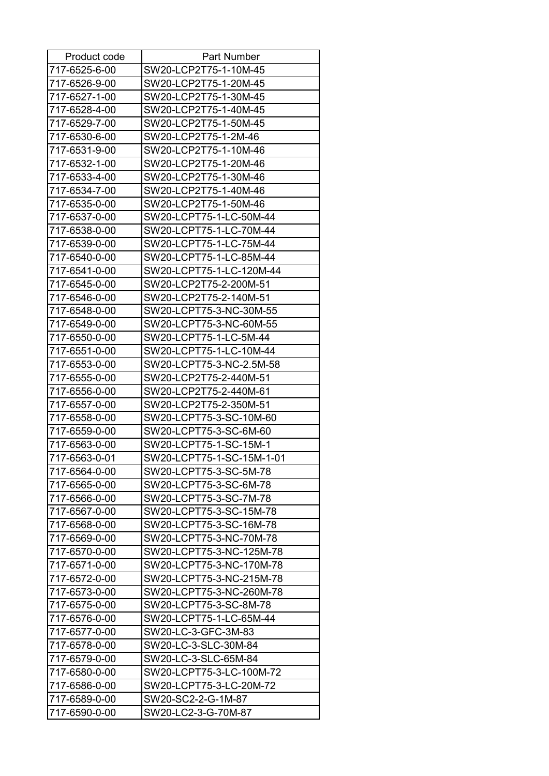| Product code  | Part Number               |
|---------------|---------------------------|
| 717-6525-6-00 | SW20-LCP2T75-1-10M-45     |
| 717-6526-9-00 | SW20-LCP2T75-1-20M-45     |
| 717-6527-1-00 | SW20-LCP2T75-1-30M-45     |
| 717-6528-4-00 | SW20-LCP2T75-1-40M-45     |
| 717-6529-7-00 | SW20-LCP2T75-1-50M-45     |
| 717-6530-6-00 | SW20-LCP2T75-1-2M-46      |
| 717-6531-9-00 | SW20-LCP2T75-1-10M-46     |
| 717-6532-1-00 | SW20-LCP2T75-1-20M-46     |
| 717-6533-4-00 | SW20-LCP2T75-1-30M-46     |
| 717-6534-7-00 | SW20-LCP2T75-1-40M-46     |
| 717-6535-0-00 | SW20-LCP2T75-1-50M-46     |
| 717-6537-0-00 | SW20-LCPT75-1-LC-50M-44   |
| 717-6538-0-00 | SW20-LCPT75-1-LC-70M-44   |
| 717-6539-0-00 | SW20-LCPT75-1-LC-75M-44   |
| 717-6540-0-00 | SW20-LCPT75-1-LC-85M-44   |
| 717-6541-0-00 | SW20-LCPT75-1-LC-120M-44  |
| 717-6545-0-00 | SW20-LCP2T75-2-200M-51    |
| 717-6546-0-00 | SW20-LCP2T75-2-140M-51    |
| 717-6548-0-00 | SW20-LCPT75-3-NC-30M-55   |
| 717-6549-0-00 | SW20-LCPT75-3-NC-60M-55   |
| 717-6550-0-00 | SW20-LCPT75-1-LC-5M-44    |
| 717-6551-0-00 | SW20-LCPT75-1-LC-10M-44   |
| 717-6553-0-00 | SW20-LCPT75-3-NC-2.5M-58  |
| 717-6555-0-00 | SW20-LCP2T75-2-440M-51    |
| 717-6556-0-00 | SW20-LCP2T75-2-440M-61    |
| 717-6557-0-00 | SW20-LCP2T75-2-350M-51    |
| 717-6558-0-00 | SW20-LCPT75-3-SC-10M-60   |
| 717-6559-0-00 | SW20-LCPT75-3-SC-6M-60    |
| 717-6563-0-00 | SW20-LCPT75-1-SC-15M-1    |
| 717-6563-0-01 | SW20-LCPT75-1-SC-15M-1-01 |
| 717-6564-0-00 | SW20-LCPT75-3-SC-5M-78    |
| 717-6565-0-00 | SW20-LCPT75-3-SC-6M-78    |
| 717-6566-0-00 | SW20-LCPT75-3-SC-7M-78    |
| 717-6567-0-00 | SW20-LCPT75-3-SC-15M-78   |
| 717-6568-0-00 | SW20-LCPT75-3-SC-16M-78   |
| 717-6569-0-00 | SW20-LCPT75-3-NC-70M-78   |
| 717-6570-0-00 | SW20-LCPT75-3-NC-125M-78  |
| 717-6571-0-00 | SW20-LCPT75-3-NC-170M-78  |
| 717-6572-0-00 | SW20-LCPT75-3-NC-215M-78  |
| 717-6573-0-00 | SW20-LCPT75-3-NC-260M-78  |
| 717-6575-0-00 | SW20-LCPT75-3-SC-8M-78    |
| 717-6576-0-00 | SW20-LCPT75-1-LC-65M-44   |
| 717-6577-0-00 | SW20-LC-3-GFC-3M-83       |
| 717-6578-0-00 | SW20-LC-3-SLC-30M-84      |
| 717-6579-0-00 | SW20-LC-3-SLC-65M-84      |
| 717-6580-0-00 | SW20-LCPT75-3-LC-100M-72  |
| 717-6586-0-00 | SW20-LCPT75-3-LC-20M-72   |
| 717-6589-0-00 | SW20-SC2-2-G-1M-87        |
| 717-6590-0-00 | SW20-LC2-3-G-70M-87       |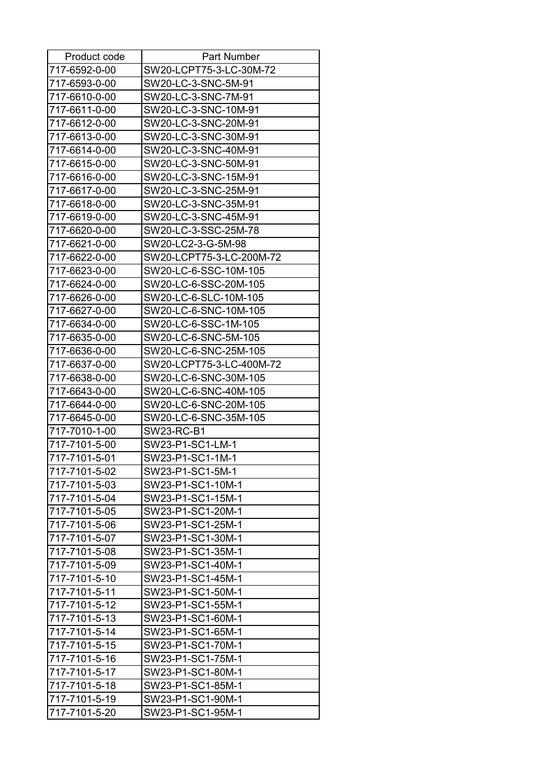| Product code  | Part Number              |
|---------------|--------------------------|
| 717-6592-0-00 | SW20-LCPT75-3-LC-30M-72  |
| 717-6593-0-00 | SW20-LC-3-SNC-5M-91      |
| 717-6610-0-00 | SW20-LC-3-SNC-7M-91      |
| 717-6611-0-00 | SW20-LC-3-SNC-10M-91     |
| 717-6612-0-00 | SW20-LC-3-SNC-20M-91     |
| 717-6613-0-00 | SW20-LC-3-SNC-30M-91     |
| 717-6614-0-00 | SW20-LC-3-SNC-40M-91     |
| 717-6615-0-00 | SW20-LC-3-SNC-50M-91     |
| 717-6616-0-00 | SW20-LC-3-SNC-15M-91     |
| 717-6617-0-00 | SW20-LC-3-SNC-25M-91     |
| 717-6618-0-00 | SW20-LC-3-SNC-35M-91     |
| 717-6619-0-00 | SW20-LC-3-SNC-45M-91     |
| 717-6620-0-00 | SW20-LC-3-SSC-25M-78     |
| 717-6621-0-00 | SW20-LC2-3-G-5M-98       |
| 717-6622-0-00 | SW20-LCPT75-3-LC-200M-72 |
| 717-6623-0-00 | SW20-LC-6-SSC-10M-105    |
| 717-6624-0-00 | SW20-LC-6-SSC-20M-105    |
| 717-6626-0-00 | SW20-LC-6-SLC-10M-105    |
| 717-6627-0-00 | SW20-LC-6-SNC-10M-105    |
| 717-6634-0-00 | SW20-LC-6-SSC-1M-105     |
| 717-6635-0-00 | SW20-LC-6-SNC-5M-105     |
| 717-6636-0-00 | SW20-LC-6-SNC-25M-105    |
| 717-6637-0-00 | SW20-LCPT75-3-LC-400M-72 |
| 717-6638-0-00 | SW20-LC-6-SNC-30M-105    |
| 717-6643-0-00 | SW20-LC-6-SNC-40M-105    |
| 717-6644-0-00 | SW20-LC-6-SNC-20M-105    |
| 717-6645-0-00 | SW20-LC-6-SNC-35M-105    |
| 717-7010-1-00 | SW23-RC-B1               |
| 717-7101-5-00 | SW23-P1-SC1-LM-1         |
| 717-7101-5-01 | SW23-P1-SC1-1M-1         |
| 717-7101-5-02 | SW23-P1-SC1-5M-1         |
| 717-7101-5-03 | SW23-P1-SC1-10M-1        |
| 717-7101-5-04 | SW23-P1-SC1-15M-1        |
| 717-7101-5-05 | SW23-P1-SC1-20M-1        |
| 717-7101-5-06 | SW23-P1-SC1-25M-1        |
| 717-7101-5-07 | SW23-P1-SC1-30M-1        |
| 717-7101-5-08 | SW23-P1-SC1-35M-1        |
| 717-7101-5-09 | SW23-P1-SC1-40M-1        |
| 717-7101-5-10 | SW23-P1-SC1-45M-1        |
| 717-7101-5-11 | SW23-P1-SC1-50M-1        |
| 717-7101-5-12 | SW23-P1-SC1-55M-1        |
| 717-7101-5-13 | SW23-P1-SC1-60M-1        |
| 717-7101-5-14 | SW23-P1-SC1-65M-1        |
| 717-7101-5-15 | SW23-P1-SC1-70M-1        |
| 717-7101-5-16 | SW23-P1-SC1-75M-1        |
| 717-7101-5-17 | SW23-P1-SC1-80M-1        |
| 717-7101-5-18 | SW23-P1-SC1-85M-1        |
| 717-7101-5-19 | SW23-P1-SC1-90M-1        |
| 717-7101-5-20 | SW23-P1-SC1-95M-1        |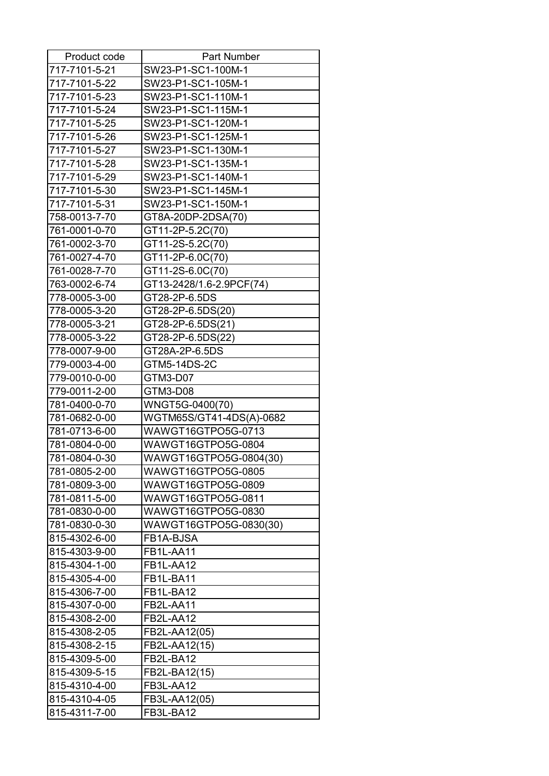| Product code  | <b>Part Number</b>       |
|---------------|--------------------------|
| 717-7101-5-21 | SW23-P1-SC1-100M-1       |
| 717-7101-5-22 | SW23-P1-SC1-105M-1       |
| 717-7101-5-23 | SW23-P1-SC1-110M-1       |
| 717-7101-5-24 | SW23-P1-SC1-115M-1       |
| 717-7101-5-25 | SW23-P1-SC1-120M-1       |
| 717-7101-5-26 | SW23-P1-SC1-125M-1       |
| 717-7101-5-27 | SW23-P1-SC1-130M-1       |
| 717-7101-5-28 | SW23-P1-SC1-135M-1       |
| 717-7101-5-29 | SW23-P1-SC1-140M-1       |
| 717-7101-5-30 | SW23-P1-SC1-145M-1       |
| 717-7101-5-31 | SW23-P1-SC1-150M-1       |
| 758-0013-7-70 | GT8A-20DP-2DSA(70)       |
| 761-0001-0-70 | GT11-2P-5.2C(70)         |
| 761-0002-3-70 | GT11-2S-5.2C(70)         |
| 761-0027-4-70 | GT11-2P-6.0C(70)         |
| 761-0028-7-70 | GT11-2S-6.0C(70)         |
| 763-0002-6-74 | GT13-2428/1.6-2.9PCF(74) |
| 778-0005-3-00 | GT28-2P-6.5DS            |
| 778-0005-3-20 | GT28-2P-6.5DS(20)        |
| 778-0005-3-21 | GT28-2P-6.5DS(21)        |
| 778-0005-3-22 | GT28-2P-6.5DS(22)        |
| 778-0007-9-00 | GT28A-2P-6.5DS           |
| 779-0003-4-00 | GTM5-14DS-2C             |
| 779-0010-0-00 | GTM3-D07                 |
| 779-0011-2-00 | GTM3-D08                 |
| 781-0400-0-70 | WNGT5G-0400(70)          |
| 781-0682-0-00 | WGTM65S/GT41-4DS(A)-0682 |
| 781-0713-6-00 | WAWGT16GTPO5G-0713       |
| 781-0804-0-00 | WAWGT16GTPO5G-0804       |
| 781-0804-0-30 | WAWGT16GTPO5G-0804(30)   |
| 781-0805-2-00 | WAWGT16GTPO5G-0805       |
| 781-0809-3-00 | WAWGT16GTPO5G-0809       |
| 781-0811-5-00 | WAWGT16GTPO5G-0811       |
| 781-0830-0-00 | WAWGT16GTPO5G-0830       |
| 781-0830-0-30 | WAWGT16GTPO5G-0830(30)   |
| 815-4302-6-00 | FB1A-BJSA                |
| 815-4303-9-00 | FB1L-AA11                |
| 815-4304-1-00 | FB1L-AA12                |
| 815-4305-4-00 | FB1L-BA11                |
| 815-4306-7-00 | FB1L-BA12                |
| 815-4307-0-00 | FB2L-AA11                |
| 815-4308-2-00 | FB2L-AA12                |
| 815-4308-2-05 | FB2L-AA12(05)            |
| 815-4308-2-15 | FB2L-AA12(15)            |
| 815-4309-5-00 | FB2L-BA12                |
| 815-4309-5-15 | FB2L-BA12(15)            |
|               |                          |
| 815-4310-4-00 | FB3L-AA12                |
| 815-4310-4-05 | FB3L-AA12(05)            |
| 815-4311-7-00 | FB3L-BA12                |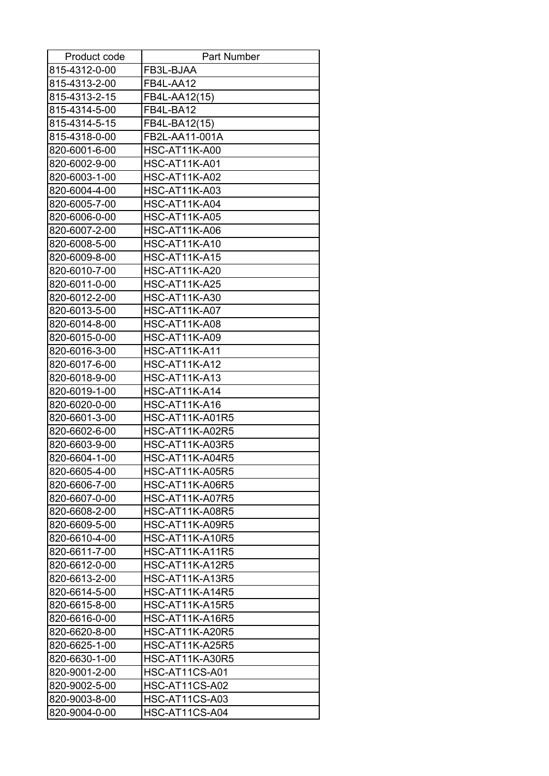| Product code  | <b>Part Number</b>     |
|---------------|------------------------|
| 815-4312-0-00 | FB3L-BJAA              |
| 815-4313-2-00 | FB4L-AA12              |
| 815-4313-2-15 | FB4L-AA12(15)          |
| 815-4314-5-00 | FB4L-BA12              |
| 815-4314-5-15 | FB4L-BA12(15)          |
| 815-4318-0-00 | FB2L-AA11-001A         |
| 820-6001-6-00 | <b>HSC-AT11K-A00</b>   |
| 820-6002-9-00 | <b>HSC-AT11K-A01</b>   |
| 820-6003-1-00 | <b>HSC-AT11K-A02</b>   |
| 820-6004-4-00 | <b>HSC-AT11K-A03</b>   |
| 820-6005-7-00 | <b>HSC-AT11K-A04</b>   |
| 820-6006-0-00 | <b>HSC-AT11K-A05</b>   |
| 820-6007-2-00 | <b>HSC-AT11K-A06</b>   |
| 820-6008-5-00 | <b>HSC-AT11K-A10</b>   |
| 820-6009-8-00 | <b>HSC-AT11K-A15</b>   |
| 820-6010-7-00 | <b>HSC-AT11K-A20</b>   |
| 820-6011-0-00 | <b>HSC-AT11K-A25</b>   |
| 820-6012-2-00 | <b>HSC-AT11K-A30</b>   |
| 820-6013-5-00 | <b>HSC-AT11K-A07</b>   |
| 820-6014-8-00 | <b>HSC-AT11K-A08</b>   |
| 820-6015-0-00 | <b>HSC-AT11K-A09</b>   |
| 820-6016-3-00 | HSC-AT11K-A11          |
| 820-6017-6-00 | HSC-AT11K-A12          |
| 820-6018-9-00 | <b>HSC-AT11K-A13</b>   |
| 820-6019-1-00 | <b>HSC-AT11K-A14</b>   |
| 820-6020-0-00 | <b>HSC-AT11K-A16</b>   |
| 820-6601-3-00 | <b>HSC-AT11K-A01R5</b> |
| 820-6602-6-00 | <b>HSC-AT11K-A02R5</b> |
| 820-6603-9-00 | <b>HSC-AT11K-A03R5</b> |
| 820-6604-1-00 | HSC-AT11K-A04R5        |
| 820-6605-4-00 | <b>HSC-AT11K-A05R5</b> |
| 820-6606-7-00 | <b>HSC-AT11K-A06R5</b> |
| 820-6607-0-00 | <b>HSC-AT11K-A07R5</b> |
| 820-6608-2-00 | <b>HSC-AT11K-A08R5</b> |
| 820-6609-5-00 | HSC-AT11K-A09R5        |
| 820-6610-4-00 | <b>HSC-AT11K-A10R5</b> |
| 820-6611-7-00 | <b>HSC-AT11K-A11R5</b> |
| 820-6612-0-00 | HSC-AT11K-A12R5        |
| 820-6613-2-00 | <b>HSC-AT11K-A13R5</b> |
| 820-6614-5-00 | HSC-AT11K-A14R5        |
| 820-6615-8-00 | <b>HSC-AT11K-A15R5</b> |
| 820-6616-0-00 | HSC-AT11K-A16R5        |
| 820-6620-8-00 | <b>HSC-AT11K-A20R5</b> |
| 820-6625-1-00 | <b>HSC-AT11K-A25R5</b> |
| 820-6630-1-00 | HSC-AT11K-A30R5        |
| 820-9001-2-00 | HSC-AT11CS-A01         |
| 820-9002-5-00 | HSC-AT11CS-A02         |
| 820-9003-8-00 | HSC-AT11CS-A03         |
| 820-9004-0-00 | HSC-AT11CS-A04         |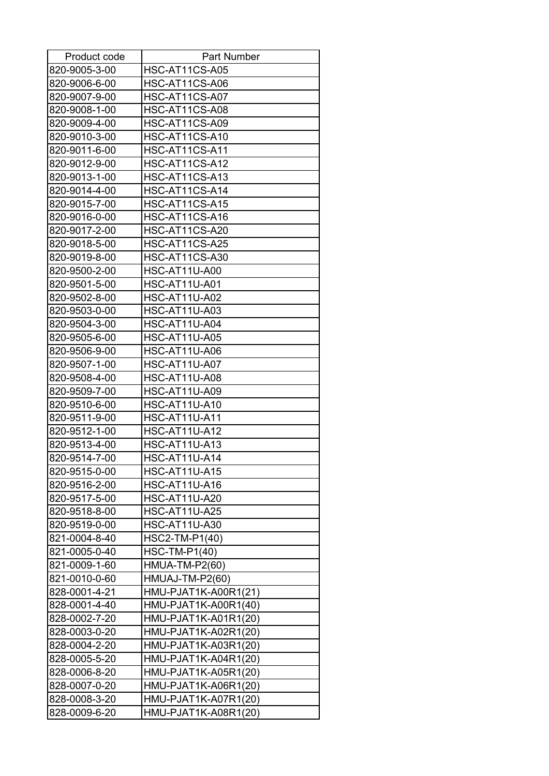| Product code  | <b>Part Number</b>    |
|---------------|-----------------------|
| 820-9005-3-00 | HSC-AT11CS-A05        |
| 820-9006-6-00 | HSC-AT11CS-A06        |
| 820-9007-9-00 | HSC-AT11CS-A07        |
| 820-9008-1-00 | HSC-AT11CS-A08        |
| 820-9009-4-00 | HSC-AT11CS-A09        |
| 820-9010-3-00 | HSC-AT11CS-A10        |
| 820-9011-6-00 | HSC-AT11CS-A11        |
| 820-9012-9-00 | HSC-AT11CS-A12        |
| 820-9013-1-00 | HSC-AT11CS-A13        |
| 820-9014-4-00 | HSC-AT11CS-A14        |
| 820-9015-7-00 | HSC-AT11CS-A15        |
| 820-9016-0-00 | HSC-AT11CS-A16        |
| 820-9017-2-00 | HSC-AT11CS-A20        |
| 820-9018-5-00 | HSC-AT11CS-A25        |
| 820-9019-8-00 | HSC-AT11CS-A30        |
| 820-9500-2-00 | <b>HSC-AT11U-A00</b>  |
| 820-9501-5-00 | <b>HSC-AT11U-A01</b>  |
| 820-9502-8-00 | <b>HSC-AT11U-A02</b>  |
| 820-9503-0-00 | <b>HSC-AT11U-A03</b>  |
| 820-9504-3-00 | <b>HSC-AT11U-A04</b>  |
| 820-9505-6-00 | <b>HSC-AT11U-A05</b>  |
| 820-9506-9-00 | <b>HSC-AT11U-A06</b>  |
| 820-9507-1-00 | <b>HSC-AT11U-A07</b>  |
| 820-9508-4-00 | <b>HSC-AT11U-A08</b>  |
| 820-9509-7-00 | <b>HSC-AT11U-A09</b>  |
| 820-9510-6-00 | <b>HSC-AT11U-A10</b>  |
| 820-9511-9-00 | <b>HSC-AT11U-A11</b>  |
| 820-9512-1-00 | <b>HSC-AT11U-A12</b>  |
| 820-9513-4-00 | <b>HSC-AT11U-A13</b>  |
| 820-9514-7-00 | <b>HSC-AT11U-A14</b>  |
| 820-9515-0-00 | <b>HSC-AT11U-A15</b>  |
| 820-9516-2-00 | <b>HSC-AT11U-A16</b>  |
| 820-9517-5-00 | <b>HSC-AT11U-A20</b>  |
| 820-9518-8-00 | <b>HSC-AT11U-A25</b>  |
| 820-9519-0-00 | <b>HSC-AT11U-A30</b>  |
| 821-0004-8-40 | HSC2-TM-P1(40)        |
| 821-0005-0-40 | <b>HSC-TM-P1(40)</b>  |
| 821-0009-1-60 | <b>HMUA-TM-P2(60)</b> |
| 821-0010-0-60 | HMUAJ-TM-P2(60)       |
| 828-0001-4-21 | HMU-PJAT1K-A00R1(21)  |
| 828-0001-4-40 | HMU-PJAT1K-A00R1(40)  |
| 828-0002-7-20 | HMU-PJAT1K-A01R1(20)  |
| 828-0003-0-20 | HMU-PJAT1K-A02R1(20)  |
| 828-0004-2-20 | HMU-PJAT1K-A03R1(20)  |
| 828-0005-5-20 | HMU-PJAT1K-A04R1(20)  |
| 828-0006-8-20 | HMU-PJAT1K-A05R1(20)  |
| 828-0007-0-20 | HMU-PJAT1K-A06R1(20)  |
| 828-0008-3-20 | HMU-PJAT1K-A07R1(20)  |
| 828-0009-6-20 | HMU-PJAT1K-A08R1(20)  |